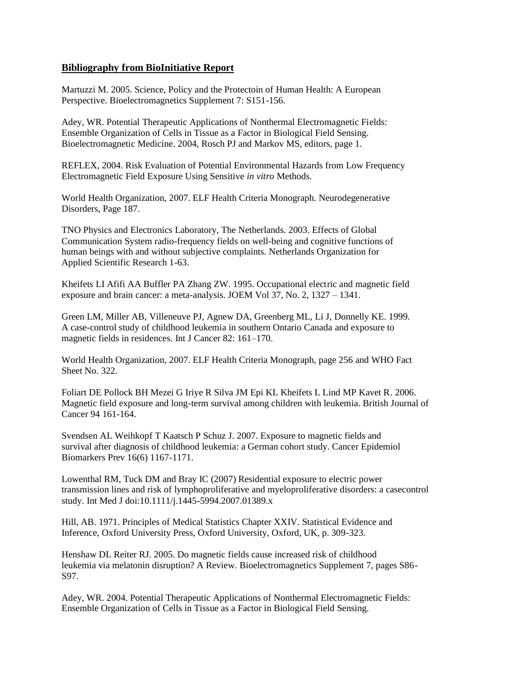## **Bibliography from BioInitiative Report**

Martuzzi M. 2005. Science, Policy and the Protectoin of Human Health: A European Perspective. Bioelectromagnetics Supplement 7: S151-156.

Adey, WR. Potential Therapeutic Applications of Nonthermal Electromagnetic Fields: Ensemble Organization of Cells in Tissue as a Factor in Biological Field Sensing. Bioelectromagnetic Medicine. 2004, Rosch PJ and Markov MS, editors, page 1.

REFLEX, 2004. Risk Evaluation of Potential Environmental Hazards from Low Frequency Electromagnetic Field Exposure Using Sensitive *in vitro* Methods.

World Health Organization, 2007. ELF Health Criteria Monograph. Neurodegenerative Disorders, Page 187.

TNO Physics and Electronics Laboratory, The Netherlands. 2003. Effects of Global Communication System radio-frequency fields on well-being and cognitive functions of human beings with and without subjective complaints. Netherlands Organization for Applied Scientific Research 1-63.

Kheifets LI Afifi AA Buffler PA Zhang ZW. 1995. Occupational electric and magnetic field exposure and brain cancer: a meta-analysis. JOEM Vol 37, No. 2, 1327 – 1341.

Green LM, Miller AB, Villeneuve PJ, Agnew DA, Greenberg ML, Li J, Donnelly KE. 1999. A case-control study of childhood leukemia in southern Ontario Canada and exposure to magnetic fields in residences. Int J Cancer 82: 161–170.

World Health Organization, 2007. ELF Health Criteria Monograph, page 256 and WHO Fact Sheet No. 322.

Foliart DE Pollock BH Mezei G Iriye R Silva JM Epi KL Kheifets L Lind MP Kavet R. 2006. Magnetic field exposure and long-term survival among children with leukemia. British Journal of Cancer 94 161-164.

Svendsen AL Weihkopf T Kaatsch P Schuz J. 2007. Exposure to magnetic fields and survival after diagnosis of childhood leukemia: a German cohort study. Cancer Epidemiol Biomarkers Prev 16(6) 1167-1171.

Lowenthal RM, Tuck DM and Bray IC (2007) Residential exposure to electric power transmission lines and risk of lymphoproliferative and myeloproliferative disorders: a casecontrol study. Int Med J doi:10.1111/j.1445-5994.2007.01389.x

Hill, AB. 1971. Principles of Medical Statistics Chapter XXIV. Statistical Evidence and Inference, Oxford University Press, Oxford University, Oxford, UK, p. 309-323.

Henshaw DL Reiter RJ. 2005. Do magnetic fields cause increased risk of childhood leukemia via melatonin disruption? A Review. Bioelectromagnetics Supplement 7, pages S86- S97.

Adey, WR. 2004. Potential Therapeutic Applications of Nonthermal Electromagnetic Fields: Ensemble Organization of Cells in Tissue as a Factor in Biological Field Sensing.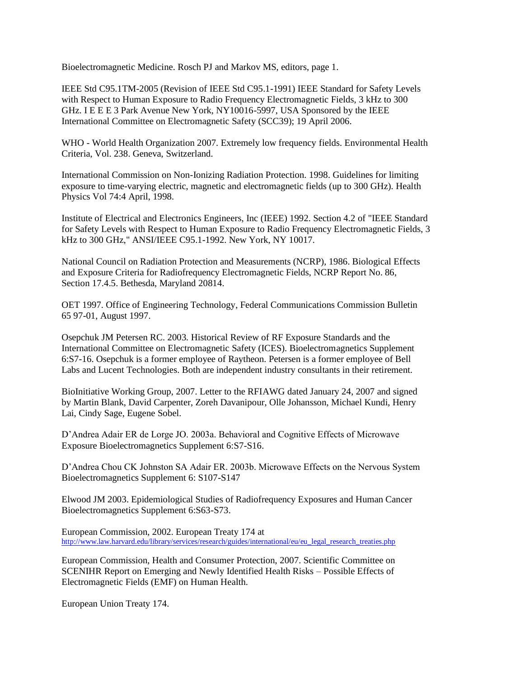Bioelectromagnetic Medicine. Rosch PJ and Markov MS, editors, page 1.

IEEE Std C95.1TM-2005 (Revision of IEEE Std C95.1-1991) IEEE Standard for Safety Levels with Respect to Human Exposure to Radio Frequency Electromagnetic Fields, 3 kHz to 300 GHz. I E E E 3 Park Avenue New York, NY10016-5997, USA Sponsored by the IEEE International Committee on Electromagnetic Safety (SCC39); 19 April 2006.

WHO - World Health Organization 2007. Extremely low frequency fields. Environmental Health Criteria, Vol. 238. Geneva, Switzerland.

International Commission on Non-Ionizing Radiation Protection. 1998. Guidelines for limiting exposure to time-varying electric, magnetic and electromagnetic fields (up to 300 GHz). Health Physics Vol 74:4 April, 1998.

Institute of Electrical and Electronics Engineers, Inc (IEEE) 1992. Section 4.2 of "IEEE Standard for Safety Levels with Respect to Human Exposure to Radio Frequency Electromagnetic Fields, 3 kHz to 300 GHz," ANSI/IEEE C95.1-1992. New York, NY 10017.

National Council on Radiation Protection and Measurements (NCRP), 1986. Biological Effects and Exposure Criteria for Radiofrequency Electromagnetic Fields, NCRP Report No. 86, Section 17.4.5. Bethesda, Maryland 20814.

OET 1997. Office of Engineering Technology, Federal Communications Commission Bulletin 65 97-01, August 1997.

Osepchuk JM Petersen RC. 2003. Historical Review of RF Exposure Standards and the International Committee on Electromagnetic Safety (ICES). Bioelectromagnetics Supplement 6:S7-16. Osepchuk is a former employee of Raytheon. Petersen is a former employee of Bell Labs and Lucent Technologies. Both are independent industry consultants in their retirement.

BioInitiative Working Group, 2007. Letter to the RFIAWG dated January 24, 2007 and signed by Martin Blank, David Carpenter, Zoreh Davanipour, Olle Johansson, Michael Kundi, Henry Lai, Cindy Sage, Eugene Sobel.

D"Andrea Adair ER de Lorge JO. 2003a. Behavioral and Cognitive Effects of Microwave Exposure Bioelectromagnetics Supplement 6:S7-S16.

D"Andrea Chou CK Johnston SA Adair ER. 2003b. Microwave Effects on the Nervous System Bioelectromagnetics Supplement 6: S107-S147

Elwood JM 2003. Epidemiological Studies of Radiofrequency Exposures and Human Cancer Bioelectromagnetics Supplement 6:S63-S73.

European Commission, 2002. European Treaty 174 at [http://www.law.harvard.edu/library/services/research/guides/international/eu/eu\\_legal\\_research\\_treaties.php](http://www.law.harvard.edu/library/services/research/guides/international/eu/eu_legal_research_treaties.php)

European Commission, Health and Consumer Protection, 2007. Scientific Committee on SCENIHR Report on Emerging and Newly Identified Health Risks – Possible Effects of Electromagnetic Fields (EMF) on Human Health.

European Union Treaty 174.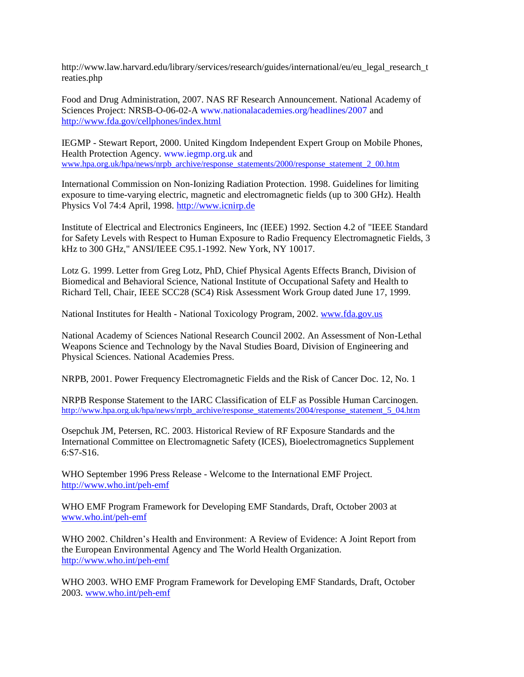http://www.law.harvard.edu/library/services/research/guides/international/eu/eu\_legal\_research\_t reaties.php

Food and Drug Administration, 2007. NAS RF Research Announcement. National Academy of Sciences Project: NRSB-O-06-02-A www.nationalacademies.org/headlines/2007 and <http://www.fda.gov/cellphones/index.html>

IEGMP - Stewart Report, 2000. United Kingdom Independent Expert Group on Mobile Phones, Health Protection Agency. www.iegmp.org.uk and [www.hpa.org.uk/hpa/news/nrpb\\_archive/response\\_statements/2000/response\\_statement\\_2\\_00.htm](http://www.hpa.org.uk/hpa/news/nrpb_archive/response_statements/2000/response_statement_2_00.htm)

International Commission on Non-Ionizing Radiation Protection. 1998. Guidelines for limiting exposure to time-varying electric, magnetic and electromagnetic fields (up to 300 GHz). Health Physics Vol 74:4 April, 1998. [http://www.icnirp.de](http://www.icnirp.de/)

Institute of Electrical and Electronics Engineers, Inc (IEEE) 1992. Section 4.2 of "IEEE Standard for Safety Levels with Respect to Human Exposure to Radio Frequency Electromagnetic Fields, 3 kHz to 300 GHz," ANSI/IEEE C95.1-1992. New York, NY 10017.

Lotz G. 1999. Letter from Greg Lotz, PhD, Chief Physical Agents Effects Branch, Division of Biomedical and Behavioral Science, National Institute of Occupational Safety and Health to Richard Tell, Chair, IEEE SCC28 (SC4) Risk Assessment Work Group dated June 17, 1999.

National Institutes for Health - National Toxicology Program, 2002[. www.fda.gov.us](http://www.fda.gov.us/)

National Academy of Sciences National Research Council 2002. An Assessment of Non-Lethal Weapons Science and Technology by the Naval Studies Board, Division of Engineering and Physical Sciences. National Academies Press.

NRPB, 2001. Power Frequency Electromagnetic Fields and the Risk of Cancer Doc. 12, No. 1

NRPB Response Statement to the IARC Classification of ELF as Possible Human Carcinogen. [http://www.hpa.org.uk/hpa/news/nrpb\\_archive/response\\_statements/2004/response\\_statement\\_5\\_04.htm](http://www.hpa.org.uk/hpa/news/nrpb_archive/response_statements/2004/response_statement_5_04.htm)

Osepchuk JM, Petersen, RC. 2003. Historical Review of RF Exposure Standards and the International Committee on Electromagnetic Safety (ICES), Bioelectromagnetics Supplement 6:S7-S16.

WHO September 1996 Press Release - Welcome to the International EMF Project. <http://www.who.int/peh-emf>

WHO EMF Program Framework for Developing EMF Standards, Draft, October 2003 at [www.who.int/peh-emf](http://www.who.int/peh-emf)

WHO 2002. Children"s Health and Environment: A Review of Evidence: A Joint Report from the European Environmental Agency and The World Health Organization. <http://www.who.int/peh-emf>

WHO 2003. WHO EMF Program Framework for Developing EMF Standards, Draft, October 2003. [www.who.int/peh-emf](http://www.who.int/peh-emf)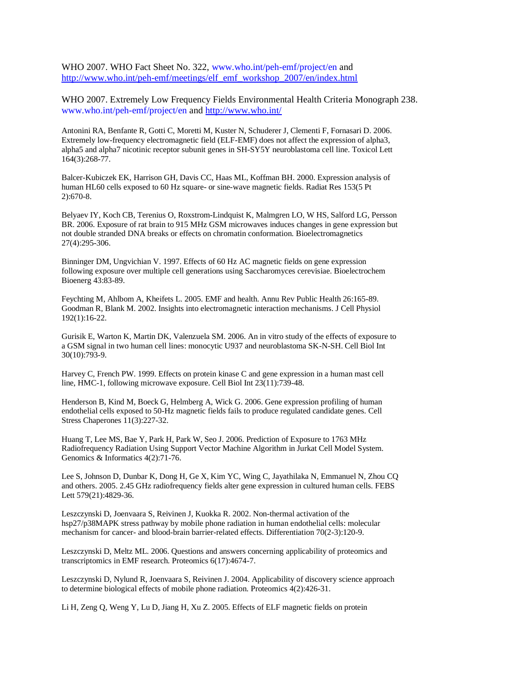WHO 2007. WHO Fact Sheet No. 322, www.who.int/peh-emf/project/en and [http://www.who.int/peh-emf/meetings/elf\\_emf\\_workshop\\_2007/en/index.html](http://www.who.int/peh-emf/meetings/elf_emf_workshop_2007/en/index.html)

WHO 2007. Extremely Low Frequency Fields Environmental Health Criteria Monograph 238. www.who.int/peh-emf/project/en and<http://www.who.int/>

Antonini RA, Benfante R, Gotti C, Moretti M, Kuster N, Schuderer J, Clementi F, Fornasari D. 2006. Extremely low-frequency electromagnetic field (ELF-EMF) does not affect the expression of alpha3, alpha5 and alpha7 nicotinic receptor subunit genes in SH-SY5Y neuroblastoma cell line. Toxicol Lett 164(3):268-77.

Balcer-Kubiczek EK, Harrison GH, Davis CC, Haas ML, Koffman BH. 2000. Expression analysis of human HL60 cells exposed to 60 Hz square- or sine-wave magnetic fields. Radiat Res 153(5 Pt 2):670-8.

Belyaev IY, Koch CB, Terenius O, Roxstrom-Lindquist K, Malmgren LO, W HS, Salford LG, Persson BR. 2006. Exposure of rat brain to 915 MHz GSM microwaves induces changes in gene expression but not double stranded DNA breaks or effects on chromatin conformation. Bioelectromagnetics 27(4):295-306.

Binninger DM, Ungvichian V. 1997. Effects of 60 Hz AC magnetic fields on gene expression following exposure over multiple cell generations using Saccharomyces cerevisiae. Bioelectrochem Bioenerg 43:83-89.

Feychting M, Ahlbom A, Kheifets L. 2005. EMF and health. Annu Rev Public Health 26:165-89. Goodman R, Blank M. 2002. Insights into electromagnetic interaction mechanisms. J Cell Physiol 192(1):16-22.

Gurisik E, Warton K, Martin DK, Valenzuela SM. 2006. An in vitro study of the effects of exposure to a GSM signal in two human cell lines: monocytic U937 and neuroblastoma SK-N-SH. Cell Biol Int 30(10):793-9.

Harvey C, French PW. 1999. Effects on protein kinase C and gene expression in a human mast cell line, HMC-1, following microwave exposure. Cell Biol Int 23(11):739-48.

Henderson B, Kind M, Boeck G, Helmberg A, Wick G. 2006. Gene expression profiling of human endothelial cells exposed to 50-Hz magnetic fields fails to produce regulated candidate genes. Cell Stress Chaperones 11(3):227-32.

Huang T, Lee MS, Bae Y, Park H, Park W, Seo J. 2006. Prediction of Exposure to 1763 MHz Radiofrequency Radiation Using Support Vector Machine Algorithm in Jurkat Cell Model System. Genomics & Informatics 4(2):71-76.

Lee S, Johnson D, Dunbar K, Dong H, Ge X, Kim YC, Wing C, Jayathilaka N, Emmanuel N, Zhou CQ and others. 2005. 2.45 GHz radiofrequency fields alter gene expression in cultured human cells. FEBS Lett 579(21):4829-36.

Leszczynski D, Joenvaara S, Reivinen J, Kuokka R. 2002. Non-thermal activation of the hsp27/p38MAPK stress pathway by mobile phone radiation in human endothelial cells: molecular mechanism for cancer- and blood-brain barrier-related effects. Differentiation 70(2-3):120-9.

Leszczynski D, Meltz ML. 2006. Questions and answers concerning applicability of proteomics and transcriptomics in EMF research. Proteomics 6(17):4674-7.

Leszczynski D, Nylund R, Joenvaara S, Reivinen J. 2004. Applicability of discovery science approach to determine biological effects of mobile phone radiation. Proteomics 4(2):426-31.

Li H, Zeng Q, Weng Y, Lu D, Jiang H, Xu Z. 2005. Effects of ELF magnetic fields on protein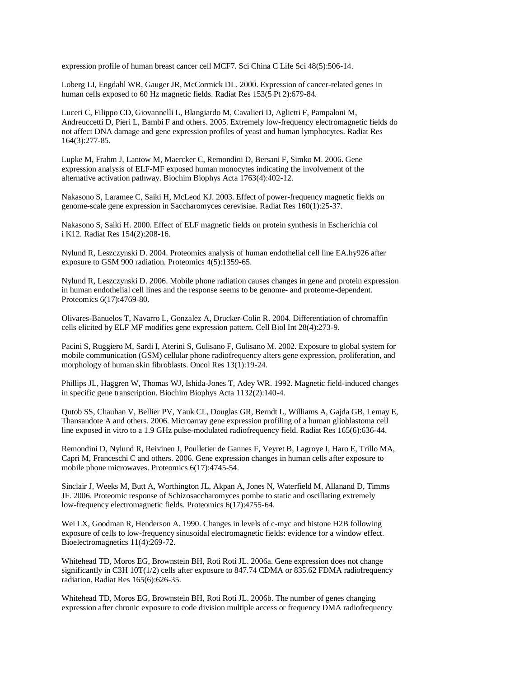expression profile of human breast cancer cell MCF7. Sci China C Life Sci 48(5):506-14.

Loberg LI, Engdahl WR, Gauger JR, McCormick DL. 2000. Expression of cancer-related genes in human cells exposed to 60 Hz magnetic fields. Radiat Res 153(5 Pt 2):679-84.

Luceri C, Filippo CD, Giovannelli L, Blangiardo M, Cavalieri D, Aglietti F, Pampaloni M, Andreuccetti D, Pieri L, Bambi F and others. 2005. Extremely low-frequency electromagnetic fields do not affect DNA damage and gene expression profiles of yeast and human lymphocytes. Radiat Res 164(3):277-85.

Lupke M, Frahm J, Lantow M, Maercker C, Remondini D, Bersani F, Simko M. 2006. Gene expression analysis of ELF-MF exposed human monocytes indicating the involvement of the alternative activation pathway. Biochim Biophys Acta 1763(4):402-12.

Nakasono S, Laramee C, Saiki H, McLeod KJ. 2003. Effect of power-frequency magnetic fields on genome-scale gene expression in Saccharomyces cerevisiae. Radiat Res 160(1):25-37.

Nakasono S, Saiki H. 2000. Effect of ELF magnetic fields on protein synthesis in Escherichia col i K12. Radiat Res 154(2):208-16.

Nylund R, Leszczynski D. 2004. Proteomics analysis of human endothelial cell line EA.hy926 after exposure to GSM 900 radiation. Proteomics 4(5):1359-65.

Nylund R, Leszczynski D. 2006. Mobile phone radiation causes changes in gene and protein expression in human endothelial cell lines and the response seems to be genome- and proteome-dependent. Proteomics 6(17):4769-80.

Olivares-Banuelos T, Navarro L, Gonzalez A, Drucker-Colin R. 2004. Differentiation of chromaffin cells elicited by ELF MF modifies gene expression pattern. Cell Biol Int 28(4):273-9.

Pacini S, Ruggiero M, Sardi I, Aterini S, Gulisano F, Gulisano M. 2002. Exposure to global system for mobile communication (GSM) cellular phone radiofrequency alters gene expression, proliferation, and morphology of human skin fibroblasts. Oncol Res 13(1):19-24.

Phillips JL, Haggren W, Thomas WJ, Ishida-Jones T, Adey WR. 1992. Magnetic field-induced changes in specific gene transcription. Biochim Biophys Acta 1132(2):140-4.

Qutob SS, Chauhan V, Bellier PV, Yauk CL, Douglas GR, Berndt L, Williams A, Gajda GB, Lemay E, Thansandote A and others. 2006. Microarray gene expression profiling of a human glioblastoma cell line exposed in vitro to a 1.9 GHz pulse-modulated radiofrequency field. Radiat Res 165(6):636-44.

Remondini D, Nylund R, Reivinen J, Poulletier de Gannes F, Veyret B, Lagroye I, Haro E, Trillo MA, Capri M, Franceschi C and others. 2006. Gene expression changes in human cells after exposure to mobile phone microwaves. Proteomics 6(17):4745-54.

Sinclair J, Weeks M, Butt A, Worthington JL, Akpan A, Jones N, Waterfield M, Allanand D, Timms JF. 2006. Proteomic response of Schizosaccharomyces pombe to static and oscillating extremely low-frequency electromagnetic fields. Proteomics 6(17):4755-64.

Wei LX, Goodman R, Henderson A. 1990. Changes in levels of c-myc and histone H2B following exposure of cells to low-frequency sinusoidal electromagnetic fields: evidence for a window effect. Bioelectromagnetics 11(4):269-72.

Whitehead TD, Moros EG, Brownstein BH, Roti Roti JL. 2006a. Gene expression does not change significantly in C3H 10T(1/2) cells after exposure to 847.74 CDMA or 835.62 FDMA radiofrequency radiation. Radiat Res 165(6):626-35.

Whitehead TD, Moros EG, Brownstein BH, Roti Roti JL. 2006b. The number of genes changing expression after chronic exposure to code division multiple access or frequency DMA radiofrequency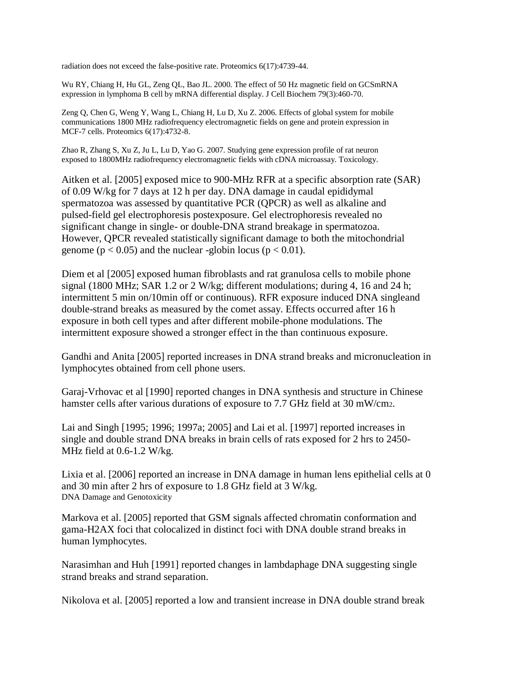radiation does not exceed the false-positive rate. Proteomics 6(17):4739-44.

Wu RY, Chiang H, Hu GL, Zeng QL, Bao JL. 2000. The effect of 50 Hz magnetic field on GCSmRNA expression in lymphoma B cell by mRNA differential display. J Cell Biochem 79(3):460-70.

Zeng Q, Chen G, Weng Y, Wang L, Chiang H, Lu D, Xu Z. 2006. Effects of global system for mobile communications 1800 MHz radiofrequency electromagnetic fields on gene and protein expression in MCF-7 cells. Proteomics 6(17):4732-8.

Zhao R, Zhang S, Xu Z, Ju L, Lu D, Yao G. 2007. Studying gene expression profile of rat neuron exposed to 1800MHz radiofrequency electromagnetic fields with cDNA microassay. Toxicology.

Aitken et al. [2005] exposed mice to 900-MHz RFR at a specific absorption rate (SAR) of 0.09 W/kg for 7 days at 12 h per day. DNA damage in caudal epididymal spermatozoa was assessed by quantitative PCR (QPCR) as well as alkaline and pulsed-field gel electrophoresis postexposure. Gel electrophoresis revealed no significant change in single- or double-DNA strand breakage in spermatozoa. However, QPCR revealed statistically significant damage to both the mitochondrial genome ( $p < 0.05$ ) and the nuclear -globin locus ( $p < 0.01$ ).

Diem et al [2005] exposed human fibroblasts and rat granulosa cells to mobile phone signal (1800 MHz; SAR 1.2 or 2 W/kg; different modulations; during 4, 16 and 24 h; intermittent 5 min on/10min off or continuous). RFR exposure induced DNA singleand double-strand breaks as measured by the comet assay. Effects occurred after 16 h exposure in both cell types and after different mobile-phone modulations. The intermittent exposure showed a stronger effect in the than continuous exposure.

Gandhi and Anita [2005] reported increases in DNA strand breaks and micronucleation in lymphocytes obtained from cell phone users.

Garaj-Vrhovac et al [1990] reported changes in DNA synthesis and structure in Chinese hamster cells after various durations of exposure to 7.7 GHz field at 30 mW/cm2.

Lai and Singh [1995; 1996; 1997a; 2005] and Lai et al. [1997] reported increases in single and double strand DNA breaks in brain cells of rats exposed for 2 hrs to 2450- MHz field at 0.6-1.2 W/kg.

Lixia et al. [2006] reported an increase in DNA damage in human lens epithelial cells at 0 and 30 min after 2 hrs of exposure to 1.8 GHz field at 3 W/kg. DNA Damage and Genotoxicity

Markova et al. [2005] reported that GSM signals affected chromatin conformation and gama-H2AX foci that colocalized in distinct foci with DNA double strand breaks in human lymphocytes.

Narasimhan and Huh [1991] reported changes in lambdaphage DNA suggesting single strand breaks and strand separation.

Nikolova et al. [2005] reported a low and transient increase in DNA double strand break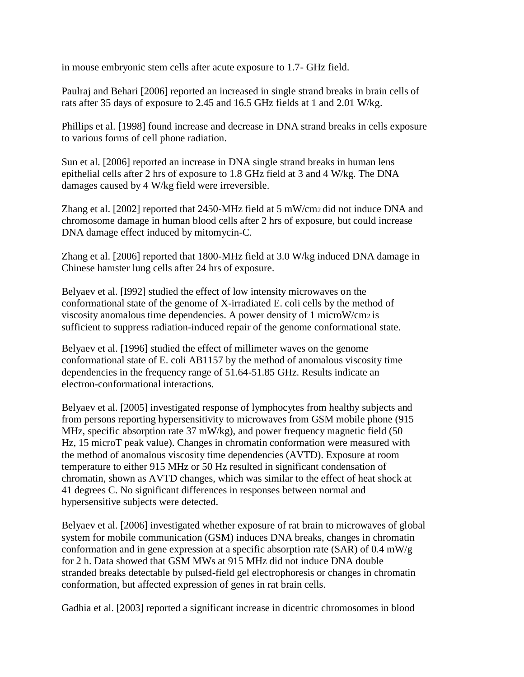in mouse embryonic stem cells after acute exposure to 1.7- GHz field.

Paulraj and Behari [2006] reported an increased in single strand breaks in brain cells of rats after 35 days of exposure to 2.45 and 16.5 GHz fields at 1 and 2.01 W/kg.

Phillips et al. [1998] found increase and decrease in DNA strand breaks in cells exposure to various forms of cell phone radiation.

Sun et al. [2006] reported an increase in DNA single strand breaks in human lens epithelial cells after 2 hrs of exposure to 1.8 GHz field at 3 and 4 W/kg. The DNA damages caused by 4 W/kg field were irreversible.

Zhang et al. [2002] reported that 2450-MHz field at 5 mW/cm2 did not induce DNA and chromosome damage in human blood cells after 2 hrs of exposure, but could increase DNA damage effect induced by mitomycin-C.

Zhang et al. [2006] reported that 1800-MHz field at 3.0 W/kg induced DNA damage in Chinese hamster lung cells after 24 hrs of exposure.

Belyaev et al. [I992] studied the effect of low intensity microwaves on the conformational state of the genome of X-irradiated E. coli cells by the method of viscosity anomalous time dependencies. A power density of 1 microW/cm2 is sufficient to suppress radiation-induced repair of the genome conformational state.

Belyaev et al. [1996] studied the effect of millimeter waves on the genome conformational state of E. coli AB1157 by the method of anomalous viscosity time dependencies in the frequency range of 51.64-51.85 GHz. Results indicate an electron-conformational interactions.

Belyaev et al. [2005] investigated response of lymphocytes from healthy subjects and from persons reporting hypersensitivity to microwaves from GSM mobile phone (915 MHz, specific absorption rate 37 mW/kg), and power frequency magnetic field (50 Hz, 15 microT peak value). Changes in chromatin conformation were measured with the method of anomalous viscosity time dependencies (AVTD). Exposure at room temperature to either 915 MHz or 50 Hz resulted in significant condensation of chromatin, shown as AVTD changes, which was similar to the effect of heat shock at 41 degrees C. No significant differences in responses between normal and hypersensitive subjects were detected.

Belyaev et al. [2006] investigated whether exposure of rat brain to microwaves of global system for mobile communication (GSM) induces DNA breaks, changes in chromatin conformation and in gene expression at a specific absorption rate (SAR) of 0.4 mW/g for 2 h. Data showed that GSM MWs at 915 MHz did not induce DNA double stranded breaks detectable by pulsed-field gel electrophoresis or changes in chromatin conformation, but affected expression of genes in rat brain cells.

Gadhia et al. [2003] reported a significant increase in dicentric chromosomes in blood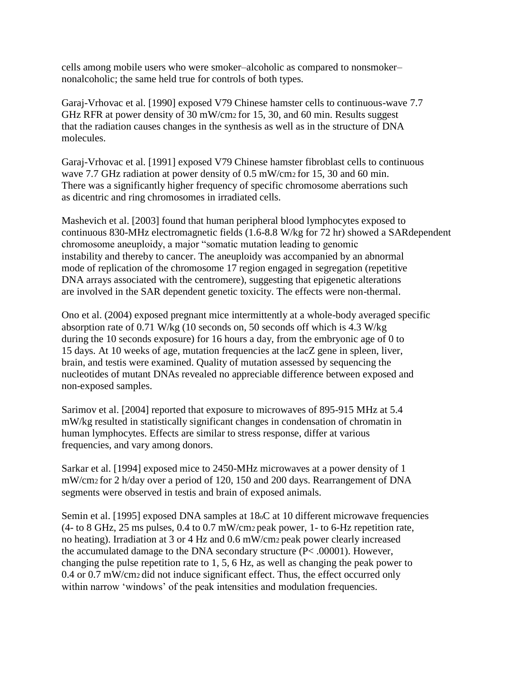cells among mobile users who were smoker–alcoholic as compared to nonsmoker– nonalcoholic; the same held true for controls of both types.

Garaj-Vrhovac et al. [1990] exposed V79 Chinese hamster cells to continuous-wave 7.7 GHz RFR at power density of 30 mW/cm2 for 15, 30, and 60 min. Results suggest that the radiation causes changes in the synthesis as well as in the structure of DNA molecules.

Garaj-Vrhovac et al. [1991] exposed V79 Chinese hamster fibroblast cells to continuous wave 7.7 GHz radiation at power density of 0.5 mW/cm2 for 15, 30 and 60 min. There was a significantly higher frequency of specific chromosome aberrations such as dicentric and ring chromosomes in irradiated cells.

Mashevich et al. [2003] found that human peripheral blood lymphocytes exposed to continuous 830-MHz electromagnetic fields (1.6-8.8 W/kg for 72 hr) showed a SARdependent chromosome aneuploidy, a major "somatic mutation leading to genomic instability and thereby to cancer. The aneuploidy was accompanied by an abnormal mode of replication of the chromosome 17 region engaged in segregation (repetitive DNA arrays associated with the centromere), suggesting that epigenetic alterations are involved in the SAR dependent genetic toxicity. The effects were non-thermal.

Ono et al. (2004) exposed pregnant mice intermittently at a whole-body averaged specific absorption rate of 0.71 W/kg (10 seconds on, 50 seconds off which is 4.3 W/kg during the 10 seconds exposure) for 16 hours a day, from the embryonic age of 0 to 15 days. At 10 weeks of age, mutation frequencies at the lacZ gene in spleen, liver, brain, and testis were examined. Quality of mutation assessed by sequencing the nucleotides of mutant DNAs revealed no appreciable difference between exposed and non-exposed samples.

Sarimov et al. [2004] reported that exposure to microwaves of 895-915 MHz at 5.4 mW/kg resulted in statistically significant changes in condensation of chromatin in human lymphocytes. Effects are similar to stress response, differ at various frequencies, and vary among donors.

Sarkar et al. [1994] exposed mice to 2450-MHz microwaves at a power density of 1 mW/cm2 for 2 h/day over a period of 120, 150 and 200 days. Rearrangement of DNA segments were observed in testis and brain of exposed animals.

Semin et al. [1995] exposed DNA samples at 18oC at 10 different microwave frequencies (4- to 8 GHz, 25 ms pulses, 0.4 to 0.7 mW/cm2 peak power, 1- to 6-Hz repetition rate, no heating). Irradiation at 3 or 4 Hz and 0.6 mW/cm2 peak power clearly increased the accumulated damage to the DNA secondary structure (P< .00001). However, changing the pulse repetition rate to 1, 5, 6 Hz, as well as changing the peak power to 0.4 or 0.7 mW/cm2 did not induce significant effect. Thus, the effect occurred only within narrow 'windows' of the peak intensities and modulation frequencies.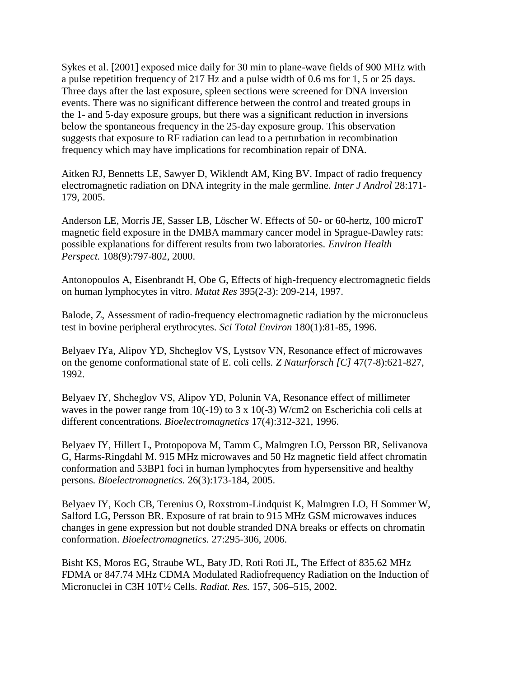Sykes et al. [2001] exposed mice daily for 30 min to plane-wave fields of 900 MHz with a pulse repetition frequency of 217 Hz and a pulse width of 0.6 ms for 1, 5 or 25 days. Three days after the last exposure, spleen sections were screened for DNA inversion events. There was no significant difference between the control and treated groups in the 1- and 5-day exposure groups, but there was a significant reduction in inversions below the spontaneous frequency in the 25-day exposure group. This observation suggests that exposure to RF radiation can lead to a perturbation in recombination frequency which may have implications for recombination repair of DNA.

Aitken RJ, Bennetts LE, Sawyer D, Wiklendt AM, King BV. Impact of radio frequency electromagnetic radiation on DNA integrity in the male germline. *Inter J Androl* 28:171- 179, 2005.

Anderson LE, Morris JE, Sasser LB, Löscher W. Effects of 50- or 60-hertz, 100 microT magnetic field exposure in the DMBA mammary cancer model in Sprague-Dawley rats: possible explanations for different results from two laboratories. *Environ Health Perspect.* 108(9):797-802, 2000.

Antonopoulos A, Eisenbrandt H, Obe G, Effects of high-frequency electromagnetic fields on human lymphocytes in vitro. *Mutat Res* 395(2-3): 209-214, 1997.

Balode, Z, Assessment of radio-frequency electromagnetic radiation by the micronucleus test in bovine peripheral erythrocytes. *Sci Total Environ* 180(1):81-85, 1996.

Belyaev IYa, Alipov YD, Shcheglov VS, Lystsov VN, Resonance effect of microwaves on the genome conformational state of E. coli cells. *Z Naturforsch [C]* 47(7-8):621-827, 1992.

Belyaev IY, Shcheglov VS, Alipov YD, Polunin VA, Resonance effect of millimeter waves in the power range from 10(-19) to 3 x 10(-3) W/cm2 on Escherichia coli cells at different concentrations. *Bioelectromagnetics* 17(4):312-321, 1996.

Belyaev IY, Hillert L, Protopopova M, Tamm C, Malmgren LO, Persson BR, Selivanova G, Harms-Ringdahl M. 915 MHz microwaves and 50 Hz magnetic field affect chromatin conformation and 53BP1 foci in human lymphocytes from hypersensitive and healthy persons. *Bioelectromagnetics.* 26(3):173-184, 2005.

Belyaev IY, Koch CB, Terenius O, Roxstrom-Lindquist K, Malmgren LO, H Sommer W, Salford LG, Persson BR. Exposure of rat brain to 915 MHz GSM microwaves induces changes in gene expression but not double stranded DNA breaks or effects on chromatin conformation. *Bioelectromagnetics.* 27:295-306, 2006.

Bisht KS, Moros EG, Straube WL, Baty JD, Roti Roti JL, The Effect of 835.62 MHz FDMA or 847.74 MHz CDMA Modulated Radiofrequency Radiation on the Induction of Micronuclei in C3H 10T½ Cells. *Radiat. Res.* 157, 506–515, 2002.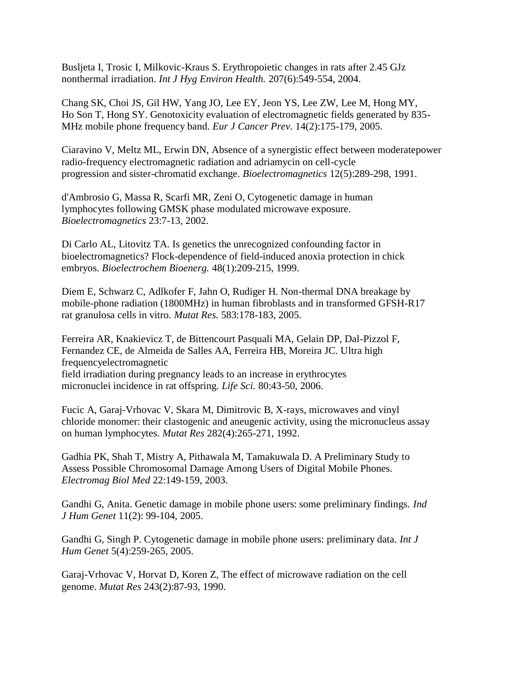Busljeta I, Trosic I, Milkovic-Kraus S. Erythropoietic changes in rats after 2.45 GJz nonthermal irradiation. *Int J Hyg Environ Health.* 207(6):549-554, 2004.

Chang SK, Choi JS, Gil HW, Yang JO, Lee EY, Jeon YS, Lee ZW, Lee M, Hong MY, Ho Son T, Hong SY. Genotoxicity evaluation of electromagnetic fields generated by 835- MHz mobile phone frequency band. *Eur J Cancer Prev.* 14(2):175-179, 2005.

Ciaravino V, Meltz ML, Erwin DN, Absence of a synergistic effect between moderatepower radio-frequency electromagnetic radiation and adriamycin on cell-cycle progression and sister-chromatid exchange. *Bioelectromagnetics* 12(5):289-298, 1991.

d'Ambrosio G, Massa R, Scarfi MR, Zeni O, Cytogenetic damage in human lymphocytes following GMSK phase modulated microwave exposure. *Bioelectromagnetics* 23:7-13, 2002.

Di Carlo AL, Litovitz TA. Is genetics the unrecognized confounding factor in bioelectromagnetics? Flock-dependence of field-induced anoxia protection in chick embryos. *Bioelectrochem Bioenerg.* 48(1):209-215, 1999.

Diem E, Schwarz C, Adlkofer F, Jahn O, Rudiger H. Non-thermal DNA breakage by mobile-phone radiation (1800MHz) in human fibroblasts and in transformed GFSH-R17 rat granulosa cells in vitro. *Mutat Res.* 583:178-183, 2005.

Ferreira AR, Knakievicz T, de Bittencourt Pasquali MA, Gelain DP, Dal-Pizzol F, Fernandez CE, de Almeida de Salles AA, Ferreira HB, Moreira JC. Ultra high frequencyelectromagnetic field irradiation during pregnancy leads to an increase in erythrocytes micronuclei incidence in rat offspring. *Life Sci.* 80:43-50, 2006.

Fucic A, Garaj-Vrhovac V, Skara M, Dimitrovic B, X-rays, microwaves and vinyl chloride monomer: their clastogenic and aneugenic activity, using the micronucleus assay on human lymphocytes. *Mutat Res* 282(4):265-271, 1992.

Gadhia PK, Shah T, Mistry A, Pithawala M, Tamakuwala D. A Preliminary Study to Assess Possible Chromosomal Damage Among Users of Digital Mobile Phones. *Electromag Biol Med* 22:149-159, 2003.

Gandhi G, Anita. Genetic damage in mobile phone users: some preliminary findings. *Ind J Hum Genet* 11(2): 99-104, 2005.

Gandhi G, Singh P. Cytogenetic damage in mobile phone users: preliminary data. *Int J Hum Genet* 5(4):259-265, 2005.

Garaj-Vrhovac V, Horvat D, Koren Z, The effect of microwave radiation on the cell genome. *Mutat Res* 243(2):87-93, 1990.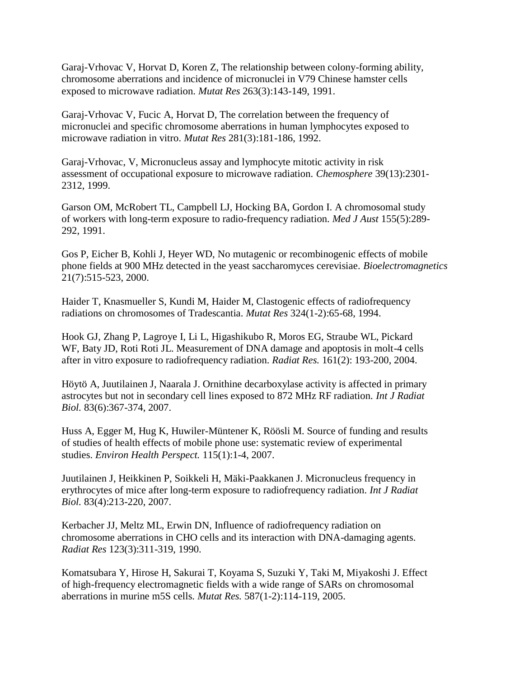Garaj-Vrhovac V, Horvat D, Koren Z, The relationship between colony-forming ability, chromosome aberrations and incidence of micronuclei in V79 Chinese hamster cells exposed to microwave radiation. *Mutat Res* 263(3):143-149, 1991.

Garaj-Vrhovac V, Fucic A, Horvat D, The correlation between the frequency of micronuclei and specific chromosome aberrations in human lymphocytes exposed to microwave radiation in vitro. *Mutat Res* 281(3):181-186, 1992.

Garaj-Vrhovac, V, Micronucleus assay and lymphocyte mitotic activity in risk assessment of occupational exposure to microwave radiation. *Chemosphere* 39(13):2301- 2312, 1999.

Garson OM, McRobert TL, Campbell LJ, Hocking BA, Gordon I. A chromosomal study of workers with long-term exposure to radio-frequency radiation. *Med J Aust* 155(5):289- 292, 1991.

Gos P, Eicher B, Kohli J, Heyer WD, No mutagenic or recombinogenic effects of mobile phone fields at 900 MHz detected in the yeast saccharomyces cerevisiae. *Bioelectromagnetics* 21(7):515-523, 2000.

Haider T, Knasmueller S, Kundi M, Haider M, Clastogenic effects of radiofrequency radiations on chromosomes of Tradescantia. *Mutat Res* 324(1-2):65-68, 1994.

Hook GJ, Zhang P, Lagroye I, Li L, Higashikubo R, Moros EG, Straube WL, Pickard WF, Baty JD, Roti Roti JL. Measurement of DNA damage and apoptosis in molt-4 cells after in vitro exposure to radiofrequency radiation. *Radiat Res.* 161(2): 193-200, 2004.

Höytö A, Juutilainen J, Naarala J. Ornithine decarboxylase activity is affected in primary astrocytes but not in secondary cell lines exposed to 872 MHz RF radiation. *Int J Radiat Biol.* 83(6):367-374, 2007.

Huss A, Egger M, Hug K, Huwiler-Müntener K, Röösli M. Source of funding and results of studies of health effects of mobile phone use: systematic review of experimental studies. *Environ Health Perspect.* 115(1):1-4, 2007.

Juutilainen J, Heikkinen P, Soikkeli H, Mäki-Paakkanen J. Micronucleus frequency in erythrocytes of mice after long-term exposure to radiofrequency radiation. *Int J Radiat Biol.* 83(4):213-220, 2007.

Kerbacher JJ, Meltz ML, Erwin DN, Influence of radiofrequency radiation on chromosome aberrations in CHO cells and its interaction with DNA-damaging agents. *Radiat Res* 123(3):311-319, 1990.

Komatsubara Y, Hirose H, Sakurai T, Koyama S, Suzuki Y, Taki M, Miyakoshi J. Effect of high-frequency electromagnetic fields with a wide range of SARs on chromosomal aberrations in murine m5S cells. *Mutat Res.* 587(1-2):114-119, 2005.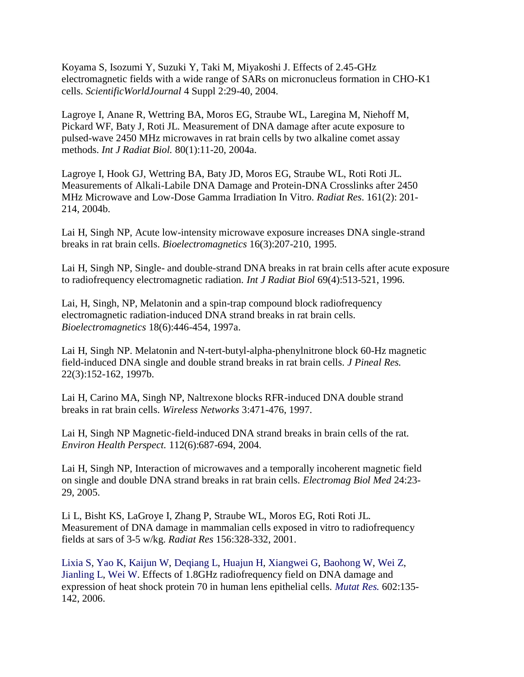Koyama S, Isozumi Y, Suzuki Y, Taki M, Miyakoshi J. Effects of 2.45-GHz electromagnetic fields with a wide range of SARs on micronucleus formation in CHO-K1 cells. *ScientificWorldJournal* 4 Suppl 2:29-40, 2004.

Lagroye I, Anane R, Wettring BA, Moros EG, Straube WL, Laregina M, Niehoff M, Pickard WF, Baty J, Roti JL. Measurement of DNA damage after acute exposure to pulsed-wave 2450 MHz microwaves in rat brain cells by two alkaline comet assay methods. *Int J Radiat Biol.* 80(1):11-20, 2004a.

Lagroye I, Hook GJ, Wettring BA, Baty JD, Moros EG, Straube WL, Roti Roti JL. Measurements of Alkali-Labile DNA Damage and Protein-DNA Crosslinks after 2450 MHz Microwave and Low-Dose Gamma Irradiation In Vitro. *Radiat Res*. 161(2): 201- 214, 2004b.

Lai H, Singh NP, Acute low-intensity microwave exposure increases DNA single-strand breaks in rat brain cells. *Bioelectromagnetics* 16(3):207-210, 1995.

Lai H, Singh NP, Single- and double-strand DNA breaks in rat brain cells after acute exposure to radiofrequency electromagnetic radiation. *Int J Radiat Biol* 69(4):513-521, 1996.

Lai, H, Singh, NP, Melatonin and a spin-trap compound block radiofrequency electromagnetic radiation-induced DNA strand breaks in rat brain cells. *Bioelectromagnetics* 18(6):446-454, 1997a.

Lai H, Singh NP. Melatonin and N-tert-butyl-alpha-phenylnitrone block 60-Hz magnetic field-induced DNA single and double strand breaks in rat brain cells. *J Pineal Res.* 22(3):152-162, 1997b.

Lai H, Carino MA, Singh NP, Naltrexone blocks RFR-induced DNA double strand breaks in rat brain cells. *Wireless Networks* 3:471-476, 1997.

Lai H, Singh NP Magnetic-field-induced DNA strand breaks in brain cells of the rat. *Environ Health Perspect.* 112(6):687-694, 2004.

Lai H, Singh NP, Interaction of microwaves and a temporally incoherent magnetic field on single and double DNA strand breaks in rat brain cells. *Electromag Biol Med* 24:23- 29, 2005.

Li L, Bisht KS, LaGroye I, Zhang P, Straube WL, Moros EG, Roti Roti JL. Measurement of DNA damage in mammalian cells exposed in vitro to radiofrequency fields at sars of 3-5 w/kg. *Radiat Res* 156:328-332, 2001.

Lixia S, Yao K, Kaijun W, Deqiang L, Huajun H, Xiangwei G, Baohong W, Wei Z, Jianling L, Wei W. Effects of 1.8GHz radiofrequency field on DNA damage and expression of heat shock protein 70 in human lens epithelial cells. *Mutat Res.* 602:135- 142, 2006.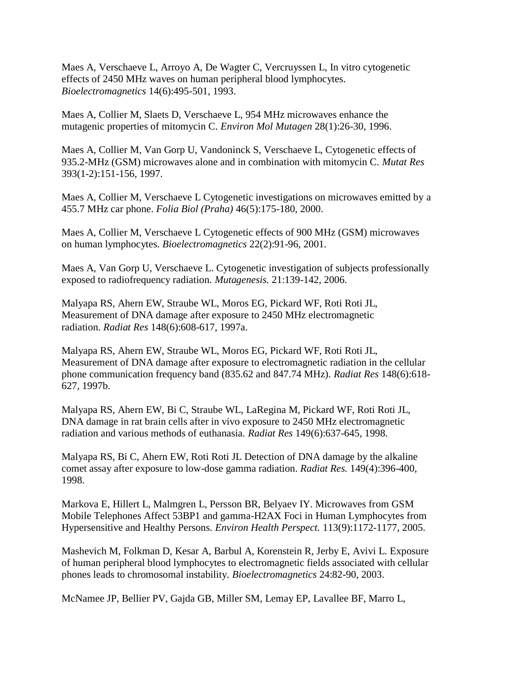Maes A, Verschaeve L, Arroyo A, De Wagter C, Vercruyssen L, In vitro cytogenetic effects of 2450 MHz waves on human peripheral blood lymphocytes. *Bioelectromagnetics* 14(6):495-501, 1993.

Maes A, Collier M, Slaets D, Verschaeve L, 954 MHz microwaves enhance the mutagenic properties of mitomycin C. *Environ Mol Mutagen* 28(1):26-30, 1996.

Maes A, Collier M, Van Gorp U, Vandoninck S, Verschaeve L, Cytogenetic effects of 935.2-MHz (GSM) microwaves alone and in combination with mitomycin C. *Mutat Res* 393(1-2):151-156, 1997.

Maes A, Collier M, Verschaeve L Cytogenetic investigations on microwaves emitted by a 455.7 MHz car phone. *Folia Biol (Praha)* 46(5):175-180, 2000.

Maes A, Collier M, Verschaeve L Cytogenetic effects of 900 MHz (GSM) microwaves on human lymphocytes. *Bioelectromagnetics* 22(2):91-96, 2001.

Maes A, Van Gorp U, Verschaeve L. Cytogenetic investigation of subjects professionally exposed to radiofrequency radiation. *Mutagenesis.* 21:139-142, 2006.

Malyapa RS, Ahern EW, Straube WL, Moros EG, Pickard WF, Roti Roti JL, Measurement of DNA damage after exposure to 2450 MHz electromagnetic radiation. *Radiat Res* 148(6):608-617, 1997a.

Malyapa RS, Ahern EW, Straube WL, Moros EG, Pickard WF, Roti Roti JL, Measurement of DNA damage after exposure to electromagnetic radiation in the cellular phone communication frequency band (835.62 and 847.74 MHz). *Radiat Res* 148(6):618- 627, 1997b.

Malyapa RS, Ahern EW, Bi C, Straube WL, LaRegina M, Pickard WF, Roti Roti JL, DNA damage in rat brain cells after in vivo exposure to 2450 MHz electromagnetic radiation and various methods of euthanasia. *Radiat Res* 149(6):637-645, 1998.

Malyapa RS, Bi C, Ahern EW, Roti Roti JL Detection of DNA damage by the alkaline comet assay after exposure to low-dose gamma radiation. *Radiat Res.* 149(4):396-400, 1998.

Markova E, Hillert L, Malmgren L, Persson BR, Belyaev IY. Microwaves from GSM Mobile Telephones Affect 53BP1 and gamma-H2AX Foci in Human Lymphocytes from Hypersensitive and Healthy Persons. *Environ Health Perspect.* 113(9):1172-1177, 2005.

Mashevich M, Folkman D, Kesar A, Barbul A, Korenstein R, Jerby E, Avivi L. Exposure of human peripheral blood lymphocytes to electromagnetic fields associated with cellular phones leads to chromosomal instability. *Bioelectromagnetics* 24:82-90, 2003.

McNamee JP, Bellier PV, Gajda GB, Miller SM, Lemay EP, Lavallee BF, Marro L,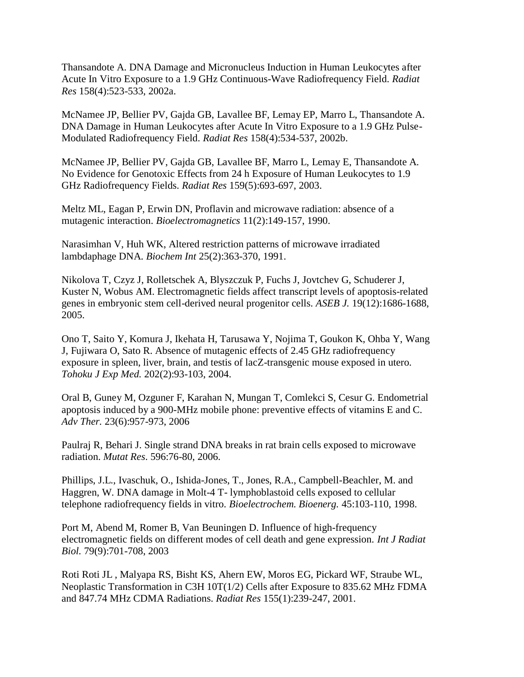Thansandote A. DNA Damage and Micronucleus Induction in Human Leukocytes after Acute In Vitro Exposure to a 1.9 GHz Continuous-Wave Radiofrequency Field. *Radiat Res* 158(4):523-533, 2002a.

McNamee JP, Bellier PV, Gajda GB, Lavallee BF, Lemay EP, Marro L, Thansandote A. DNA Damage in Human Leukocytes after Acute In Vitro Exposure to a 1.9 GHz Pulse-Modulated Radiofrequency Field. *Radiat Res* 158(4):534-537, 2002b.

McNamee JP, Bellier PV, Gajda GB, Lavallee BF, Marro L, Lemay E, Thansandote A. No Evidence for Genotoxic Effects from 24 h Exposure of Human Leukocytes to 1.9 GHz Radiofrequency Fields. *Radiat Res* 159(5):693-697, 2003.

Meltz ML, Eagan P, Erwin DN, Proflavin and microwave radiation: absence of a mutagenic interaction. *Bioelectromagnetics* 11(2):149-157, 1990.

Narasimhan V, Huh WK, Altered restriction patterns of microwave irradiated lambdaphage DNA. *Biochem Int* 25(2):363-370, 1991.

Nikolova T, Czyz J, Rolletschek A, Blyszczuk P, Fuchs J, Jovtchev G, Schuderer J, Kuster N, Wobus AM. Electromagnetic fields affect transcript levels of apoptosis-related genes in embryonic stem cell-derived neural progenitor cells. *ASEB J.* 19(12):1686-1688, 2005.

Ono T, Saito Y, Komura J, Ikehata H, Tarusawa Y, Nojima T, Goukon K, Ohba Y, Wang J, Fujiwara O, Sato R. Absence of mutagenic effects of 2.45 GHz radiofrequency exposure in spleen, liver, brain, and testis of lacZ-transgenic mouse exposed in utero. *Tohoku J Exp Med.* 202(2):93-103, 2004.

Oral B, Guney M, Ozguner F, Karahan N, Mungan T, Comlekci S, Cesur G. Endometrial apoptosis induced by a 900-MHz mobile phone: preventive effects of vitamins E and C. *Adv Ther.* 23(6):957-973, 2006

Paulraj R, Behari J. Single strand DNA breaks in rat brain cells exposed to microwave radiation. *Mutat Res*. 596:76-80, 2006.

Phillips, J.L., Ivaschuk, O., Ishida-Jones, T., Jones, R.A., Campbell-Beachler, M. and Haggren, W. DNA damage in Molt-4 T- lymphoblastoid cells exposed to cellular telephone radiofrequency fields in vitro. *Bioelectrochem. Bioenerg.* 45:103-110, 1998.

Port M, Abend M, Romer B, Van Beuningen D. Influence of high-frequency electromagnetic fields on different modes of cell death and gene expression. *Int J Radiat Biol.* 79(9):701-708, 2003

Roti Roti JL , Malyapa RS, Bisht KS, Ahern EW, Moros EG, Pickard WF, Straube WL, Neoplastic Transformation in C3H 10T(1/2) Cells after Exposure to 835.62 MHz FDMA and 847.74 MHz CDMA Radiations. *Radiat Res* 155(1):239-247, 2001.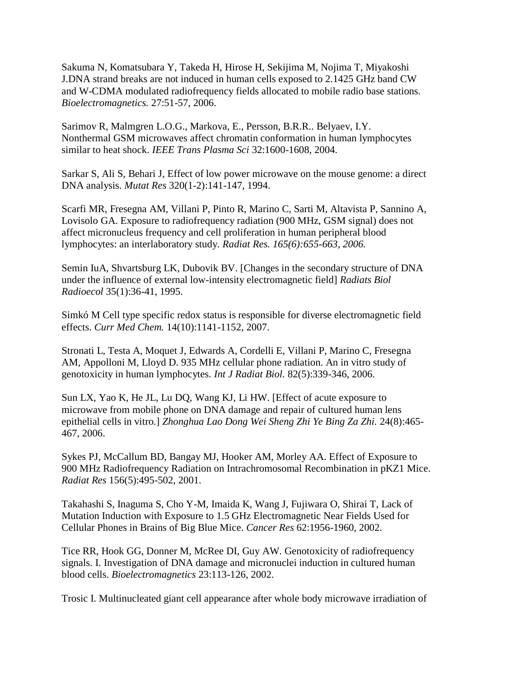Sakuma N, Komatsubara Y, Takeda H, Hirose H, Sekijima M, Nojima T, Miyakoshi J.DNA strand breaks are not induced in human cells exposed to 2.1425 GHz band CW and W-CDMA modulated radiofrequency fields allocated to mobile radio base stations. *Bioelectromagnetics.* 27:51-57, 2006.

Sarimov R, Malmgren L.O.G., Markova, E., Persson, B.R.R.. Belyaev, I.Y. Nonthermal GSM microwaves affect chromatin conformation in human lymphocytes similar to heat shock. *IEEE Trans Plasma Sci* 32:1600-1608, 2004.

Sarkar S, Ali S, Behari J, Effect of low power microwave on the mouse genome: a direct DNA analysis. *Mutat Res* 320(1-2):141-147, 1994.

Scarfi MR, Fresegna AM, Villani P, Pinto R, Marino C, Sarti M, Altavista P, Sannino A, Lovisolo GA. Exposure to radiofrequency radiation (900 MHz, GSM signal) does not affect micronucleus frequency and cell proliferation in human peripheral blood lymphocytes: an interlaboratory study. *Radiat Res. 165(6):655-663, 2006.*

Semin IuA, Shvartsburg LK, Dubovik BV. [Changes in the secondary structure of DNA under the influence of external low-intensity electromagnetic field] *Radiats Biol Radioecol* 35(1):36-41, 1995.

Simkó M Cell type specific redox status is responsible for diverse electromagnetic field effects. *Curr Med Chem.* 14(10):1141-1152, 2007.

Stronati L, Testa A, Moquet J, Edwards A, Cordelli E, Villani P, Marino C, Fresegna AM, Appolloni M, Lloyd D. 935 MHz cellular phone radiation. An in vitro study of genotoxicity in human lymphocytes. *Int J Radiat Biol.* 82(5):339-346, 2006.

Sun LX, Yao K, He JL, Lu DQ, Wang KJ, Li HW. [Effect of acute exposure to microwave from mobile phone on DNA damage and repair of cultured human lens epithelial cells in vitro.] *Zhonghua Lao Dong Wei Sheng Zhi Ye Bing Za Zhi.* 24(8):465- 467, 2006.

Sykes PJ, McCallum BD, Bangay MJ, Hooker AM, Morley AA. Effect of Exposure to 900 MHz Radiofrequency Radiation on Intrachromosomal Recombination in pKZ1 Mice. *Radiat Res* 156(5):495-502, 2001.

Takahashi S, Inaguma S, Cho Y-M, Imaida K, Wang J, Fujiwara O, Shirai T, Lack of Mutation Induction with Exposure to 1.5 GHz Electromagnetic Near Fields Used for Cellular Phones in Brains of Big Blue Mice. *Cancer Res* 62:1956-1960, 2002.

Tice RR, Hook GG, Donner M, McRee DI, Guy AW. Genotoxicity of radiofrequency signals. I. Investigation of DNA damage and micronuclei induction in cultured human blood cells. *Bioelectromagnetics* 23:113-126, 2002.

Trosic I. Multinucleated giant cell appearance after whole body microwave irradiation of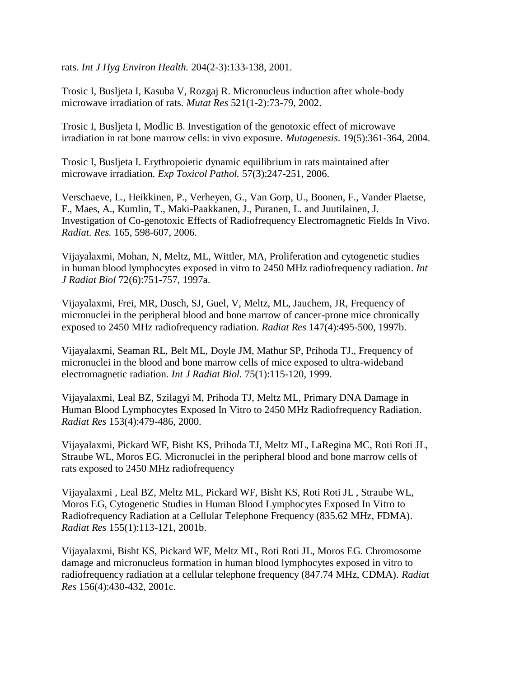rats. *Int J Hyg Environ Health.* 204(2-3):133-138, 2001.

Trosic I, Busljeta I, Kasuba V, Rozgaj R. Micronucleus induction after whole-body microwave irradiation of rats. *Mutat Res* 521(1-2):73-79, 2002.

Trosic I, Busljeta I, Modlic B. Investigation of the genotoxic effect of microwave irradiation in rat bone marrow cells: in vivo exposure. *Mutagenesis*. 19(5):361-364, 2004.

Trosic I, Busljeta I. Erythropoietic dynamic equilibrium in rats maintained after microwave irradiation. *Exp Toxicol Pathol.* 57(3):247-251, 2006.

Verschaeve, L., Heikkinen, P., Verheyen, G., Van Gorp, U., Boonen, F., Vander Plaetse, F., Maes, A., Kumlin, T., Maki-Paakkanen, J., Puranen, L. and Juutilainen, J. Investigation of Co-genotoxic Effects of Radiofrequency Electromagnetic Fields In Vivo. *Radiat. Res.* 165, 598-607, 2006.

Vijayalaxmi, Mohan, N, Meltz, ML, Wittler, MA, Proliferation and cytogenetic studies in human blood lymphocytes exposed in vitro to 2450 MHz radiofrequency radiation. *Int J Radiat Biol* 72(6):751-757, 1997a.

Vijayalaxmi, Frei, MR, Dusch, SJ, Guel, V, Meltz, ML, Jauchem, JR, Frequency of micronuclei in the peripheral blood and bone marrow of cancer-prone mice chronically exposed to 2450 MHz radiofrequency radiation. *Radiat Res* 147(4):495-500, 1997b.

Vijayalaxmi, Seaman RL, Belt ML, Doyle JM, Mathur SP, Prihoda TJ., Frequency of micronuclei in the blood and bone marrow cells of mice exposed to ultra-wideband electromagnetic radiation. *Int J Radiat Biol.* 75(1):115-120, 1999.

Vijayalaxmi, Leal BZ, Szilagyi M, Prihoda TJ, Meltz ML, Primary DNA Damage in Human Blood Lymphocytes Exposed In Vitro to 2450 MHz Radiofrequency Radiation. *Radiat Res* 153(4):479-486, 2000.

Vijayalaxmi, Pickard WF, Bisht KS, Prihoda TJ, Meltz ML, LaRegina MC, Roti Roti JL, Straube WL, Moros EG. Micronuclei in the peripheral blood and bone marrow cells of rats exposed to 2450 MHz radiofrequency

Vijayalaxmi , Leal BZ, Meltz ML, Pickard WF, Bisht KS, Roti Roti JL , Straube WL, Moros EG, Cytogenetic Studies in Human Blood Lymphocytes Exposed In Vitro to Radiofrequency Radiation at a Cellular Telephone Frequency (835.62 MHz, FDMA). *Radiat Res* 155(1):113-121, 2001b.

Vijayalaxmi, Bisht KS, Pickard WF, Meltz ML, Roti Roti JL, Moros EG. Chromosome damage and micronucleus formation in human blood lymphocytes exposed in vitro to radiofrequency radiation at a cellular telephone frequency (847.74 MHz, CDMA). *Radiat Res* 156(4):430-432, 2001c.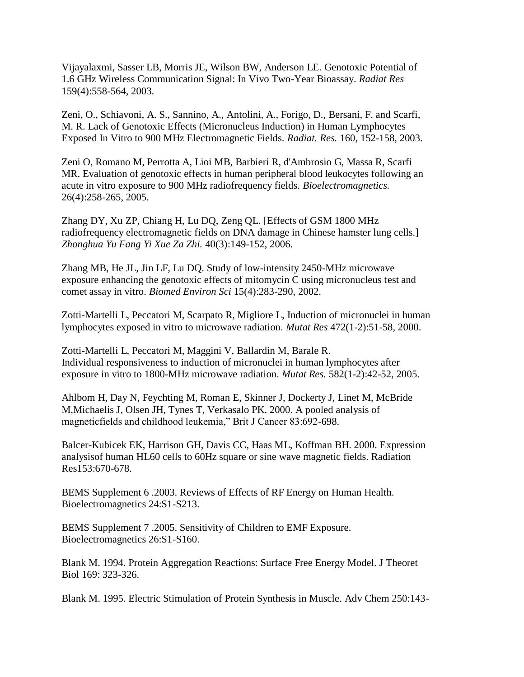Vijayalaxmi, Sasser LB, Morris JE, Wilson BW, Anderson LE. Genotoxic Potential of 1.6 GHz Wireless Communication Signal: In Vivo Two-Year Bioassay. *Radiat Res* 159(4):558-564, 2003.

Zeni, O., Schiavoni, A. S., Sannino, A., Antolini, A., Forigo, D., Bersani, F. and Scarfi, M. R. Lack of Genotoxic Effects (Micronucleus Induction) in Human Lymphocytes Exposed In Vitro to 900 MHz Electromagnetic Fields. *Radiat. Res.* 160, 152-158, 2003.

Zeni O, Romano M, Perrotta A, Lioi MB, Barbieri R, d'Ambrosio G, Massa R, Scarfi MR. Evaluation of genotoxic effects in human peripheral blood leukocytes following an acute in vitro exposure to 900 MHz radiofrequency fields. *Bioelectromagnetics.* 26(4):258-265, 2005.

Zhang DY, Xu ZP, Chiang H, Lu DQ, Zeng QL. [Effects of GSM 1800 MHz radiofrequency electromagnetic fields on DNA damage in Chinese hamster lung cells.] *Zhonghua Yu Fang Yi Xue Za Zhi.* 40(3):149-152, 2006.

Zhang MB, He JL, Jin LF, Lu DQ. Study of low-intensity 2450-MHz microwave exposure enhancing the genotoxic effects of mitomycin C using micronucleus test and comet assay in vitro. *Biomed Environ Sci* 15(4):283-290, 2002.

Zotti-Martelli L, Peccatori M, Scarpato R, Migliore L, Induction of micronuclei in human lymphocytes exposed in vitro to microwave radiation. *Mutat Res* 472(1-2):51-58, 2000.

Zotti-Martelli L, Peccatori M, Maggini V, Ballardin M, Barale R. Individual responsiveness to induction of micronuclei in human lymphocytes after exposure in vitro to 1800-MHz microwave radiation. *Mutat Res.* 582(1-2):42-52, 2005.

Ahlbom H, Day N, Feychting M, Roman E, Skinner J, Dockerty J, Linet M, McBride M,Michaelis J, Olsen JH, Tynes T, Verkasalo PK. 2000. A pooled analysis of magneticfields and childhood leukemia," Brit J Cancer 83:692-698.

Balcer-Kubicek EK, Harrison GH, Davis CC, Haas ML, Koffman BH. 2000. Expression analysisof human HL60 cells to 60Hz square or sine wave magnetic fields. Radiation Res153:670-678.

BEMS Supplement 6 .2003. Reviews of Effects of RF Energy on Human Health. Bioelectromagnetics 24:S1-S213.

BEMS Supplement 7 .2005. Sensitivity of Children to EMF Exposure. Bioelectromagnetics 26:S1-S160.

Blank M. 1994. Protein Aggregation Reactions: Surface Free Energy Model. J Theoret Biol 169: 323-326.

Blank M. 1995. Electric Stimulation of Protein Synthesis in Muscle. Adv Chem 250:143-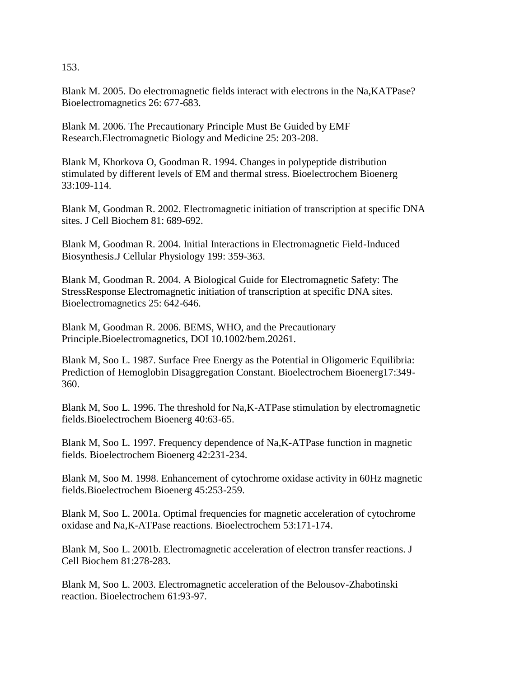153.

Blank M. 2005. Do electromagnetic fields interact with electrons in the Na,KATPase? Bioelectromagnetics 26: 677-683.

Blank M. 2006. The Precautionary Principle Must Be Guided by EMF Research.Electromagnetic Biology and Medicine 25: 203-208.

Blank M, Khorkova O, Goodman R. 1994. Changes in polypeptide distribution stimulated by different levels of EM and thermal stress. Bioelectrochem Bioenerg 33:109-114.

Blank M, Goodman R. 2002. Electromagnetic initiation of transcription at specific DNA sites. J Cell Biochem 81: 689-692.

Blank M, Goodman R. 2004. Initial Interactions in Electromagnetic Field-Induced Biosynthesis.J Cellular Physiology 199: 359-363.

Blank M, Goodman R. 2004. A Biological Guide for Electromagnetic Safety: The StressResponse Electromagnetic initiation of transcription at specific DNA sites. Bioelectromagnetics 25: 642-646.

Blank M, Goodman R. 2006. BEMS, WHO, and the Precautionary Principle.Bioelectromagnetics, DOI 10.1002/bem.20261.

Blank M, Soo L. 1987. Surface Free Energy as the Potential in Oligomeric Equilibria: Prediction of Hemoglobin Disaggregation Constant. Bioelectrochem Bioenerg17:349- 360.

Blank M, Soo L. 1996. The threshold for Na,K-ATPase stimulation by electromagnetic fields.Bioelectrochem Bioenerg 40:63-65.

Blank M, Soo L. 1997. Frequency dependence of Na,K-ATPase function in magnetic fields. Bioelectrochem Bioenerg 42:231-234.

Blank M, Soo M. 1998. Enhancement of cytochrome oxidase activity in 60Hz magnetic fields.Bioelectrochem Bioenerg 45:253-259.

Blank M, Soo L. 2001a. Optimal frequencies for magnetic acceleration of cytochrome oxidase and Na,K-ATPase reactions. Bioelectrochem 53:171-174.

Blank M, Soo L. 2001b. Electromagnetic acceleration of electron transfer reactions. J Cell Biochem 81:278-283.

Blank M, Soo L. 2003. Electromagnetic acceleration of the Belousov-Zhabotinski reaction. Bioelectrochem 61:93-97.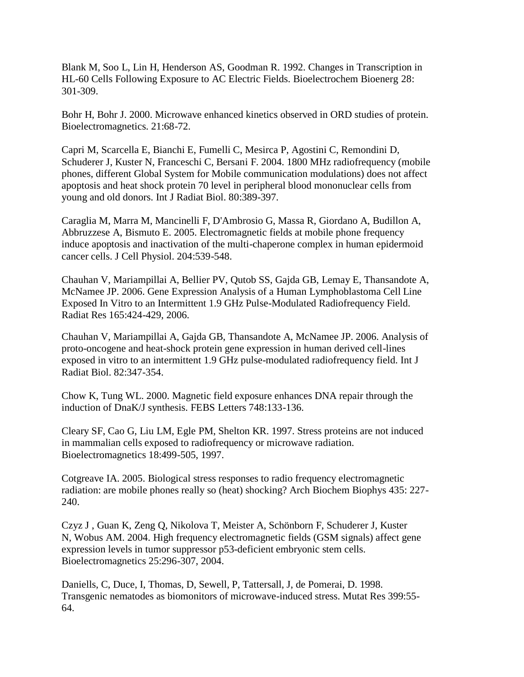Blank M, Soo L, Lin H, Henderson AS, Goodman R. 1992. Changes in Transcription in HL-60 Cells Following Exposure to AC Electric Fields. Bioelectrochem Bioenerg 28: 301-309.

Bohr H, Bohr J. 2000. Microwave enhanced kinetics observed in ORD studies of protein. Bioelectromagnetics. 21:68-72.

Capri M, Scarcella E, Bianchi E, Fumelli C, Mesirca P, Agostini C, Remondini D, Schuderer J, Kuster N, Franceschi C, Bersani F. 2004. 1800 MHz radiofrequency (mobile phones, different Global System for Mobile communication modulations) does not affect apoptosis and heat shock protein 70 level in peripheral blood mononuclear cells from young and old donors. Int J Radiat Biol. 80:389-397.

Caraglia M, Marra M, Mancinelli F, D'Ambrosio G, Massa R, Giordano A, Budillon A, Abbruzzese A, Bismuto E. 2005. Electromagnetic fields at mobile phone frequency induce apoptosis and inactivation of the multi-chaperone complex in human epidermoid cancer cells. J Cell Physiol. 204:539-548.

Chauhan V, Mariampillai A, Bellier PV, Qutob SS, Gajda GB, Lemay E, Thansandote A, McNamee JP. 2006. Gene Expression Analysis of a Human Lymphoblastoma Cell Line Exposed In Vitro to an Intermittent 1.9 GHz Pulse-Modulated Radiofrequency Field. Radiat Res 165:424-429, 2006.

Chauhan V, Mariampillai A, Gajda GB, Thansandote A, McNamee JP. 2006. Analysis of proto-oncogene and heat-shock protein gene expression in human derived cell-lines exposed in vitro to an intermittent 1.9 GHz pulse-modulated radiofrequency field. Int J Radiat Biol. 82:347-354.

Chow K, Tung WL. 2000. Magnetic field exposure enhances DNA repair through the induction of DnaK/J synthesis. FEBS Letters 748:133-136.

Cleary SF, Cao G, Liu LM, Egle PM, Shelton KR. 1997. Stress proteins are not induced in mammalian cells exposed to radiofrequency or microwave radiation. Bioelectromagnetics 18:499-505, 1997.

Cotgreave IA. 2005. Biological stress responses to radio frequency electromagnetic radiation: are mobile phones really so (heat) shocking? Arch Biochem Biophys 435: 227- 240.

Czyz J , Guan K, Zeng Q, Nikolova T, Meister A, Schönborn F, Schuderer J, Kuster N, Wobus AM. 2004. High frequency electromagnetic fields (GSM signals) affect gene expression levels in tumor suppressor p53-deficient embryonic stem cells. Bioelectromagnetics 25:296-307, 2004.

Daniells, C, Duce, I, Thomas, D, Sewell, P, Tattersall, J, de Pomerai, D. 1998. Transgenic nematodes as biomonitors of microwave-induced stress. Mutat Res 399:55- 64.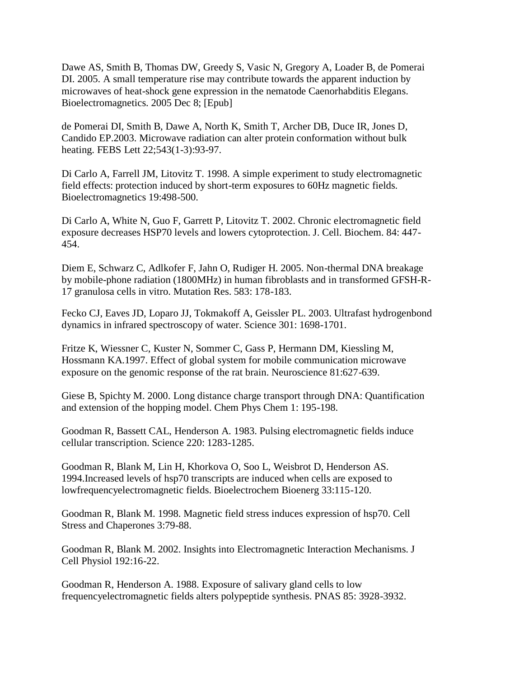Dawe AS, Smith B, Thomas DW, Greedy S, Vasic N, Gregory A, Loader B, de Pomerai DI. 2005. A small temperature rise may contribute towards the apparent induction by microwaves of heat-shock gene expression in the nematode Caenorhabditis Elegans. Bioelectromagnetics. 2005 Dec 8; [Epub]

de Pomerai DI, Smith B, Dawe A, North K, Smith T, Archer DB, Duce IR, Jones D, Candido EP.2003. Microwave radiation can alter protein conformation without bulk heating. FEBS Lett 22;543(1-3):93-97.

Di Carlo A, Farrell JM, Litovitz T. 1998. A simple experiment to study electromagnetic field effects: protection induced by short-term exposures to 60Hz magnetic fields. Bioelectromagnetics 19:498-500.

Di Carlo A, White N, Guo F, Garrett P, Litovitz T. 2002. Chronic electromagnetic field exposure decreases HSP70 levels and lowers cytoprotection. J. Cell. Biochem. 84: 447- 454.

Diem E, Schwarz C, Adlkofer F, Jahn O, Rudiger H. 2005. Non-thermal DNA breakage by mobile-phone radiation (1800MHz) in human fibroblasts and in transformed GFSH-R-17 granulosa cells in vitro. Mutation Res. 583: 178-183.

Fecko CJ, Eaves JD, Loparo JJ, Tokmakoff A, Geissler PL. 2003. Ultrafast hydrogenbond dynamics in infrared spectroscopy of water. Science 301: 1698-1701.

Fritze K, Wiessner C, Kuster N, Sommer C, Gass P, Hermann DM, Kiessling M, Hossmann KA.1997. Effect of global system for mobile communication microwave exposure on the genomic response of the rat brain. Neuroscience 81:627-639.

Giese B, Spichty M. 2000. Long distance charge transport through DNA: Quantification and extension of the hopping model. Chem Phys Chem 1: 195-198.

Goodman R, Bassett CAL, Henderson A. 1983. Pulsing electromagnetic fields induce cellular transcription. Science 220: 1283-1285.

Goodman R, Blank M, Lin H, Khorkova O, Soo L, Weisbrot D, Henderson AS. 1994.Increased levels of hsp70 transcripts are induced when cells are exposed to lowfrequencyelectromagnetic fields. Bioelectrochem Bioenerg 33:115-120.

Goodman R, Blank M. 1998. Magnetic field stress induces expression of hsp70. Cell Stress and Chaperones 3:79-88.

Goodman R, Blank M. 2002. Insights into Electromagnetic Interaction Mechanisms. J Cell Physiol 192:16-22.

Goodman R, Henderson A. 1988. Exposure of salivary gland cells to low frequencyelectromagnetic fields alters polypeptide synthesis. PNAS 85: 3928-3932.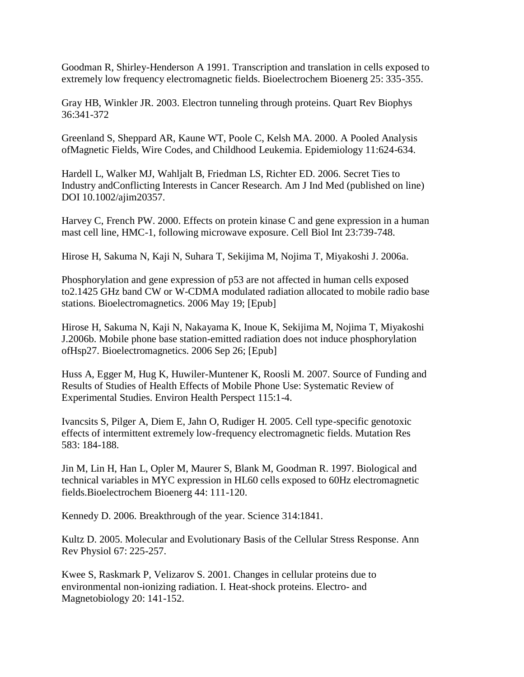Goodman R, Shirley-Henderson A 1991. Transcription and translation in cells exposed to extremely low frequency electromagnetic fields. Bioelectrochem Bioenerg 25: 335-355.

Gray HB, Winkler JR. 2003. Electron tunneling through proteins. Quart Rev Biophys 36:341-372

Greenland S, Sheppard AR, Kaune WT, Poole C, Kelsh MA. 2000. A Pooled Analysis ofMagnetic Fields, Wire Codes, and Childhood Leukemia. Epidemiology 11:624-634.

Hardell L, Walker MJ, Wahljalt B, Friedman LS, Richter ED. 2006. Secret Ties to Industry andConflicting Interests in Cancer Research. Am J Ind Med (published on line) DOI 10.1002/ajim20357.

Harvey C, French PW. 2000. Effects on protein kinase C and gene expression in a human mast cell line, HMC-1, following microwave exposure. Cell Biol Int 23:739-748.

Hirose H, Sakuma N, Kaji N, Suhara T, Sekijima M, Nojima T, Miyakoshi J. 2006a.

Phosphorylation and gene expression of p53 are not affected in human cells exposed to2.1425 GHz band CW or W-CDMA modulated radiation allocated to mobile radio base stations. Bioelectromagnetics. 2006 May 19; [Epub]

Hirose H, Sakuma N, Kaji N, Nakayama K, Inoue K, Sekijima M, Nojima T, Miyakoshi J.2006b. Mobile phone base station-emitted radiation does not induce phosphorylation ofHsp27. Bioelectromagnetics. 2006 Sep 26; [Epub]

Huss A, Egger M, Hug K, Huwiler-Muntener K, Roosli M. 2007. Source of Funding and Results of Studies of Health Effects of Mobile Phone Use: Systematic Review of Experimental Studies. Environ Health Perspect 115:1-4.

Ivancsits S, Pilger A, Diem E, Jahn O, Rudiger H. 2005. Cell type-specific genotoxic effects of intermittent extremely low-frequency electromagnetic fields. Mutation Res 583: 184-188.

Jin M, Lin H, Han L, Opler M, Maurer S, Blank M, Goodman R. 1997. Biological and technical variables in MYC expression in HL60 cells exposed to 60Hz electromagnetic fields.Bioelectrochem Bioenerg 44: 111-120.

Kennedy D. 2006. Breakthrough of the year. Science 314:1841.

Kultz D. 2005. Molecular and Evolutionary Basis of the Cellular Stress Response. Ann Rev Physiol 67: 225-257.

Kwee S, Raskmark P, Velizarov S. 2001. Changes in cellular proteins due to environmental non-ionizing radiation. I. Heat-shock proteins. Electro- and Magnetobiology 20: 141-152.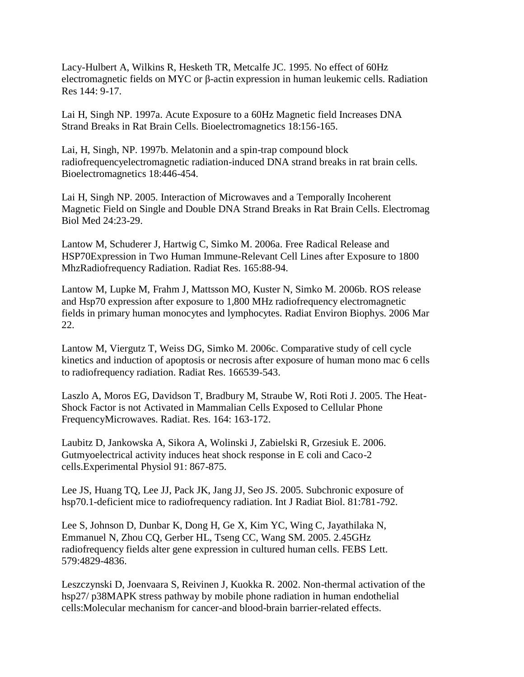Lacy-Hulbert A, Wilkins R, Hesketh TR, Metcalfe JC. 1995. No effect of 60Hz electromagnetic fields on MYC or β-actin expression in human leukemic cells. Radiation Res 144: 9-17.

Lai H, Singh NP. 1997a. Acute Exposure to a 60Hz Magnetic field Increases DNA Strand Breaks in Rat Brain Cells. Bioelectromagnetics 18:156-165.

Lai, H, Singh, NP. 1997b. Melatonin and a spin-trap compound block radiofrequencyelectromagnetic radiation-induced DNA strand breaks in rat brain cells. Bioelectromagnetics 18:446-454.

Lai H, Singh NP. 2005. Interaction of Microwaves and a Temporally Incoherent Magnetic Field on Single and Double DNA Strand Breaks in Rat Brain Cells. Electromag Biol Med 24:23-29.

Lantow M, Schuderer J, Hartwig C, Simko M. 2006a. Free Radical Release and HSP70Expression in Two Human Immune-Relevant Cell Lines after Exposure to 1800 MhzRadiofrequency Radiation. Radiat Res. 165:88-94.

Lantow M, Lupke M, Frahm J, Mattsson MO, Kuster N, Simko M. 2006b. ROS release and Hsp70 expression after exposure to 1,800 MHz radiofrequency electromagnetic fields in primary human monocytes and lymphocytes. Radiat Environ Biophys. 2006 Mar 22.

Lantow M, Viergutz T, Weiss DG, Simko M. 2006c. Comparative study of cell cycle kinetics and induction of apoptosis or necrosis after exposure of human mono mac 6 cells to radiofrequency radiation. Radiat Res. 166539-543.

Laszlo A, Moros EG, Davidson T, Bradbury M, Straube W, Roti Roti J. 2005. The Heat-Shock Factor is not Activated in Mammalian Cells Exposed to Cellular Phone FrequencyMicrowaves. Radiat. Res. 164: 163-172.

Laubitz D, Jankowska A, Sikora A, Wolinski J, Zabielski R, Grzesiuk E. 2006. Gutmyoelectrical activity induces heat shock response in E coli and Caco-2 cells.Experimental Physiol 91: 867-875.

Lee JS, Huang TQ, Lee JJ, Pack JK, Jang JJ, Seo JS. 2005. Subchronic exposure of hsp70.1-deficient mice to radiofrequency radiation. Int J Radiat Biol. 81:781-792.

Lee S, Johnson D, Dunbar K, Dong H, Ge X, Kim YC, Wing C, Jayathilaka N, Emmanuel N, Zhou CQ, Gerber HL, Tseng CC, Wang SM. 2005. 2.45GHz radiofrequency fields alter gene expression in cultured human cells. FEBS Lett. 579:4829-4836.

Leszczynski D, Joenvaara S, Reivinen J, Kuokka R. 2002. Non-thermal activation of the hsp27/ p38MAPK stress pathway by mobile phone radiation in human endothelial cells:Molecular mechanism for cancer-and blood-brain barrier-related effects.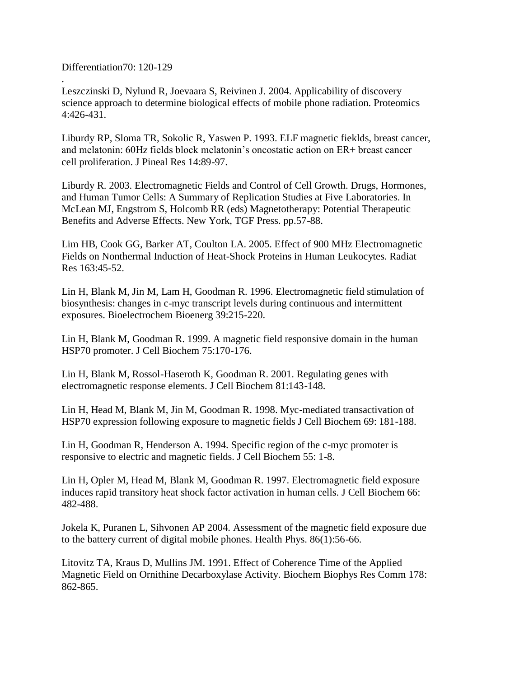Differentiation70: 120-129

. Leszczinski D, Nylund R, Joevaara S, Reivinen J. 2004. Applicability of discovery science approach to determine biological effects of mobile phone radiation. Proteomics 4:426-431.

Liburdy RP, Sloma TR, Sokolic R, Yaswen P. 1993. ELF magnetic fieklds, breast cancer, and melatonin: 60Hz fields block melatonin"s oncostatic action on ER+ breast cancer cell proliferation. J Pineal Res 14:89-97.

Liburdy R. 2003. Electromagnetic Fields and Control of Cell Growth. Drugs, Hormones, and Human Tumor Cells: A Summary of Replication Studies at Five Laboratories. In McLean MJ, Engstrom S, Holcomb RR (eds) Magnetotherapy: Potential Therapeutic Benefits and Adverse Effects. New York, TGF Press. pp.57-88.

Lim HB, Cook GG, Barker AT, Coulton LA. 2005. Effect of 900 MHz Electromagnetic Fields on Nonthermal Induction of Heat-Shock Proteins in Human Leukocytes. Radiat Res 163:45-52.

Lin H, Blank M, Jin M, Lam H, Goodman R. 1996. Electromagnetic field stimulation of biosynthesis: changes in c-myc transcript levels during continuous and intermittent exposures. Bioelectrochem Bioenerg 39:215-220.

Lin H, Blank M, Goodman R. 1999. A magnetic field responsive domain in the human HSP70 promoter. J Cell Biochem 75:170-176.

Lin H, Blank M, Rossol-Haseroth K, Goodman R. 2001. Regulating genes with electromagnetic response elements. J Cell Biochem 81:143-148.

Lin H, Head M, Blank M, Jin M, Goodman R. 1998. Myc-mediated transactivation of HSP70 expression following exposure to magnetic fields J Cell Biochem 69: 181-188.

Lin H, Goodman R, Henderson A. 1994. Specific region of the c-myc promoter is responsive to electric and magnetic fields. J Cell Biochem 55: 1-8.

Lin H, Opler M, Head M, Blank M, Goodman R. 1997. Electromagnetic field exposure induces rapid transitory heat shock factor activation in human cells. J Cell Biochem 66: 482-488.

Jokela K, Puranen L, Sihvonen AP 2004. Assessment of the magnetic field exposure due to the battery current of digital mobile phones. Health Phys. 86(1):56-66.

Litovitz TA, Kraus D, Mullins JM. 1991. Effect of Coherence Time of the Applied Magnetic Field on Ornithine Decarboxylase Activity. Biochem Biophys Res Comm 178: 862-865.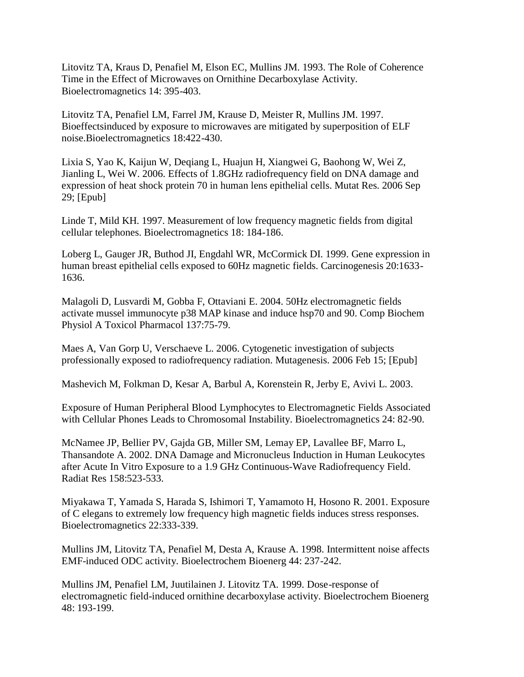Litovitz TA, Kraus D, Penafiel M, Elson EC, Mullins JM. 1993. The Role of Coherence Time in the Effect of Microwaves on Ornithine Decarboxylase Activity. Bioelectromagnetics 14: 395-403.

Litovitz TA, Penafiel LM, Farrel JM, Krause D, Meister R, Mullins JM. 1997. Bioeffectsinduced by exposure to microwaves are mitigated by superposition of ELF noise.Bioelectromagnetics 18:422-430.

Lixia S, Yao K, Kaijun W, Deqiang L, Huajun H, Xiangwei G, Baohong W, Wei Z, Jianling L, Wei W. 2006. Effects of 1.8GHz radiofrequency field on DNA damage and expression of heat shock protein 70 in human lens epithelial cells. Mutat Res. 2006 Sep 29; [Epub]

Linde T, Mild KH. 1997. Measurement of low frequency magnetic fields from digital cellular telephones. Bioelectromagnetics 18: 184-186.

Loberg L, Gauger JR, Buthod JI, Engdahl WR, McCormick DI. 1999. Gene expression in human breast epithelial cells exposed to 60Hz magnetic fields. Carcinogenesis 20:1633- 1636.

Malagoli D, Lusvardi M, Gobba F, Ottaviani E. 2004. 50Hz electromagnetic fields activate mussel immunocyte p38 MAP kinase and induce hsp70 and 90. Comp Biochem Physiol A Toxicol Pharmacol 137:75-79.

Maes A, Van Gorp U, Verschaeve L. 2006. Cytogenetic investigation of subjects professionally exposed to radiofrequency radiation. Mutagenesis. 2006 Feb 15; [Epub]

Mashevich M, Folkman D, Kesar A, Barbul A, Korenstein R, Jerby E, Avivi L. 2003.

Exposure of Human Peripheral Blood Lymphocytes to Electromagnetic Fields Associated with Cellular Phones Leads to Chromosomal Instability. Bioelectromagnetics 24: 82-90.

McNamee JP, Bellier PV, Gajda GB, Miller SM, Lemay EP, Lavallee BF, Marro L, Thansandote A. 2002. DNA Damage and Micronucleus Induction in Human Leukocytes after Acute In Vitro Exposure to a 1.9 GHz Continuous-Wave Radiofrequency Field. Radiat Res 158:523-533.

Miyakawa T, Yamada S, Harada S, Ishimori T, Yamamoto H, Hosono R. 2001. Exposure of C elegans to extremely low frequency high magnetic fields induces stress responses. Bioelectromagnetics 22:333-339.

Mullins JM, Litovitz TA, Penafiel M, Desta A, Krause A. 1998. Intermittent noise affects EMF-induced ODC activity. Bioelectrochem Bioenerg 44: 237-242.

Mullins JM, Penafiel LM, Juutilainen J. Litovitz TA. 1999. Dose-response of electromagnetic field-induced ornithine decarboxylase activity. Bioelectrochem Bioenerg 48: 193-199.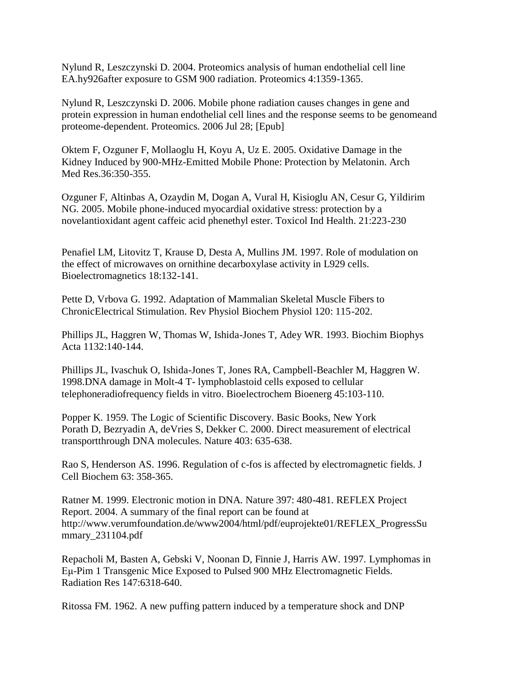Nylund R, Leszczynski D. 2004. Proteomics analysis of human endothelial cell line EA.hy926after exposure to GSM 900 radiation. Proteomics 4:1359-1365.

Nylund R, Leszczynski D. 2006. Mobile phone radiation causes changes in gene and protein expression in human endothelial cell lines and the response seems to be genomeand proteome-dependent. Proteomics. 2006 Jul 28; [Epub]

Oktem F, Ozguner F, Mollaoglu H, Koyu A, Uz E. 2005. Oxidative Damage in the Kidney Induced by 900-MHz-Emitted Mobile Phone: Protection by Melatonin. Arch Med Res.36:350-355.

Ozguner F, Altinbas A, Ozaydin M, Dogan A, Vural H, Kisioglu AN, Cesur G, Yildirim NG. 2005. Mobile phone-induced myocardial oxidative stress: protection by a novelantioxidant agent caffeic acid phenethyl ester. Toxicol Ind Health. 21:223-230

Penafiel LM, Litovitz T, Krause D, Desta A, Mullins JM. 1997. Role of modulation on the effect of microwaves on ornithine decarboxylase activity in L929 cells. Bioelectromagnetics 18:132-141.

Pette D, Vrbova G. 1992. Adaptation of Mammalian Skeletal Muscle Fibers to ChronicElectrical Stimulation. Rev Physiol Biochem Physiol 120: 115-202.

Phillips JL, Haggren W, Thomas W, Ishida-Jones T, Adey WR. 1993. Biochim Biophys Acta 1132:140-144.

Phillips JL, Ivaschuk O, Ishida-Jones T, Jones RA, Campbell-Beachler M, Haggren W. 1998.DNA damage in Molt-4 T- lymphoblastoid cells exposed to cellular telephoneradiofrequency fields in vitro. Bioelectrochem Bioenerg 45:103-110.

Popper K. 1959. The Logic of Scientific Discovery. Basic Books, New York Porath D, Bezryadin A, deVries S, Dekker C. 2000. Direct measurement of electrical transportthrough DNA molecules. Nature 403: 635-638.

Rao S, Henderson AS. 1996. Regulation of c-fos is affected by electromagnetic fields. J Cell Biochem 63: 358-365.

Ratner M. 1999. Electronic motion in DNA. Nature 397: 480-481. REFLEX Project Report. 2004. A summary of the final report can be found at http://www.verumfoundation.de/www2004/html/pdf/euprojekte01/REFLEX\_ProgressSu mmary\_231104.pdf

Repacholi M, Basten A, Gebski V, Noonan D, Finnie J, Harris AW. 1997. Lymphomas in Εμ-Pim 1 Transgenic Mice Exposed to Pulsed 900 MHz Electromagnetic Fields. Radiation Res 147:6318-640.

Ritossa FM. 1962. A new puffing pattern induced by a temperature shock and DNP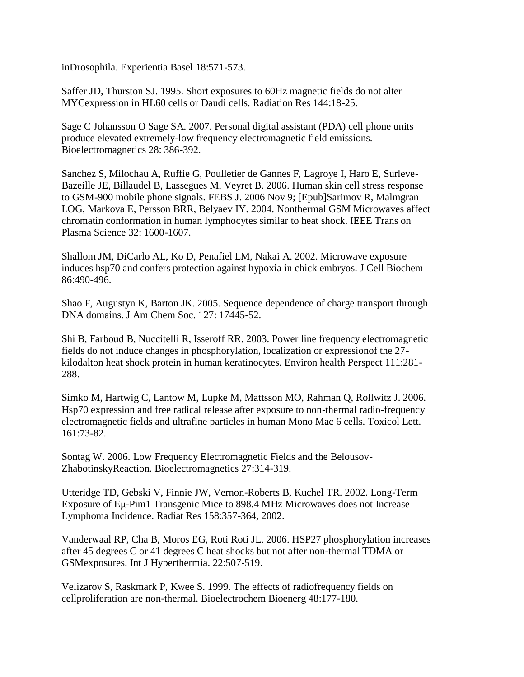inDrosophila. Experientia Basel 18:571-573.

Saffer JD, Thurston SJ. 1995. Short exposures to 60Hz magnetic fields do not alter MYCexpression in HL60 cells or Daudi cells. Radiation Res 144:18-25.

Sage C Johansson O Sage SA. 2007. Personal digital assistant (PDA) cell phone units produce elevated extremely-low frequency electromagnetic field emissions. Bioelectromagnetics 28: 386-392.

Sanchez S, Milochau A, Ruffie G, Poulletier de Gannes F, Lagroye I, Haro E, Surleve-Bazeille JE, Billaudel B, Lassegues M, Veyret B. 2006. Human skin cell stress response to GSM-900 mobile phone signals. FEBS J. 2006 Nov 9; [Epub]Sarimov R, Malmgran LOG, Markova E, Persson BRR, Belyaev IY. 2004. Nonthermal GSM Microwaves affect chromatin conformation in human lymphocytes similar to heat shock. IEEE Trans on Plasma Science 32: 1600-1607.

Shallom JM, DiCarlo AL, Ko D, Penafiel LM, Nakai A. 2002. Microwave exposure induces hsp70 and confers protection against hypoxia in chick embryos. J Cell Biochem 86:490-496.

Shao F, Augustyn K, Barton JK. 2005. Sequence dependence of charge transport through DNA domains. J Am Chem Soc. 127: 17445-52.

Shi B, Farboud B, Nuccitelli R, Isseroff RR. 2003. Power line frequency electromagnetic fields do not induce changes in phosphorylation, localization or expressionof the 27 kilodalton heat shock protein in human keratinocytes. Environ health Perspect 111:281- 288.

Simko M, Hartwig C, Lantow M, Lupke M, Mattsson MO, Rahman Q, Rollwitz J. 2006. Hsp70 expression and free radical release after exposure to non-thermal radio-frequency electromagnetic fields and ultrafine particles in human Mono Mac 6 cells. Toxicol Lett. 161:73-82.

Sontag W. 2006. Low Frequency Electromagnetic Fields and the Belousov-ZhabotinskyReaction. Bioelectromagnetics 27:314-319.

Utteridge TD, Gebski V, Finnie JW, Vernon-Roberts B, Kuchel TR. 2002. Long-Term Exposure of Eμ-Pim1 Transgenic Mice to 898.4 MHz Microwaves does not Increase Lymphoma Incidence. Radiat Res 158:357-364, 2002.

Vanderwaal RP, Cha B, Moros EG, Roti Roti JL. 2006. HSP27 phosphorylation increases after 45 degrees C or 41 degrees C heat shocks but not after non-thermal TDMA or GSMexposures. Int J Hyperthermia. 22:507-519.

Velizarov S, Raskmark P, Kwee S. 1999. The effects of radiofrequency fields on cellproliferation are non-thermal. Bioelectrochem Bioenerg 48:177-180.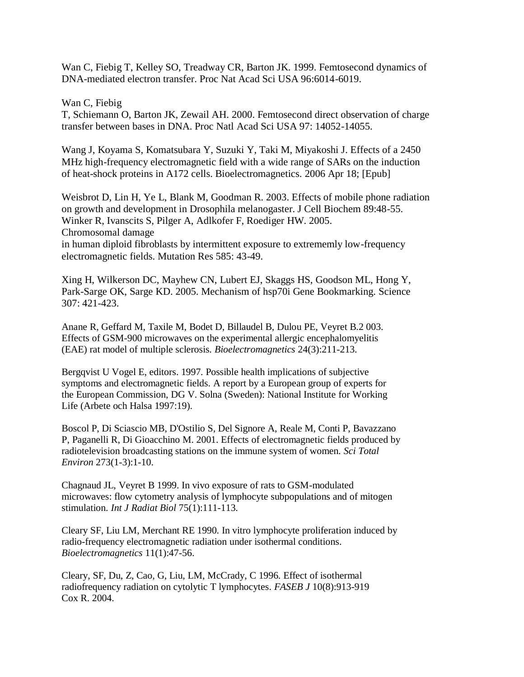Wan C, Fiebig T, Kelley SO, Treadway CR, Barton JK. 1999. Femtosecond dynamics of DNA-mediated electron transfer. Proc Nat Acad Sci USA 96:6014-6019.

Wan C, Fiebig T, Schiemann O, Barton JK, Zewail AH. 2000. Femtosecond direct observation of charge transfer between bases in DNA. Proc Natl Acad Sci USA 97: 14052-14055.

Wang J, Koyama S, Komatsubara Y, Suzuki Y, Taki M, Miyakoshi J. Effects of a 2450 MHz high-frequency electromagnetic field with a wide range of SARs on the induction of heat-shock proteins in A172 cells. Bioelectromagnetics. 2006 Apr 18; [Epub]

Weisbrot D, Lin H, Ye L, Blank M, Goodman R. 2003. Effects of mobile phone radiation on growth and development in Drosophila melanogaster. J Cell Biochem 89:48-55. Winker R, Ivanscits S, Pilger A, Adlkofer F, Roediger HW. 2005. Chromosomal damage in human diploid fibroblasts by intermittent exposure to extrememly low-frequency electromagnetic fields. Mutation Res 585: 43-49.

Xing H, Wilkerson DC, Mayhew CN, Lubert EJ, Skaggs HS, Goodson ML, Hong Y, Park-Sarge OK, Sarge KD. 2005. Mechanism of hsp70i Gene Bookmarking. Science 307: 421-423.

Anane R, Geffard M, Taxile M, Bodet D, Billaudel B, Dulou PE, Veyret B.2 003. Effects of GSM-900 microwaves on the experimental allergic encephalomyelitis (EAE) rat model of multiple sclerosis. *Bioelectromagnetics* 24(3):211-213.

Bergqvist U Vogel E, editors. 1997. Possible health implications of subjective symptoms and electromagnetic fields. A report by a European group of experts for the European Commission, DG V. Solna (Sweden): National Institute for Working Life (Arbete och Halsa 1997:19).

Boscol P, Di Sciascio MB, D'Ostilio S, Del Signore A, Reale M, Conti P, Bavazzano P, Paganelli R, Di Gioacchino M. 2001. Effects of electromagnetic fields produced by radiotelevision broadcasting stations on the immune system of women. *Sci Total Environ* 273(1-3):1-10.

Chagnaud JL, Veyret B 1999. In vivo exposure of rats to GSM-modulated microwaves: flow cytometry analysis of lymphocyte subpopulations and of mitogen stimulation. *Int J Radiat Biol* 75(1):111-113.

Cleary SF, Liu LM, Merchant RE 1990. In vitro lymphocyte proliferation induced by radio-frequency electromagnetic radiation under isothermal conditions. *Bioelectromagnetics* 11(1):47-56.

Cleary, SF, Du, Z, Cao, G, Liu, LM, McCrady, C 1996. Effect of isothermal radiofrequency radiation on cytolytic T lymphocytes. *FASEB J* 10(8):913-919 Cox R. 2004.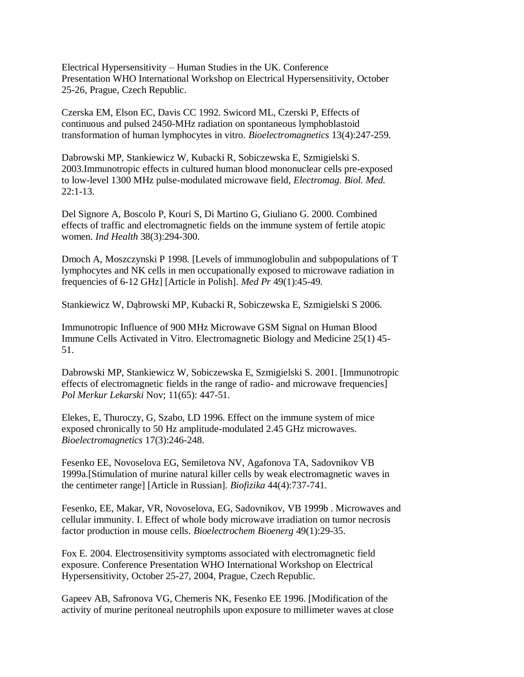Electrical Hypersensitivity – Human Studies in the UK. Conference Presentation WHO International Workshop on Electrical Hypersensitivity, October 25-26, Prague, Czech Republic.

Czerska EM, Elson EC, Davis CC 1992. Swicord ML, Czerski P, Effects of continuous and pulsed 2450-MHz radiation on spontaneous lymphoblastoid transformation of human lymphocytes in vitro. *Bioelectromagnetics* 13(4):247-259.

Dabrowski MP, Stankiewicz W, Kubacki R, Sobiczewska E, Szmigielski S. 2003.Immunotropic effects in cultured human blood mononuclear cells pre-exposed to low-level 1300 MHz pulse-modulated microwave field, *Electromag. Biol. Med.* 22:1-13.

Del Signore A, Boscolo P, Kouri S, Di Martino G, Giuliano G. 2000. Combined effects of traffic and electromagnetic fields on the immune system of fertile atopic women. *Ind Health* 38(3):294-300.

Dmoch A, Moszczynski P 1998. [Levels of immunoglobulin and subpopulations of T lymphocytes and NK cells in men occupationally exposed to microwave radiation in frequencies of 6-12 GHz] [Article in Polish]. *Med Pr* 49(1):45-49.

Stankiewicz W, Dąbrowski MP, Kubacki R, Sobiczewska E, Szmigielski S 2006.

Immunotropic Influence of 900 MHz Microwave GSM Signal on Human Blood Immune Cells Activated in Vitro. Electromagnetic Biology and Medicine 25(1) 45- 51.

Dabrowski MP, Stankiewicz W, Sobiczewska E, Szmigielski S. 2001. [Immunotropic effects of electromagnetic fields in the range of radio- and microwave frequencies] *Pol Merkur Lekarski* Nov; 11(65): 447-51.

Elekes, E, Thuroczy, G, Szabo, LD 1996. Effect on the immune system of mice exposed chronically to 50 Hz amplitude-modulated 2.45 GHz microwaves. *Bioelectromagnetics* 17(3):246-248.

Fesenko EE, Novoselova EG, Semiletova NV, Agafonova TA, Sadovnikov VB 1999a.[Stimulation of murine natural killer cells by weak electromagnetic waves in the centimeter range] [Article in Russian]. *Biofizika* 44(4):737-741.

Fesenko, EE, Makar, VR, Novoselova, EG, Sadovnikov, VB 1999b . Microwaves and cellular immunity. I. Effect of whole body microwave irradiation on tumor necrosis factor production in mouse cells. *Bioelectrochem Bioenerg* 49(1):29-35.

Fox E. 2004. Electrosensitivity symptoms associated with electromagnetic field exposure. Conference Presentation WHO International Workshop on Electrical Hypersensitivity, October 25-27, 2004, Prague, Czech Republic.

Gapeev AB, Safronova VG, Chemeris NK, Fesenko EE 1996. [Modification of the activity of murine peritoneal neutrophils upon exposure to millimeter waves at close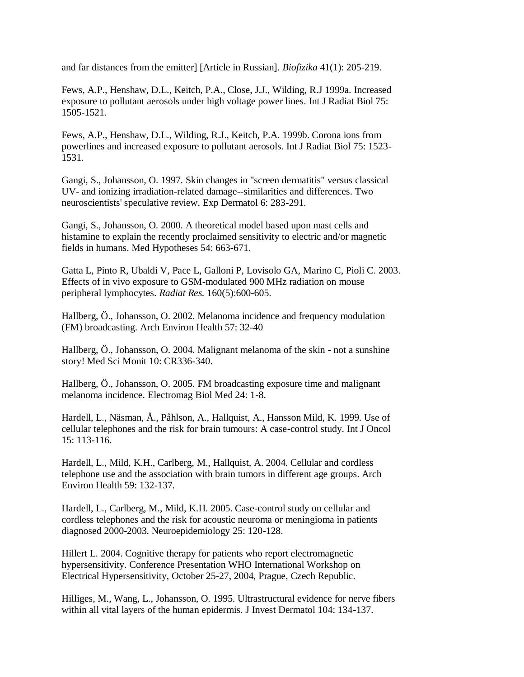and far distances from the emitter] [Article in Russian]. *Biofizika* 41(1): 205-219.

Fews, A.P., Henshaw, D.L., Keitch, P.A., Close, J.J., Wilding, R.J 1999a. Increased exposure to pollutant aerosols under high voltage power lines. Int J Radiat Biol 75: 1505-1521.

Fews, A.P., Henshaw, D.L., Wilding, R.J., Keitch, P.A. 1999b. Corona ions from powerlines and increased exposure to pollutant aerosols. Int J Radiat Biol 75: 1523- 1531.

Gangi, S., Johansson, O. 1997. Skin changes in "screen dermatitis" versus classical UV- and ionizing irradiation-related damage--similarities and differences. Two neuroscientists' speculative review. Exp Dermatol 6: 283-291.

Gangi, S., Johansson, O. 2000. A theoretical model based upon mast cells and histamine to explain the recently proclaimed sensitivity to electric and/or magnetic fields in humans. Med Hypotheses 54: 663-671.

Gatta L, Pinto R, Ubaldi V, Pace L, Galloni P, Lovisolo GA, Marino C, Pioli C. 2003. Effects of in vivo exposure to GSM-modulated 900 MHz radiation on mouse peripheral lymphocytes. *Radiat Res.* 160(5):600-605.

Hallberg, Ö., Johansson, O. 2002. Melanoma incidence and frequency modulation (FM) broadcasting. Arch Environ Health 57: 32-40

Hallberg, Ö., Johansson, O. 2004. Malignant melanoma of the skin - not a sunshine story! Med Sci Monit 10: CR336-340.

Hallberg, Ö., Johansson, O. 2005. FM broadcasting exposure time and malignant melanoma incidence. Electromag Biol Med 24: 1-8.

Hardell, L., Näsman, Å., Påhlson, A., Hallquist, A., Hansson Mild, K. 1999. Use of cellular telephones and the risk for brain tumours: A case-control study. Int J Oncol 15: 113-116.

Hardell, L., Mild, K.H., Carlberg, M., Hallquist, A. 2004. Cellular and cordless telephone use and the association with brain tumors in different age groups. Arch Environ Health 59: 132-137.

Hardell, L., Carlberg, M., Mild, K.H. 2005. Case-control study on cellular and cordless telephones and the risk for acoustic neuroma or meningioma in patients diagnosed 2000-2003. Neuroepidemiology 25: 120-128.

Hillert L. 2004. Cognitive therapy for patients who report electromagnetic hypersensitivity. Conference Presentation WHO International Workshop on Electrical Hypersensitivity, October 25-27, 2004, Prague, Czech Republic.

Hilliges, M., Wang, L., Johansson, O. 1995. Ultrastructural evidence for nerve fibers within all vital layers of the human epidermis. J Invest Dermatol 104: 134-137.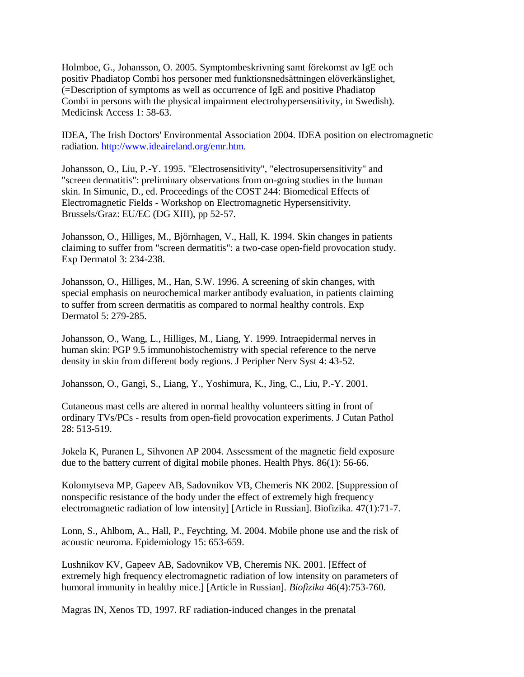Holmboe, G., Johansson, O. 2005. Symptombeskrivning samt förekomst av IgE och positiv Phadiatop Combi hos personer med funktionsnedsättningen elöverkänslighet, (=Description of symptoms as well as occurrence of IgE and positive Phadiatop Combi in persons with the physical impairment electrohypersensitivity, in Swedish). Medicinsk Access 1: 58-63.

IDEA, The Irish Doctors' Environmental Association 2004. IDEA position on electromagnetic radiation. [http://www.ideaireland.org/emr.htm.](http://www.ideaireland.org/emr.htm)

Johansson, O., Liu, P.-Y. 1995. "Electrosensitivity", "electrosupersensitivity" and "screen dermatitis": preliminary observations from on-going studies in the human skin. In Simunic, D., ed. Proceedings of the COST 244: Biomedical Effects of Electromagnetic Fields - Workshop on Electromagnetic Hypersensitivity. Brussels/Graz: EU/EC (DG XIII), pp 52-57.

Johansson, O., Hilliges, M., Björnhagen, V., Hall, K. 1994. Skin changes in patients claiming to suffer from "screen dermatitis": a two-case open-field provocation study. Exp Dermatol 3: 234-238.

Johansson, O., Hilliges, M., Han, S.W. 1996. A screening of skin changes, with special emphasis on neurochemical marker antibody evaluation, in patients claiming to suffer from screen dermatitis as compared to normal healthy controls. Exp Dermatol 5: 279-285.

Johansson, O., Wang, L., Hilliges, M., Liang, Y. 1999. Intraepidermal nerves in human skin: PGP 9.5 immunohistochemistry with special reference to the nerve density in skin from different body regions. J Peripher Nerv Syst 4: 43-52.

Johansson, O., Gangi, S., Liang, Y., Yoshimura, K., Jing, C., Liu, P.-Y. 2001.

Cutaneous mast cells are altered in normal healthy volunteers sitting in front of ordinary TVs/PCs - results from open-field provocation experiments. J Cutan Pathol 28: 513-519.

Jokela K, Puranen L, Sihvonen AP 2004. Assessment of the magnetic field exposure due to the battery current of digital mobile phones. Health Phys*.* 86(1): 56-66.

Kolomytseva MP, Gapeev AB, Sadovnikov VB, Chemeris NK 2002. [Suppression of nonspecific resistance of the body under the effect of extremely high frequency electromagnetic radiation of low intensity] [Article in Russian]. Biofizika. 47(1):71-7.

Lonn, S., Ahlbom, A., Hall, P., Feychting, M. 2004. Mobile phone use and the risk of acoustic neuroma. Epidemiology 15: 653-659.

Lushnikov KV, Gapeev AB, Sadovnikov VB, Cheremis NK. 2001. [Effect of extremely high frequency electromagnetic radiation of low intensity on parameters of humoral immunity in healthy mice.] [Article in Russian]. *Biofizika* 46(4):753-760.

Magras IN, Xenos TD, 1997. RF radiation-induced changes in the prenatal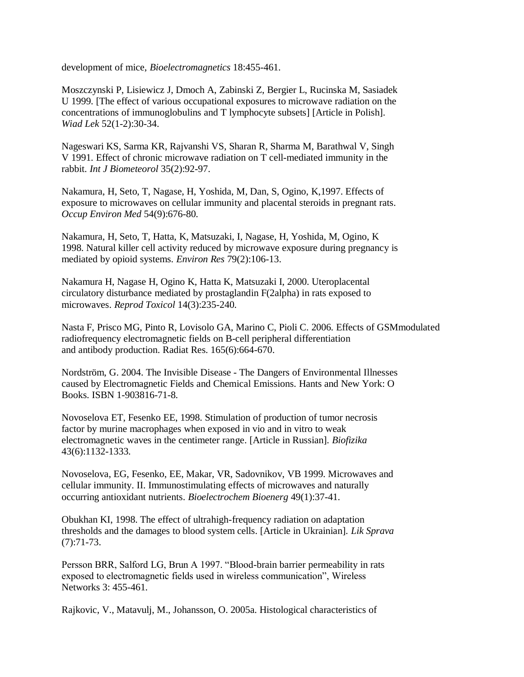development of mice, *Bioelectromagnetics* 18:455-461.

Moszczynski P, Lisiewicz J, Dmoch A, Zabinski Z, Bergier L, Rucinska M, Sasiadek U 1999. [The effect of various occupational exposures to microwave radiation on the concentrations of immunoglobulins and T lymphocyte subsets] [Article in Polish]. *Wiad Lek* 52(1-2):30-34.

Nageswari KS, Sarma KR, Rajvanshi VS, Sharan R, Sharma M, Barathwal V, Singh V 1991. Effect of chronic microwave radiation on T cell-mediated immunity in the rabbit. *Int J Biometeorol* 35(2):92-97.

Nakamura, H, Seto, T, Nagase, H, Yoshida, M, Dan, S, Ogino, K,1997. Effects of exposure to microwaves on cellular immunity and placental steroids in pregnant rats. *Occup Environ Med* 54(9):676-80.

Nakamura, H, Seto, T, Hatta, K, Matsuzaki, I, Nagase, H, Yoshida, M, Ogino, K 1998. Natural killer cell activity reduced by microwave exposure during pregnancy is mediated by opioid systems. *Environ Res* 79(2):106-13.

Nakamura H, Nagase H, Ogino K, Hatta K, Matsuzaki I, 2000. Uteroplacental circulatory disturbance mediated by prostaglandin F(2alpha) in rats exposed to microwaves. *Reprod Toxicol* 14(3):235-240.

Nasta F, Prisco MG, Pinto R, Lovisolo GA, Marino C, Pioli C. 2006. Effects of GSMmodulated radiofrequency electromagnetic fields on B-cell peripheral differentiation and antibody production. Radiat Res. 165(6):664-670.

Nordström, G. 2004. The Invisible Disease - The Dangers of Environmental Illnesses caused by Electromagnetic Fields and Chemical Emissions. Hants and New York: O Books. ISBN 1-903816-71-8.

Novoselova ET, Fesenko EE, 1998. Stimulation of production of tumor necrosis factor by murine macrophages when exposed in vio and in vitro to weak electromagnetic waves in the centimeter range. [Article in Russian]. *Biofizika* 43(6):1132-1333.

Novoselova, EG, Fesenko, EE, Makar, VR, Sadovnikov, VB 1999. Microwaves and cellular immunity. II. Immunostimulating effects of microwaves and naturally occurring antioxidant nutrients. *Bioelectrochem Bioenerg* 49(1):37-41.

Obukhan KI, 1998. The effect of ultrahigh-frequency radiation on adaptation thresholds and the damages to blood system cells. [Article in Ukrainian]. *Lik Sprava* (7):71-73.

Persson BRR, Salford LG, Brun A 1997. "Blood-brain barrier permeability in rats exposed to electromagnetic fields used in wireless communication", Wireless Networks 3: 455-461.

Rajkovic, V., Matavulj, M., Johansson, O. 2005a. Histological characteristics of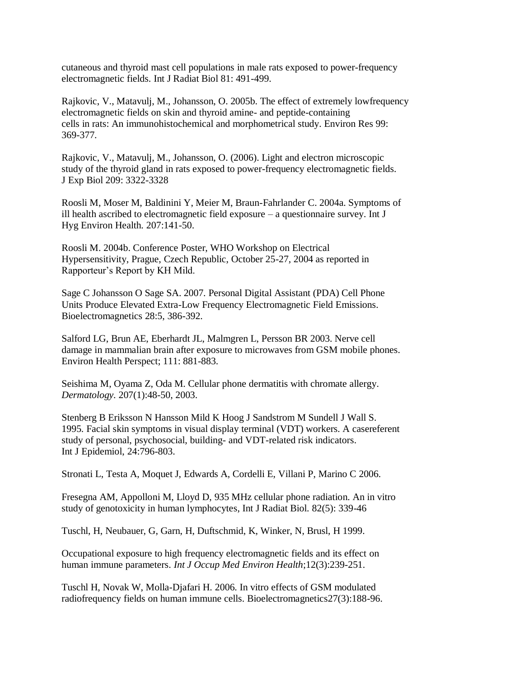cutaneous and thyroid mast cell populations in male rats exposed to power-frequency electromagnetic fields. Int J Radiat Biol 81: 491-499.

Rajkovic, V., Matavulj, M., Johansson, O. 2005b. The effect of extremely lowfrequency electromagnetic fields on skin and thyroid amine- and peptide-containing cells in rats: An immunohistochemical and morphometrical study. Environ Res 99: 369-377.

Rajkovic, V., Matavulj, M., Johansson, O. (2006). Light and electron microscopic study of the thyroid gland in rats exposed to power-frequency electromagnetic fields. J Exp Biol 209: 3322-3328

Roosli M, Moser M, Baldinini Y, Meier M, Braun-Fahrlander C. 2004a. Symptoms of ill health ascribed to electromagnetic field exposure – a questionnaire survey. Int J Hyg Environ Health. 207:141-50.

Roosli M. 2004b. Conference Poster, WHO Workshop on Electrical Hypersensitivity, Prague, Czech Republic, October 25-27, 2004 as reported in Rapporteur"s Report by KH Mild.

Sage C Johansson O Sage SA. 2007. Personal Digital Assistant (PDA) Cell Phone Units Produce Elevated Extra-Low Frequency Electromagnetic Field Emissions. Bioelectromagnetics 28:5, 386-392.

Salford LG, Brun AE, Eberhardt JL, Malmgren L, Persson BR 2003. Nerve cell damage in mammalian brain after exposure to microwaves from GSM mobile phones. Environ Health Perspect; 111: 881-883.

Seishima M, Oyama Z, Oda M. Cellular phone dermatitis with chromate allergy. *Dermatology.* 207(1):48-50, 2003.

Stenberg B Eriksson N Hansson Mild K Hoog J Sandstrom M Sundell J Wall S. 1995. Facial skin symptoms in visual display terminal (VDT) workers. A casereferent study of personal, psychosocial, building- and VDT-related risk indicators. Int J Epidemiol, 24:796-803.

Stronati L, Testa A, Moquet J, Edwards A, Cordelli E, Villani P, Marino C 2006.

Fresegna AM, Appolloni M, Lloyd D, 935 MHz cellular phone radiation. An in vitro study of genotoxicity in human lymphocytes, Int J Radiat Biol. 82(5): 339-46

Tuschl, H, Neubauer, G, Garn, H, Duftschmid, K, Winker, N, Brusl, H 1999.

Occupational exposure to high frequency electromagnetic fields and its effect on human immune parameters. *Int J Occup Med Environ Health*;12(3):239-251.

Tuschl H, Novak W, Molla-Djafari H. 2006. In vitro effects of GSM modulated radiofrequency fields on human immune cells. Bioelectromagnetics27(3):188-96.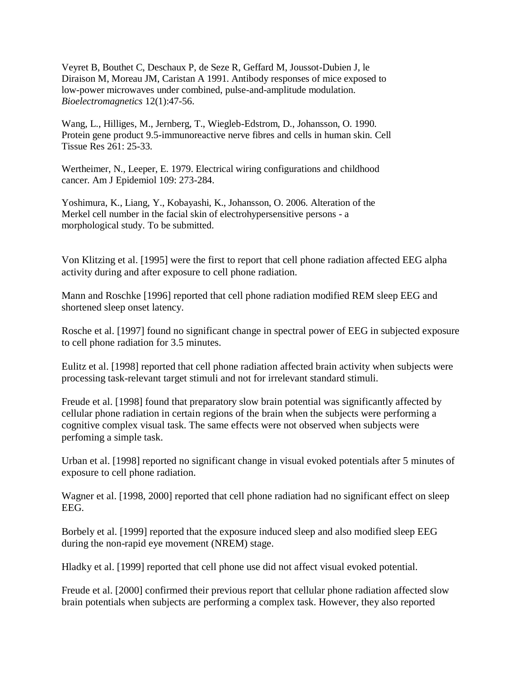Veyret B, Bouthet C, Deschaux P, de Seze R, Geffard M, Joussot-Dubien J, le Diraison M, Moreau JM, Caristan A 1991. Antibody responses of mice exposed to low-power microwaves under combined, pulse-and-amplitude modulation. *Bioelectromagnetics* 12(1):47-56.

Wang, L., Hilliges, M., Jernberg, T., Wiegleb-Edstrom, D., Johansson, O. 1990. Protein gene product 9.5-immunoreactive nerve fibres and cells in human skin. Cell Tissue Res 261: 25-33.

Wertheimer, N., Leeper, E. 1979. Electrical wiring configurations and childhood cancer. Am J Epidemiol 109: 273-284.

Yoshimura, K., Liang, Y., Kobayashi, K., Johansson, O. 2006. Alteration of the Merkel cell number in the facial skin of electrohypersensitive persons - a morphological study. To be submitted.

Von Klitzing et al. [1995] were the first to report that cell phone radiation affected EEG alpha activity during and after exposure to cell phone radiation.

Mann and Roschke [1996] reported that cell phone radiation modified REM sleep EEG and shortened sleep onset latency.

Rosche et al. [1997] found no significant change in spectral power of EEG in subjected exposure to cell phone radiation for 3.5 minutes.

Eulitz et al. [1998] reported that cell phone radiation affected brain activity when subjects were processing task-relevant target stimuli and not for irrelevant standard stimuli.

Freude et al. [1998] found that preparatory slow brain potential was significantly affected by cellular phone radiation in certain regions of the brain when the subjects were performing a cognitive complex visual task. The same effects were not observed when subjects were perfoming a simple task.

Urban et al. [1998] reported no significant change in visual evoked potentials after 5 minutes of exposure to cell phone radiation.

Wagner et al. [1998, 2000] reported that cell phone radiation had no significant effect on sleep EEG.

Borbely et al. [1999] reported that the exposure induced sleep and also modified sleep EEG during the non-rapid eye movement (NREM) stage.

Hladky et al. [1999] reported that cell phone use did not affect visual evoked potential.

Freude et al. [2000] confirmed their previous report that cellular phone radiation affected slow brain potentials when subjects are performing a complex task. However, they also reported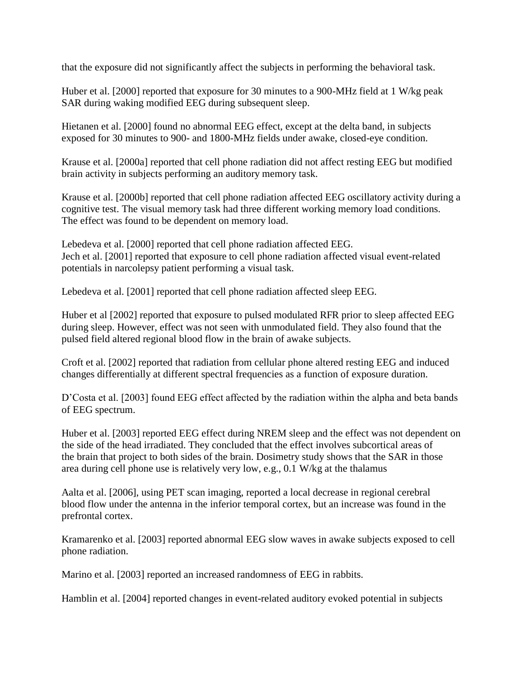that the exposure did not significantly affect the subjects in performing the behavioral task.

Huber et al. [2000] reported that exposure for 30 minutes to a 900-MHz field at 1 W/kg peak SAR during waking modified EEG during subsequent sleep.

Hietanen et al. [2000] found no abnormal EEG effect, except at the delta band, in subjects exposed for 30 minutes to 900- and 1800-MHz fields under awake, closed-eye condition.

Krause et al. [2000a] reported that cell phone radiation did not affect resting EEG but modified brain activity in subjects performing an auditory memory task.

Krause et al. [2000b] reported that cell phone radiation affected EEG oscillatory activity during a cognitive test. The visual memory task had three different working memory load conditions. The effect was found to be dependent on memory load.

Lebedeva et al. [2000] reported that cell phone radiation affected EEG. Jech et al. [2001] reported that exposure to cell phone radiation affected visual event-related potentials in narcolepsy patient performing a visual task.

Lebedeva et al. [2001] reported that cell phone radiation affected sleep EEG.

Huber et al [2002] reported that exposure to pulsed modulated RFR prior to sleep affected EEG during sleep. However, effect was not seen with unmodulated field. They also found that the pulsed field altered regional blood flow in the brain of awake subjects.

Croft et al. [2002] reported that radiation from cellular phone altered resting EEG and induced changes differentially at different spectral frequencies as a function of exposure duration.

D'Costa et al. [2003] found EEG effect affected by the radiation within the alpha and beta bands of EEG spectrum.

Huber et al. [2003] reported EEG effect during NREM sleep and the effect was not dependent on the side of the head irradiated. They concluded that the effect involves subcortical areas of the brain that project to both sides of the brain. Dosimetry study shows that the SAR in those area during cell phone use is relatively very low, e.g., 0.1 W/kg at the thalamus

Aalta et al. [2006], using PET scan imaging, reported a local decrease in regional cerebral blood flow under the antenna in the inferior temporal cortex, but an increase was found in the prefrontal cortex.

Kramarenko et al. [2003] reported abnormal EEG slow waves in awake subjects exposed to cell phone radiation.

Marino et al. [2003] reported an increased randomness of EEG in rabbits.

Hamblin et al. [2004] reported changes in event-related auditory evoked potential in subjects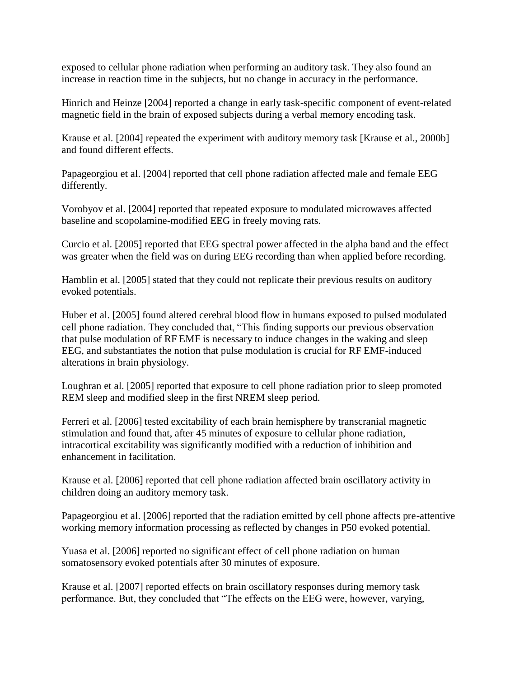exposed to cellular phone radiation when performing an auditory task. They also found an increase in reaction time in the subjects, but no change in accuracy in the performance.

Hinrich and Heinze [2004] reported a change in early task-specific component of event-related magnetic field in the brain of exposed subjects during a verbal memory encoding task.

Krause et al. [2004] repeated the experiment with auditory memory task [Krause et al., 2000b] and found different effects.

Papageorgiou et al. [2004] reported that cell phone radiation affected male and female EEG differently.

Vorobyov et al. [2004] reported that repeated exposure to modulated microwaves affected baseline and scopolamine-modified EEG in freely moving rats.

Curcio et al. [2005] reported that EEG spectral power affected in the alpha band and the effect was greater when the field was on during EEG recording than when applied before recording.

Hamblin et al. [2005] stated that they could not replicate their previous results on auditory evoked potentials.

Huber et al. [2005] found altered cerebral blood flow in humans exposed to pulsed modulated cell phone radiation. They concluded that, "This finding supports our previous observation that pulse modulation of RF EMF is necessary to induce changes in the waking and sleep EEG, and substantiates the notion that pulse modulation is crucial for RF EMF-induced alterations in brain physiology.

Loughran et al. [2005] reported that exposure to cell phone radiation prior to sleep promoted REM sleep and modified sleep in the first NREM sleep period.

Ferreri et al. [2006] tested excitability of each brain hemisphere by transcranial magnetic stimulation and found that, after 45 minutes of exposure to cellular phone radiation, intracortical excitability was significantly modified with a reduction of inhibition and enhancement in facilitation.

Krause et al. [2006] reported that cell phone radiation affected brain oscillatory activity in children doing an auditory memory task.

Papageorgiou et al. [2006] reported that the radiation emitted by cell phone affects pre-attentive working memory information processing as reflected by changes in P50 evoked potential.

Yuasa et al. [2006] reported no significant effect of cell phone radiation on human somatosensory evoked potentials after 30 minutes of exposure.

Krause et al. [2007] reported effects on brain oscillatory responses during memory task performance. But, they concluded that "The effects on the EEG were, however, varying,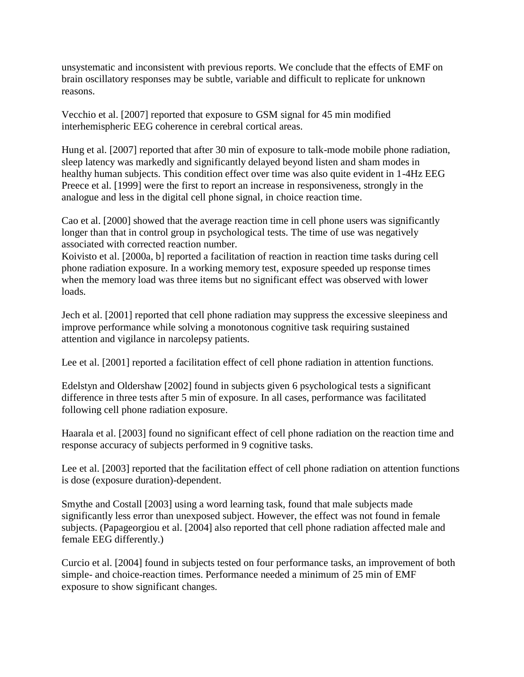unsystematic and inconsistent with previous reports. We conclude that the effects of EMF on brain oscillatory responses may be subtle, variable and difficult to replicate for unknown reasons.

Vecchio et al. [2007] reported that exposure to GSM signal for 45 min modified interhemispheric EEG coherence in cerebral cortical areas.

Hung et al. [2007] reported that after 30 min of exposure to talk-mode mobile phone radiation, sleep latency was markedly and significantly delayed beyond listen and sham modes in healthy human subjects. This condition effect over time was also quite evident in 1-4Hz EEG Preece et al. [1999] were the first to report an increase in responsiveness, strongly in the analogue and less in the digital cell phone signal, in choice reaction time.

Cao et al. [2000] showed that the average reaction time in cell phone users was significantly longer than that in control group in psychological tests. The time of use was negatively associated with corrected reaction number.

Koivisto et al. [2000a, b] reported a facilitation of reaction in reaction time tasks during cell phone radiation exposure. In a working memory test, exposure speeded up response times when the memory load was three items but no significant effect was observed with lower loads.

Jech et al. [2001] reported that cell phone radiation may suppress the excessive sleepiness and improve performance while solving a monotonous cognitive task requiring sustained attention and vigilance in narcolepsy patients.

Lee et al. [2001] reported a facilitation effect of cell phone radiation in attention functions.

Edelstyn and Oldershaw [2002] found in subjects given 6 psychological tests a significant difference in three tests after 5 min of exposure. In all cases, performance was facilitated following cell phone radiation exposure.

Haarala et al. [2003] found no significant effect of cell phone radiation on the reaction time and response accuracy of subjects performed in 9 cognitive tasks.

Lee et al. [2003] reported that the facilitation effect of cell phone radiation on attention functions is dose (exposure duration)-dependent.

Smythe and Costall [2003] using a word learning task, found that male subjects made significantly less error than unexposed subject. However, the effect was not found in female subjects. (Papageorgiou et al. [2004] also reported that cell phone radiation affected male and female EEG differently.)

Curcio et al. [2004] found in subjects tested on four performance tasks, an improvement of both simple- and choice-reaction times. Performance needed a minimum of 25 min of EMF exposure to show significant changes.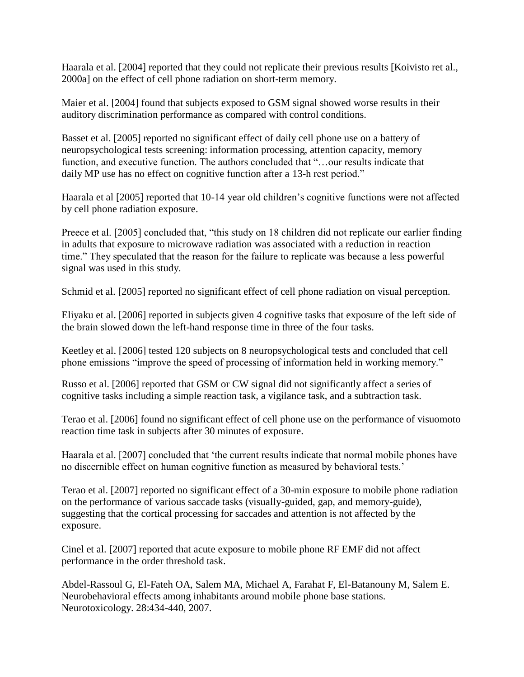Haarala et al. [2004] reported that they could not replicate their previous results [Koivisto ret al., 2000a] on the effect of cell phone radiation on short-term memory.

Maier et al. [2004] found that subjects exposed to GSM signal showed worse results in their auditory discrimination performance as compared with control conditions.

Basset et al. [2005] reported no significant effect of daily cell phone use on a battery of neuropsychological tests screening: information processing, attention capacity, memory function, and executive function. The authors concluded that "…our results indicate that daily MP use has no effect on cognitive function after a 13-h rest period."

Haarala et al [2005] reported that 10-14 year old children"s cognitive functions were not affected by cell phone radiation exposure.

Preece et al. [2005] concluded that, "this study on 18 children did not replicate our earlier finding in adults that exposure to microwave radiation was associated with a reduction in reaction time." They speculated that the reason for the failure to replicate was because a less powerful signal was used in this study.

Schmid et al. [2005] reported no significant effect of cell phone radiation on visual perception.

Eliyaku et al. [2006] reported in subjects given 4 cognitive tasks that exposure of the left side of the brain slowed down the left-hand response time in three of the four tasks.

Keetley et al. [2006] tested 120 subjects on 8 neuropsychological tests and concluded that cell phone emissions "improve the speed of processing of information held in working memory."

Russo et al. [2006] reported that GSM or CW signal did not significantly affect a series of cognitive tasks including a simple reaction task, a vigilance task, and a subtraction task.

Terao et al. [2006] found no significant effect of cell phone use on the performance of visuomoto reaction time task in subjects after 30 minutes of exposure.

Haarala et al. [2007] concluded that "the current results indicate that normal mobile phones have no discernible effect on human cognitive function as measured by behavioral tests."

Terao et al. [2007] reported no significant effect of a 30-min exposure to mobile phone radiation on the performance of various saccade tasks (visually-guided, gap, and memory-guide), suggesting that the cortical processing for saccades and attention is not affected by the exposure.

Cinel et al. [2007] reported that acute exposure to mobile phone RF EMF did not affect performance in the order threshold task.

Abdel-Rassoul G, El-Fateh OA, Salem MA, Michael A, Farahat F, El-Batanouny M, Salem E. Neurobehavioral effects among inhabitants around mobile phone base stations. Neurotoxicology. 28:434-440, 2007.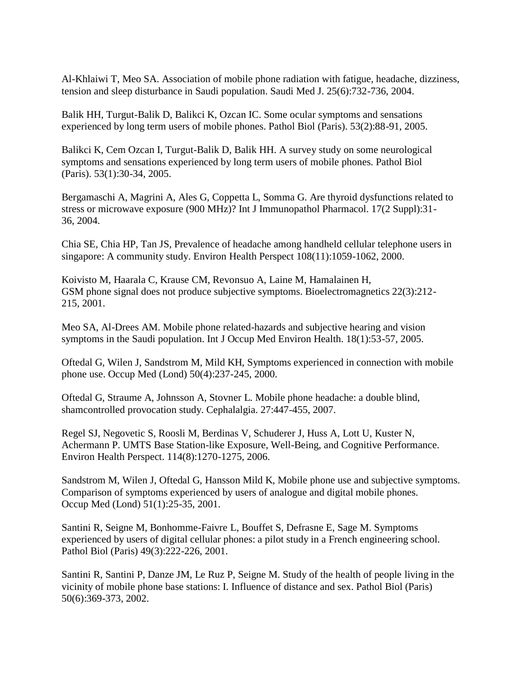Al-Khlaiwi T, Meo SA. Association of mobile phone radiation with fatigue, headache, dizziness, tension and sleep disturbance in Saudi population. Saudi Med J. 25(6):732-736, 2004.

Balik HH, Turgut-Balik D, Balikci K, Ozcan IC. Some ocular symptoms and sensations experienced by long term users of mobile phones. Pathol Biol (Paris). 53(2):88-91, 2005.

Balikci K, Cem Ozcan I, Turgut-Balik D, Balik HH. A survey study on some neurological symptoms and sensations experienced by long term users of mobile phones. Pathol Biol (Paris). 53(1):30-34, 2005.

Bergamaschi A, Magrini A, Ales G, Coppetta L, Somma G. Are thyroid dysfunctions related to stress or microwave exposure (900 MHz)? Int J Immunopathol Pharmacol. 17(2 Suppl):31- 36, 2004.

Chia SE, Chia HP, Tan JS, Prevalence of headache among handheld cellular telephone users in singapore: A community study. Environ Health Perspect 108(11):1059-1062, 2000.

Koivisto M, Haarala C, Krause CM, Revonsuo A, Laine M, Hamalainen H, GSM phone signal does not produce subjective symptoms. Bioelectromagnetics 22(3):212- 215, 2001.

Meo SA, Al-Drees AM. Mobile phone related-hazards and subjective hearing and vision symptoms in the Saudi population. Int J Occup Med Environ Health. 18(1):53-57, 2005.

Oftedal G, Wilen J, Sandstrom M, Mild KH, Symptoms experienced in connection with mobile phone use. Occup Med (Lond) 50(4):237-245, 2000.

Oftedal G, Straume A, Johnsson A, Stovner L. Mobile phone headache: a double blind, shamcontrolled provocation study. Cephalalgia. 27:447-455, 2007.

Regel SJ, Negovetic S, Roosli M, Berdinas V, Schuderer J, Huss A, Lott U, Kuster N, Achermann P. UMTS Base Station-like Exposure, Well-Being, and Cognitive Performance. Environ Health Perspect. 114(8):1270-1275, 2006.

Sandstrom M, Wilen J, Oftedal G, Hansson Mild K, Mobile phone use and subjective symptoms. Comparison of symptoms experienced by users of analogue and digital mobile phones. Occup Med (Lond) 51(1):25-35, 2001.

Santini R, Seigne M, Bonhomme-Faivre L, Bouffet S, Defrasne E, Sage M. Symptoms experienced by users of digital cellular phones: a pilot study in a French engineering school. Pathol Biol (Paris) 49(3):222-226, 2001.

Santini R, Santini P, Danze JM, Le Ruz P, Seigne M. Study of the health of people living in the vicinity of mobile phone base stations: I. Influence of distance and sex. Pathol Biol (Paris) 50(6):369-373, 2002.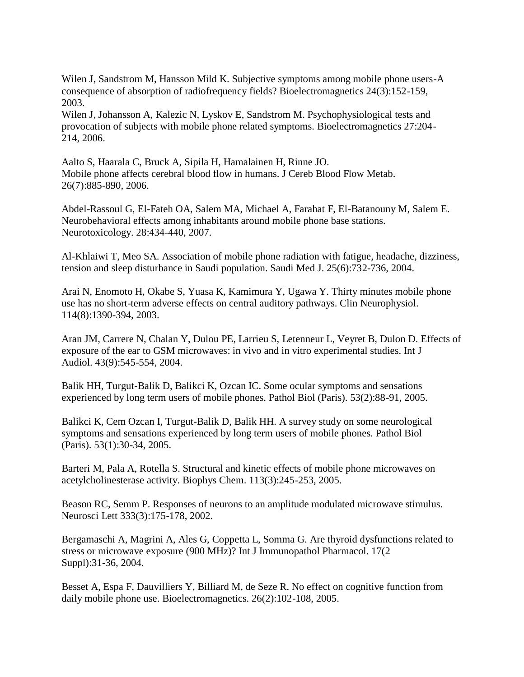Wilen J, Sandstrom M, Hansson Mild K. Subjective symptoms among mobile phone users-A consequence of absorption of radiofrequency fields? Bioelectromagnetics 24(3):152-159, 2003.

Wilen J, Johansson A, Kalezic N, Lyskov E, Sandstrom M. Psychophysiological tests and provocation of subjects with mobile phone related symptoms. Bioelectromagnetics 27:204- 214, 2006.

Aalto S, Haarala C, Bruck A, Sipila H, Hamalainen H, Rinne JO. Mobile phone affects cerebral blood flow in humans. J Cereb Blood Flow Metab. 26(7):885-890, 2006.

Abdel-Rassoul G, El-Fateh OA, Salem MA, Michael A, Farahat F, El-Batanouny M, Salem E. Neurobehavioral effects among inhabitants around mobile phone base stations. Neurotoxicology. 28:434-440, 2007.

Al-Khlaiwi T, Meo SA. Association of mobile phone radiation with fatigue, headache, dizziness, tension and sleep disturbance in Saudi population. Saudi Med J. 25(6):732-736, 2004.

Arai N, Enomoto H, Okabe S, Yuasa K, Kamimura Y, Ugawa Y. Thirty minutes mobile phone use has no short-term adverse effects on central auditory pathways. Clin Neurophysiol. 114(8):1390-394, 2003.

Aran JM, Carrere N, Chalan Y, Dulou PE, Larrieu S, Letenneur L, Veyret B, Dulon D. Effects of exposure of the ear to GSM microwaves: in vivo and in vitro experimental studies. Int J Audiol. 43(9):545-554, 2004.

Balik HH, Turgut-Balik D, Balikci K, Ozcan IC. Some ocular symptoms and sensations experienced by long term users of mobile phones. Pathol Biol (Paris). 53(2):88-91, 2005.

Balikci K, Cem Ozcan I, Turgut-Balik D, Balik HH. A survey study on some neurological symptoms and sensations experienced by long term users of mobile phones. Pathol Biol (Paris). 53(1):30-34, 2005.

Barteri M, Pala A, Rotella S. Structural and kinetic effects of mobile phone microwaves on acetylcholinesterase activity. Biophys Chem. 113(3):245-253, 2005.

Beason RC, Semm P. Responses of neurons to an amplitude modulated microwave stimulus. Neurosci Lett 333(3):175-178, 2002.

Bergamaschi A, Magrini A, Ales G, Coppetta L, Somma G. Are thyroid dysfunctions related to stress or microwave exposure (900 MHz)? Int J Immunopathol Pharmacol. 17(2 Suppl):31-36, 2004.

Besset A, Espa F, Dauvilliers Y, Billiard M, de Seze R. No effect on cognitive function from daily mobile phone use. Bioelectromagnetics. 26(2):102-108, 2005.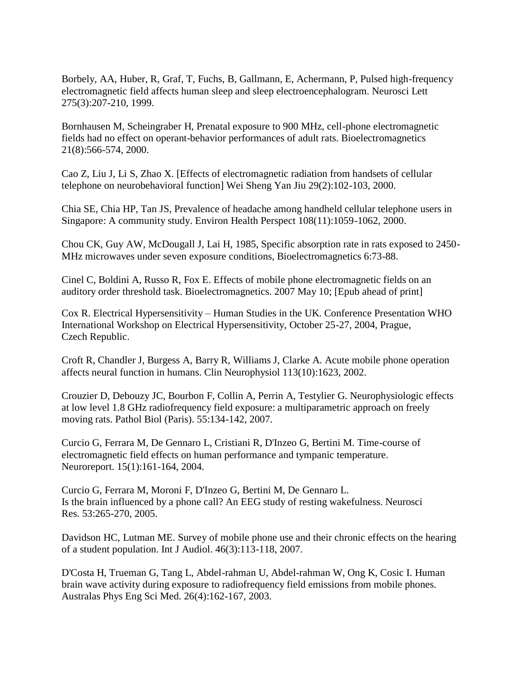Borbely, AA, Huber, R, Graf, T, Fuchs, B, Gallmann, E, Achermann, P, Pulsed high-frequency electromagnetic field affects human sleep and sleep electroencephalogram. Neurosci Lett 275(3):207-210, 1999.

Bornhausen M, Scheingraber H, Prenatal exposure to 900 MHz, cell-phone electromagnetic fields had no effect on operant-behavior performances of adult rats. Bioelectromagnetics 21(8):566-574, 2000.

Cao Z, Liu J, Li S, Zhao X. [Effects of electromagnetic radiation from handsets of cellular telephone on neurobehavioral function] Wei Sheng Yan Jiu 29(2):102-103, 2000.

Chia SE, Chia HP, Tan JS, Prevalence of headache among handheld cellular telephone users in Singapore: A community study. Environ Health Perspect 108(11):1059-1062, 2000.

Chou CK, Guy AW, McDougall J, Lai H, 1985, Specific absorption rate in rats exposed to 2450- MHz microwaves under seven exposure conditions, Bioelectromagnetics 6:73-88.

Cinel C, Boldini A, Russo R, Fox E. Effects of mobile phone electromagnetic fields on an auditory order threshold task. Bioelectromagnetics. 2007 May 10; [Epub ahead of print]

Cox R. Electrical Hypersensitivity – Human Studies in the UK. Conference Presentation WHO International Workshop on Electrical Hypersensitivity, October 25-27, 2004, Prague, Czech Republic.

Croft R, Chandler J, Burgess A, Barry R, Williams J, Clarke A. Acute mobile phone operation affects neural function in humans. Clin Neurophysiol 113(10):1623, 2002.

Crouzier D, Debouzy JC, Bourbon F, Collin A, Perrin A, Testylier G. Neurophysiologic effects at low level 1.8 GHz radiofrequency field exposure: a multiparametric approach on freely moving rats. Pathol Biol (Paris). 55:134-142, 2007.

Curcio G, Ferrara M, De Gennaro L, Cristiani R, D'Inzeo G, Bertini M. Time-course of electromagnetic field effects on human performance and tympanic temperature. Neuroreport. 15(1):161-164, 2004.

Curcio G, Ferrara M, Moroni F, D'Inzeo G, Bertini M, De Gennaro L. Is the brain influenced by a phone call? An EEG study of resting wakefulness. Neurosci Res. 53:265-270, 2005.

Davidson HC, Lutman ME. Survey of mobile phone use and their chronic effects on the hearing of a student population. Int J Audiol. 46(3):113-118, 2007.

D'Costa H, Trueman G, Tang L, Abdel-rahman U, Abdel-rahman W, Ong K, Cosic I. Human brain wave activity during exposure to radiofrequency field emissions from mobile phones. Australas Phys Eng Sci Med. 26(4):162-167, 2003.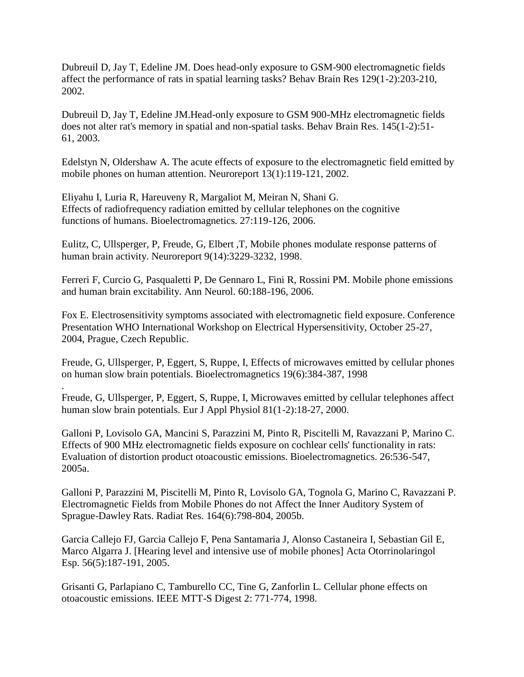Dubreuil D, Jay T, Edeline JM. Does head-only exposure to GSM-900 electromagnetic fields affect the performance of rats in spatial learning tasks? Behav Brain Res 129(1-2):203-210, 2002.

Dubreuil D, Jay T, Edeline JM.Head-only exposure to GSM 900-MHz electromagnetic fields does not alter rat's memory in spatial and non-spatial tasks. Behav Brain Res. 145(1-2):51- 61, 2003.

Edelstyn N, Oldershaw A. The acute effects of exposure to the electromagnetic field emitted by mobile phones on human attention. Neuroreport 13(1):119-121, 2002.

Eliyahu I, Luria R, Hareuveny R, Margaliot M, Meiran N, Shani G. Effects of radiofrequency radiation emitted by cellular telephones on the cognitive functions of humans. Bioelectromagnetics. 27:119-126, 2006.

Eulitz, C, Ullsperger, P, Freude, G, Elbert ,T, Mobile phones modulate response patterns of human brain activity. Neuroreport 9(14):3229-3232, 1998.

Ferreri F, Curcio G, Pasqualetti P, De Gennaro L, Fini R, Rossini PM. Mobile phone emissions and human brain excitability. Ann Neurol. 60:188-196, 2006.

Fox E. Electrosensitivity symptoms associated with electromagnetic field exposure. Conference Presentation WHO International Workshop on Electrical Hypersensitivity, October 25-27, 2004, Prague, Czech Republic.

Freude, G, Ullsperger, P, Eggert, S, Ruppe, I, Effects of microwaves emitted by cellular phones on human slow brain potentials. Bioelectromagnetics 19(6):384-387, 1998

Freude, G, Ullsperger, P, Eggert, S, Ruppe, I, Microwaves emitted by cellular telephones affect human slow brain potentials. Eur J Appl Physiol 81(1-2):18-27, 2000.

.

Galloni P, Lovisolo GA, Mancini S, Parazzini M, Pinto R, Piscitelli M, Ravazzani P, Marino C. Effects of 900 MHz electromagnetic fields exposure on cochlear cells' functionality in rats: Evaluation of distortion product otoacoustic emissions. Bioelectromagnetics. 26:536-547, 2005a.

Galloni P, Parazzini M, Piscitelli M, Pinto R, Lovisolo GA, Tognola G, Marino C, Ravazzani P. Electromagnetic Fields from Mobile Phones do not Affect the Inner Auditory System of Sprague-Dawley Rats. Radiat Res. 164(6):798-804, 2005b.

Garcia Callejo FJ, Garcia Callejo F, Pena Santamaria J, Alonso Castaneira I, Sebastian Gil E, Marco Algarra J. [Hearing level and intensive use of mobile phones] Acta Otorrinolaringol Esp. 56(5):187-191, 2005.

Grisanti G, Parlapiano C, Tamburello CC, Tine G, Zanforlin L. Cellular phone effects on otoacoustic emissions. IEEE MTT-S Digest 2: 771-774, 1998.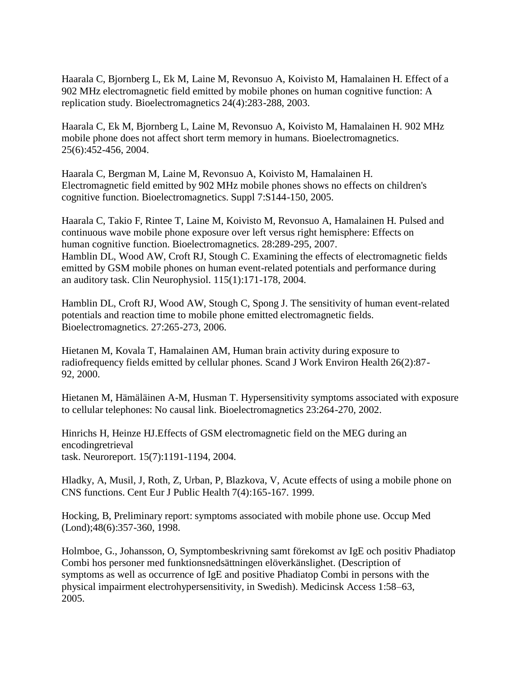Haarala C, Bjornberg L, Ek M, Laine M, Revonsuo A, Koivisto M, Hamalainen H. Effect of a 902 MHz electromagnetic field emitted by mobile phones on human cognitive function: A replication study. Bioelectromagnetics 24(4):283-288, 2003.

Haarala C, Ek M, Bjornberg L, Laine M, Revonsuo A, Koivisto M, Hamalainen H. 902 MHz mobile phone does not affect short term memory in humans. Bioelectromagnetics. 25(6):452-456, 2004.

Haarala C, Bergman M, Laine M, Revonsuo A, Koivisto M, Hamalainen H. Electromagnetic field emitted by 902 MHz mobile phones shows no effects on children's cognitive function. Bioelectromagnetics. Suppl 7:S144-150, 2005.

Haarala C, Takio F, Rintee T, Laine M, Koivisto M, Revonsuo A, Hamalainen H. Pulsed and continuous wave mobile phone exposure over left versus right hemisphere: Effects on human cognitive function. Bioelectromagnetics. 28:289-295, 2007. Hamblin DL, Wood AW, Croft RJ, Stough C. Examining the effects of electromagnetic fields emitted by GSM mobile phones on human event-related potentials and performance during an auditory task. Clin Neurophysiol. 115(1):171-178, 2004.

Hamblin DL, Croft RJ, Wood AW, Stough C, Spong J. The sensitivity of human event-related potentials and reaction time to mobile phone emitted electromagnetic fields. Bioelectromagnetics. 27:265-273, 2006.

Hietanen M, Kovala T, Hamalainen AM, Human brain activity during exposure to radiofrequency fields emitted by cellular phones. Scand J Work Environ Health 26(2):87- 92, 2000.

Hietanen M, Hämäläinen A-M, Husman T. Hypersensitivity symptoms associated with exposure to cellular telephones: No causal link. Bioelectromagnetics 23:264-270, 2002.

Hinrichs H, Heinze HJ.Effects of GSM electromagnetic field on the MEG during an encodingretrieval task. Neuroreport. 15(7):1191-1194, 2004.

Hladky, A, Musil, J, Roth, Z, Urban, P, Blazkova, V, Acute effects of using a mobile phone on CNS functions. Cent Eur J Public Health 7(4):165-167. 1999.

Hocking, B, Preliminary report: symptoms associated with mobile phone use. Occup Med (Lond);48(6):357-360, 1998.

Holmboe, G., Johansson, O, Symptombeskrivning samt förekomst av IgE och positiv Phadiatop Combi hos personer med funktionsnedsättningen elöverkänslighet. (Description of symptoms as well as occurrence of IgE and positive Phadiatop Combi in persons with the physical impairment electrohypersensitivity, in Swedish). Medicinsk Access 1:58–63, 2005.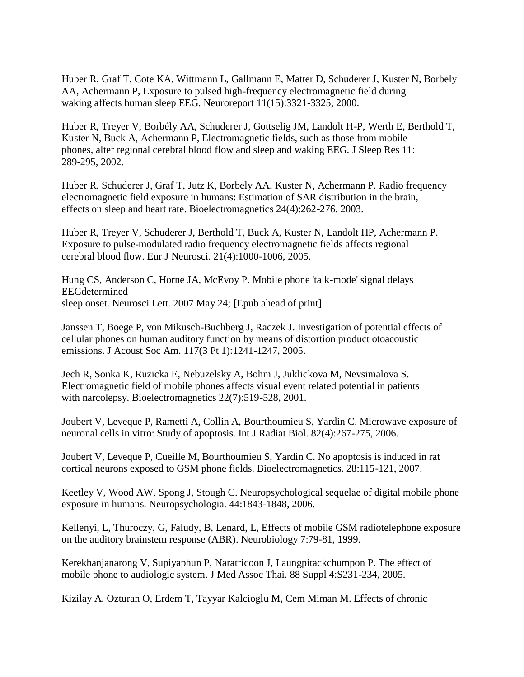Huber R, Graf T, Cote KA, Wittmann L, Gallmann E, Matter D, Schuderer J, Kuster N, Borbely AA, Achermann P, Exposure to pulsed high-frequency electromagnetic field during waking affects human sleep EEG. Neuroreport 11(15):3321-3325, 2000.

Huber R, Treyer V, Borbély AA, Schuderer J, Gottselig JM, Landolt H-P, Werth E, Berthold T, Kuster N, Buck A, Achermann P, Electromagnetic fields, such as those from mobile phones, alter regional cerebral blood flow and sleep and waking EEG. J Sleep Res 11: 289-295, 2002.

Huber R, Schuderer J, Graf T, Jutz K, Borbely AA, Kuster N, Achermann P. Radio frequency electromagnetic field exposure in humans: Estimation of SAR distribution in the brain, effects on sleep and heart rate. Bioelectromagnetics 24(4):262-276, 2003.

Huber R, Treyer V, Schuderer J, Berthold T, Buck A, Kuster N, Landolt HP, Achermann P. Exposure to pulse-modulated radio frequency electromagnetic fields affects regional cerebral blood flow. Eur J Neurosci. 21(4):1000-1006, 2005.

Hung CS, Anderson C, Horne JA, McEvoy P. Mobile phone 'talk-mode' signal delays EEGdetermined sleep onset. Neurosci Lett. 2007 May 24; [Epub ahead of print]

Janssen T, Boege P, von Mikusch-Buchberg J, Raczek J. Investigation of potential effects of cellular phones on human auditory function by means of distortion product otoacoustic emissions. J Acoust Soc Am. 117(3 Pt 1):1241-1247, 2005.

Jech R, Sonka K, Ruzicka E, Nebuzelsky A, Bohm J, Juklickova M, Nevsimalova S. Electromagnetic field of mobile phones affects visual event related potential in patients with narcolepsy. Bioelectromagnetics 22(7):519-528, 2001.

Joubert V, Leveque P, Rametti A, Collin A, Bourthoumieu S, Yardin C. Microwave exposure of neuronal cells in vitro: Study of apoptosis. Int J Radiat Biol. 82(4):267-275, 2006.

Joubert V, Leveque P, Cueille M, Bourthoumieu S, Yardin C. No apoptosis is induced in rat cortical neurons exposed to GSM phone fields. Bioelectromagnetics. 28:115-121, 2007.

Keetley V, Wood AW, Spong J, Stough C. Neuropsychological sequelae of digital mobile phone exposure in humans. Neuropsychologia. 44:1843-1848, 2006.

Kellenyi, L, Thuroczy, G, Faludy, B, Lenard, L, Effects of mobile GSM radiotelephone exposure on the auditory brainstem response (ABR). Neurobiology 7:79-81, 1999.

Kerekhanjanarong V, Supiyaphun P, Naratricoon J, Laungpitackchumpon P. The effect of mobile phone to audiologic system. J Med Assoc Thai. 88 Suppl 4:S231-234, 2005.

Kizilay A, Ozturan O, Erdem T, Tayyar Kalcioglu M, Cem Miman M. Effects of chronic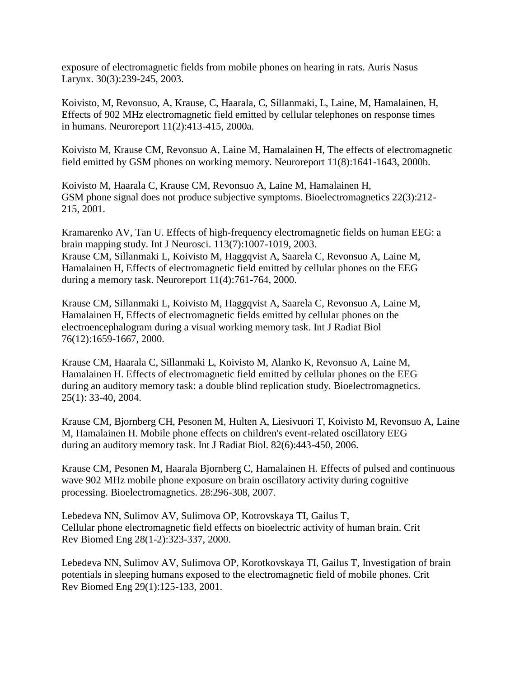exposure of electromagnetic fields from mobile phones on hearing in rats. Auris Nasus Larynx. 30(3):239-245, 2003.

Koivisto, M, Revonsuo, A, Krause, C, Haarala, C, Sillanmaki, L, Laine, M, Hamalainen, H, Effects of 902 MHz electromagnetic field emitted by cellular telephones on response times in humans. Neuroreport 11(2):413-415, 2000a.

Koivisto M, Krause CM, Revonsuo A, Laine M, Hamalainen H, The effects of electromagnetic field emitted by GSM phones on working memory. Neuroreport 11(8):1641-1643, 2000b.

Koivisto M, Haarala C, Krause CM, Revonsuo A, Laine M, Hamalainen H, GSM phone signal does not produce subjective symptoms. Bioelectromagnetics 22(3):212- 215, 2001.

Kramarenko AV, Tan U. Effects of high-frequency electromagnetic fields on human EEG: a brain mapping study. Int J Neurosci. 113(7):1007-1019, 2003. Krause CM, Sillanmaki L, Koivisto M, Haggqvist A, Saarela C, Revonsuo A, Laine M, Hamalainen H, Effects of electromagnetic field emitted by cellular phones on the EEG during a memory task. Neuroreport 11(4):761-764, 2000.

Krause CM, Sillanmaki L, Koivisto M, Haggqvist A, Saarela C, Revonsuo A, Laine M, Hamalainen H, Effects of electromagnetic fields emitted by cellular phones on the electroencephalogram during a visual working memory task. Int J Radiat Biol 76(12):1659-1667, 2000.

Krause CM, Haarala C, Sillanmaki L, Koivisto M, Alanko K, Revonsuo A, Laine M, Hamalainen H. Effects of electromagnetic field emitted by cellular phones on the EEG during an auditory memory task: a double blind replication study. Bioelectromagnetics. 25(1): 33-40, 2004.

Krause CM, Bjornberg CH, Pesonen M, Hulten A, Liesivuori T, Koivisto M, Revonsuo A, Laine M, Hamalainen H. Mobile phone effects on children's event-related oscillatory EEG during an auditory memory task. Int J Radiat Biol. 82(6):443-450, 2006.

Krause CM, Pesonen M, Haarala Bjornberg C, Hamalainen H. Effects of pulsed and continuous wave 902 MHz mobile phone exposure on brain oscillatory activity during cognitive processing. Bioelectromagnetics. 28:296-308, 2007.

Lebedeva NN, Sulimov AV, Sulimova OP, Kotrovskaya TI, Gailus T, Cellular phone electromagnetic field effects on bioelectric activity of human brain. Crit Rev Biomed Eng 28(1-2):323-337, 2000.

Lebedeva NN, Sulimov AV, Sulimova OP, Korotkovskaya TI, Gailus T, Investigation of brain potentials in sleeping humans exposed to the electromagnetic field of mobile phones. Crit Rev Biomed Eng 29(1):125-133, 2001.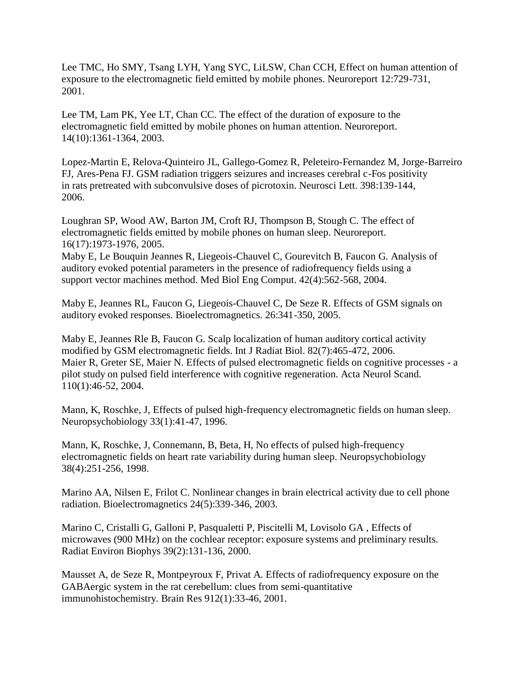Lee TMC, Ho SMY, Tsang LYH, Yang SYC, LiLSW, Chan CCH, Effect on human attention of exposure to the electromagnetic field emitted by mobile phones. Neuroreport 12:729-731, 2001.

Lee TM, Lam PK, Yee LT, Chan CC. The effect of the duration of exposure to the electromagnetic field emitted by mobile phones on human attention. Neuroreport. 14(10):1361-1364, 2003.

Lopez-Martin E, Relova-Quinteiro JL, Gallego-Gomez R, Peleteiro-Fernandez M, Jorge-Barreiro FJ, Ares-Pena FJ. GSM radiation triggers seizures and increases cerebral c-Fos positivity in rats pretreated with subconvulsive doses of picrotoxin. Neurosci Lett. 398:139-144, 2006.

Loughran SP, Wood AW, Barton JM, Croft RJ, Thompson B, Stough C. The effect of electromagnetic fields emitted by mobile phones on human sleep. Neuroreport. 16(17):1973-1976, 2005.

Maby E, Le Bouquin Jeannes R, Liegeois-Chauvel C, Gourevitch B, Faucon G. Analysis of auditory evoked potential parameters in the presence of radiofrequency fields using a support vector machines method. Med Biol Eng Comput. 42(4):562-568, 2004.

Maby E, Jeannes RL, Faucon G, Liegeois-Chauvel C, De Seze R. Effects of GSM signals on auditory evoked responses. Bioelectromagnetics. 26:341-350, 2005.

Maby E, Jeannes Rle B, Faucon G. Scalp localization of human auditory cortical activity modified by GSM electromagnetic fields. Int J Radiat Biol. 82(7):465-472, 2006. Maier R, Greter SE, Maier N. Effects of pulsed electromagnetic fields on cognitive processes - a pilot study on pulsed field interference with cognitive regeneration. Acta Neurol Scand. 110(1):46-52, 2004.

Mann, K, Roschke, J, Effects of pulsed high-frequency electromagnetic fields on human sleep. Neuropsychobiology 33(1):41-47, 1996.

Mann, K, Roschke, J, Connemann, B, Beta, H, No effects of pulsed high-frequency electromagnetic fields on heart rate variability during human sleep. Neuropsychobiology 38(4):251-256, 1998.

Marino AA, Nilsen E, Frilot C. Nonlinear changes in brain electrical activity due to cell phone radiation. Bioelectromagnetics 24(5):339-346, 2003.

Marino C, Cristalli G, Galloni P, Pasqualetti P, Piscitelli M, Lovisolo GA , Effects of microwaves (900 MHz) on the cochlear receptor: exposure systems and preliminary results. Radiat Environ Biophys 39(2):131-136, 2000.

Mausset A, de Seze R, Montpeyroux F, Privat A. Effects of radiofrequency exposure on the GABAergic system in the rat cerebellum: clues from semi-quantitative immunohistochemistry. Brain Res 912(1):33-46, 2001.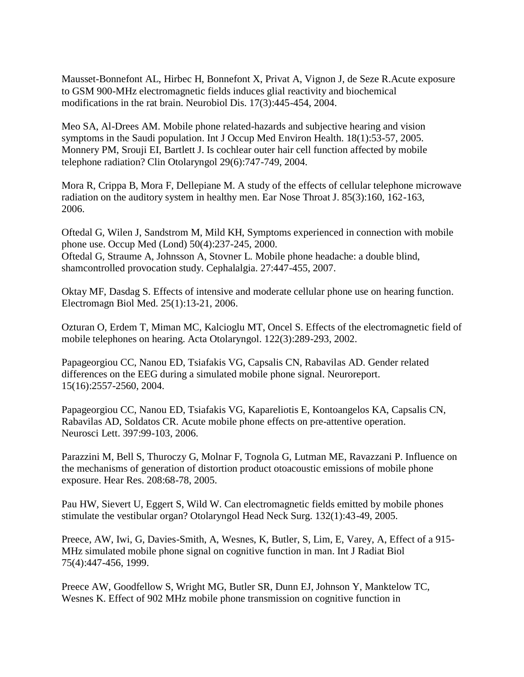Mausset-Bonnefont AL, Hirbec H, Bonnefont X, Privat A, Vignon J, de Seze R.Acute exposure to GSM 900-MHz electromagnetic fields induces glial reactivity and biochemical modifications in the rat brain. Neurobiol Dis. 17(3):445-454, 2004.

Meo SA, Al-Drees AM. Mobile phone related-hazards and subjective hearing and vision symptoms in the Saudi population. Int J Occup Med Environ Health. 18(1):53-57, 2005. Monnery PM, Srouji EI, Bartlett J. Is cochlear outer hair cell function affected by mobile telephone radiation? Clin Otolaryngol 29(6):747-749, 2004.

Mora R, Crippa B, Mora F, Dellepiane M. A study of the effects of cellular telephone microwave radiation on the auditory system in healthy men. Ear Nose Throat J. 85(3):160, 162-163, 2006.

Oftedal G, Wilen J, Sandstrom M, Mild KH, Symptoms experienced in connection with mobile phone use. Occup Med (Lond) 50(4):237-245, 2000. Oftedal G, Straume A, Johnsson A, Stovner L. Mobile phone headache: a double blind, shamcontrolled provocation study. Cephalalgia. 27:447-455, 2007.

Oktay MF, Dasdag S. Effects of intensive and moderate cellular phone use on hearing function. Electromagn Biol Med. 25(1):13-21, 2006.

Ozturan O, Erdem T, Miman MC, Kalcioglu MT, Oncel S. Effects of the electromagnetic field of mobile telephones on hearing. Acta Otolaryngol. 122(3):289-293, 2002.

Papageorgiou CC, Nanou ED, Tsiafakis VG, Capsalis CN, Rabavilas AD. Gender related differences on the EEG during a simulated mobile phone signal. Neuroreport. 15(16):2557-2560, 2004.

Papageorgiou CC, Nanou ED, Tsiafakis VG, Kapareliotis E, Kontoangelos KA, Capsalis CN, Rabavilas AD, Soldatos CR. Acute mobile phone effects on pre-attentive operation. Neurosci Lett. 397:99-103, 2006.

Parazzini M, Bell S, Thuroczy G, Molnar F, Tognola G, Lutman ME, Ravazzani P. Influence on the mechanisms of generation of distortion product otoacoustic emissions of mobile phone exposure. Hear Res. 208:68-78, 2005.

Pau HW, Sievert U, Eggert S, Wild W. Can electromagnetic fields emitted by mobile phones stimulate the vestibular organ? Otolaryngol Head Neck Surg. 132(1):43-49, 2005.

Preece, AW, Iwi, G, Davies-Smith, A, Wesnes, K, Butler, S, Lim, E, Varey, A, Effect of a 915- MHz simulated mobile phone signal on cognitive function in man. Int J Radiat Biol 75(4):447-456, 1999.

Preece AW, Goodfellow S, Wright MG, Butler SR, Dunn EJ, Johnson Y, Manktelow TC, Wesnes K. Effect of 902 MHz mobile phone transmission on cognitive function in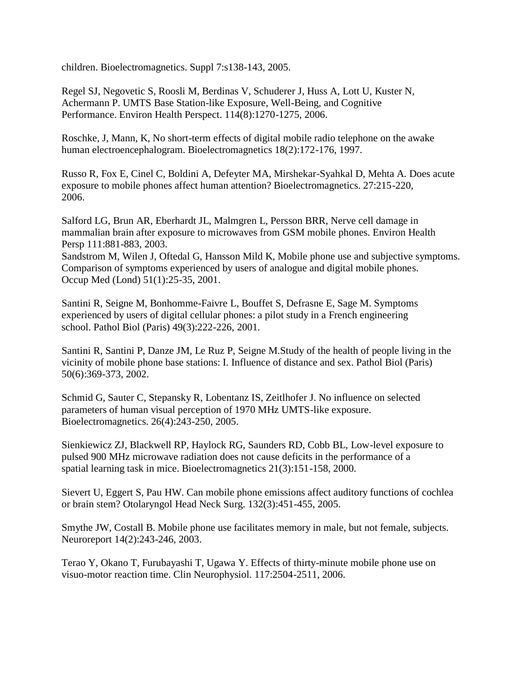children. Bioelectromagnetics. Suppl 7:s138-143, 2005.

Regel SJ, Negovetic S, Roosli M, Berdinas V, Schuderer J, Huss A, Lott U, Kuster N, Achermann P. UMTS Base Station-like Exposure, Well-Being, and Cognitive Performance. Environ Health Perspect. 114(8):1270-1275, 2006.

Roschke, J, Mann, K, No short-term effects of digital mobile radio telephone on the awake human electroencephalogram. Bioelectromagnetics 18(2):172-176, 1997.

Russo R, Fox E, Cinel C, Boldini A, Defeyter MA, Mirshekar-Syahkal D, Mehta A. Does acute exposure to mobile phones affect human attention? Bioelectromagnetics. 27:215-220, 2006.

Salford LG, Brun AR, Eberhardt JL, Malmgren L, Persson BRR, Nerve cell damage in mammalian brain after exposure to microwaves from GSM mobile phones. Environ Health Persp 111:881-883, 2003.

Sandstrom M, Wilen J, Oftedal G, Hansson Mild K, Mobile phone use and subjective symptoms. Comparison of symptoms experienced by users of analogue and digital mobile phones. Occup Med (Lond) 51(1):25-35, 2001.

Santini R, Seigne M, Bonhomme-Faivre L, Bouffet S, Defrasne E, Sage M. Symptoms experienced by users of digital cellular phones: a pilot study in a French engineering school. Pathol Biol (Paris) 49(3):222-226, 2001.

Santini R, Santini P, Danze JM, Le Ruz P, Seigne M.Study of the health of people living in the vicinity of mobile phone base stations: I. Influence of distance and sex. Pathol Biol (Paris) 50(6):369-373, 2002.

Schmid G, Sauter C, Stepansky R, Lobentanz IS, Zeitlhofer J. No influence on selected parameters of human visual perception of 1970 MHz UMTS-like exposure. Bioelectromagnetics. 26(4):243-250, 2005.

Sienkiewicz ZJ, Blackwell RP, Haylock RG, Saunders RD, Cobb BL, Low-level exposure to pulsed 900 MHz microwave radiation does not cause deficits in the performance of a spatial learning task in mice. Bioelectromagnetics 21(3):151-158, 2000.

Sievert U, Eggert S, Pau HW. Can mobile phone emissions affect auditory functions of cochlea or brain stem? Otolaryngol Head Neck Surg. 132(3):451-455, 2005.

Smythe JW, Costall B. Mobile phone use facilitates memory in male, but not female, subjects. Neuroreport 14(2):243-246, 2003.

Terao Y, Okano T, Furubayashi T, Ugawa Y. Effects of thirty-minute mobile phone use on visuo-motor reaction time. Clin Neurophysiol. 117:2504-2511, 2006.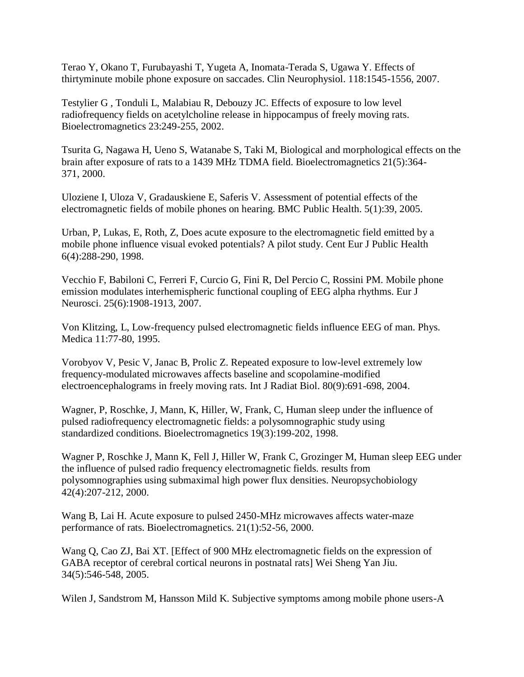Terao Y, Okano T, Furubayashi T, Yugeta A, Inomata-Terada S, Ugawa Y. Effects of thirtyminute mobile phone exposure on saccades. Clin Neurophysiol. 118:1545-1556, 2007.

Testylier G , Tonduli L, Malabiau R, Debouzy JC. Effects of exposure to low level radiofrequency fields on acetylcholine release in hippocampus of freely moving rats. Bioelectromagnetics 23:249-255, 2002.

Tsurita G, Nagawa H, Ueno S, Watanabe S, Taki M, Biological and morphological effects on the brain after exposure of rats to a 1439 MHz TDMA field. Bioelectromagnetics 21(5):364- 371, 2000.

Uloziene I, Uloza V, Gradauskiene E, Saferis V. Assessment of potential effects of the electromagnetic fields of mobile phones on hearing. BMC Public Health. 5(1):39, 2005.

Urban, P, Lukas, E, Roth, Z, Does acute exposure to the electromagnetic field emitted by a mobile phone influence visual evoked potentials? A pilot study. Cent Eur J Public Health 6(4):288-290, 1998.

Vecchio F, Babiloni C, Ferreri F, Curcio G, Fini R, Del Percio C, Rossini PM. Mobile phone emission modulates interhemispheric functional coupling of EEG alpha rhythms. Eur J Neurosci. 25(6):1908-1913, 2007.

Von Klitzing, L, Low-frequency pulsed electromagnetic fields influence EEG of man. Phys. Medica 11:77-80, 1995.

Vorobyov V, Pesic V, Janac B, Prolic Z. Repeated exposure to low-level extremely low frequency-modulated microwaves affects baseline and scopolamine-modified electroencephalograms in freely moving rats. Int J Radiat Biol. 80(9):691-698, 2004.

Wagner, P, Roschke, J, Mann, K, Hiller, W, Frank, C, Human sleep under the influence of pulsed radiofrequency electromagnetic fields: a polysomnographic study using standardized conditions. Bioelectromagnetics 19(3):199-202, 1998.

Wagner P, Roschke J, Mann K, Fell J, Hiller W, Frank C, Grozinger M, Human sleep EEG under the influence of pulsed radio frequency electromagnetic fields. results from polysomnographies using submaximal high power flux densities. Neuropsychobiology 42(4):207-212, 2000.

Wang B, Lai H. Acute exposure to pulsed 2450-MHz microwaves affects water-maze performance of rats. Bioelectromagnetics. 21(1):52-56, 2000.

Wang Q, Cao ZJ, Bai XT. [Effect of 900 MHz electromagnetic fields on the expression of GABA receptor of cerebral cortical neurons in postnatal rats] Wei Sheng Yan Jiu. 34(5):546-548, 2005.

Wilen J, Sandstrom M, Hansson Mild K. Subjective symptoms among mobile phone users-A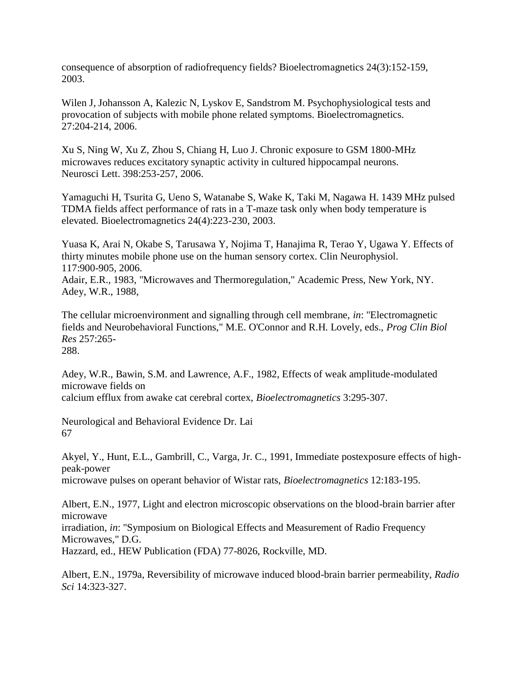consequence of absorption of radiofrequency fields? Bioelectromagnetics 24(3):152-159, 2003.

Wilen J, Johansson A, Kalezic N, Lyskov E, Sandstrom M. Psychophysiological tests and provocation of subjects with mobile phone related symptoms. Bioelectromagnetics. 27:204-214, 2006.

Xu S, Ning W, Xu Z, Zhou S, Chiang H, Luo J. Chronic exposure to GSM 1800-MHz microwaves reduces excitatory synaptic activity in cultured hippocampal neurons. Neurosci Lett. 398:253-257, 2006.

Yamaguchi H, Tsurita G, Ueno S, Watanabe S, Wake K, Taki M, Nagawa H. 1439 MHz pulsed TDMA fields affect performance of rats in a T-maze task only when body temperature is elevated. Bioelectromagnetics 24(4):223-230, 2003.

Yuasa K, Arai N, Okabe S, Tarusawa Y, Nojima T, Hanajima R, Terao Y, Ugawa Y. Effects of thirty minutes mobile phone use on the human sensory cortex. Clin Neurophysiol. 117:900-905, 2006.

Adair, E.R., 1983, "Microwaves and Thermoregulation," Academic Press, New York, NY. Adey, W.R., 1988,

The cellular microenvironment and signalling through cell membrane, *in*: "Electromagnetic fields and Neurobehavioral Functions," M.E. O'Connor and R.H. Lovely, eds., *Prog Clin Biol Res* 257:265- 288.

Adey, W.R., Bawin, S.M. and Lawrence, A.F., 1982, Effects of weak amplitude-modulated microwave fields on calcium efflux from awake cat cerebral cortex, *Bioelectromagnetics* 3:295-307.

Neurological and Behavioral Evidence Dr. Lai 67

Akyel, Y., Hunt, E.L., Gambrill, C., Varga, Jr. C., 1991, Immediate postexposure effects of highpeak-power

microwave pulses on operant behavior of Wistar rats, *Bioelectromagnetics* 12:183-195.

Albert, E.N., 1977, Light and electron microscopic observations on the blood-brain barrier after microwave

irradiation, *in*: "Symposium on Biological Effects and Measurement of Radio Frequency Microwaves," D.G.

Hazzard, ed., HEW Publication (FDA) 77-8026, Rockville, MD.

Albert, E.N., 1979a, Reversibility of microwave induced blood-brain barrier permeability, *Radio Sci* 14:323-327.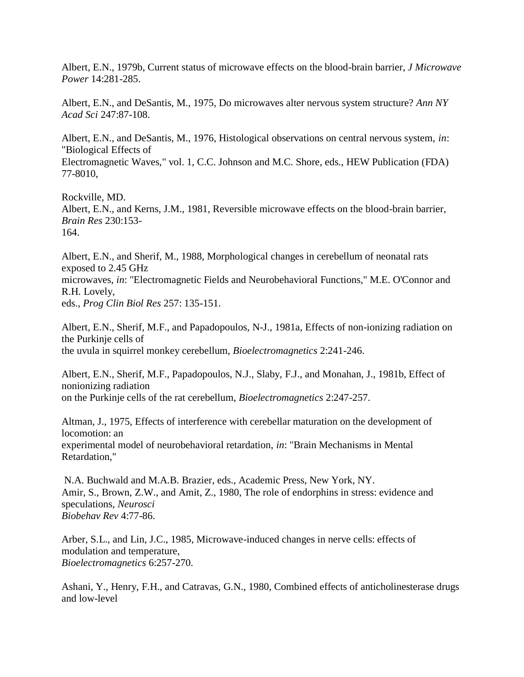Albert, E.N., 1979b, Current status of microwave effects on the blood-brain barrier, *J Microwave Power* 14:281-285.

Albert, E.N., and DeSantis, M., 1975, Do microwaves alter nervous system structure? *Ann NY Acad Sci* 247:87-108.

Albert, E.N., and DeSantis, M., 1976, Histological observations on central nervous system, *in*: "Biological Effects of

Electromagnetic Waves," vol. 1, C.C. Johnson and M.C. Shore, eds., HEW Publication (FDA) 77-8010,

Rockville, MD. Albert, E.N., and Kerns, J.M., 1981, Reversible microwave effects on the blood-brain barrier, *Brain Res* 230:153- 164.

Albert, E.N., and Sherif, M., 1988, Morphological changes in cerebellum of neonatal rats exposed to 2.45 GHz microwaves, *in*: "Electromagnetic Fields and Neurobehavioral Functions," M.E. O'Connor and R.H. Lovely, eds., *Prog Clin Biol Res* 257: 135-151.

Albert, E.N., Sherif, M.F., and Papadopoulos, N-J., 1981a, Effects of non-ionizing radiation on the Purkinje cells of the uvula in squirrel monkey cerebellum, *Bioelectromagnetics* 2:241-246.

Albert, E.N., Sherif, M.F., Papadopoulos, N.J., Slaby, F.J., and Monahan, J., 1981b, Effect of nonionizing radiation on the Purkinje cells of the rat cerebellum, *Bioelectromagnetics* 2:247-257.

Altman, J., 1975, Effects of interference with cerebellar maturation on the development of locomotion: an experimental model of neurobehavioral retardation, *in*: "Brain Mechanisms in Mental Retardation,"

N.A. Buchwald and M.A.B. Brazier, eds., Academic Press, New York, NY. Amir, S., Brown, Z.W., and Amit, Z., 1980, The role of endorphins in stress: evidence and speculations, *Neurosci Biobehav Rev* 4:77-86.

Arber, S.L., and Lin, J.C., 1985, Microwave-induced changes in nerve cells: effects of modulation and temperature, *Bioelectromagnetics* 6:257-270.

Ashani, Y., Henry, F.H., and Catravas, G.N., 1980, Combined effects of anticholinesterase drugs and low-level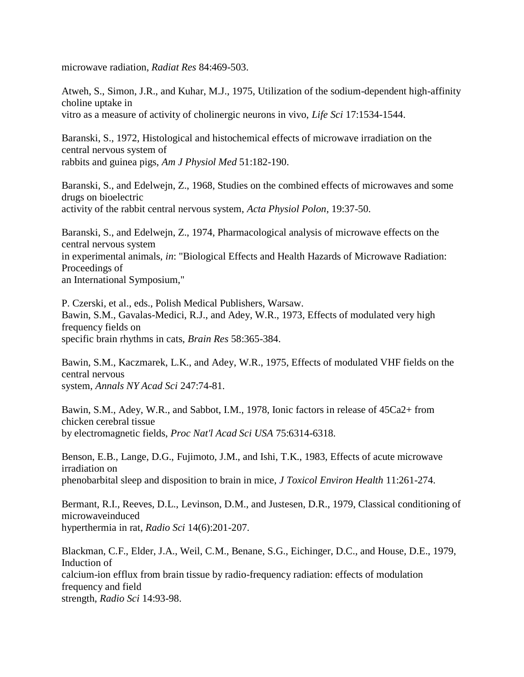microwave radiation, *Radiat Res* 84:469-503.

Atweh, S., Simon, J.R., and Kuhar, M.J., 1975, Utilization of the sodium-dependent high-affinity choline uptake in vitro as a measure of activity of cholinergic neurons in vivo, *Life Sci* 17:1534-1544.

Baranski, S., 1972, Histological and histochemical effects of microwave irradiation on the central nervous system of rabbits and guinea pigs, *Am J Physiol Med* 51:182-190.

Baranski, S., and Edelwejn, Z., 1968, Studies on the combined effects of microwaves and some drugs on bioelectric activity of the rabbit central nervous system, *Acta Physiol Polon*, 19:37-50.

Baranski, S., and Edelwejn, Z., 1974, Pharmacological analysis of microwave effects on the central nervous system in experimental animals, *in*: "Biological Effects and Health Hazards of Microwave Radiation: Proceedings of an International Symposium,"

P. Czerski, et al., eds., Polish Medical Publishers, Warsaw. Bawin, S.M., Gavalas-Medici, R.J., and Adey, W.R., 1973, Effects of modulated very high frequency fields on specific brain rhythms in cats, *Brain Res* 58:365-384.

Bawin, S.M., Kaczmarek, L.K., and Adey, W.R., 1975, Effects of modulated VHF fields on the central nervous system, *Annals NY Acad Sci* 247:74-81.

Bawin, S.M., Adey, W.R., and Sabbot, I.M., 1978, Ionic factors in release of 45Ca2+ from chicken cerebral tissue by electromagnetic fields, *Proc Nat'l Acad Sci USA* 75:6314-6318.

Benson, E.B., Lange, D.G., Fujimoto, J.M., and Ishi, T.K., 1983, Effects of acute microwave irradiation on phenobarbital sleep and disposition to brain in mice, *J Toxicol Environ Health* 11:261-274.

Bermant, R.I., Reeves, D.L., Levinson, D.M., and Justesen, D.R., 1979, Classical conditioning of microwaveinduced hyperthermia in rat, *Radio Sci* 14(6):201-207.

Blackman, C.F., Elder, J.A., Weil, C.M., Benane, S.G., Eichinger, D.C., and House, D.E., 1979, Induction of calcium-ion efflux from brain tissue by radio-frequency radiation: effects of modulation frequency and field strength, *Radio Sci* 14:93-98.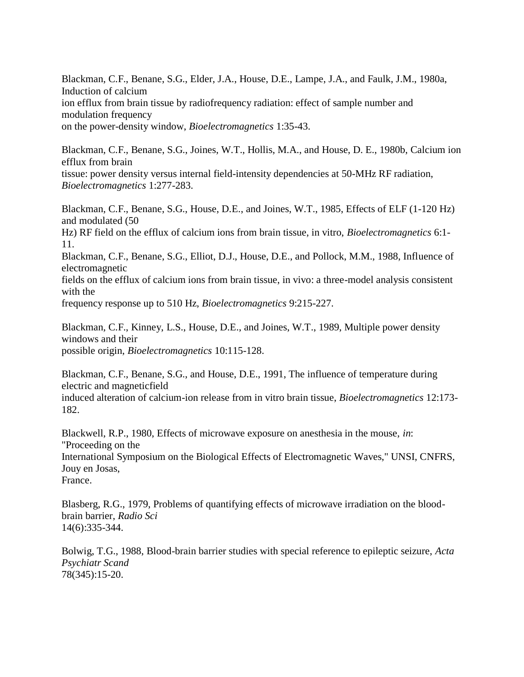Blackman, C.F., Benane, S.G., Elder, J.A., House, D.E., Lampe, J.A., and Faulk, J.M., 1980a, Induction of calcium ion efflux from brain tissue by radiofrequency radiation: effect of sample number and modulation frequency on the power-density window, *Bioelectromagnetics* 1:35-43.

Blackman, C.F., Benane, S.G., Joines, W.T., Hollis, M.A., and House, D. E., 1980b, Calcium ion efflux from brain tissue: power density versus internal field-intensity dependencies at 50-MHz RF radiation, *Bioelectromagnetics* 1:277-283.

Blackman, C.F., Benane, S.G., House, D.E., and Joines, W.T., 1985, Effects of ELF (1-120 Hz) and modulated (50

Hz) RF field on the efflux of calcium ions from brain tissue, in vitro, *Bioelectromagnetics* 6:1- 11.

Blackman, C.F., Benane, S.G., Elliot, D.J., House, D.E., and Pollock, M.M., 1988, Influence of electromagnetic

fields on the efflux of calcium ions from brain tissue, in vivo: a three-model analysis consistent with the

frequency response up to 510 Hz, *Bioelectromagnetics* 9:215-227.

Blackman, C.F., Kinney, L.S., House, D.E., and Joines, W.T., 1989, Multiple power density windows and their possible origin, *Bioelectromagnetics* 10:115-128.

Blackman, C.F., Benane, S.G., and House, D.E., 1991, The influence of temperature during electric and magneticfield

induced alteration of calcium-ion release from in vitro brain tissue, *Bioelectromagnetics* 12:173- 182.

Blackwell, R.P., 1980, Effects of microwave exposure on anesthesia in the mouse, *in*: "Proceeding on the International Symposium on the Biological Effects of Electromagnetic Waves," UNSI, CNFRS, Jouy en Josas, France.

Blasberg, R.G., 1979, Problems of quantifying effects of microwave irradiation on the bloodbrain barrier, *Radio Sci* 14(6):335-344.

Bolwig, T.G., 1988, Blood-brain barrier studies with special reference to epileptic seizure, *Acta Psychiatr Scand* 78(345):15-20.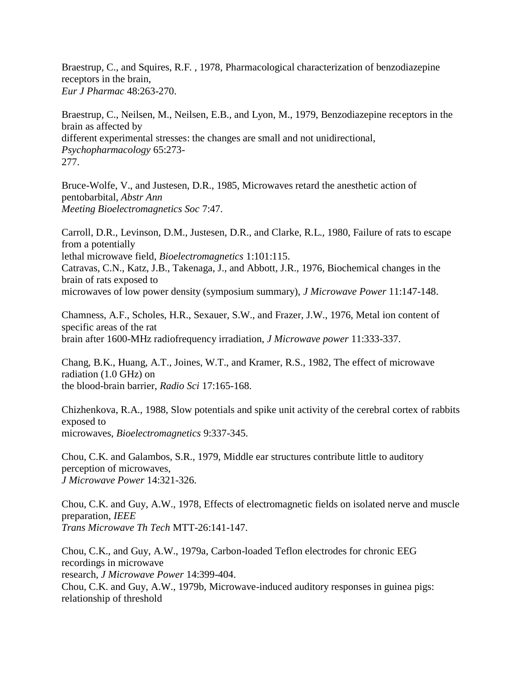Braestrup, C., and Squires, R.F. , 1978, Pharmacological characterization of benzodiazepine receptors in the brain, *Eur J Pharmac* 48:263-270.

Braestrup, C., Neilsen, M., Neilsen, E.B., and Lyon, M., 1979, Benzodiazepine receptors in the brain as affected by different experimental stresses: the changes are small and not unidirectional, *Psychopharmacology* 65:273- 277.

Bruce-Wolfe, V., and Justesen, D.R., 1985, Microwaves retard the anesthetic action of pentobarbital, *Abstr Ann Meeting Bioelectromagnetics Soc* 7:47.

Carroll, D.R., Levinson, D.M., Justesen, D.R., and Clarke, R.L., 1980, Failure of rats to escape from a potentially lethal microwave field, *Bioelectromagnetics* 1:101:115. Catravas, C.N., Katz, J.B., Takenaga, J., and Abbott, J.R., 1976, Biochemical changes in the brain of rats exposed to microwaves of low power density (symposium summary), *J Microwave Power* 11:147-148.

Chamness, A.F., Scholes, H.R., Sexauer, S.W., and Frazer, J.W., 1976, Metal ion content of specific areas of the rat brain after 1600-MHz radiofrequency irradiation, *J Microwave power* 11:333-337.

Chang, B.K., Huang, A.T., Joines, W.T., and Kramer, R.S., 1982, The effect of microwave radiation (1.0 GHz) on the blood-brain barrier, *Radio Sci* 17:165-168.

Chizhenkova, R.A., 1988, Slow potentials and spike unit activity of the cerebral cortex of rabbits exposed to microwaves, *Bioelectromagnetics* 9:337-345.

Chou, C.K. and Galambos, S.R., 1979, Middle ear structures contribute little to auditory perception of microwaves, *J Microwave Power* 14:321-326.

Chou, C.K. and Guy, A.W., 1978, Effects of electromagnetic fields on isolated nerve and muscle preparation, *IEEE Trans Microwave Th Tech* MTT-26:141-147.

Chou, C.K., and Guy, A.W., 1979a, Carbon-loaded Teflon electrodes for chronic EEG recordings in microwave research, *J Microwave Power* 14:399-404. Chou, C.K. and Guy, A.W., 1979b, Microwave-induced auditory responses in guinea pigs: relationship of threshold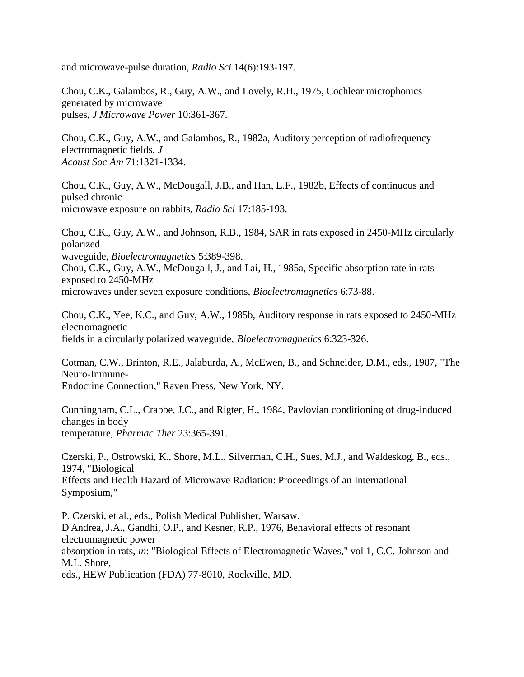and microwave-pulse duration, *Radio Sci* 14(6):193-197.

Chou, C.K., Galambos, R., Guy, A.W., and Lovely, R.H., 1975, Cochlear microphonics generated by microwave pulses, *J Microwave Power* 10:361-367.

Chou, C.K., Guy, A.W., and Galambos, R., 1982a, Auditory perception of radiofrequency electromagnetic fields, *J Acoust Soc Am* 71:1321-1334.

Chou, C.K., Guy, A.W., McDougall, J.B., and Han, L.F., 1982b, Effects of continuous and pulsed chronic microwave exposure on rabbits, *Radio Sci* 17:185-193.

Chou, C.K., Guy, A.W., and Johnson, R.B., 1984, SAR in rats exposed in 2450-MHz circularly polarized waveguide, *Bioelectromagnetics* 5:389-398. Chou, C.K., Guy, A.W., McDougall, J., and Lai, H., 1985a, Specific absorption rate in rats exposed to 2450-MHz

microwaves under seven exposure conditions, *Bioelectromagnetics* 6:73-88.

Chou, C.K., Yee, K.C., and Guy, A.W., 1985b, Auditory response in rats exposed to 2450-MHz electromagnetic fields in a circularly polarized waveguide, *Bioelectromagnetics* 6:323-326.

Cotman, C.W., Brinton, R.E., Jalaburda, A., McEwen, B., and Schneider, D.M., eds., 1987, "The Neuro-Immune-Endocrine Connection," Raven Press, New York, NY.

Cunningham, C.L., Crabbe, J.C., and Rigter, H., 1984, Pavlovian conditioning of drug-induced changes in body temperature, *Pharmac Ther* 23:365-391.

Czerski, P., Ostrowski, K., Shore, M.L., Silverman, C.H., Sues, M.J., and Waldeskog, B., eds., 1974, "Biological Effects and Health Hazard of Microwave Radiation: Proceedings of an International Symposium,"

P. Czerski, et al., eds., Polish Medical Publisher, Warsaw. D'Andrea, J.A., Gandhi, O.P., and Kesner, R.P., 1976, Behavioral effects of resonant electromagnetic power absorption in rats, *in*: "Biological Effects of Electromagnetic Waves," vol 1, C.C. Johnson and M.L. Shore, eds., HEW Publication (FDA) 77-8010, Rockville, MD.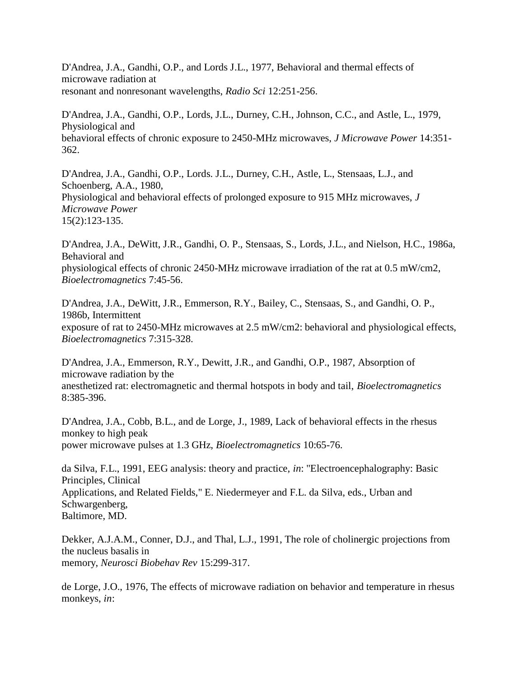D'Andrea, J.A., Gandhi, O.P., and Lords J.L., 1977, Behavioral and thermal effects of microwave radiation at resonant and nonresonant wavelengths, *Radio Sci* 12:251-256.

D'Andrea, J.A., Gandhi, O.P., Lords, J.L., Durney, C.H., Johnson, C.C., and Astle, L., 1979, Physiological and behavioral effects of chronic exposure to 2450-MHz microwaves, *J Microwave Power* 14:351- 362.

D'Andrea, J.A., Gandhi, O.P., Lords. J.L., Durney, C.H., Astle, L., Stensaas, L.J., and Schoenberg, A.A., 1980, Physiological and behavioral effects of prolonged exposure to 915 MHz microwaves, *J Microwave Power* 15(2):123-135.

D'Andrea, J.A., DeWitt, J.R., Gandhi, O. P., Stensaas, S., Lords, J.L., and Nielson, H.C., 1986a, Behavioral and physiological effects of chronic 2450-MHz microwave irradiation of the rat at 0.5 mW/cm2, *Bioelectromagnetics* 7:45-56.

D'Andrea, J.A., DeWitt, J.R., Emmerson, R.Y., Bailey, C., Stensaas, S., and Gandhi, O. P., 1986b, Intermittent exposure of rat to 2450-MHz microwaves at 2.5 mW/cm2: behavioral and physiological effects, *Bioelectromagnetics* 7:315-328.

D'Andrea, J.A., Emmerson, R.Y., Dewitt, J.R., and Gandhi, O.P., 1987, Absorption of microwave radiation by the anesthetized rat: electromagnetic and thermal hotspots in body and tail, *Bioelectromagnetics*  8:385-396.

D'Andrea, J.A., Cobb, B.L., and de Lorge, J., 1989, Lack of behavioral effects in the rhesus monkey to high peak power microwave pulses at 1.3 GHz, *Bioelectromagnetics* 10:65-76.

da Silva, F.L., 1991, EEG analysis: theory and practice, *in*: "Electroencephalography: Basic Principles, Clinical Applications, and Related Fields," E. Niedermeyer and F.L. da Silva, eds., Urban and Schwargenberg, Baltimore, MD.

Dekker, A.J.A.M., Conner, D.J., and Thal, L.J., 1991, The role of cholinergic projections from the nucleus basalis in memory, *Neurosci Biobehav Rev* 15:299-317.

de Lorge, J.O., 1976, The effects of microwave radiation on behavior and temperature in rhesus monkeys, *in*: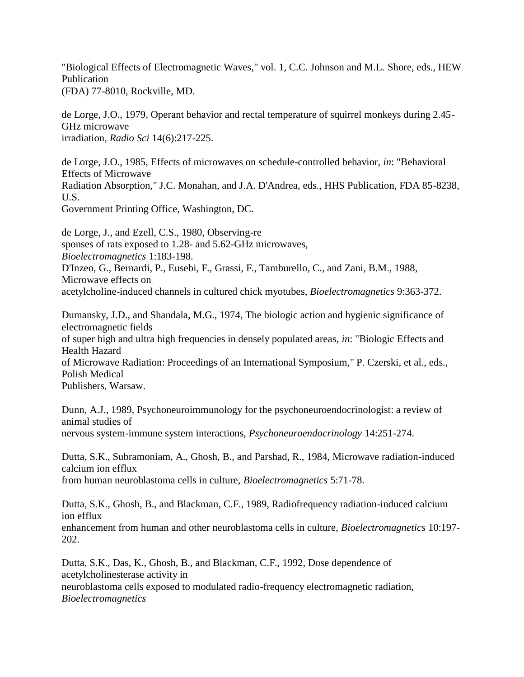"Biological Effects of Electromagnetic Waves," vol. 1, C.C. Johnson and M.L. Shore, eds., HEW Publication (FDA) 77-8010, Rockville, MD.

de Lorge, J.O., 1979, Operant behavior and rectal temperature of squirrel monkeys during 2.45- GHz microwave irradiation, *Radio Sci* 14(6):217-225.

de Lorge, J.O., 1985, Effects of microwaves on schedule-controlled behavior, *in*: "Behavioral Effects of Microwave Radiation Absorption," J.C. Monahan, and J.A. D'Andrea, eds., HHS Publication, FDA 85-8238, U.S.

Government Printing Office, Washington, DC.

de Lorge, J., and Ezell, C.S., 1980, Observing-re sponses of rats exposed to 1.28- and 5.62-GHz microwaves, *Bioelectromagnetics* 1:183-198. D'Inzeo, G., Bernardi, P., Eusebi, F., Grassi, F., Tamburello, C., and Zani, B.M., 1988, Microwave effects on acetylcholine-induced channels in cultured chick myotubes, *Bioelectromagnetics* 9:363-372.

Dumansky, J.D., and Shandala, M.G., 1974, The biologic action and hygienic significance of electromagnetic fields of super high and ultra high frequencies in densely populated areas, *in*: "Biologic Effects and Health Hazard of Microwave Radiation: Proceedings of an International Symposium," P. Czerski, et al., eds., Polish Medical Publishers, Warsaw.

Dunn, A.J., 1989, Psychoneuroimmunology for the psychoneuroendocrinologist: a review of animal studies of nervous system-immune system interactions, *Psychoneuroendocrinology* 14:251-274.

Dutta, S.K., Subramoniam, A., Ghosh, B., and Parshad, R., 1984, Microwave radiation-induced calcium ion efflux

from human neuroblastoma cells in culture, *Bioelectromagnetics* 5:71-78.

Dutta, S.K., Ghosh, B., and Blackman, C.F., 1989, Radiofrequency radiation-induced calcium ion efflux

enhancement from human and other neuroblastoma cells in culture, *Bioelectromagnetics* 10:197- 202.

Dutta, S.K., Das, K., Ghosh, B., and Blackman, C.F., 1992, Dose dependence of acetylcholinesterase activity in neuroblastoma cells exposed to modulated radio-frequency electromagnetic radiation,

*Bioelectromagnetics*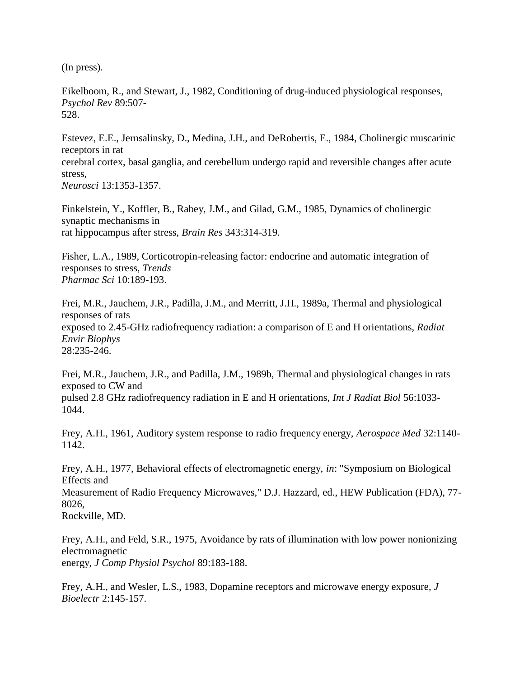(In press).

Eikelboom, R., and Stewart, J., 1982, Conditioning of drug-induced physiological responses, *Psychol Rev* 89:507- 528.

Estevez, E.E., Jernsalinsky, D., Medina, J.H., and DeRobertis, E., 1984, Cholinergic muscarinic receptors in rat cerebral cortex, basal ganglia, and cerebellum undergo rapid and reversible changes after acute stress, *Neurosci* 13:1353-1357.

Finkelstein, Y., Koffler, B., Rabey, J.M., and Gilad, G.M., 1985, Dynamics of cholinergic synaptic mechanisms in rat hippocampus after stress, *Brain Res* 343:314-319.

Fisher, L.A., 1989, Corticotropin-releasing factor: endocrine and automatic integration of responses to stress, *Trends Pharmac Sci* 10:189-193.

Frei, M.R., Jauchem, J.R., Padilla, J.M., and Merritt, J.H., 1989a, Thermal and physiological responses of rats exposed to 2.45-GHz radiofrequency radiation: a comparison of E and H orientations, *Radiat Envir Biophys* 28:235-246.

Frei, M.R., Jauchem, J.R., and Padilla, J.M., 1989b, Thermal and physiological changes in rats exposed to CW and pulsed 2.8 GHz radiofrequency radiation in E and H orientations, *Int J Radiat Biol* 56:1033- 1044.

Frey, A.H., 1961, Auditory system response to radio frequency energy, *Aerospace Med* 32:1140- 1142.

Frey, A.H., 1977, Behavioral effects of electromagnetic energy, *in*: "Symposium on Biological Effects and

Measurement of Radio Frequency Microwaves," D.J. Hazzard, ed., HEW Publication (FDA), 77- 8026,

Rockville, MD.

Frey, A.H., and Feld, S.R., 1975, Avoidance by rats of illumination with low power nonionizing electromagnetic energy, *J Comp Physiol Psychol* 89:183-188.

Frey, A.H., and Wesler, L.S., 1983, Dopamine receptors and microwave energy exposure, *J Bioelectr* 2:145-157.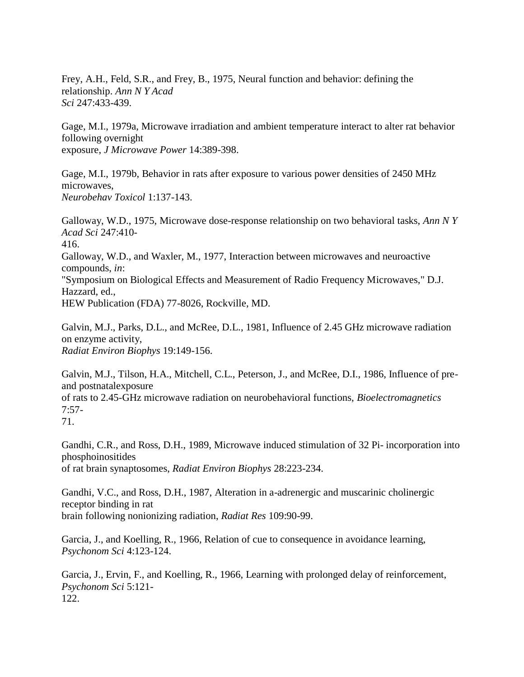Frey, A.H., Feld, S.R., and Frey, B., 1975, Neural function and behavior: defining the relationship. *Ann N Y Acad Sci* 247:433-439.

Gage, M.I., 1979a, Microwave irradiation and ambient temperature interact to alter rat behavior following overnight exposure, *J Microwave Power* 14:389-398.

Gage, M.I., 1979b, Behavior in rats after exposure to various power densities of 2450 MHz microwaves, *Neurobehav Toxicol* 1:137-143.

Galloway, W.D., 1975, Microwave dose-response relationship on two behavioral tasks, *Ann N Y Acad Sci* 247:410- 416. Galloway, W.D., and Waxler, M., 1977, Interaction between microwaves and neuroactive compounds, *in*: "Symposium on Biological Effects and Measurement of Radio Frequency Microwaves," D.J. Hazzard, ed., HEW Publication (FDA) 77-8026, Rockville, MD.

Galvin, M.J., Parks, D.L., and McRee, D.L., 1981, Influence of 2.45 GHz microwave radiation on enzyme activity, *Radiat Environ Biophys* 19:149-156.

Galvin, M.J., Tilson, H.A., Mitchell, C.L., Peterson, J., and McRee, D.I., 1986, Influence of preand postnatalexposure of rats to 2.45-GHz microwave radiation on neurobehavioral functions, *Bioelectromagnetics*  7:57- 71.

Gandhi, C.R., and Ross, D.H., 1989, Microwave induced stimulation of 32 Pi- incorporation into phosphoinositides of rat brain synaptosomes, *Radiat Environ Biophys* 28:223-234.

Gandhi, V.C., and Ross, D.H., 1987, Alteration in a-adrenergic and muscarinic cholinergic receptor binding in rat brain following nonionizing radiation, *Radiat Res* 109:90-99.

Garcia, J., and Koelling, R., 1966, Relation of cue to consequence in avoidance learning, *Psychonom Sci* 4:123-124.

Garcia, J., Ervin, F., and Koelling, R., 1966, Learning with prolonged delay of reinforcement, *Psychonom Sci* 5:121- 122.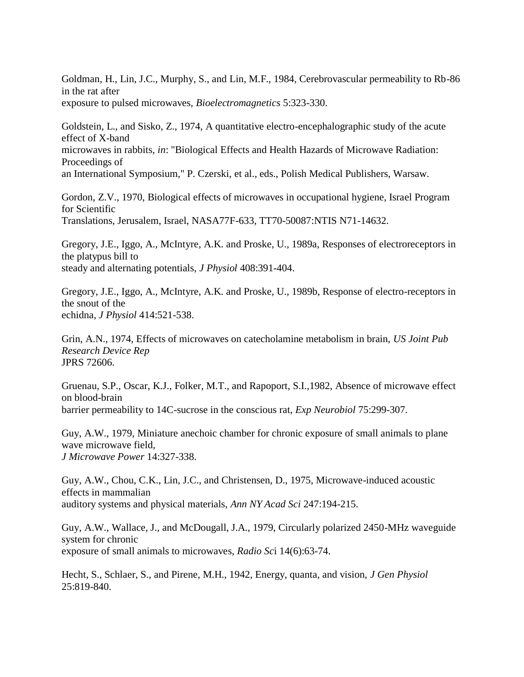Goldman, H., Lin, J.C., Murphy, S., and Lin, M.F., 1984, Cerebrovascular permeability to Rb-86 in the rat after exposure to pulsed microwaves, *Bioelectromagnetics* 5:323-330.

Goldstein, L., and Sisko, Z., 1974, A quantitative electro-encephalographic study of the acute effect of X-band microwaves in rabbits, *in*: "Biological Effects and Health Hazards of Microwave Radiation: Proceedings of an International Symposium," P. Czerski, et al., eds., Polish Medical Publishers, Warsaw.

Gordon, Z.V., 1970, Biological effects of microwaves in occupational hygiene, Israel Program for Scientific Translations, Jerusalem, Israel, NASA77F-633, TT70-50087:NTIS N71-14632.

Gregory, J.E., Iggo, A., McIntyre, A.K. and Proske, U., 1989a, Responses of electroreceptors in the platypus bill to steady and alternating potentials, *J Physiol* 408:391-404.

Gregory, J.E., Iggo, A., McIntyre, A.K. and Proske, U., 1989b, Response of electro-receptors in the snout of the echidna, *J Physiol* 414:521-538.

Grin, A.N., 1974, Effects of microwaves on catecholamine metabolism in brain, *US Joint Pub Research Device Rep* JPRS 72606.

Gruenau, S.P., Oscar, K.J., Folker, M.T., and Rapoport, S.I.,1982, Absence of microwave effect on blood-brain barrier permeability to 14C-sucrose in the conscious rat, *Exp Neurobiol* 75:299-307.

Guy, A.W., 1979, Miniature anechoic chamber for chronic exposure of small animals to plane wave microwave field, *J Microwave Power* 14:327-338.

Guy, A.W., Chou, C.K., Lin, J.C., and Christensen, D., 1975, Microwave-induced acoustic effects in mammalian auditory systems and physical materials, *Ann NY Acad Sci* 247:194-215.

Guy, A.W., Wallace, J., and McDougall, J.A., 1979, Circularly polarized 2450-MHz waveguide system for chronic exposure of small animals to microwaves, *Radio Sc*i 14(6):63-74.

Hecht, S., Schlaer, S., and Pirene, M.H., 1942, Energy, quanta, and vision, *J Gen Physiol*  25:819-840.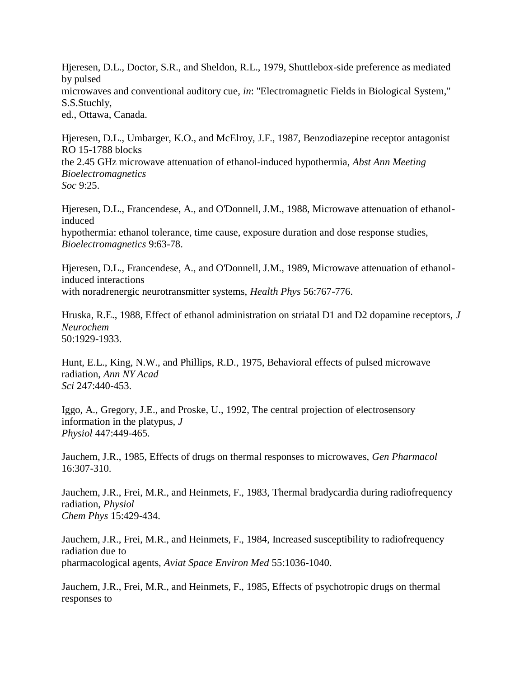Hjeresen, D.L., Doctor, S.R., and Sheldon, R.L., 1979, Shuttlebox-side preference as mediated by pulsed microwaves and conventional auditory cue, *in*: "Electromagnetic Fields in Biological System," S.S.Stuchly, ed., Ottawa, Canada.

Hjeresen, D.L., Umbarger, K.O., and McElroy, J.F., 1987, Benzodiazepine receptor antagonist RO 15-1788 blocks the 2.45 GHz microwave attenuation of ethanol-induced hypothermia, *Abst Ann Meeting Bioelectromagnetics Soc* 9:25.

Hjeresen, D.L., Francendese, A., and O'Donnell, J.M., 1988, Microwave attenuation of ethanolinduced hypothermia: ethanol tolerance, time cause, exposure duration and dose response studies, *Bioelectromagnetics* 9:63-78.

Hjeresen, D.L., Francendese, A., and O'Donnell, J.M., 1989, Microwave attenuation of ethanolinduced interactions with noradrenergic neurotransmitter systems, *Health Phys* 56:767-776.

Hruska, R.E., 1988, Effect of ethanol administration on striatal D1 and D2 dopamine receptors, *J Neurochem* 50:1929-1933.

Hunt, E.L., King, N.W., and Phillips, R.D., 1975, Behavioral effects of pulsed microwave radiation, *Ann NY Acad Sci* 247:440-453.

Iggo, A., Gregory, J.E., and Proske, U., 1992, The central projection of electrosensory information in the platypus, *J Physiol* 447:449-465.

Jauchem, J.R., 1985, Effects of drugs on thermal responses to microwaves, *Gen Pharmacol*  16:307-310.

Jauchem, J.R., Frei, M.R., and Heinmets, F., 1983, Thermal bradycardia during radiofrequency radiation, *Physiol Chem Phys* 15:429-434.

Jauchem, J.R., Frei, M.R., and Heinmets, F., 1984, Increased susceptibility to radiofrequency radiation due to pharmacological agents, *Aviat Space Environ Med* 55:1036-1040.

Jauchem, J.R., Frei, M.R., and Heinmets, F., 1985, Effects of psychotropic drugs on thermal responses to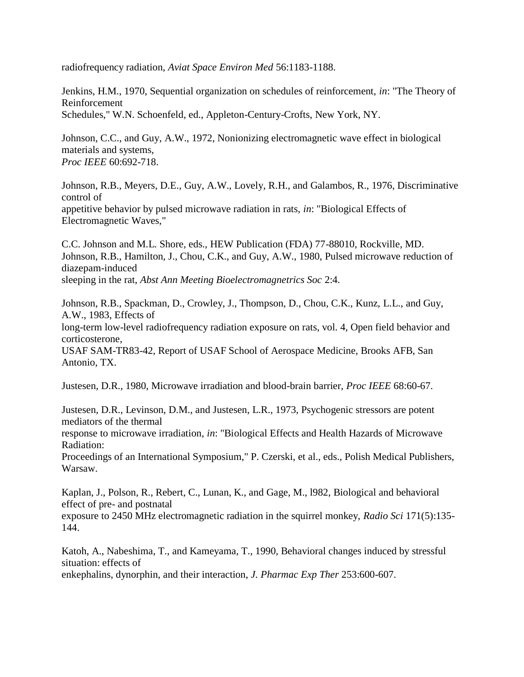radiofrequency radiation, *Aviat Space Environ Med* 56:1183-1188.

Jenkins, H.M., 1970, Sequential organization on schedules of reinforcement, *in*: "The Theory of Reinforcement Schedules," W.N. Schoenfeld, ed., Appleton-Century-Crofts, New York, NY.

Johnson, C.C., and Guy, A.W., 1972, Nonionizing electromagnetic wave effect in biological materials and systems, *Proc IEEE* 60:692-718.

Johnson, R.B., Meyers, D.E., Guy, A.W., Lovely, R.H., and Galambos, R., 1976, Discriminative control of appetitive behavior by pulsed microwave radiation in rats, *in*: "Biological Effects of Electromagnetic Waves,"

C.C. Johnson and M.L. Shore, eds., HEW Publication (FDA) 77-88010, Rockville, MD. Johnson, R.B., Hamilton, J., Chou, C.K., and Guy, A.W., 1980, Pulsed microwave reduction of diazepam-induced sleeping in the rat, *Abst Ann Meeting Bioelectromagnetrics Soc* 2:4.

Johnson, R.B., Spackman, D., Crowley, J., Thompson, D., Chou, C.K., Kunz, L.L., and Guy, A.W., 1983, Effects of long-term low-level radiofrequency radiation exposure on rats, vol. 4, Open field behavior and corticosterone, USAF SAM-TR83-42, Report of USAF School of Aerospace Medicine, Brooks AFB, San Antonio, TX.

Justesen, D.R., 1980, Microwave irradiation and blood-brain barrier, *Proc IEEE* 68:60-67.

Justesen, D.R., Levinson, D.M., and Justesen, L.R., 1973, Psychogenic stressors are potent mediators of the thermal

response to microwave irradiation, *in*: "Biological Effects and Health Hazards of Microwave Radiation:

Proceedings of an International Symposium," P. Czerski, et al., eds., Polish Medical Publishers, Warsaw.

Kaplan, J., Polson, R., Rebert, C., Lunan, K., and Gage, M., l982, Biological and behavioral effect of pre- and postnatal

exposure to 2450 MHz electromagnetic radiation in the squirrel monkey, *Radio Sci* 171(5):135- 144.

Katoh, A., Nabeshima, T., and Kameyama, T., 1990, Behavioral changes induced by stressful situation: effects of enkephalins, dynorphin, and their interaction, *J. Pharmac Exp Ther* 253:600-607.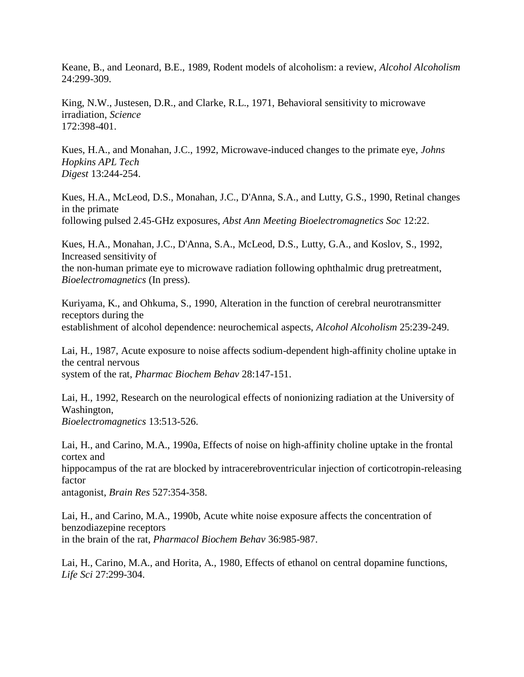Keane, B., and Leonard, B.E., 1989, Rodent models of alcoholism: a review, *Alcohol Alcoholism*  24:299-309.

King, N.W., Justesen, D.R., and Clarke, R.L., 1971, Behavioral sensitivity to microwave irradiation, *Science* 172:398-401.

Kues, H.A., and Monahan, J.C., 1992, Microwave-induced changes to the primate eye, *Johns Hopkins APL Tech Digest* 13:244-254.

Kues, H.A., McLeod, D.S., Monahan, J.C., D'Anna, S.A., and Lutty, G.S., 1990, Retinal changes in the primate following pulsed 2.45-GHz exposures, *Abst Ann Meeting Bioelectromagnetics Soc* 12:22.

Kues, H.A., Monahan, J.C., D'Anna, S.A., McLeod, D.S., Lutty, G.A., and Koslov, S., 1992, Increased sensitivity of the non-human primate eye to microwave radiation following ophthalmic drug pretreatment, *Bioelectromagnetics* (In press).

Kuriyama, K., and Ohkuma, S., 1990, Alteration in the function of cerebral neurotransmitter receptors during the establishment of alcohol dependence: neurochemical aspects, *Alcohol Alcoholism* 25:239-249.

Lai, H., 1987, Acute exposure to noise affects sodium-dependent high-affinity choline uptake in the central nervous system of the rat, *Pharmac Biochem Behav* 28:147-151.

Lai, H., 1992, Research on the neurological effects of nonionizing radiation at the University of Washington, *Bioelectromagnetics* 13:513-526.

Lai, H., and Carino, M.A., 1990a, Effects of noise on high-affinity choline uptake in the frontal cortex and

hippocampus of the rat are blocked by intracerebroventricular injection of corticotropin-releasing factor

antagonist, *Brain Res* 527:354-358.

Lai, H., and Carino, M.A., 1990b, Acute white noise exposure affects the concentration of benzodiazepine receptors in the brain of the rat, *Pharmacol Biochem Behav* 36:985-987.

Lai, H., Carino, M.A., and Horita, A., 1980, Effects of ethanol on central dopamine functions, *Life Sci* 27:299-304.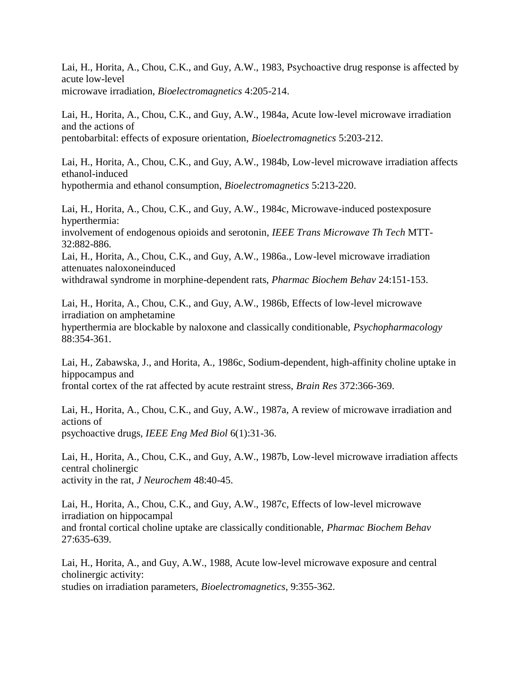Lai, H., Horita, A., Chou, C.K., and Guy, A.W., 1983, Psychoactive drug response is affected by acute low-level microwave irradiation, *Bioelectromagnetics* 4:205-214.

Lai, H., Horita, A., Chou, C.K., and Guy, A.W., 1984a, Acute low-level microwave irradiation and the actions of pentobarbital: effects of exposure orientation, *Bioelectromagnetics* 5:203-212.

Lai, H., Horita, A., Chou, C.K., and Guy, A.W., 1984b, Low-level microwave irradiation affects ethanol-induced hypothermia and ethanol consumption, *Bioelectromagnetics* 5:213-220.

Lai, H., Horita, A., Chou, C.K., and Guy, A.W., 1984c, Microwave-induced postexposure hyperthermia: involvement of endogenous opioids and serotonin, *IEEE Trans Microwave Th Tech* MTT-32:882-886. Lai, H., Horita, A., Chou, C.K., and Guy, A.W., 1986a., Low-level microwave irradiation attenuates naloxoneinduced withdrawal syndrome in morphine-dependent rats, *Pharmac Biochem Behav* 24:151-153.

Lai, H., Horita, A., Chou, C.K., and Guy, A.W., 1986b, Effects of low-level microwave irradiation on amphetamine hyperthermia are blockable by naloxone and classically conditionable, *Psychopharmacology*  88:354-361.

Lai, H., Zabawska, J., and Horita, A., 1986c, Sodium-dependent, high-affinity choline uptake in hippocampus and frontal cortex of the rat affected by acute restraint stress, *Brain Res* 372:366-369.

Lai, H., Horita, A., Chou, C.K., and Guy, A.W., 1987a, A review of microwave irradiation and actions of psychoactive drugs, *IEEE Eng Med Biol* 6(1):31-36.

Lai, H., Horita, A., Chou, C.K., and Guy, A.W., 1987b, Low-level microwave irradiation affects central cholinergic activity in the rat, *J Neurochem* 48:40-45.

Lai, H., Horita, A., Chou, C.K., and Guy, A.W., 1987c, Effects of low-level microwave irradiation on hippocampal and frontal cortical choline uptake are classically conditionable, *Pharmac Biochem Behav*  27:635-639.

Lai, H., Horita, A., and Guy, A.W., 1988, Acute low-level microwave exposure and central cholinergic activity: studies on irradiation parameters, *Bioelectromagnetics*, 9:355-362.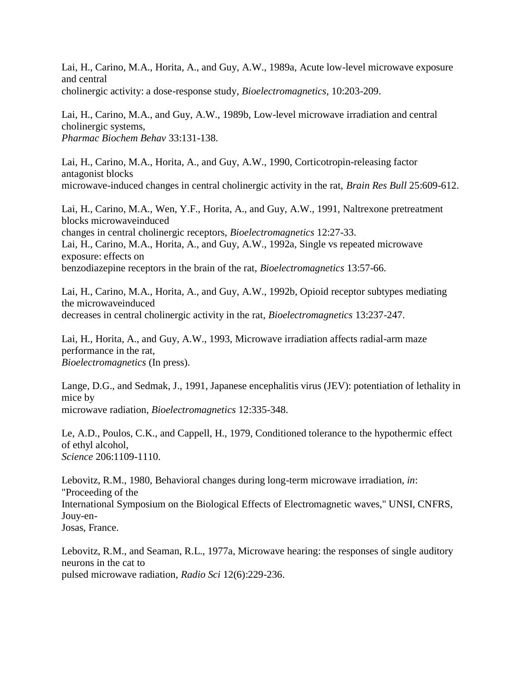Lai, H., Carino, M.A., Horita, A., and Guy, A.W., 1989a, Acute low-level microwave exposure and central cholinergic activity: a dose-response study, *Bioelectromagnetics*, 10:203-209.

Lai, H., Carino, M.A., and Guy, A.W., 1989b, Low-level microwave irradiation and central cholinergic systems, *Pharmac Biochem Behav* 33:131-138.

Lai, H., Carino, M.A., Horita, A., and Guy, A.W., 1990, Corticotropin-releasing factor antagonist blocks microwave-induced changes in central cholinergic activity in the rat, *Brain Res Bull* 25:609-612.

Lai, H., Carino, M.A., Wen, Y.F., Horita, A., and Guy, A.W., 1991, Naltrexone pretreatment blocks microwaveinduced changes in central cholinergic receptors, *Bioelectromagnetics* 12:27-33. Lai, H., Carino, M.A., Horita, A., and Guy, A.W., 1992a, Single vs repeated microwave exposure: effects on benzodiazepine receptors in the brain of the rat, *Bioelectromagnetics* 13:57-66.

Lai, H., Carino, M.A., Horita, A., and Guy, A.W., 1992b, Opioid receptor subtypes mediating the microwaveinduced decreases in central cholinergic activity in the rat, *Bioelectromagnetics* 13:237-247.

Lai, H., Horita, A., and Guy, A.W., 1993, Microwave irradiation affects radial-arm maze performance in the rat, *Bioelectromagnetics* (In press).

Lange, D.G., and Sedmak, J., 1991, Japanese encephalitis virus (JEV): potentiation of lethality in mice by microwave radiation, *Bioelectromagnetics* 12:335-348.

Le, A.D., Poulos, C.K., and Cappell, H., 1979, Conditioned tolerance to the hypothermic effect of ethyl alcohol, *Science* 206:1109-1110.

Lebovitz, R.M., 1980, Behavioral changes during long-term microwave irradiation, *in*: "Proceeding of the International Symposium on the Biological Effects of Electromagnetic waves," UNSI, CNFRS, Jouy-en-Josas, France.

Lebovitz, R.M., and Seaman, R.L., 1977a, Microwave hearing: the responses of single auditory neurons in the cat to pulsed microwave radiation, *Radio Sci* 12(6):229-236.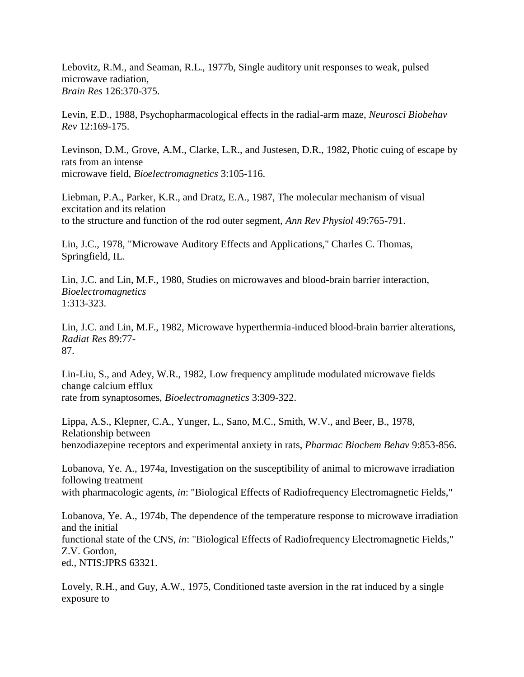Lebovitz, R.M., and Seaman, R.L., 1977b, Single auditory unit responses to weak, pulsed microwave radiation, *Brain Res* 126:370-375.

Levin, E.D., 1988, Psychopharmacological effects in the radial-arm maze, *Neurosci Biobehav Rev* 12:169-175.

Levinson, D.M., Grove, A.M., Clarke, L.R., and Justesen, D.R., 1982, Photic cuing of escape by rats from an intense microwave field, *Bioelectromagnetics* 3:105-116.

Liebman, P.A., Parker, K.R., and Dratz, E.A., 1987, The molecular mechanism of visual excitation and its relation to the structure and function of the rod outer segment, *Ann Rev Physiol* 49:765-791.

Lin, J.C., 1978, "Microwave Auditory Effects and Applications," Charles C. Thomas, Springfield, IL.

Lin, J.C. and Lin, M.F., 1980, Studies on microwaves and blood-brain barrier interaction, *Bioelectromagnetics* 1:313-323.

Lin, J.C. and Lin, M.F., 1982, Microwave hyperthermia-induced blood-brain barrier alterations, *Radiat Res* 89:77- 87.

Lin-Liu, S., and Adey, W.R., 1982, Low frequency amplitude modulated microwave fields change calcium efflux rate from synaptosomes, *Bioelectromagnetics* 3:309-322.

Lippa, A.S., Klepner, C.A., Yunger, L., Sano, M.C., Smith, W.V., and Beer, B., 1978, Relationship between benzodiazepine receptors and experimental anxiety in rats, *Pharmac Biochem Behav* 9:853-856.

Lobanova, Ye. A., 1974a, Investigation on the susceptibility of animal to microwave irradiation following treatment with pharmacologic agents, *in*: "Biological Effects of Radiofrequency Electromagnetic Fields,"

Lobanova, Ye. A., 1974b, The dependence of the temperature response to microwave irradiation and the initial functional state of the CNS, *in*: "Biological Effects of Radiofrequency Electromagnetic Fields," Z.V. Gordon, ed., NTIS:JPRS 63321.

Lovely, R.H., and Guy, A.W., 1975, Conditioned taste aversion in the rat induced by a single exposure to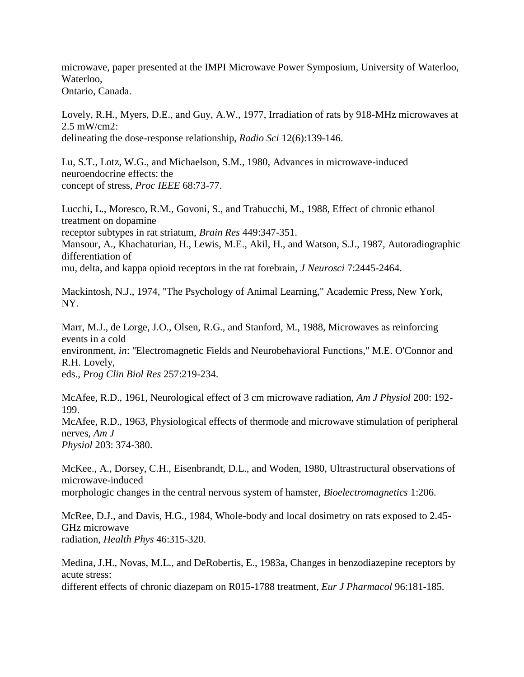microwave, paper presented at the IMPI Microwave Power Symposium, University of Waterloo, Waterloo, Ontario, Canada.

Lovely, R.H., Myers, D.E., and Guy, A.W., 1977, Irradiation of rats by 918-MHz microwaves at 2.5 mW/cm2: delineating the dose-response relationship, *Radio Sci* 12(6):139-146.

Lu, S.T., Lotz, W.G., and Michaelson, S.M., 1980, Advances in microwave-induced neuroendocrine effects: the concept of stress, *Proc IEEE* 68:73-77.

Lucchi, L., Moresco, R.M., Govoni, S., and Trabucchi, M., 1988, Effect of chronic ethanol treatment on dopamine receptor subtypes in rat striatum, *Brain Res* 449:347-351. Mansour, A., Khachaturian, H., Lewis, M.E., Akil, H., and Watson, S.J., 1987, Autoradiographic differentiation of mu, delta, and kappa opioid receptors in the rat forebrain, *J Neurosci* 7:2445-2464.

Mackintosh, N.J., 1974, "The Psychology of Animal Learning," Academic Press, New York, NY.

Marr, M.J., de Lorge, J.O., Olsen, R.G., and Stanford, M., 1988, Microwaves as reinforcing events in a cold environment, *in*: "Electromagnetic Fields and Neurobehavioral Functions," M.E. O'Connor and R.H. Lovely, eds., *Prog Clin Biol Res* 257:219-234.

McAfee, R.D., 1961, Neurological effect of 3 cm microwave radiation, *Am J Physiol* 200: 192- 199.

McAfee, R.D., 1963, Physiological effects of thermode and microwave stimulation of peripheral nerves, *Am J Physiol* 203: 374-380.

McKee., A., Dorsey, C.H., Eisenbrandt, D.L., and Woden, 1980, Ultrastructural observations of microwave-induced

morphologic changes in the central nervous system of hamster, *Bioelectromagnetics* 1:206.

McRee, D.J., and Davis, H.G., 1984, Whole-body and local dosimetry on rats exposed to 2.45- GHz microwave radiation, *Health Phys* 46:315-320.

Medina, J.H., Novas, M.L., and DeRobertis, E., 1983a, Changes in benzodiazepine receptors by acute stress: different effects of chronic diazepam on R015-1788 treatment, *Eur J Pharmacol* 96:181-185.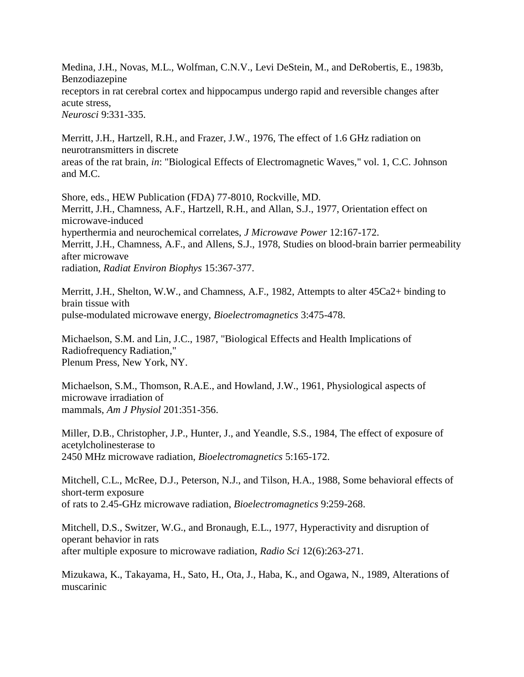Medina, J.H., Novas, M.L., Wolfman, C.N.V., Levi DeStein, M., and DeRobertis, E., 1983b, Benzodiazepine receptors in rat cerebral cortex and hippocampus undergo rapid and reversible changes after acute stress, *Neurosci* 9:331-335.

Merritt, J.H., Hartzell, R.H., and Frazer, J.W., 1976, The effect of 1.6 GHz radiation on neurotransmitters in discrete areas of the rat brain, *in*: "Biological Effects of Electromagnetic Waves," vol. 1, C.C. Johnson and M.C.

Shore, eds., HEW Publication (FDA) 77-8010, Rockville, MD. Merritt, J.H., Chamness, A.F., Hartzell, R.H., and Allan, S.J., 1977, Orientation effect on microwave-induced hyperthermia and neurochemical correlates, *J Microwave Power* 12:167-172. Merritt, J.H., Chamness, A.F., and Allens, S.J., 1978, Studies on blood-brain barrier permeability after microwave radiation, *Radiat Environ Biophys* 15:367-377.

Merritt, J.H., Shelton, W.W., and Chamness, A.F., 1982, Attempts to alter 45Ca2+ binding to brain tissue with pulse-modulated microwave energy, *Bioelectromagnetics* 3:475-478.

Michaelson, S.M. and Lin, J.C., 1987, "Biological Effects and Health Implications of Radiofrequency Radiation," Plenum Press, New York, NY.

Michaelson, S.M., Thomson, R.A.E., and Howland, J.W., 1961, Physiological aspects of microwave irradiation of mammals, *Am J Physiol* 201:351-356.

Miller, D.B., Christopher, J.P., Hunter, J., and Yeandle, S.S., 1984, The effect of exposure of acetylcholinesterase to 2450 MHz microwave radiation, *Bioelectromagnetics* 5:165-172.

Mitchell, C.L., McRee, D.J., Peterson, N.J., and Tilson, H.A., 1988, Some behavioral effects of short-term exposure of rats to 2.45-GHz microwave radiation, *Bioelectromagnetics* 9:259-268.

Mitchell, D.S., Switzer, W.G., and Bronaugh, E.L., 1977, Hyperactivity and disruption of operant behavior in rats after multiple exposure to microwave radiation, *Radio Sci* 12(6):263-271.

Mizukawa, K., Takayama, H., Sato, H., Ota, J., Haba, K., and Ogawa, N., 1989, Alterations of muscarinic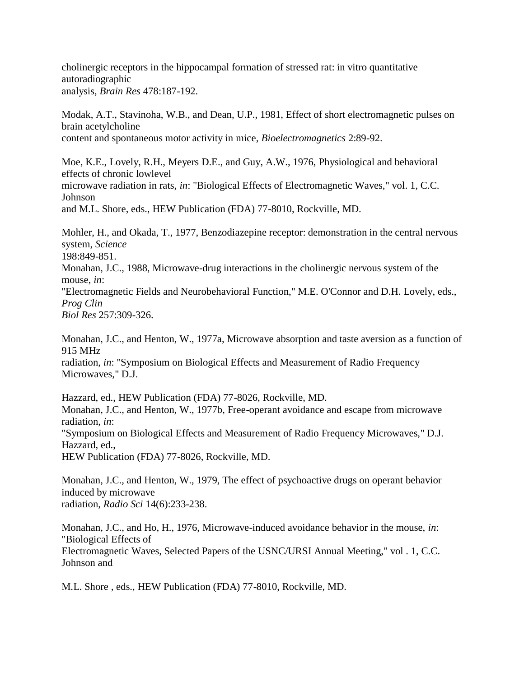cholinergic receptors in the hippocampal formation of stressed rat: in vitro quantitative autoradiographic analysis, *Brain Res* 478:187-192.

Modak, A.T., Stavinoha, W.B., and Dean, U.P., 1981, Effect of short electromagnetic pulses on brain acetylcholine content and spontaneous motor activity in mice, *Bioelectromagnetics* 2:89-92.

Moe, K.E., Lovely, R.H., Meyers D.E., and Guy, A.W., 1976, Physiological and behavioral effects of chronic lowlevel microwave radiation in rats, *in*: "Biological Effects of Electromagnetic Waves," vol. 1, C.C. Johnson and M.L. Shore, eds., HEW Publication (FDA) 77-8010, Rockville, MD.

Mohler, H., and Okada, T., 1977, Benzodiazepine receptor: demonstration in the central nervous system, *Science* 198:849-851. Monahan, J.C., 1988, Microwave-drug interactions in the cholinergic nervous system of the

mouse, *in*: "Electromagnetic Fields and Neurobehavioral Function," M.E. O'Connor and D.H. Lovely, eds., *Prog Clin*

*Biol Res* 257:309-326.

Johnson and

Monahan, J.C., and Henton, W., 1977a, Microwave absorption and taste aversion as a function of 915 MHz

radiation, *in*: "Symposium on Biological Effects and Measurement of Radio Frequency Microwaves," D.J.

Hazzard, ed., HEW Publication (FDA) 77-8026, Rockville, MD. Monahan, J.C., and Henton, W., 1977b, Free-operant avoidance and escape from microwave radiation, *in*: "Symposium on Biological Effects and Measurement of Radio Frequency Microwaves," D.J. Hazzard, ed.,

HEW Publication (FDA) 77-8026, Rockville, MD.

Monahan, J.C., and Henton, W., 1979, The effect of psychoactive drugs on operant behavior induced by microwave radiation, *Radio Sci* 14(6):233-238.

Monahan, J.C., and Ho, H., 1976, Microwave-induced avoidance behavior in the mouse, *in*: "Biological Effects of Electromagnetic Waves, Selected Papers of the USNC/URSI Annual Meeting," vol . 1, C.C.

M.L. Shore , eds., HEW Publication (FDA) 77-8010, Rockville, MD.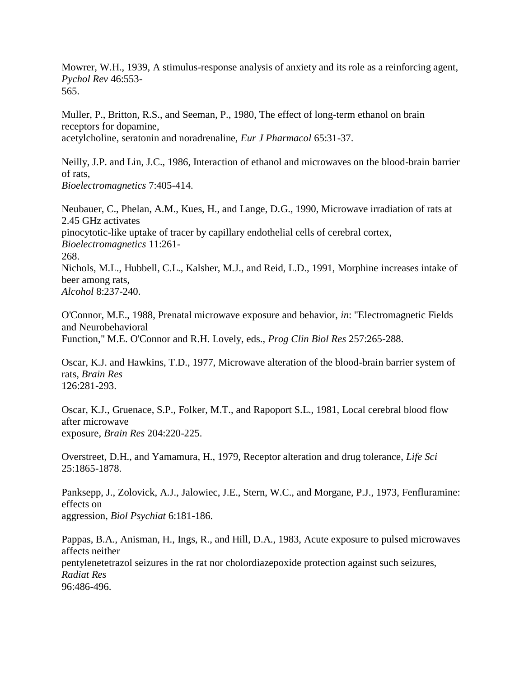Mowrer, W.H., 1939, A stimulus-response analysis of anxiety and its role as a reinforcing agent, *Pychol Rev* 46:553- 565.

Muller, P., Britton, R.S., and Seeman, P., 1980, The effect of long-term ethanol on brain receptors for dopamine, acetylcholine, seratonin and noradrenaline, *Eur J Pharmacol* 65:31-37.

Neilly, J.P. and Lin, J.C., 1986, Interaction of ethanol and microwaves on the blood-brain barrier of rats, *Bioelectromagnetics* 7:405-414.

Neubauer, C., Phelan, A.M., Kues, H., and Lange, D.G., 1990, Microwave irradiation of rats at 2.45 GHz activates pinocytotic-like uptake of tracer by capillary endothelial cells of cerebral cortex, *Bioelectromagnetics* 11:261- 268. Nichols, M.L., Hubbell, C.L., Kalsher, M.J., and Reid, L.D., 1991, Morphine increases intake of beer among rats, *Alcohol* 8:237-240.

O'Connor, M.E., 1988, Prenatal microwave exposure and behavior, *in*: "Electromagnetic Fields and Neurobehavioral Function," M.E. O'Connor and R.H. Lovely, eds., *Prog Clin Biol Res* 257:265-288.

Oscar, K.J. and Hawkins, T.D., 1977, Microwave alteration of the blood-brain barrier system of rats, *Brain Res* 126:281-293.

Oscar, K.J., Gruenace, S.P., Folker, M.T., and Rapoport S.L., 1981, Local cerebral blood flow after microwave exposure, *Brain Res* 204:220-225.

Overstreet, D.H., and Yamamura, H., 1979, Receptor alteration and drug tolerance, *Life Sci*  25:1865-1878.

Panksepp, J., Zolovick, A.J., Jalowiec, J.E., Stern, W.C., and Morgane, P.J., 1973, Fenfluramine: effects on aggression, *Biol Psychiat* 6:181-186.

Pappas, B.A., Anisman, H., Ings, R., and Hill, D.A., 1983, Acute exposure to pulsed microwaves affects neither pentylenetetrazol seizures in the rat nor cholordiazepoxide protection against such seizures, *Radiat Res* 96:486-496.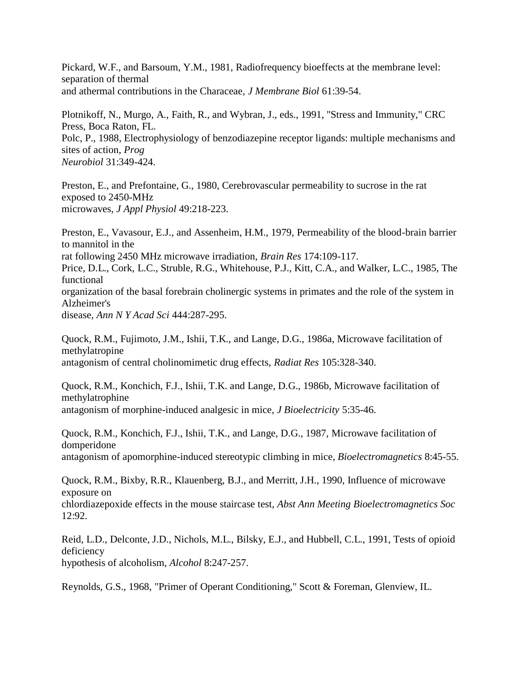Pickard, W.F., and Barsoum, Y.M., 1981, Radiofrequency bioeffects at the membrane level: separation of thermal and athermal contributions in the Characeae, *J Membrane Biol* 61:39-54.

Plotnikoff, N., Murgo, A., Faith, R., and Wybran, J., eds., 1991, "Stress and Immunity," CRC Press, Boca Raton, FL. Polc, P., 1988, Electrophysiology of benzodiazepine receptor ligands: multiple mechanisms and sites of action, *Prog Neurobiol* 31:349-424.

Preston, E., and Prefontaine, G., 1980, Cerebrovascular permeability to sucrose in the rat exposed to 2450-MHz microwaves, *J Appl Physiol* 49:218-223.

Preston, E., Vavasour, E.J., and Assenheim, H.M., 1979, Permeability of the blood-brain barrier to mannitol in the rat following 2450 MHz microwave irradiation, *Brain Res* 174:109-117. Price, D.L., Cork, L.C., Struble, R.G., Whitehouse, P.J., Kitt, C.A., and Walker, L.C., 1985, The functional organization of the basal forebrain cholinergic systems in primates and the role of the system in Alzheimer's disease, *Ann N Y Acad Sci* 444:287-295.

Quock, R.M., Fujimoto, J.M., Ishii, T.K., and Lange, D.G., 1986a, Microwave facilitation of methylatropine antagonism of central cholinomimetic drug effects, *Radiat Res* 105:328-340.

Quock, R.M., Konchich, F.J., Ishii, T.K. and Lange, D.G., 1986b, Microwave facilitation of methylatrophine antagonism of morphine-induced analgesic in mice, *J Bioelectricity* 5:35-46.

Quock, R.M., Konchich, F.J., Ishii, T.K., and Lange, D.G., 1987, Microwave facilitation of domperidone antagonism of apomorphine-induced stereotypic climbing in mice, *Bioelectromagnetics* 8:45-55.

Quock, R.M., Bixby, R.R., Klauenberg, B.J., and Merritt, J.H., 1990, Influence of microwave exposure on

chlordiazepoxide effects in the mouse staircase test, *Abst Ann Meeting Bioelectromagnetics Soc*  12:92.

Reid, L.D., Delconte, J.D., Nichols, M.L., Bilsky, E.J., and Hubbell, C.L., 1991, Tests of opioid deficiency hypothesis of alcoholism, *Alcohol* 8:247-257.

Reynolds, G.S., 1968, "Primer of Operant Conditioning," Scott & Foreman, Glenview, IL.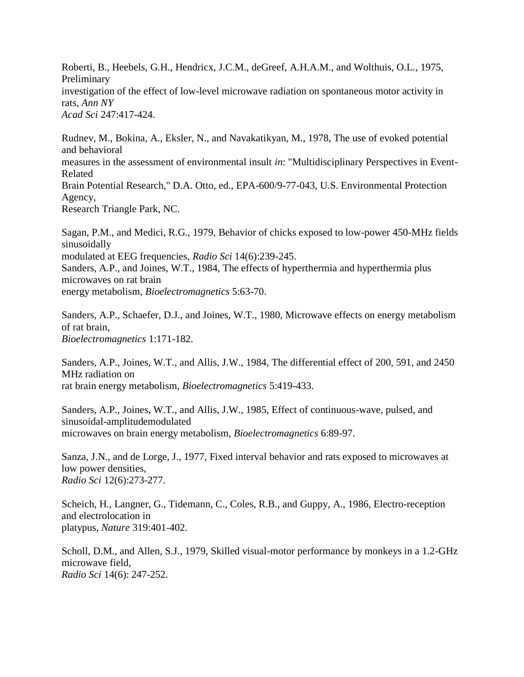Roberti, B., Heebels, G.H., Hendricx, J.C.M., deGreef, A.H.A.M., and Wolthuis, O.L., 1975, Preliminary investigation of the effect of low-level microwave radiation on spontaneous motor activity in rats, *Ann NY Acad Sci* 247:417-424.

Rudnev, M., Bokina, A., Eksler, N., and Navakatikyan, M., 1978, The use of evoked potential and behavioral measures in the assessment of environmental insult *in*: "Multidisciplinary Perspectives in Event-Related Brain Potential Research," D.A. Otto, ed., EPA-600/9-77-043, U.S. Environmental Protection Agency, Research Triangle Park, NC.

Sagan, P.M., and Medici, R.G., 1979, Behavior of chicks exposed to low-power 450-MHz fields sinusoidally modulated at EEG frequencies, *Radio Sci* 14(6):239-245. Sanders, A.P., and Joines, W.T., 1984, The effects of hyperthermia and hyperthermia plus microwaves on rat brain energy metabolism, *Bioelectromagnetics* 5:63-70.

Sanders, A.P., Schaefer, D.J., and Joines, W.T., 1980, Microwave effects on energy metabolism of rat brain, *Bioelectromagnetics* 1:171-182.

Sanders, A.P., Joines, W.T., and Allis, J.W., 1984, The differential effect of 200, 591, and 2450 MHz radiation on rat brain energy metabolism, *Bioelectromagnetics* 5:419-433.

Sanders, A.P., Joines, W.T., and Allis, J.W., 1985, Effect of continuous-wave, pulsed, and sinusoidal-amplitudemodulated microwaves on brain energy metabolism, *Bioelectromagnetics* 6:89-97.

Sanza, J.N., and de Lorge, J., 1977, Fixed interval behavior and rats exposed to microwaves at low power densities, *Radio Sci* 12(6):273-277.

Scheich, H., Langner, G., Tidemann, C., Coles, R.B., and Guppy, A., 1986, Electro-reception and electrolocation in platypus, *Nature* 319:401-402.

Scholl, D.M., and Allen, S.J., 1979, Skilled visual-motor performance by monkeys in a 1.2-GHz microwave field, *Radio Sci* 14(6): 247-252.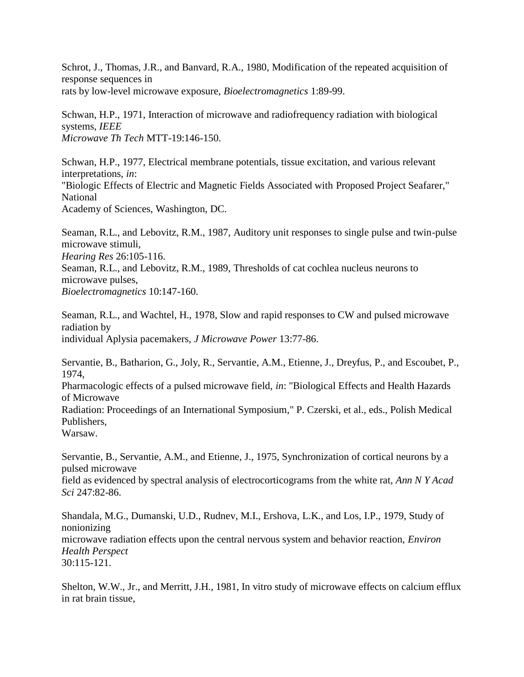Schrot, J., Thomas, J.R., and Banvard, R.A., 1980, Modification of the repeated acquisition of response sequences in rats by low-level microwave exposure, *Bioelectromagnetics* 1:89-99.

Schwan, H.P., 1971, Interaction of microwave and radiofrequency radiation with biological systems, *IEEE Microwave Th Tech* MTT-19:146-150.

Schwan, H.P., 1977, Electrical membrane potentials, tissue excitation, and various relevant interpretations, *in*: "Biologic Effects of Electric and Magnetic Fields Associated with Proposed Project Seafarer," National Academy of Sciences, Washington, DC.

Seaman, R.L., and Lebovitz, R.M., 1987, Auditory unit responses to single pulse and twin-pulse microwave stimuli, *Hearing Res* 26:105-116. Seaman, R.L., and Lebovitz, R.M., 1989, Thresholds of cat cochlea nucleus neurons to microwave pulses, *Bioelectromagnetics* 10:147-160.

Seaman, R.L., and Wachtel, H., 1978, Slow and rapid responses to CW and pulsed microwave radiation by individual Aplysia pacemakers, *J Microwave Power* 13:77-86.

Servantie, B., Batharion, G., Joly, R., Servantie, A.M., Etienne, J., Dreyfus, P., and Escoubet, P., 1974, Pharmacologic effects of a pulsed microwave field, *in*: "Biological Effects and Health Hazards of Microwave Radiation: Proceedings of an International Symposium," P. Czerski, et al., eds., Polish Medical Publishers, Warsaw.

Servantie, B., Servantie, A.M., and Etienne, J., 1975, Synchronization of cortical neurons by a pulsed microwave

field as evidenced by spectral analysis of electrocorticograms from the white rat, *Ann N Y Acad Sci* 247:82-86.

Shandala, M.G., Dumanski, U.D., Rudnev, M.I., Ershova, L.K., and Los, I.P., 1979, Study of nonionizing microwave radiation effects upon the central nervous system and behavior reaction, *Environ Health Perspect* 30:115-121.

Shelton, W.W., Jr., and Merritt, J.H., 1981, In vitro study of microwave effects on calcium efflux in rat brain tissue,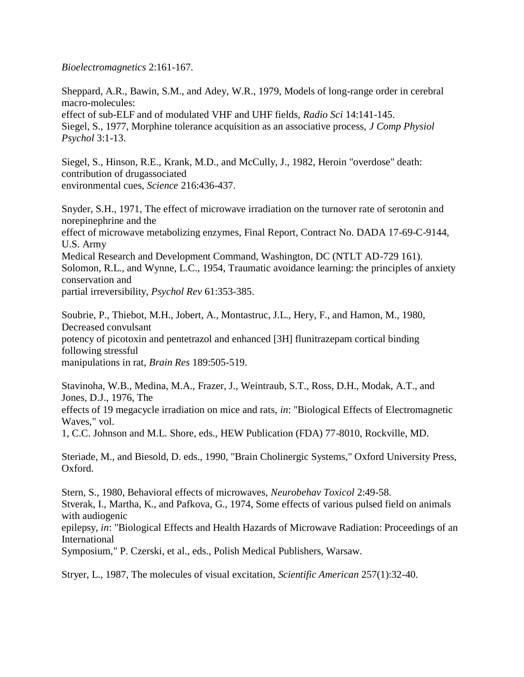*Bioelectromagnetics* 2:161-167.

Sheppard, A.R., Bawin, S.M., and Adey, W.R., 1979, Models of long-range order in cerebral macro-molecules: effect of sub-ELF and of modulated VHF and UHF fields, *Radio Sci* 14:141-145. Siegel, S., 1977, Morphine tolerance acquisition as an associative process, *J Comp Physiol Psychol* 3:1-13.

Siegel, S., Hinson, R.E., Krank, M.D., and McCully, J., 1982, Heroin "overdose" death: contribution of drugassociated environmental cues, *Science* 216:436-437.

Snyder, S.H., 1971, The effect of microwave irradiation on the turnover rate of serotonin and norepinephrine and the effect of microwave metabolizing enzymes, Final Report, Contract No. DADA 17-69-C-9144, U.S. Army Medical Research and Development Command, Washington, DC (NTLT AD-729 161). Solomon, R.L., and Wynne, L.C., 1954, Traumatic avoidance learning: the principles of anxiety conservation and partial irreversibility, *Psychol Rev* 61:353-385.

Soubrie, P., Thiebot, M.H., Jobert, A., Montastruc, J.L., Hery, F., and Hamon, M., 1980, Decreased convulsant potency of picotoxin and pentetrazol and enhanced [3H] flunitrazepam cortical binding following stressful manipulations in rat, *Brain Res* 189:505-519.

Stavinoha, W.B., Medina, M.A., Frazer, J., Weintraub, S.T., Ross, D.H., Modak, A.T., and Jones, D.J., 1976, The

effects of 19 megacycle irradiation on mice and rats, *in*: "Biological Effects of Electromagnetic Waves," vol.

1, C.C. Johnson and M.L. Shore, eds., HEW Publication (FDA) 77-8010, Rockville, MD.

Steriade, M., and Biesold, D. eds., 1990, "Brain Cholinergic Systems," Oxford University Press, Oxford.

Stern, S., 1980, Behavioral effects of microwaves, *Neurobehav Toxicol* 2:49-58. Stverak, I., Martha, K., and Pafkova, G., 1974, Some effects of various pulsed field on animals with audiogenic

epilepsy, *in*: "Biological Effects and Health Hazards of Microwave Radiation: Proceedings of an International

Symposium," P. Czerski, et al., eds., Polish Medical Publishers, Warsaw.

Stryer, L., 1987, The molecules of visual excitation, *Scientific American* 257(1):32-40.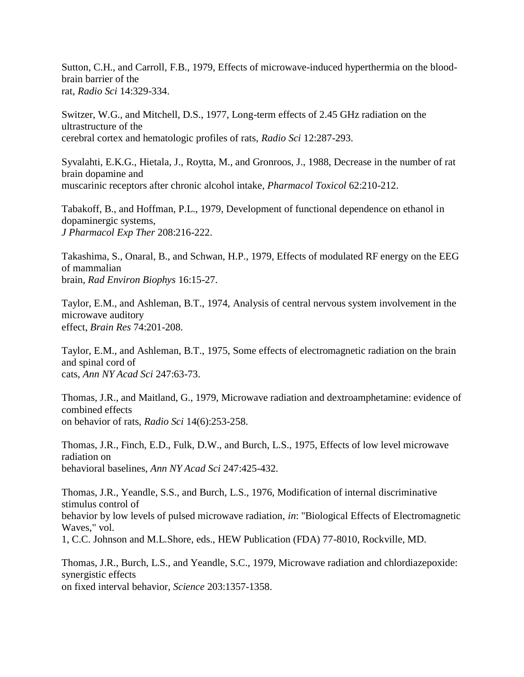Sutton, C.H., and Carroll, F.B., 1979, Effects of microwave-induced hyperthermia on the bloodbrain barrier of the rat, *Radio Sci* 14:329-334.

Switzer, W.G., and Mitchell, D.S., 1977, Long-term effects of 2.45 GHz radiation on the ultrastructure of the cerebral cortex and hematologic profiles of rats, *Radio Sci* 12:287-293.

Syvalahti, E.K.G., Hietala, J., Roytta, M., and Gronroos, J., 1988, Decrease in the number of rat brain dopamine and muscarinic receptors after chronic alcohol intake, *Pharmacol Toxicol* 62:210-212.

Tabakoff, B., and Hoffman, P.L., 1979, Development of functional dependence on ethanol in dopaminergic systems, *J Pharmacol Exp Ther* 208:216-222.

Takashima, S., Onaral, B., and Schwan, H.P., 1979, Effects of modulated RF energy on the EEG of mammalian brain, *Rad Environ Biophys* 16:15-27.

Taylor, E.M., and Ashleman, B.T., 1974, Analysis of central nervous system involvement in the microwave auditory effect, *Brain Res* 74:201-208.

Taylor, E.M., and Ashleman, B.T., 1975, Some effects of electromagnetic radiation on the brain and spinal cord of cats, *Ann NY Acad Sci* 247:63-73.

Thomas, J.R., and Maitland, G., 1979, Microwave radiation and dextroamphetamine: evidence of combined effects on behavior of rats, *Radio Sci* 14(6):253-258.

Thomas, J.R., Finch, E.D., Fulk, D.W., and Burch, L.S., 1975, Effects of low level microwave radiation on behavioral baselines, *Ann NY Acad Sci* 247:425-432.

Thomas, J.R., Yeandle, S.S., and Burch, L.S., 1976, Modification of internal discriminative stimulus control of behavior by low levels of pulsed microwave radiation, *in*: "Biological Effects of Electromagnetic Waves," vol. 1, C.C. Johnson and M.L.Shore, eds., HEW Publication (FDA) 77-8010, Rockville, MD.

Thomas, J.R., Burch, L.S., and Yeandle, S.C., 1979, Microwave radiation and chlordiazepoxide: synergistic effects on fixed interval behavior, *Science* 203:1357-1358.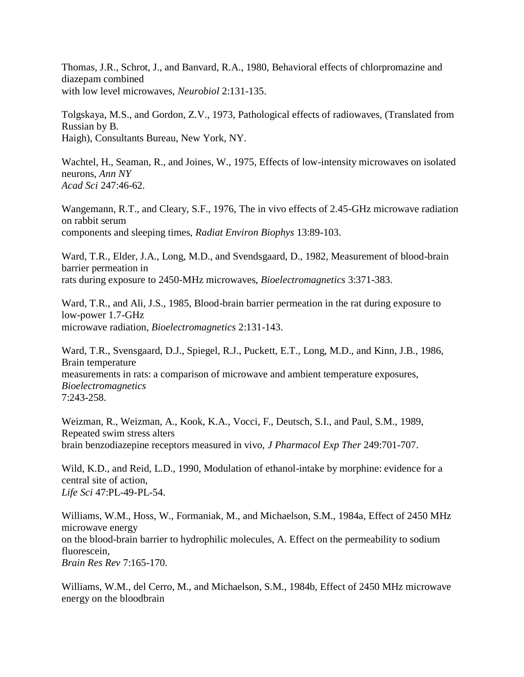Thomas, J.R., Schrot, J., and Banvard, R.A., 1980, Behavioral effects of chlorpromazine and diazepam combined with low level microwaves, *Neurobiol* 2:131-135.

Tolgskaya, M.S., and Gordon, Z.V., 1973, Pathological effects of radiowaves, (Translated from Russian by B. Haigh), Consultants Bureau, New York, NY.

Wachtel, H., Seaman, R., and Joines, W., 1975, Effects of low-intensity microwaves on isolated neurons, *Ann NY Acad Sci* 247:46-62.

Wangemann, R.T., and Cleary, S.F., 1976, The in vivo effects of 2.45-GHz microwave radiation on rabbit serum components and sleeping times, *Radiat Environ Biophys* 13:89-103.

Ward, T.R., Elder, J.A., Long, M.D., and Svendsgaard, D., 1982, Measurement of blood-brain barrier permeation in rats during exposure to 2450-MHz microwaves, *Bioelectromagnetics* 3:371-383.

Ward, T.R., and Ali, J.S., 1985, Blood-brain barrier permeation in the rat during exposure to low-power 1.7-GHz microwave radiation, *Bioelectromagnetics* 2:131-143.

Ward, T.R., Svensgaard, D.J., Spiegel, R.J., Puckett, E.T., Long, M.D., and Kinn, J.B., 1986, Brain temperature measurements in rats: a comparison of microwave and ambient temperature exposures, *Bioelectromagnetics* 7:243-258.

Weizman, R., Weizman, A., Kook, K.A., Vocci, F., Deutsch, S.I., and Paul, S.M., 1989, Repeated swim stress alters brain benzodiazepine receptors measured in vivo, *J Pharmacol Exp Ther* 249:701-707.

Wild, K.D., and Reid, L.D., 1990, Modulation of ethanol-intake by morphine: evidence for a central site of action, *Life Sci* 47:PL-49-PL-54.

Williams, W.M., Hoss, W., Formaniak, M., and Michaelson, S.M., 1984a, Effect of 2450 MHz microwave energy on the blood-brain barrier to hydrophilic molecules, A. Effect on the permeability to sodium fluorescein, *Brain Res Rev* 7:165-170.

Williams, W.M., del Cerro, M., and Michaelson, S.M., 1984b, Effect of 2450 MHz microwave energy on the bloodbrain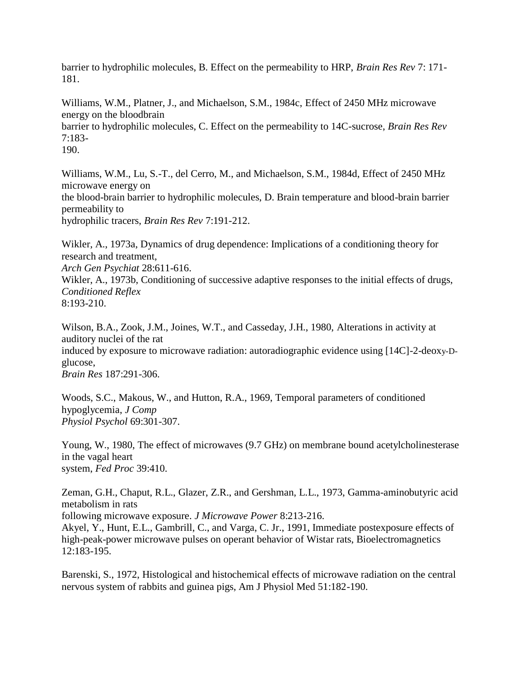barrier to hydrophilic molecules, B. Effect on the permeability to HRP, *Brain Res Rev* 7: 171- 181.

Williams, W.M., Platner, J., and Michaelson, S.M., 1984c, Effect of 2450 MHz microwave energy on the bloodbrain barrier to hydrophilic molecules, C. Effect on the permeability to 14C-sucrose, *Brain Res Rev*  7:183-

190.

Williams, W.M., Lu, S.-T., del Cerro, M., and Michaelson, S.M., 1984d, Effect of 2450 MHz microwave energy on the blood-brain barrier to hydrophilic molecules, D. Brain temperature and blood-brain barrier permeability to

hydrophilic tracers, *Brain Res Rev* 7:191-212.

Wikler, A., 1973a, Dynamics of drug dependence: Implications of a conditioning theory for research and treatment,

*Arch Gen Psychiat* 28:611-616.

Wikler, A., 1973b, Conditioning of successive adaptive responses to the initial effects of drugs, *Conditioned Reflex* 8:193-210.

Wilson, B.A., Zook, J.M., Joines, W.T., and Casseday, J.H., 1980, Alterations in activity at auditory nuclei of the rat induced by exposure to microwave radiation: autoradiographic evidence using [14C]-2-deoxy-Dglucose, *Brain Res* 187:291-306.

Woods, S.C., Makous, W., and Hutton, R.A., 1969, Temporal parameters of conditioned hypoglycemia, *J Comp Physiol Psychol* 69:301-307.

Young, W., 1980, The effect of microwaves (9.7 GHz) on membrane bound acetylcholinesterase in the vagal heart system, *Fed Proc* 39:410.

Zeman, G.H., Chaput, R.L., Glazer, Z.R., and Gershman, L.L., 1973, Gamma-aminobutyric acid metabolism in rats following microwave exposure. *J Microwave Power* 8:213-216. Akyel, Y., Hunt, E.L., Gambrill, C., and Varga, C. Jr., 1991, Immediate postexposure effects of high-peak-power microwave pulses on operant behavior of Wistar rats, Bioelectromagnetics

12:183-195.

Barenski, S., 1972, Histological and histochemical effects of microwave radiation on the central nervous system of rabbits and guinea pigs, Am J Physiol Med 51:182-190.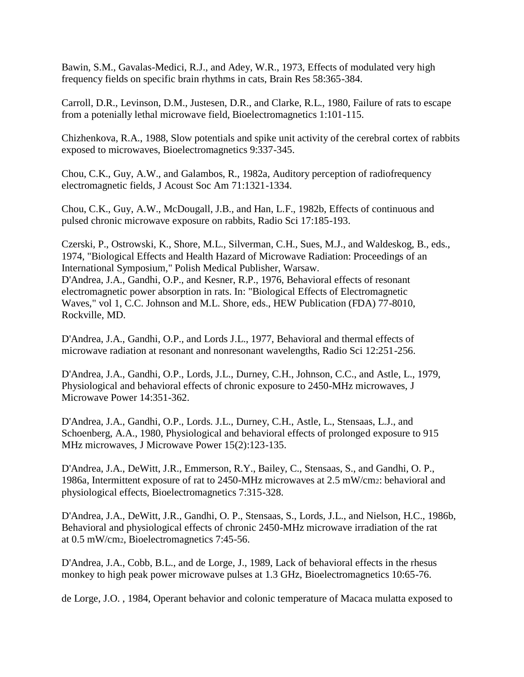Bawin, S.M., Gavalas-Medici, R.J., and Adey, W.R., 1973, Effects of modulated very high frequency fields on specific brain rhythms in cats, Brain Res 58:365-384.

Carroll, D.R., Levinson, D.M., Justesen, D.R., and Clarke, R.L., 1980, Failure of rats to escape from a potenially lethal microwave field, Bioelectromagnetics 1:101-115.

Chizhenkova, R.A., 1988, Slow potentials and spike unit activity of the cerebral cortex of rabbits exposed to microwaves, Bioelectromagnetics 9:337-345.

Chou, C.K., Guy, A.W., and Galambos, R., 1982a, Auditory perception of radiofrequency electromagnetic fields, J Acoust Soc Am 71:1321-1334.

Chou, C.K., Guy, A.W., McDougall, J.B., and Han, L.F., 1982b, Effects of continuous and pulsed chronic microwave exposure on rabbits, Radio Sci 17:185-193.

Czerski, P., Ostrowski, K., Shore, M.L., Silverman, C.H., Sues, M.J., and Waldeskog, B., eds., 1974, "Biological Effects and Health Hazard of Microwave Radiation: Proceedings of an International Symposium," Polish Medical Publisher, Warsaw. D'Andrea, J.A., Gandhi, O.P., and Kesner, R.P., 1976, Behavioral effects of resonant electromagnetic power absorption in rats. In: "Biological Effects of Electromagnetic Waves," vol 1, C.C. Johnson and M.L. Shore, eds., HEW Publication (FDA) 77-8010, Rockville, MD.

D'Andrea, J.A., Gandhi, O.P., and Lords J.L., 1977, Behavioral and thermal effects of microwave radiation at resonant and nonresonant wavelengths, Radio Sci 12:251-256.

D'Andrea, J.A., Gandhi, O.P., Lords, J.L., Durney, C.H., Johnson, C.C., and Astle, L., 1979, Physiological and behavioral effects of chronic exposure to 2450-MHz microwaves, J Microwave Power 14:351-362.

D'Andrea, J.A., Gandhi, O.P., Lords. J.L., Durney, C.H., Astle, L., Stensaas, L.J., and Schoenberg, A.A., 1980, Physiological and behavioral effects of prolonged exposure to 915 MHz microwaves, J Microwave Power 15(2):123-135.

D'Andrea, J.A., DeWitt, J.R., Emmerson, R.Y., Bailey, C., Stensaas, S., and Gandhi, O. P., 1986a, Intermittent exposure of rat to 2450-MHz microwaves at 2.5 mW/cm2: behavioral and physiological effects, Bioelectromagnetics 7:315-328.

D'Andrea, J.A., DeWitt, J.R., Gandhi, O. P., Stensaas, S., Lords, J.L., and Nielson, H.C., 1986b, Behavioral and physiological effects of chronic 2450-MHz microwave irradiation of the rat at 0.5 mW/cm2, Bioelectromagnetics 7:45-56.

D'Andrea, J.A., Cobb, B.L., and de Lorge, J., 1989, Lack of behavioral effects in the rhesus monkey to high peak power microwave pulses at 1.3 GHz, Bioelectromagnetics 10:65-76.

de Lorge, J.O. , 1984, Operant behavior and colonic temperature of Macaca mulatta exposed to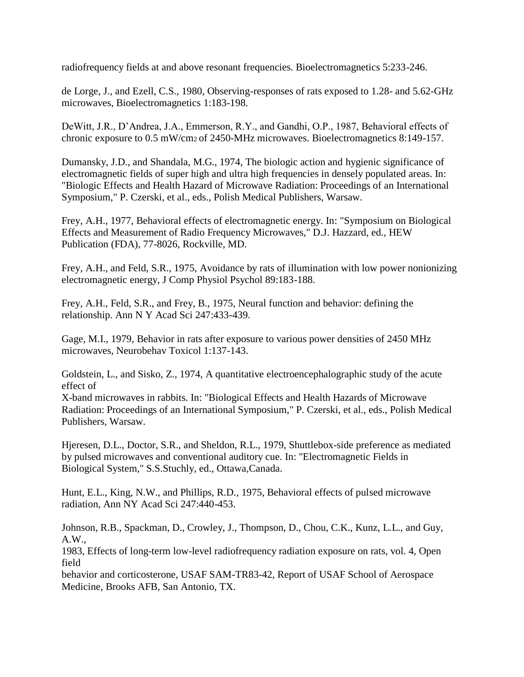radiofrequency fields at and above resonant frequencies. Bioelectromagnetics 5:233-246.

de Lorge, J., and Ezell, C.S., 1980, Observing-responses of rats exposed to 1.28- and 5.62-GHz microwaves, Bioelectromagnetics 1:183-198.

DeWitt, J.R., D"Andrea, J.A., Emmerson, R.Y., and Gandhi, O.P., 1987, Behavioral effects of chronic exposure to 0.5 mW/cm2 of 2450-MHz microwaves. Bioelectromagnetics 8:149-157.

Dumansky, J.D., and Shandala, M.G., 1974, The biologic action and hygienic significance of electromagnetic fields of super high and ultra high frequencies in densely populated areas. In: "Biologic Effects and Health Hazard of Microwave Radiation: Proceedings of an International Symposium," P. Czerski, et al., eds., Polish Medical Publishers, Warsaw.

Frey, A.H., 1977, Behavioral effects of electromagnetic energy. In: "Symposium on Biological Effects and Measurement of Radio Frequency Microwaves," D.J. Hazzard, ed., HEW Publication (FDA), 77-8026, Rockville, MD.

Frey, A.H., and Feld, S.R., 1975, Avoidance by rats of illumination with low power nonionizing electromagnetic energy, J Comp Physiol Psychol 89:183-188.

Frey, A.H., Feld, S.R., and Frey, B., 1975, Neural function and behavior: defining the relationship. Ann N Y Acad Sci 247:433-439.

Gage, M.I., 1979, Behavior in rats after exposure to various power densities of 2450 MHz microwaves, Neurobehav Toxicol 1:137-143.

Goldstein, L., and Sisko, Z., 1974, A quantitative electroencephalographic study of the acute effect of

X-band microwaves in rabbits. In: "Biological Effects and Health Hazards of Microwave Radiation: Proceedings of an International Symposium," P. Czerski, et al., eds., Polish Medical Publishers, Warsaw.

Hjeresen, D.L., Doctor, S.R., and Sheldon, R.L., 1979, Shuttlebox-side preference as mediated by pulsed microwaves and conventional auditory cue. In: "Electromagnetic Fields in Biological System," S.S.Stuchly, ed., Ottawa,Canada.

Hunt, E.L., King, N.W., and Phillips, R.D., 1975, Behavioral effects of pulsed microwave radiation, Ann NY Acad Sci 247:440-453.

Johnson, R.B., Spackman, D., Crowley, J., Thompson, D., Chou, C.K., Kunz, L.L., and Guy, A.W.,

1983, Effects of long-term low-level radiofrequency radiation exposure on rats, vol. 4, Open field

behavior and corticosterone, USAF SAM-TR83-42, Report of USAF School of Aerospace Medicine, Brooks AFB, San Antonio, TX.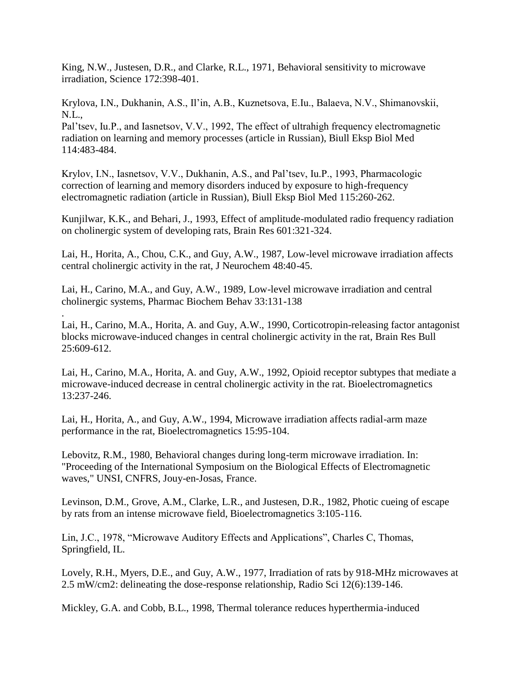King, N.W., Justesen, D.R., and Clarke, R.L., 1971, Behavioral sensitivity to microwave irradiation, Science 172:398-401.

Krylova, I.N., Dukhanin, A.S., Il"in, A.B., Kuznetsova, E.Iu., Balaeva, N.V., Shimanovskii, N.L.,

Pal"tsev, Iu.P., and Iasnetsov, V.V., 1992, The effect of ultrahigh frequency electromagnetic radiation on learning and memory processes (article in Russian), Biull Eksp Biol Med 114:483-484.

Krylov, I.N., Iasnetsov, V.V., Dukhanin, A.S., and Pal"tsev, Iu.P., 1993, Pharmacologic correction of learning and memory disorders induced by exposure to high-frequency electromagnetic radiation (article in Russian), Biull Eksp Biol Med 115:260-262.

Kunjilwar, K.K., and Behari, J., 1993, Effect of amplitude-modulated radio frequency radiation on cholinergic system of developing rats, Brain Res 601:321-324.

Lai, H., Horita, A., Chou, C.K., and Guy, A.W., 1987, Low-level microwave irradiation affects central cholinergic activity in the rat, J Neurochem 48:40-45.

Lai, H., Carino, M.A., and Guy, A.W., 1989, Low-level microwave irradiation and central cholinergic systems, Pharmac Biochem Behav 33:131-138

. Lai, H., Carino, M.A., Horita, A. and Guy, A.W., 1990, Corticotropin-releasing factor antagonist blocks microwave-induced changes in central cholinergic activity in the rat, Brain Res Bull 25:609-612.

Lai, H., Carino, M.A., Horita, A. and Guy, A.W., 1992, Opioid receptor subtypes that mediate a microwave-induced decrease in central cholinergic activity in the rat. Bioelectromagnetics 13:237-246.

Lai, H., Horita, A., and Guy, A.W., 1994, Microwave irradiation affects radial-arm maze performance in the rat, Bioelectromagnetics 15:95-104.

Lebovitz, R.M., 1980, Behavioral changes during long-term microwave irradiation. In: "Proceeding of the International Symposium on the Biological Effects of Electromagnetic waves," UNSI, CNFRS, Jouy-en-Josas, France.

Levinson, D.M., Grove, A.M., Clarke, L.R., and Justesen, D.R., 1982, Photic cueing of escape by rats from an intense microwave field, Bioelectromagnetics 3:105-116.

Lin, J.C., 1978, "Microwave Auditory Effects and Applications", Charles C, Thomas, Springfield, IL.

Lovely, R.H., Myers, D.E., and Guy, A.W., 1977, Irradiation of rats by 918-MHz microwaves at 2.5 mW/cm2: delineating the dose-response relationship, Radio Sci 12(6):139-146.

Mickley, G.A. and Cobb, B.L., 1998, Thermal tolerance reduces hyperthermia-induced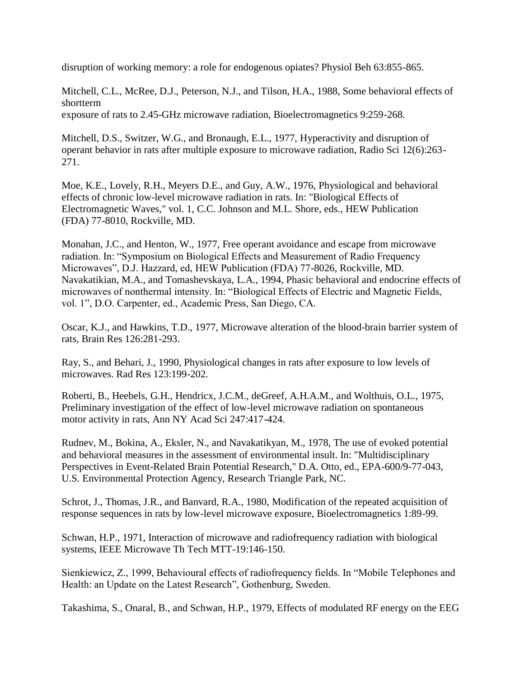disruption of working memory: a role for endogenous opiates? Physiol Beh 63:855-865.

Mitchell, C.L., McRee, D.J., Peterson, N.J., and Tilson, H.A., 1988, Some behavioral effects of shortterm

exposure of rats to 2.45-GHz microwave radiation, Bioelectromagnetics 9:259-268.

Mitchell, D.S., Switzer, W.G., and Bronaugh, E.L., 1977, Hyperactivity and disruption of operant behavior in rats after multiple exposure to microwave radiation, Radio Sci 12(6):263- 271.

Moe, K.E., Lovely, R.H., Meyers D.E., and Guy, A.W., 1976, Physiological and behavioral effects of chronic low-level microwave radiation in rats. In: "Biological Effects of Electromagnetic Waves," vol. 1, C.C. Johnson and M.L. Shore, eds., HEW Publication (FDA) 77-8010, Rockville, MD.

Monahan, J.C., and Henton, W., 1977, Free operant avoidance and escape from microwave radiation. In: "Symposium on Biological Effects and Measurement of Radio Frequency Microwaves", D.J. Hazzard, ed, HEW Publication (FDA) 77-8026, Rockville, MD. Navakatikian, M.A., and Tomashevskaya, L.A., 1994, Phasic behavioral and endocrine effects of microwaves of nonthermal intensity. In: "Biological Effects of Electric and Magnetic Fields, vol. 1", D.O. Carpenter, ed., Academic Press, San Diego, CA.

Oscar, K.J., and Hawkins, T.D., 1977, Microwave alteration of the blood-brain barrier system of rats, Brain Res 126:281-293.

Ray, S., and Behari, J., 1990, Physiological changes in rats after exposure to low levels of microwaves. Rad Res 123:199-202.

Roberti, B., Heebels, G.H., Hendricx, J.C.M., deGreef, A.H.A.M., and Wolthuis, O.L., 1975, Preliminary investigation of the effect of low-level microwave radiation on spontaneous motor activity in rats, Ann NY Acad Sci 247:417-424.

Rudnev, M., Bokina, A., Eksler, N., and Navakatikyan, M., 1978, The use of evoked potential and behavioral measures in the assessment of environmental insult. In: "Multidisciplinary Perspectives in Event-Related Brain Potential Research," D.A. Otto, ed., EPA-600/9-77-043, U.S. Environmental Protection Agency, Research Triangle Park, NC.

Schrot, J., Thomas, J.R., and Banvard, R.A., 1980, Modification of the repeated acquisition of response sequences in rats by low-level microwave exposure, Bioelectromagnetics 1:89-99.

Schwan, H.P., 1971, Interaction of microwave and radiofrequency radiation with biological systems, IEEE Microwave Th Tech MTT-19:146-150.

Sienkiewicz, Z., 1999, Behavioural effects of radiofrequency fields. In "Mobile Telephones and Health: an Update on the Latest Research", Gothenburg, Sweden.

Takashima, S., Onaral, B., and Schwan, H.P., 1979, Effects of modulated RF energy on the EEG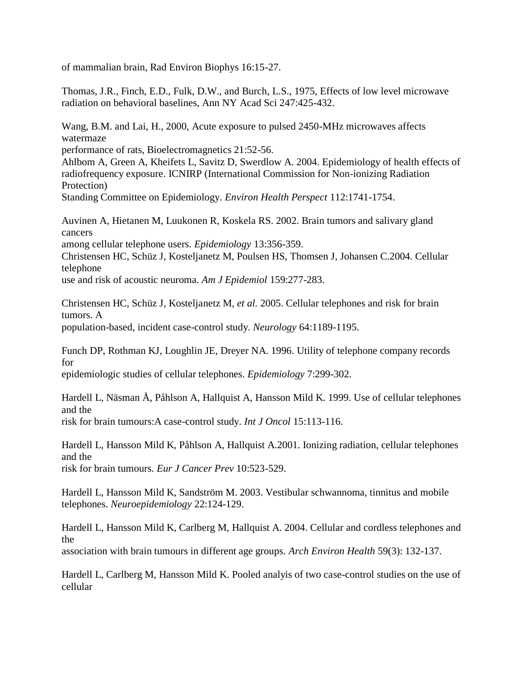of mammalian brain, Rad Environ Biophys 16:15-27.

Thomas, J.R., Finch, E.D., Fulk, D.W., and Burch, L.S., 1975, Effects of low level microwave radiation on behavioral baselines, Ann NY Acad Sci 247:425-432.

Wang, B.M. and Lai, H., 2000, Acute exposure to pulsed 2450-MHz microwaves affects watermaze

performance of rats, Bioelectromagnetics 21:52-56.

Ahlbom A, Green A, Kheifets L, Savitz D, Swerdlow A. 2004. Epidemiology of health effects of radiofrequency exposure. ICNIRP (International Commission for Non-ionizing Radiation Protection)

Standing Committee on Epidemiology. *Environ Health Perspect* 112:1741-1754.

Auvinen A, Hietanen M, Luukonen R, Koskela RS. 2002. Brain tumors and salivary gland cancers

among cellular telephone users. *Epidemiology* 13:356-359.

Christensen HC, Schüz J, Kosteljanetz M, Poulsen HS, Thomsen J, Johansen C.2004. Cellular telephone

use and risk of acoustic neuroma. *Am J Epidemiol* 159:277-283.

Christensen HC, Schüz J, Kosteljanetz M, *et al.* 2005. Cellular telephones and risk for brain tumors. A population-based, incident case-control study. *Neurology* 64:1189-1195.

Funch DP, Rothman KJ, Loughlin JE, Dreyer NA. 1996. Utility of telephone company records for

epidemiologic studies of cellular telephones. *Epidemiology* 7:299-302.

Hardell L, Näsman Å, Påhlson A, Hallquist A, Hansson Mild K. 1999. Use of cellular telephones and the

risk for brain tumours:A case-control study. *Int J Oncol* 15:113-116.

Hardell L, Hansson Mild K, Påhlson A, Hallquist A.2001. Ionizing radiation, cellular telephones and the risk for brain tumours. *Eur J Cancer Prev* 10:523-529.

Hardell L, Hansson Mild K, Sandström M. 2003. Vestibular schwannoma, tinnitus and mobile telephones. *Neuroepidemiology* 22:124-129.

Hardell L, Hansson Mild K, Carlberg M, Hallquist A. 2004. Cellular and cordless telephones and the

association with brain tumours in different age groups. *Arch Environ Health* 59(3): 132-137.

Hardell L, Carlberg M, Hansson Mild K. Pooled analyis of two case-control studies on the use of cellular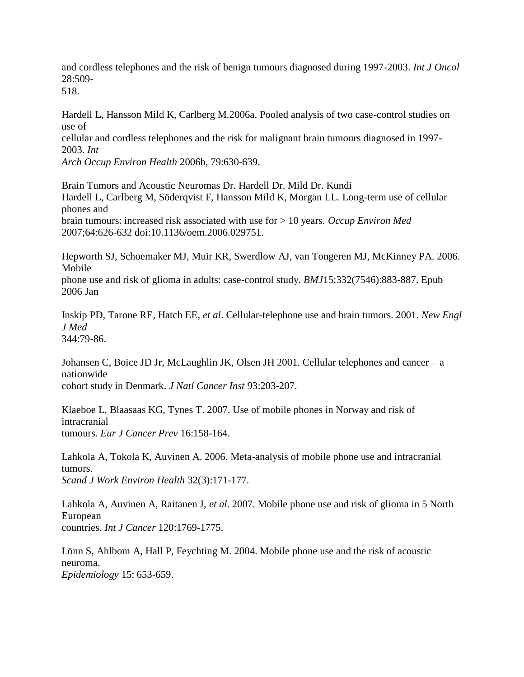and cordless telephones and the risk of benign tumours diagnosed during 1997-2003. *Int J Oncol*  28:509-

518.

Hardell L, Hansson Mild K, Carlberg M.2006a. Pooled analysis of two case-control studies on use of

cellular and cordless telephones and the risk for malignant brain tumours diagnosed in 1997- 2003. *Int*

*Arch Occup Environ Health* 2006b, 79:630-639.

Brain Tumors and Acoustic Neuromas Dr. Hardell Dr. Mild Dr. Kundi Hardell L, Carlberg M, Söderqvist F, Hansson Mild K, Morgan LL. Long-term use of cellular phones and brain tumours: increased risk associated with use for > 10 years. *Occup Environ Med*  2007;64:626-632 doi:10.1136/oem.2006.029751.

Hepworth SJ, Schoemaker MJ, Muir KR, Swerdlow AJ, van Tongeren MJ, McKinney PA. 2006. Mobile

phone use and risk of glioma in adults: case-control study. *BMJ*15;332(7546):883-887. Epub 2006 Jan

Inskip PD, Tarone RE, Hatch EE, *et al*. Cellular-telephone use and brain tumors. 2001. *New Engl J Med* 344:79-86.

Johansen C, Boice JD Jr, McLaughlin JK, Olsen JH 2001. Cellular telephones and cancer – a nationwide cohort study in Denmark. *J Natl Cancer Inst* 93:203-207.

Klaeboe L, Blaasaas KG, Tynes T. 2007. Use of mobile phones in Norway and risk of intracranial tumours*. Eur J Cancer Prev* 16:158-164.

Lahkola A, Tokola K, Auvinen A. 2006. Meta-analysis of mobile phone use and intracranial tumors. *Scand J Work Environ Health* 32(3):171-177.

Lahkola A, Auvinen A, Raitanen J, *et al*. 2007. Mobile phone use and risk of glioma in 5 North European countries. *Int J Cancer* 120:1769-1775.

Lönn S, Ahlbom A, Hall P, Feychting M. 2004. Mobile phone use and the risk of acoustic neuroma. *Epidemiology* 15: 653-659.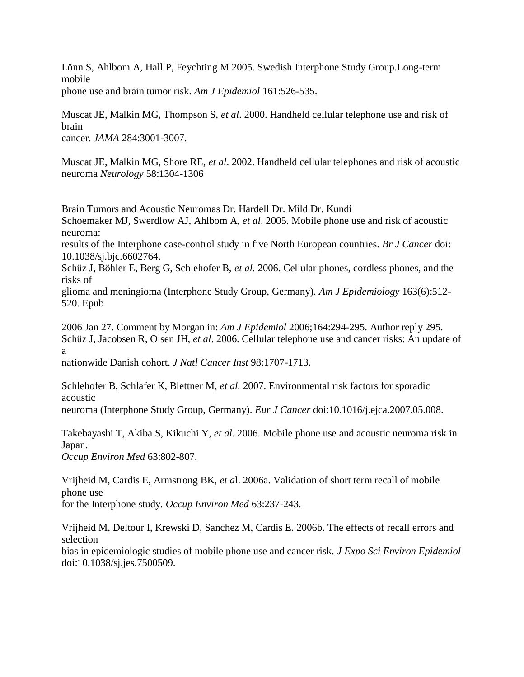Lönn S, Ahlbom A, Hall P, Feychting M 2005. Swedish Interphone Study Group.Long-term mobile

phone use and brain tumor risk. *Am J Epidemiol* 161:526-535.

Muscat JE, Malkin MG, Thompson S, *et al*. 2000. Handheld cellular telephone use and risk of brain

cancer. *JAMA* 284:3001-3007.

Muscat JE, Malkin MG, Shore RE, *et al*. 2002. Handheld cellular telephones and risk of acoustic neuroma *Neurology* 58:1304-1306

Brain Tumors and Acoustic Neuromas Dr. Hardell Dr. Mild Dr. Kundi Schoemaker MJ, Swerdlow AJ, Ahlbom A, *et al*. 2005. Mobile phone use and risk of acoustic neuroma:

results of the Interphone case-control study in five North European countries. *Br J Cancer* doi: 10.1038/sj.bjc.6602764.

Schüz J, Böhler E, Berg G, Schlehofer B, *et al.* 2006. Cellular phones, cordless phones, and the risks of

glioma and meningioma (Interphone Study Group, Germany). *Am J Epidemiology* 163(6):512- 520. Epub

2006 Jan 27. Comment by Morgan in: *Am J Epidemiol* 2006;164:294-295. Author reply 295. Schüz J, Jacobsen R, Olsen JH, *et al*. 2006. Cellular telephone use and cancer risks: An update of a

nationwide Danish cohort. *J Natl Cancer Inst* 98:1707-1713.

Schlehofer B, Schlafer K, Blettner M, *et al.* 2007. Environmental risk factors for sporadic acoustic

neuroma (Interphone Study Group, Germany). *Eur J Cancer* doi:10.1016/j.ejca.2007.05.008.

Takebayashi T, Akiba S, Kikuchi Y, *et al*. 2006. Mobile phone use and acoustic neuroma risk in Japan.

*Occup Environ Med* 63:802-807.

Vrijheid M, Cardis E, Armstrong BK, *et a*l. 2006a. Validation of short term recall of mobile phone use

for the Interphone study. *Occup Environ Med* 63:237-243.

Vrijheid M, Deltour I, Krewski D, Sanchez M, Cardis E. 2006b. The effects of recall errors and selection

bias in epidemiologic studies of mobile phone use and cancer risk. *J Expo Sci Environ Epidemiol* doi:10.1038/sj.jes.7500509.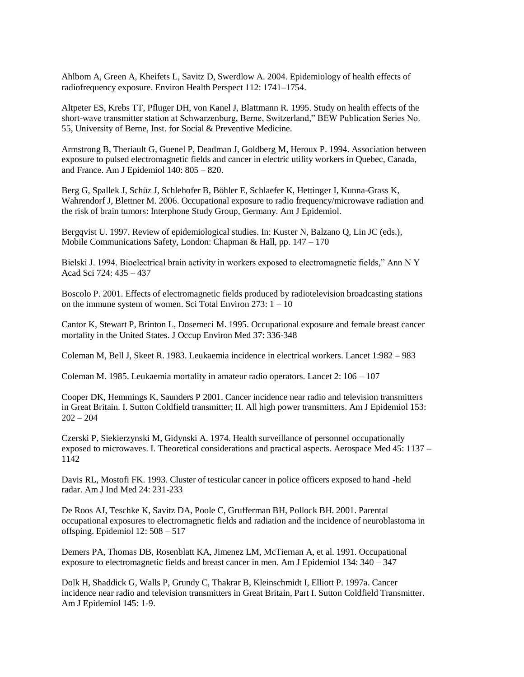Ahlbom A, Green A, Kheifets L, Savitz D, Swerdlow A. 2004. Epidemiology of health effects of radiofrequency exposure. Environ Health Perspect 112: 1741–1754.

Altpeter ES, Krebs TT, Pfluger DH, von Kanel J, Blattmann R. 1995. Study on health effects of the short-wave transmitter station at Schwarzenburg, Berne, Switzerland," BEW Publication Series No. 55, University of Berne, Inst. for Social & Preventive Medicine.

Armstrong B, Theriault G, Guenel P, Deadman J, Goldberg M, Heroux P. 1994. Association between exposure to pulsed electromagnetic fields and cancer in electric utility workers in Quebec, Canada, and France. Am J Epidemiol 140: 805 – 820.

Berg G, Spallek J, Schüz J, Schlehofer B, Böhler E, Schlaefer K, Hettinger I, Kunna-Grass K, Wahrendorf J, Blettner M. 2006. Occupational exposure to radio frequency/microwave radiation and the risk of brain tumors: Interphone Study Group, Germany. Am J Epidemiol.

Bergqvist U. 1997. Review of epidemiological studies. In: Kuster N, Balzano Q, Lin JC (eds.), Mobile Communications Safety, London: Chapman & Hall, pp. 147 – 170

Bielski J. 1994. Bioelectrical brain activity in workers exposed to electromagnetic fields," Ann N Y Acad Sci 724: 435 – 437

Boscolo P. 2001. Effects of electromagnetic fields produced by radiotelevision broadcasting stations on the immune system of women. Sci Total Environ 273: 1 – 10

Cantor K, Stewart P, Brinton L, Dosemeci M. 1995. Occupational exposure and female breast cancer mortality in the United States. J Occup Environ Med 37: 336-348

Coleman M, Bell J, Skeet R. 1983. Leukaemia incidence in electrical workers. Lancet 1:982 – 983

Coleman M. 1985. Leukaemia mortality in amateur radio operators. Lancet 2: 106 – 107

Cooper DK, Hemmings K, Saunders P 2001. Cancer incidence near radio and television transmitters in Great Britain. I. Sutton Coldfield transmitter; II. All high power transmitters. Am J Epidemiol 153:  $202 - 204$ 

Czerski P, Siekierzynski M, Gidynski A. 1974. Health surveillance of personnel occupationally exposed to microwaves. I. Theoretical considerations and practical aspects. Aerospace Med 45: 1137 – 1142

Davis RL, Mostofi FK. 1993. Cluster of testicular cancer in police officers exposed to hand -held radar. Am J Ind Med 24: 231-233

De Roos AJ, Teschke K, Savitz DA, Poole C, Grufferman BH, Pollock BH. 2001. Parental occupational exposures to electromagnetic fields and radiation and the incidence of neuroblastoma in offsping. Epidemiol 12: 508 – 517

Demers PA, Thomas DB, Rosenblatt KA, Jimenez LM, McTiernan A, et al. 1991. Occupational exposure to electromagnetic fields and breast cancer in men. Am J Epidemiol 134: 340 – 347

Dolk H, Shaddick G, Walls P, Grundy C, Thakrar B, Kleinschmidt I, Elliott P. 1997a. Cancer incidence near radio and television transmitters in Great Britain, Part I. Sutton Coldfield Transmitter. Am J Epidemiol 145: 1-9.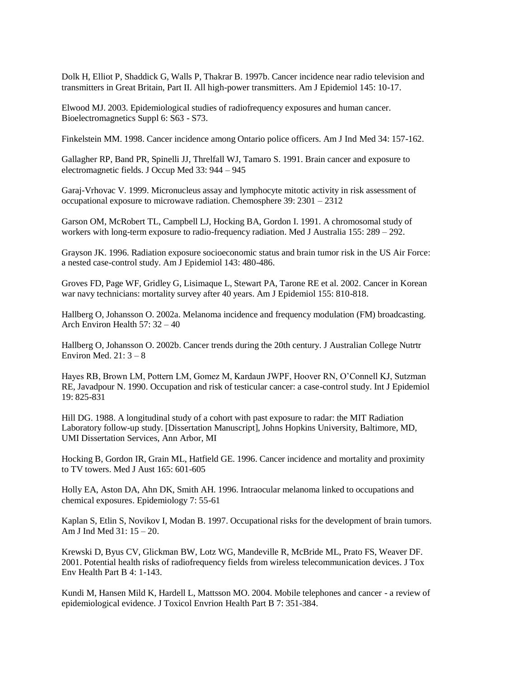Dolk H, Elliot P, Shaddick G, Walls P, Thakrar B. 1997b. Cancer incidence near radio television and transmitters in Great Britain, Part II. All high-power transmitters. Am J Epidemiol 145: 10-17.

Elwood MJ. 2003. Epidemiological studies of radiofrequency exposures and human cancer. Bioelectromagnetics Suppl 6: S63 - S73.

Finkelstein MM. 1998. Cancer incidence among Ontario police officers. Am J Ind Med 34: 157-162.

Gallagher RP, Band PR, Spinelli JJ, Threlfall WJ, Tamaro S. 1991. Brain cancer and exposure to electromagnetic fields. J Occup Med 33: 944 – 945

Garaj-Vrhovac V. 1999. Micronucleus assay and lymphocyte mitotic activity in risk assessment of occupational exposure to microwave radiation. Chemosphere 39: 2301 – 2312

Garson OM, McRobert TL, Campbell LJ, Hocking BA, Gordon I. 1991. A chromosomal study of workers with long-term exposure to radio-frequency radiation. Med J Australia 155: 289 – 292.

Grayson JK. 1996. Radiation exposure socioeconomic status and brain tumor risk in the US Air Force: a nested case-control study. Am J Epidemiol 143: 480-486.

Groves FD, Page WF, Gridley G, Lisimaque L, Stewart PA, Tarone RE et al. 2002. Cancer in Korean war navy technicians: mortality survey after 40 years. Am J Epidemiol 155: 810-818.

Hallberg O, Johansson O. 2002a. Melanoma incidence and frequency modulation (FM) broadcasting. Arch Environ Health 57: 32 – 40

Hallberg O, Johansson O. 2002b. Cancer trends during the 20th century. J Australian College Nutrtr Environ Med.  $21:3-8$ 

Hayes RB, Brown LM, Pottern LM, Gomez M, Kardaun JWPF, Hoover RN, O"Connell KJ, Sutzman RE, Javadpour N. 1990. Occupation and risk of testicular cancer: a case-control study. Int J Epidemiol 19: 825-831

Hill DG. 1988. A longitudinal study of a cohort with past exposure to radar: the MIT Radiation Laboratory follow-up study. [Dissertation Manuscript], Johns Hopkins University, Baltimore, MD, UMI Dissertation Services, Ann Arbor, MI

Hocking B, Gordon IR, Grain ML, Hatfield GE. 1996. Cancer incidence and mortality and proximity to TV towers. Med J Aust 165: 601-605

Holly EA, Aston DA, Ahn DK, Smith AH. 1996. Intraocular melanoma linked to occupations and chemical exposures. Epidemiology 7: 55-61

Kaplan S, Etlin S, Novikov I, Modan B. 1997. Occupational risks for the development of brain tumors. Am J Ind Med 31: 15 – 20.

Krewski D, Byus CV, Glickman BW, Lotz WG, Mandeville R, McBride ML, Prato FS, Weaver DF. 2001. Potential health risks of radiofrequency fields from wireless telecommunication devices. J Tox Env Health Part B 4: 1-143.

Kundi M, Hansen Mild K, Hardell L, Mattsson MO. 2004. Mobile telephones and cancer - a review of epidemiological evidence. J Toxicol Envrion Health Part B 7: 351-384.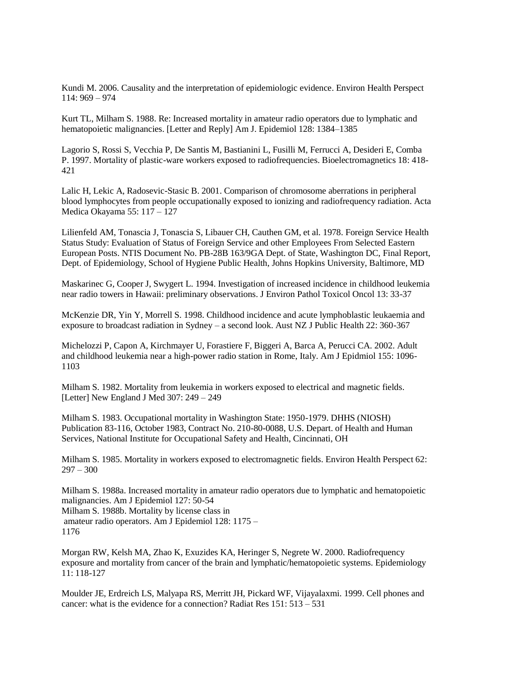Kundi M. 2006. Causality and the interpretation of epidemiologic evidence. Environ Health Perspect 114: 969 – 974

Kurt TL, Milham S. 1988. Re: Increased mortality in amateur radio operators due to lymphatic and hematopoietic malignancies. [Letter and Reply] Am J. Epidemiol 128: 1384–1385

Lagorio S, Rossi S, Vecchia P, De Santis M, Bastianini L, Fusilli M, Ferrucci A, Desideri E, Comba P. 1997. Mortality of plastic-ware workers exposed to radiofrequencies. Bioelectromagnetics 18: 418- 421

Lalic H, Lekic A, Radosevic-Stasic B. 2001. Comparison of chromosome aberrations in peripheral blood lymphocytes from people occupationally exposed to ionizing and radiofrequency radiation. Acta Medica Okayama 55: 117 – 127

Lilienfeld AM, Tonascia J, Tonascia S, Libauer CH, Cauthen GM, et al. 1978. Foreign Service Health Status Study: Evaluation of Status of Foreign Service and other Employees From Selected Eastern European Posts. NTIS Document No. PB-28B 163/9GA Dept. of State, Washington DC, Final Report, Dept. of Epidemiology, School of Hygiene Public Health, Johns Hopkins University, Baltimore, MD

Maskarinec G, Cooper J, Swygert L. 1994. Investigation of increased incidence in childhood leukemia near radio towers in Hawaii: preliminary observations. J Environ Pathol Toxicol Oncol 13: 33-37

McKenzie DR, Yin Y, Morrell S. 1998. Childhood incidence and acute lymphoblastic leukaemia and exposure to broadcast radiation in Sydney – a second look. Aust NZ J Public Health 22: 360-367

Michelozzi P, Capon A, Kirchmayer U, Forastiere F, Biggeri A, Barca A, Perucci CA. 2002. Adult and childhood leukemia near a high-power radio station in Rome, Italy. Am J Epidmiol 155: 1096- 1103

Milham S. 1982. Mortality from leukemia in workers exposed to electrical and magnetic fields. [Letter] New England J Med 307: 249 – 249

Milham S. 1983. Occupational mortality in Washington State: 1950-1979. DHHS (NIOSH) Publication 83-116, October 1983, Contract No. 210-80-0088, U.S. Depart. of Health and Human Services, National Institute for Occupational Safety and Health, Cincinnati, OH

Milham S. 1985. Mortality in workers exposed to electromagnetic fields. Environ Health Perspect 62:  $297 - 300$ 

Milham S. 1988a. Increased mortality in amateur radio operators due to lymphatic and hematopoietic malignancies. Am J Epidemiol 127: 50-54 Milham S. 1988b. Mortality by license class in amateur radio operators. Am J Epidemiol 128: 1175 – 1176

Morgan RW, Kelsh MA, Zhao K, Exuzides KA, Heringer S, Negrete W. 2000. Radiofrequency exposure and mortality from cancer of the brain and lymphatic/hematopoietic systems. Epidemiology 11: 118-127

Moulder JE, Erdreich LS, Malyapa RS, Merritt JH, Pickard WF, Vijayalaxmi. 1999. Cell phones and cancer: what is the evidence for a connection? Radiat Res 151: 513 – 531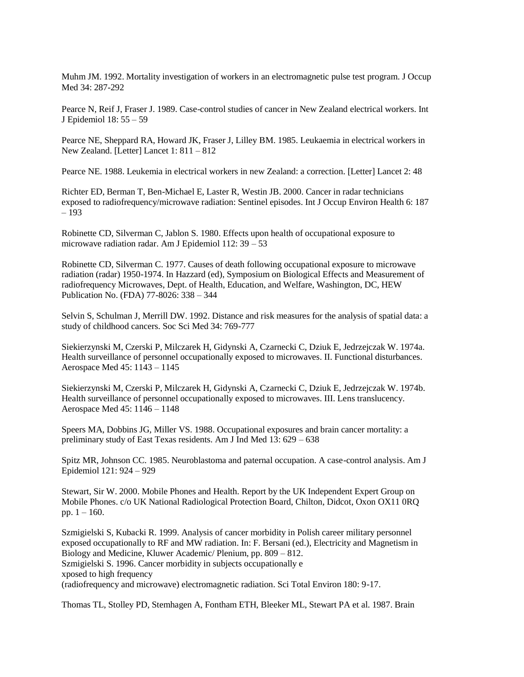Muhm JM. 1992. Mortality investigation of workers in an electromagnetic pulse test program. J Occup Med 34: 287-292

Pearce N, Reif J, Fraser J. 1989. Case-control studies of cancer in New Zealand electrical workers. Int J Epidemiol 18: 55 – 59

Pearce NE, Sheppard RA, Howard JK, Fraser J, Lilley BM. 1985. Leukaemia in electrical workers in New Zealand. [Letter] Lancet 1: 811 – 812

Pearce NE. 1988. Leukemia in electrical workers in new Zealand: a correction. [Letter] Lancet 2: 48

Richter ED, Berman T, Ben-Michael E, Laster R, Westin JB. 2000. Cancer in radar technicians exposed to radiofrequency/microwave radiation: Sentinel episodes. Int J Occup Environ Health 6: 187 – 193

Robinette CD, Silverman C, Jablon S. 1980. Effects upon health of occupational exposure to microwave radiation radar. Am J Epidemiol 112: 39 – 53

Robinette CD, Silverman C. 1977. Causes of death following occupational exposure to microwave radiation (radar) 1950-1974. In Hazzard (ed), Symposium on Biological Effects and Measurement of radiofrequency Microwaves, Dept. of Health, Education, and Welfare, Washington, DC, HEW Publication No. (FDA) 77-8026: 338 – 344

Selvin S, Schulman J, Merrill DW. 1992. Distance and risk measures for the analysis of spatial data: a study of childhood cancers. Soc Sci Med 34: 769-777

Siekierzynski M, Czerski P, Milczarek H, Gidynski A, Czarnecki C, Dziuk E, Jedrzejczak W. 1974a. Health surveillance of personnel occupationally exposed to microwaves. II. Functional disturbances. Aerospace Med 45: 1143 – 1145

Siekierzynski M, Czerski P, Milczarek H, Gidynski A, Czarnecki C, Dziuk E, Jedrzejczak W. 1974b. Health surveillance of personnel occupationally exposed to microwaves. III. Lens translucency. Aerospace Med 45: 1146 – 1148

Speers MA, Dobbins JG, Miller VS. 1988. Occupational exposures and brain cancer mortality: a preliminary study of East Texas residents. Am J Ind Med 13: 629 – 638

Spitz MR, Johnson CC. 1985. Neuroblastoma and paternal occupation. A case-control analysis. Am J Epidemiol 121: 924 – 929

Stewart, Sir W. 2000. Mobile Phones and Health. Report by the UK Independent Expert Group on Mobile Phones. c/o UK National Radiological Protection Board, Chilton, Didcot, Oxon OX11 0RQ pp.  $1 - 160$ .

Szmigielski S, Kubacki R. 1999. Analysis of cancer morbidity in Polish career military personnel exposed occupationally to RF and MW radiation. In: F. Bersani (ed.), Electricity and Magnetism in Biology and Medicine, Kluwer Academic/ Plenium, pp. 809 – 812. Szmigielski S. 1996. Cancer morbidity in subjects occupationally e xposed to high frequency (radiofrequency and microwave) electromagnetic radiation. Sci Total Environ 180: 9-17.

Thomas TL, Stolley PD, Stemhagen A, Fontham ETH, Bleeker ML, Stewart PA et al. 1987. Brain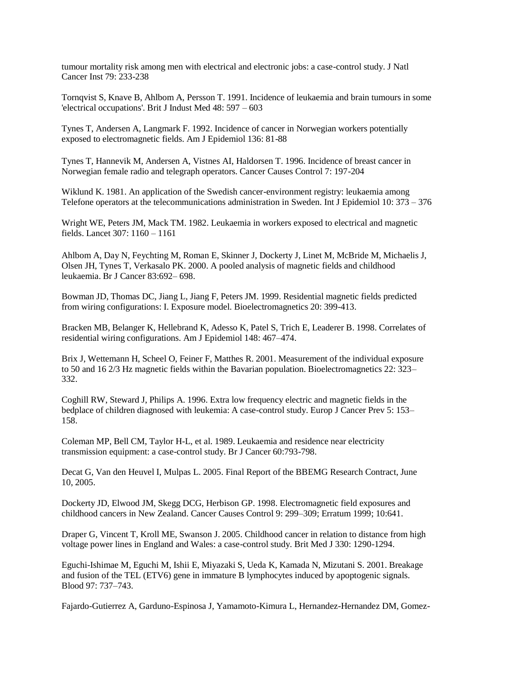tumour mortality risk among men with electrical and electronic jobs: a case-control study. J Natl Cancer Inst 79: 233-238

Tornqvist S, Knave B, Ahlbom A, Persson T. 1991. Incidence of leukaemia and brain tumours in some 'electrical occupations'. Brit J Indust Med 48: 597 – 603

Tynes T, Andersen A, Langmark F. 1992. Incidence of cancer in Norwegian workers potentially exposed to electromagnetic fields. Am J Epidemiol 136: 81-88

Tynes T, Hannevik M, Andersen A, Vistnes AI, Haldorsen T. 1996. Incidence of breast cancer in Norwegian female radio and telegraph operators. Cancer Causes Control 7: 197-204

Wiklund K. 1981. An application of the Swedish cancer-environment registry: leukaemia among Telefone operators at the telecommunications administration in Sweden. Int J Epidemiol 10: 373 – 376

Wright WE, Peters JM, Mack TM. 1982. Leukaemia in workers exposed to electrical and magnetic fields. Lancet 307: 1160 – 1161

Ahlbom A, Day N, Feychting M, Roman E, Skinner J, Dockerty J, Linet M, McBride M, Michaelis J, Olsen JH, Tynes T, Verkasalo PK. 2000. A pooled analysis of magnetic fields and childhood leukaemia. Br J Cancer 83:692– 698.

Bowman JD, Thomas DC, Jiang L, Jiang F, Peters JM. 1999. Residential magnetic fields predicted from wiring configurations: I. Exposure model. Bioelectromagnetics 20: 399-413.

Bracken MB, Belanger K, Hellebrand K, Adesso K, Patel S, Trich E, Leaderer B. 1998. Correlates of residential wiring configurations. Am J Epidemiol 148: 467–474.

Brix J, Wettemann H, Scheel O, Feiner F, Matthes R. 2001. Measurement of the individual exposure to 50 and 16 2/3 Hz magnetic fields within the Bavarian population. Bioelectromagnetics 22: 323– 332.

Coghill RW, Steward J, Philips A. 1996. Extra low frequency electric and magnetic fields in the bedplace of children diagnosed with leukemia: A case-control study. Europ J Cancer Prev 5: 153– 158.

Coleman MP, Bell CM, Taylor H-L, et al. 1989. Leukaemia and residence near electricity transmission equipment: a case-control study. Br J Cancer 60:793-798.

Decat G, Van den Heuvel I, Mulpas L. 2005. Final Report of the BBEMG Research Contract, June 10, 2005.

Dockerty JD, Elwood JM, Skegg DCG, Herbison GP. 1998. Electromagnetic field exposures and childhood cancers in New Zealand. Cancer Causes Control 9: 299–309; Erratum 1999; 10:641.

Draper G, Vincent T, Kroll ME, Swanson J. 2005. Childhood cancer in relation to distance from high voltage power lines in England and Wales: a case-control study. Brit Med J 330: 1290-1294.

Eguchi-Ishimae M, Eguchi M, Ishii E, Miyazaki S, Ueda K, Kamada N, Mizutani S. 2001. Breakage and fusion of the TEL (ETV6) gene in immature B lymphocytes induced by apoptogenic signals. Blood 97: 737–743.

Fajardo-Gutierrez A, Garduno-Espinosa J, Yamamoto-Kimura L, Hernandez-Hernandez DM, Gomez-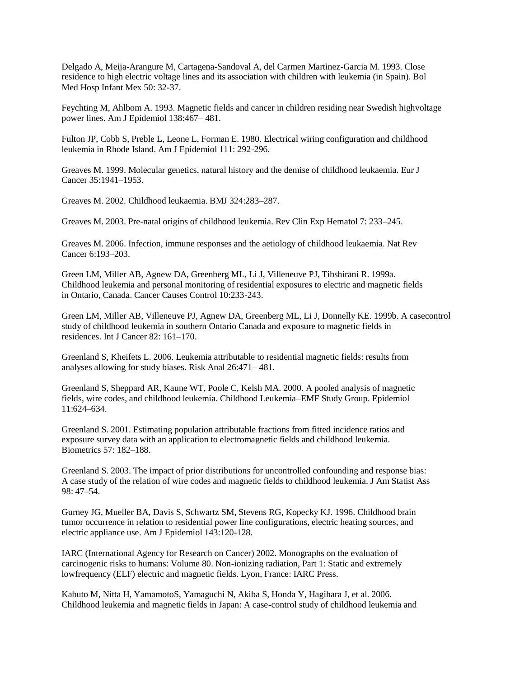Delgado A, Meija-Arangure M, Cartagena-Sandoval A, del Carmen Martinez-Garcia M. 1993. Close residence to high electric voltage lines and its association with children with leukemia (in Spain). Bol Med Hosp Infant Mex 50: 32-37.

Feychting M, Ahlbom A. 1993. Magnetic fields and cancer in children residing near Swedish highvoltage power lines. Am J Epidemiol 138:467– 481.

Fulton JP, Cobb S, Preble L, Leone L, Forman E. 1980. Electrical wiring configuration and childhood leukemia in Rhode Island. Am J Epidemiol 111: 292-296.

Greaves M. 1999. Molecular genetics, natural history and the demise of childhood leukaemia. Eur J Cancer 35:1941–1953.

Greaves M. 2002. Childhood leukaemia. BMJ 324:283–287.

Greaves M. 2003. Pre-natal origins of childhood leukemia. Rev Clin Exp Hematol 7: 233–245.

Greaves M. 2006. Infection, immune responses and the aetiology of childhood leukaemia. Nat Rev Cancer 6:193–203.

Green LM, Miller AB, Agnew DA, Greenberg ML, Li J, Villeneuve PJ, Tibshirani R. 1999a. Childhood leukemia and personal monitoring of residential exposures to electric and magnetic fields in Ontario, Canada. Cancer Causes Control 10:233-243.

Green LM, Miller AB, Villeneuve PJ, Agnew DA, Greenberg ML, Li J, Donnelly KE. 1999b. A casecontrol study of childhood leukemia in southern Ontario Canada and exposure to magnetic fields in residences. Int J Cancer 82: 161–170.

Greenland S, Kheifets L. 2006. Leukemia attributable to residential magnetic fields: results from analyses allowing for study biases. Risk Anal 26:471– 481.

Greenland S, Sheppard AR, Kaune WT, Poole C, Kelsh MA. 2000. A pooled analysis of magnetic fields, wire codes, and childhood leukemia. Childhood Leukemia–EMF Study Group. Epidemiol 11:624–634.

Greenland S. 2001. Estimating population attributable fractions from fitted incidence ratios and exposure survey data with an application to electromagnetic fields and childhood leukemia. Biometrics 57: 182–188.

Greenland S. 2003. The impact of prior distributions for uncontrolled confounding and response bias: A case study of the relation of wire codes and magnetic fields to childhood leukemia. J Am Statist Ass 98: 47–54.

Gurney JG, Mueller BA, Davis S, Schwartz SM, Stevens RG, Kopecky KJ. 1996. Childhood brain tumor occurrence in relation to residential power line configurations, electric heating sources, and electric appliance use. Am J Epidemiol 143:120-128.

IARC (International Agency for Research on Cancer) 2002. Monographs on the evaluation of carcinogenic risks to humans: Volume 80. Non-ionizing radiation, Part 1: Static and extremely lowfrequency (ELF) electric and magnetic fields. Lyon, France: IARC Press.

Kabuto M, Nitta H, YamamotoS, Yamaguchi N, Akiba S, Honda Y, Hagihara J, et al. 2006. Childhood leukemia and magnetic fields in Japan: A case-control study of childhood leukemia and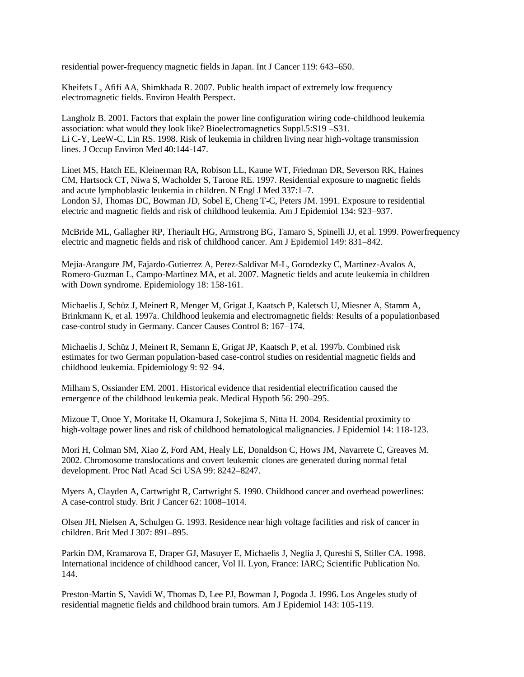residential power-frequency magnetic fields in Japan. Int J Cancer 119: 643–650.

Kheifets L, Afifi AA, Shimkhada R. 2007. Public health impact of extremely low frequency electromagnetic fields. Environ Health Perspect.

Langholz B. 2001. Factors that explain the power line configuration wiring code-childhood leukemia association: what would they look like? Bioelectromagnetics Suppl.5:S19 –S31. Li C-Y, LeeW-C, Lin RS. 1998. Risk of leukemia in children living near high-voltage transmission lines. J Occup Environ Med 40:144-147.

Linet MS, Hatch EE, Kleinerman RA, Robison LL, Kaune WT, Friedman DR, Severson RK, Haines CM, Hartsock CT, Niwa S, Wacholder S, Tarone RE. 1997. Residential exposure to magnetic fields and acute lymphoblastic leukemia in children. N Engl J Med 337:1–7. London SJ, Thomas DC, Bowman JD, Sobel E, Cheng T-C, Peters JM. 1991. Exposure to residential electric and magnetic fields and risk of childhood leukemia. Am J Epidemiol 134: 923–937.

McBride ML, Gallagher RP, Theriault HG, Armstrong BG, Tamaro S, Spinelli JJ, et al. 1999. Powerfrequency electric and magnetic fields and risk of childhood cancer. Am J Epidemiol 149: 831–842.

Mejia-Arangure JM, Fajardo-Gutierrez A, Perez-Saldivar M-L, Gorodezky C, Martinez-Avalos A, Romero-Guzman L, Campo-Martinez MA, et al. 2007. Magnetic fields and acute leukemia in children with Down syndrome. Epidemiology 18: 158-161.

Michaelis J, Schüz J, Meinert R, Menger M, Grigat J, Kaatsch P, Kaletsch U, Miesner A, Stamm A, Brinkmann K, et al. 1997a. Childhood leukemia and electromagnetic fields: Results of a populationbased case-control study in Germany. Cancer Causes Control 8: 167–174.

Michaelis J, Schüz J, Meinert R, Semann E, Grigat JP, Kaatsch P, et al. 1997b. Combined risk estimates for two German population-based case-control studies on residential magnetic fields and childhood leukemia. Epidemiology 9: 92–94.

Milham S, Ossiander EM. 2001. Historical evidence that residential electrification caused the emergence of the childhood leukemia peak. Medical Hypoth 56: 290–295.

Mizoue T, Onoe Y, Moritake H, Okamura J, Sokejima S, Nitta H. 2004. Residential proximity to high-voltage power lines and risk of childhood hematological malignancies. J Epidemiol 14: 118-123.

Mori H, Colman SM, Xiao Z, Ford AM, Healy LE, Donaldson C, Hows JM, Navarrete C, Greaves M. 2002. Chromosome translocations and covert leukemic clones are generated during normal fetal development. Proc Natl Acad Sci USA 99: 8242–8247.

Myers A, Clayden A, Cartwright R, Cartwright S. 1990. Childhood cancer and overhead powerlines: A case-control study. Brit J Cancer 62: 1008–1014.

Olsen JH, Nielsen A, Schulgen G. 1993. Residence near high voltage facilities and risk of cancer in children. Brit Med J 307: 891–895.

Parkin DM, Kramarova E, Draper GJ, Masuyer E, Michaelis J, Neglia J, Qureshi S, Stiller CA. 1998. International incidence of childhood cancer, Vol II. Lyon, France: IARC; Scientific Publication No. 144.

Preston-Martin S, Navidi W, Thomas D, Lee PJ, Bowman J, Pogoda J. 1996. Los Angeles study of residential magnetic fields and childhood brain tumors. Am J Epidemiol 143: 105-119.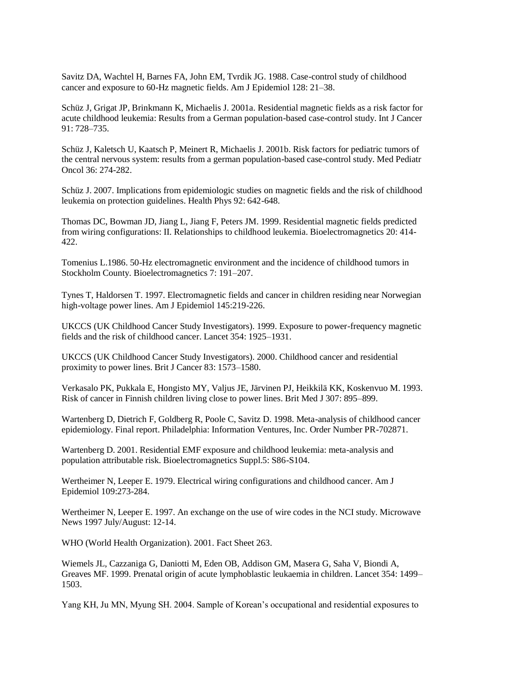Savitz DA, Wachtel H, Barnes FA, John EM, Tvrdik JG. 1988. Case-control study of childhood cancer and exposure to 60-Hz magnetic fields. Am J Epidemiol 128: 21–38.

Schüz J, Grigat JP, Brinkmann K, Michaelis J. 2001a. Residential magnetic fields as a risk factor for acute childhood leukemia: Results from a German population-based case-control study. Int J Cancer 91: 728–735.

Schüz J, Kaletsch U, Kaatsch P, Meinert R, Michaelis J. 2001b. Risk factors for pediatric tumors of the central nervous system: results from a german population-based case-control study. Med Pediatr Oncol 36: 274-282.

Schüz J. 2007. Implications from epidemiologic studies on magnetic fields and the risk of childhood leukemia on protection guidelines. Health Phys 92: 642-648.

Thomas DC, Bowman JD, Jiang L, Jiang F, Peters JM. 1999. Residential magnetic fields predicted from wiring configurations: II. Relationships to childhood leukemia. Bioelectromagnetics 20: 414- 422.

Tomenius L.1986. 50-Hz electromagnetic environment and the incidence of childhood tumors in Stockholm County. Bioelectromagnetics 7: 191–207.

Tynes T, Haldorsen T. 1997. Electromagnetic fields and cancer in children residing near Norwegian high-voltage power lines. Am J Epidemiol 145:219-226.

UKCCS (UK Childhood Cancer Study Investigators). 1999. Exposure to power-frequency magnetic fields and the risk of childhood cancer. Lancet 354: 1925–1931.

UKCCS (UK Childhood Cancer Study Investigators). 2000. Childhood cancer and residential proximity to power lines. Brit J Cancer 83: 1573–1580.

Verkasalo PK, Pukkala E, Hongisto MY, Valjus JE, Järvinen PJ, Heikkilä KK, Koskenvuo M. 1993. Risk of cancer in Finnish children living close to power lines. Brit Med J 307: 895–899.

Wartenberg D, Dietrich F, Goldberg R, Poole C, Savitz D. 1998. Meta-analysis of childhood cancer epidemiology. Final report. Philadelphia: Information Ventures, Inc. Order Number PR-702871.

Wartenberg D. 2001. Residential EMF exposure and childhood leukemia: meta-analysis and population attributable risk. Bioelectromagnetics Suppl.5: S86-S104.

Wertheimer N, Leeper E. 1979. Electrical wiring configurations and childhood cancer. Am J Epidemiol 109:273-284.

Wertheimer N, Leeper E. 1997. An exchange on the use of wire codes in the NCI study. Microwave News 1997 July/August: 12-14.

WHO (World Health Organization). 2001. Fact Sheet 263.

Wiemels JL, Cazzaniga G, Daniotti M, Eden OB, Addison GM, Masera G, Saha V, Biondi A, Greaves MF. 1999. Prenatal origin of acute lymphoblastic leukaemia in children. Lancet 354: 1499– 1503.

Yang KH, Ju MN, Myung SH. 2004. Sample of Korean"s occupational and residential exposures to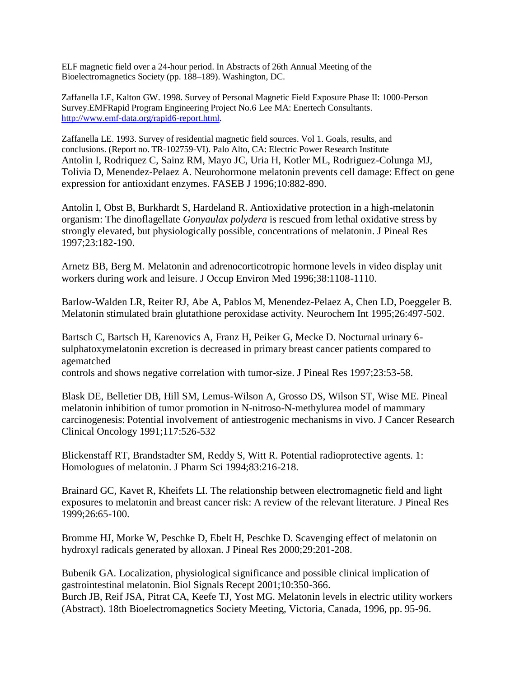ELF magnetic field over a 24-hour period. In Abstracts of 26th Annual Meeting of the Bioelectromagnetics Society (pp. 188–189). Washington, DC.

Zaffanella LE, Kalton GW. 1998. Survey of Personal Magnetic Field Exposure Phase II: 1000-Person Survey.EMFRapid Program Engineering Project No.6 Lee MA: Enertech Consultants. [http://www.emf-data.org/rapid6-report.html.](http://www.emf-data.org/rapid6-report.html)

Zaffanella LE. 1993. Survey of residential magnetic field sources. Vol 1. Goals, results, and conclusions. (Report no. TR-102759-VI). Palo Alto, CA: Electric Power Research Institute Antolin I, Rodriquez C, Sainz RM, Mayo JC, Uria H, Kotler ML, Rodriguez-Colunga MJ, Tolivia D, Menendez-Pelaez A. Neurohormone melatonin prevents cell damage: Effect on gene expression for antioxidant enzymes. FASEB J 1996;10:882-890.

Antolin I, Obst B, Burkhardt S, Hardeland R. Antioxidative protection in a high-melatonin organism: The dinoflagellate *Gonyaulax polydera* is rescued from lethal oxidative stress by strongly elevated, but physiologically possible, concentrations of melatonin. J Pineal Res 1997;23:182-190.

Arnetz BB, Berg M. Melatonin and adrenocorticotropic hormone levels in video display unit workers during work and leisure. J Occup Environ Med 1996;38:1108-1110.

Barlow-Walden LR, Reiter RJ, Abe A, Pablos M, Menendez-Pelaez A, Chen LD, Poeggeler B. Melatonin stimulated brain glutathione peroxidase activity. Neurochem Int 1995;26:497-502.

Bartsch C, Bartsch H, Karenovics A, Franz H, Peiker G, Mecke D. Nocturnal urinary 6 sulphatoxymelatonin excretion is decreased in primary breast cancer patients compared to agematched

controls and shows negative correlation with tumor-size. J Pineal Res 1997;23:53-58.

Blask DE, Belletier DB, Hill SM, Lemus-Wilson A, Grosso DS, Wilson ST, Wise ME. Pineal melatonin inhibition of tumor promotion in N-nitroso-N-methylurea model of mammary carcinogenesis: Potential involvement of antiestrogenic mechanisms in vivo. J Cancer Research Clinical Oncology 1991;117:526-532

Blickenstaff RT, Brandstadter SM, Reddy S, Witt R. Potential radioprotective agents. 1: Homologues of melatonin. J Pharm Sci 1994;83:216-218.

Brainard GC, Kavet R, Kheifets LI. The relationship between electromagnetic field and light exposures to melatonin and breast cancer risk: A review of the relevant literature. J Pineal Res 1999;26:65-100.

Bromme HJ, Morke W, Peschke D, Ebelt H, Peschke D. Scavenging effect of melatonin on hydroxyl radicals generated by alloxan. J Pineal Res 2000;29:201-208.

Bubenik GA. Localization, physiological significance and possible clinical implication of gastrointestinal melatonin. Biol Signals Recept 2001;10:350-366. Burch JB, Reif JSA, Pitrat CA, Keefe TJ, Yost MG. Melatonin levels in electric utility workers (Abstract). 18th Bioelectromagnetics Society Meeting, Victoria, Canada, 1996, pp. 95-96.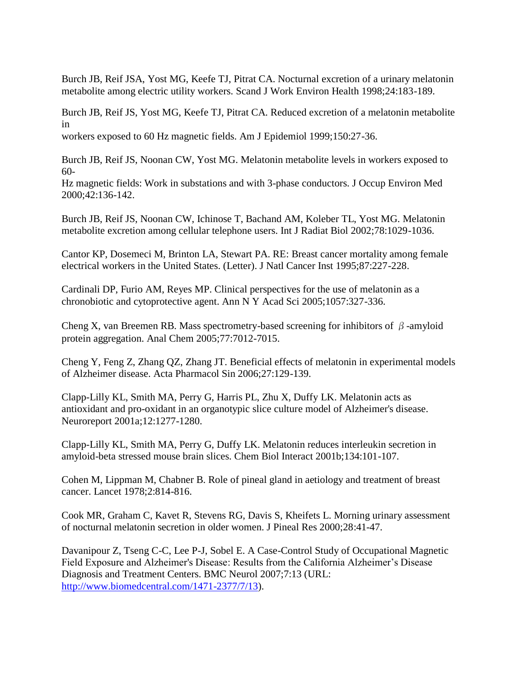Burch JB, Reif JSA, Yost MG, Keefe TJ, Pitrat CA. Nocturnal excretion of a urinary melatonin metabolite among electric utility workers. Scand J Work Environ Health 1998;24:183-189.

Burch JB, Reif JS, Yost MG, Keefe TJ, Pitrat CA. Reduced excretion of a melatonin metabolite in

workers exposed to 60 Hz magnetic fields. Am J Epidemiol 1999;150:27-36.

Burch JB, Reif JS, Noonan CW, Yost MG. Melatonin metabolite levels in workers exposed to 60-

Hz magnetic fields: Work in substations and with 3-phase conductors. J Occup Environ Med 2000;42:136-142.

Burch JB, Reif JS, Noonan CW, Ichinose T, Bachand AM, Koleber TL, Yost MG. Melatonin metabolite excretion among cellular telephone users. Int J Radiat Biol 2002;78:1029-1036.

Cantor KP, Dosemeci M, Brinton LA, Stewart PA. RE: Breast cancer mortality among female electrical workers in the United States. (Letter). J Natl Cancer Inst 1995;87:227-228.

Cardinali DP, Furio AM, Reyes MP. Clinical perspectives for the use of melatonin as a chronobiotic and cytoprotective agent. Ann N Y Acad Sci 2005;1057:327-336.

Cheng X, van Breemen RB. Mass spectrometry-based screening for inhibitors of  $\beta$ -amyloid protein aggregation. Anal Chem 2005;77:7012-7015.

Cheng Y, Feng Z, Zhang QZ, Zhang JT. Beneficial effects of melatonin in experimental models of Alzheimer disease. Acta Pharmacol Sin 2006;27:129-139.

Clapp-Lilly KL, Smith MA, Perry G, Harris PL, Zhu X, Duffy LK. Melatonin acts as antioxidant and pro-oxidant in an organotypic slice culture model of Alzheimer's disease. Neuroreport 2001a;12:1277-1280.

Clapp-Lilly KL, Smith MA, Perry G, Duffy LK. Melatonin reduces interleukin secretion in amyloid-beta stressed mouse brain slices. Chem Biol Interact 2001b;134:101-107.

Cohen M, Lippman M, Chabner B. Role of pineal gland in aetiology and treatment of breast cancer. Lancet 1978;2:814-816.

Cook MR, Graham C, Kavet R, Stevens RG, Davis S, Kheifets L. Morning urinary assessment of nocturnal melatonin secretion in older women. J Pineal Res 2000;28:41-47.

Davanipour Z, Tseng C-C, Lee P-J, Sobel E. A Case-Control Study of Occupational Magnetic Field Exposure and Alzheimer's Disease: Results from the California Alzheimer"s Disease Diagnosis and Treatment Centers. BMC Neurol 2007;7:13 (URL: [http://www.biomedcentral.com/1471-2377/7/13\)](http://www.biomedcentral.com/1471-2377/7/13).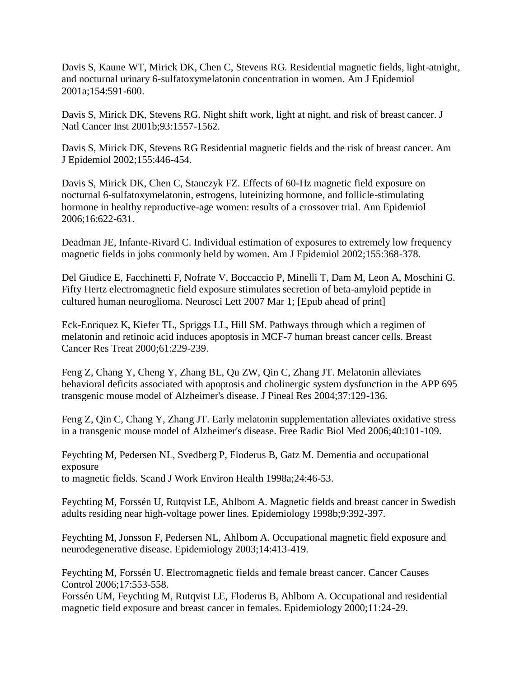Davis S, Kaune WT, Mirick DK, Chen C, Stevens RG. Residential magnetic fields, light-atnight, and nocturnal urinary 6-sulfatoxymelatonin concentration in women. Am J Epidemiol 2001a;154:591-600.

Davis S, Mirick DK, Stevens RG. Night shift work, light at night, and risk of breast cancer. J Natl Cancer Inst 2001b;93:1557-1562.

Davis S, Mirick DK, Stevens RG Residential magnetic fields and the risk of breast cancer. Am J Epidemiol 2002;155:446-454.

Davis S, Mirick DK, Chen C, Stanczyk FZ. Effects of 60-Hz magnetic field exposure on nocturnal 6-sulfatoxymelatonin, estrogens, luteinizing hormone, and follicle-stimulating hormone in healthy reproductive-age women: results of a crossover trial. Ann Epidemiol 2006;16:622-631.

Deadman JE, Infante-Rivard C. Individual estimation of exposures to extremely low frequency magnetic fields in jobs commonly held by women. Am J Epidemiol 2002;155:368-378.

Del Giudice E, Facchinetti F, Nofrate V, Boccaccio P, Minelli T, Dam M, Leon A, Moschini G. Fifty Hertz electromagnetic field exposure stimulates secretion of beta-amyloid peptide in cultured human neuroglioma. Neurosci Lett 2007 Mar 1; [Epub ahead of print]

Eck-Enriquez K, Kiefer TL, Spriggs LL, Hill SM. Pathways through which a regimen of melatonin and retinoic acid induces apoptosis in MCF-7 human breast cancer cells. Breast Cancer Res Treat 2000;61:229-239.

Feng Z, Chang Y, Cheng Y, Zhang BL, Qu ZW, Qin C, Zhang JT. Melatonin alleviates behavioral deficits associated with apoptosis and cholinergic system dysfunction in the APP 695 transgenic mouse model of Alzheimer's disease. J Pineal Res 2004;37:129-136.

Feng Z, Qin C, Chang Y, Zhang JT. Early melatonin supplementation alleviates oxidative stress in a transgenic mouse model of Alzheimer's disease. Free Radic Biol Med 2006;40:101-109.

Feychting M, Pedersen NL, Svedberg P, Floderus B, Gatz M. Dementia and occupational exposure to magnetic fields. Scand J Work Environ Health 1998a;24:46-53.

Feychting M, Forssén U, Rutqvist LE, Ahlbom A. Magnetic fields and breast cancer in Swedish adults residing near high-voltage power lines. Epidemiology 1998b;9:392-397.

Feychting M, Jonsson F, Pedersen NL, Ahlbom A. Occupational magnetic field exposure and neurodegenerative disease. Epidemiology 2003;14:413-419.

Feychting M, Forssén U. Electromagnetic fields and female breast cancer. Cancer Causes Control 2006;17:553-558.

Forssén UM, Feychting M, Rutqvist LE, Floderus B, Ahlbom A. Occupational and residential magnetic field exposure and breast cancer in females. Epidemiology 2000;11:24-29.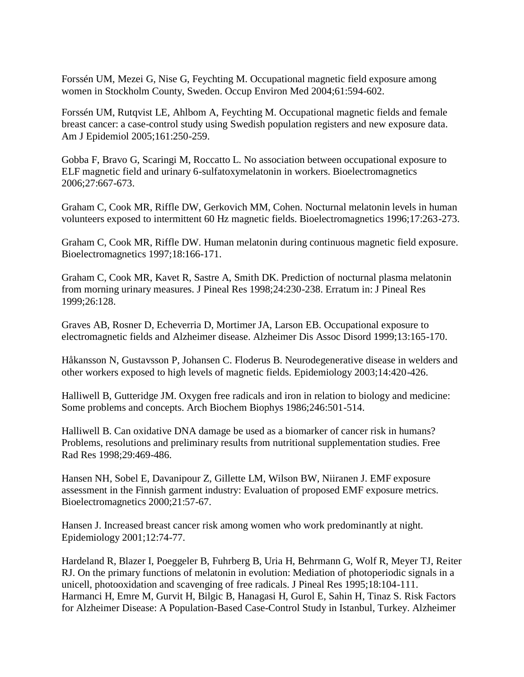Forssén UM, Mezei G, Nise G, Feychting M. Occupational magnetic field exposure among women in Stockholm County, Sweden. Occup Environ Med 2004;61:594-602.

Forssén UM, Rutqvist LE, Ahlbom A, Feychting M. Occupational magnetic fields and female breast cancer: a case-control study using Swedish population registers and new exposure data. Am J Epidemiol 2005;161:250-259.

Gobba F, Bravo G, Scaringi M, Roccatto L. No association between occupational exposure to ELF magnetic field and urinary 6-sulfatoxymelatonin in workers. Bioelectromagnetics 2006;27:667-673.

Graham C, Cook MR, Riffle DW, Gerkovich MM, Cohen. Nocturnal melatonin levels in human volunteers exposed to intermittent 60 Hz magnetic fields. Bioelectromagnetics 1996;17:263-273.

Graham C, Cook MR, Riffle DW. Human melatonin during continuous magnetic field exposure. Bioelectromagnetics 1997;18:166-171.

Graham C, Cook MR, Kavet R, Sastre A, Smith DK. Prediction of nocturnal plasma melatonin from morning urinary measures. J Pineal Res 1998;24:230-238. Erratum in: J Pineal Res 1999;26:128.

Graves AB, Rosner D, Echeverria D, Mortimer JA, Larson EB. Occupational exposure to electromagnetic fields and Alzheimer disease. Alzheimer Dis Assoc Disord 1999;13:165-170.

Håkansson N, Gustavsson P, Johansen C. Floderus B. Neurodegenerative disease in welders and other workers exposed to high levels of magnetic fields. Epidemiology 2003;14:420-426.

Halliwell B, Gutteridge JM. Oxygen free radicals and iron in relation to biology and medicine: Some problems and concepts. Arch Biochem Biophys 1986;246:501-514.

Halliwell B. Can oxidative DNA damage be used as a biomarker of cancer risk in humans? Problems, resolutions and preliminary results from nutritional supplementation studies. Free Rad Res 1998;29:469-486.

Hansen NH, Sobel E, Davanipour Z, Gillette LM, Wilson BW, Niiranen J. EMF exposure assessment in the Finnish garment industry: Evaluation of proposed EMF exposure metrics. Bioelectromagnetics 2000;21:57-67.

Hansen J. Increased breast cancer risk among women who work predominantly at night. Epidemiology 2001;12:74-77.

Hardeland R, Blazer I, Poeggeler B, Fuhrberg B, Uria H, Behrmann G, Wolf R, Meyer TJ, Reiter RJ. On the primary functions of melatonin in evolution: Mediation of photoperiodic signals in a unicell, photooxidation and scavenging of free radicals. J Pineal Res 1995;18:104-111. Harmanci H, Emre M, Gurvit H, Bilgic B, Hanagasi H, Gurol E, Sahin H, Tinaz S. Risk Factors for Alzheimer Disease: A Population-Based Case-Control Study in Istanbul, Turkey. Alzheimer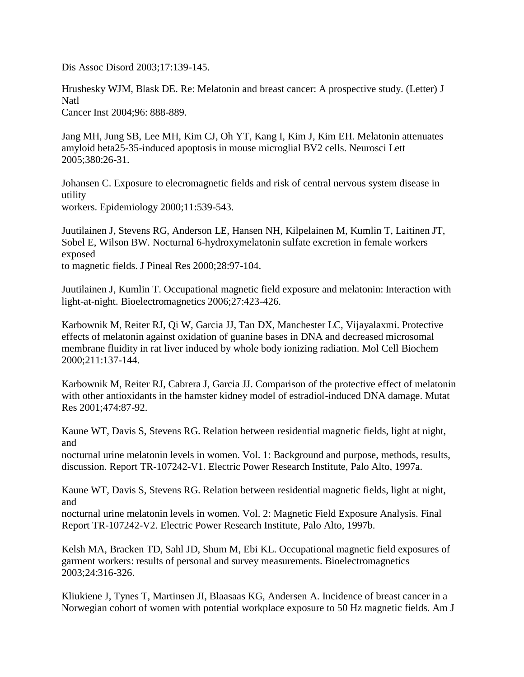Dis Assoc Disord 2003;17:139-145.

Hrushesky WJM, Blask DE. Re: Melatonin and breast cancer: A prospective study. (Letter) J Natl

Cancer Inst 2004;96: 888-889.

Jang MH, Jung SB, Lee MH, Kim CJ, Oh YT, Kang I, Kim J, Kim EH. Melatonin attenuates amyloid beta25-35-induced apoptosis in mouse microglial BV2 cells. Neurosci Lett 2005;380:26-31.

Johansen C. Exposure to elecromagnetic fields and risk of central nervous system disease in utility

workers. Epidemiology 2000;11:539-543.

Juutilainen J, Stevens RG, Anderson LE, Hansen NH, Kilpelainen M, Kumlin T, Laitinen JT, Sobel E, Wilson BW. Nocturnal 6-hydroxymelatonin sulfate excretion in female workers exposed to magnetic fields. J Pineal Res 2000;28:97-104.

Juutilainen J, Kumlin T. Occupational magnetic field exposure and melatonin: Interaction with light-at-night. Bioelectromagnetics 2006;27:423-426.

Karbownik M, Reiter RJ, Qi W, Garcia JJ, Tan DX, Manchester LC, Vijayalaxmi. Protective effects of melatonin against oxidation of guanine bases in DNA and decreased microsomal membrane fluidity in rat liver induced by whole body ionizing radiation. Mol Cell Biochem 2000;211:137-144.

Karbownik M, Reiter RJ, Cabrera J, Garcia JJ. Comparison of the protective effect of melatonin with other antioxidants in the hamster kidney model of estradiol-induced DNA damage. Mutat Res 2001;474:87-92.

Kaune WT, Davis S, Stevens RG. Relation between residential magnetic fields, light at night, and

nocturnal urine melatonin levels in women. Vol. 1: Background and purpose, methods, results, discussion. Report TR-107242-V1. Electric Power Research Institute, Palo Alto, 1997a.

Kaune WT, Davis S, Stevens RG. Relation between residential magnetic fields, light at night, and

nocturnal urine melatonin levels in women. Vol. 2: Magnetic Field Exposure Analysis. Final Report TR-107242-V2. Electric Power Research Institute, Palo Alto, 1997b.

Kelsh MA, Bracken TD, Sahl JD, Shum M, Ebi KL. Occupational magnetic field exposures of garment workers: results of personal and survey measurements. Bioelectromagnetics 2003;24:316-326.

Kliukiene J, Tynes T, Martinsen JI, Blaasaas KG, Andersen A. Incidence of breast cancer in a Norwegian cohort of women with potential workplace exposure to 50 Hz magnetic fields. Am J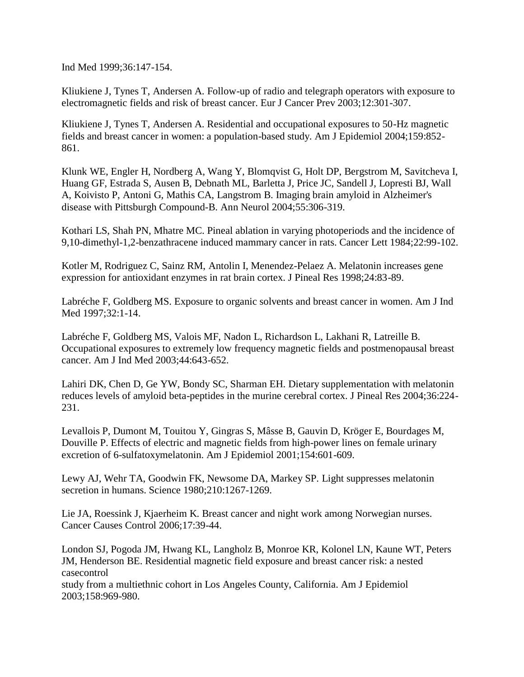Ind Med 1999;36:147-154.

Kliukiene J, Tynes T, Andersen A. Follow-up of radio and telegraph operators with exposure to electromagnetic fields and risk of breast cancer. Eur J Cancer Prev 2003;12:301-307.

Kliukiene J, Tynes T, Andersen A. Residential and occupational exposures to 50-Hz magnetic fields and breast cancer in women: a population-based study. Am J Epidemiol 2004;159:852- 861.

Klunk WE, Engler H, Nordberg A, Wang Y, Blomqvist G, Holt DP, Bergstrom M, Savitcheva I, Huang GF, Estrada S, Ausen B, Debnath ML, Barletta J, Price JC, Sandell J, Lopresti BJ, Wall A, Koivisto P, Antoni G, Mathis CA, Langstrom B. Imaging brain amyloid in Alzheimer's disease with Pittsburgh Compound-B. Ann Neurol 2004;55:306-319.

Kothari LS, Shah PN, Mhatre MC. Pineal ablation in varying photoperiods and the incidence of 9,10-dimethyl-1,2-benzathracene induced mammary cancer in rats. Cancer Lett 1984;22:99-102.

Kotler M, Rodriguez C, Sainz RM, Antolin I, Menendez-Pelaez A. Melatonin increases gene expression for antioxidant enzymes in rat brain cortex. J Pineal Res 1998;24:83-89.

Labréche F, Goldberg MS. Exposure to organic solvents and breast cancer in women. Am J Ind Med 1997;32:1-14.

Labréche F, Goldberg MS, Valois MF, Nadon L, Richardson L, Lakhani R, Latreille B. Occupational exposures to extremely low frequency magnetic fields and postmenopausal breast cancer. Am J Ind Med 2003;44:643-652.

Lahiri DK, Chen D, Ge YW, Bondy SC, Sharman EH. Dietary supplementation with melatonin reduces levels of amyloid beta-peptides in the murine cerebral cortex. J Pineal Res 2004;36:224- 231.

Levallois P, Dumont M, Touitou Y, Gingras S, Mâsse B, Gauvin D, Kröger E, Bourdages M, Douville P. Effects of electric and magnetic fields from high-power lines on female urinary excretion of 6-sulfatoxymelatonin. Am J Epidemiol 2001;154:601-609.

Lewy AJ, Wehr TA, Goodwin FK, Newsome DA, Markey SP. Light suppresses melatonin secretion in humans. Science 1980;210:1267-1269.

Lie JA, Roessink J, Kjaerheim K. Breast cancer and night work among Norwegian nurses. Cancer Causes Control 2006;17:39-44.

London SJ, Pogoda JM, Hwang KL, Langholz B, Monroe KR, Kolonel LN, Kaune WT, Peters JM, Henderson BE. Residential magnetic field exposure and breast cancer risk: a nested casecontrol

study from a multiethnic cohort in Los Angeles County, California. Am J Epidemiol 2003;158:969-980.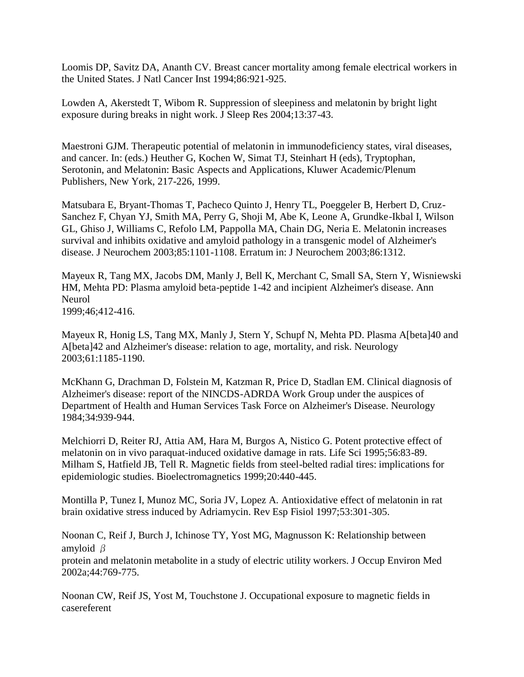Loomis DP, Savitz DA, Ananth CV. Breast cancer mortality among female electrical workers in the United States. J Natl Cancer Inst 1994;86:921-925.

Lowden A, Akerstedt T, Wibom R. Suppression of sleepiness and melatonin by bright light exposure during breaks in night work. J Sleep Res 2004;13:37-43.

Maestroni GJM. Therapeutic potential of melatonin in immunodeficiency states, viral diseases, and cancer. In: (eds.) Heuther G, Kochen W, Simat TJ, Steinhart H (eds), Tryptophan, Serotonin, and Melatonin: Basic Aspects and Applications, Kluwer Academic/Plenum Publishers, New York, 217-226, 1999.

Matsubara E, Bryant-Thomas T, Pacheco Quinto J, Henry TL, Poeggeler B, Herbert D, Cruz-Sanchez F, Chyan YJ, Smith MA, Perry G, Shoji M, Abe K, Leone A, Grundke-Ikbal I, Wilson GL, Ghiso J, Williams C, Refolo LM, Pappolla MA, Chain DG, Neria E. Melatonin increases survival and inhibits oxidative and amyloid pathology in a transgenic model of Alzheimer's disease. J Neurochem 2003;85:1101-1108. Erratum in: J Neurochem 2003;86:1312.

Mayeux R, Tang MX, Jacobs DM, Manly J, Bell K, Merchant C, Small SA, Stern Y, Wisniewski HM, Mehta PD: Plasma amyloid beta-peptide 1-42 and incipient Alzheimer's disease. Ann Neurol 1999;46;412-416.

Mayeux R, Honig LS, Tang MX, Manly J, Stern Y, Schupf N, Mehta PD. Plasma A[beta]40 and A[beta]42 and Alzheimer's disease: relation to age, mortality, and risk. Neurology 2003;61:1185-1190.

McKhann G, Drachman D, Folstein M, Katzman R, Price D, Stadlan EM. Clinical diagnosis of Alzheimer's disease: report of the NINCDS-ADRDA Work Group under the auspices of Department of Health and Human Services Task Force on Alzheimer's Disease. Neurology 1984;34:939-944.

Melchiorri D, Reiter RJ, Attia AM, Hara M, Burgos A, Nistico G. Potent protective effect of melatonin on in vivo paraquat-induced oxidative damage in rats. Life Sci 1995;56:83-89. Milham S, Hatfield JB, Tell R. Magnetic fields from steel-belted radial tires: implications for epidemiologic studies. Bioelectromagnetics 1999;20:440-445.

Montilla P, Tunez I, Munoz MC, Soria JV, Lopez A. Antioxidative effect of melatonin in rat brain oxidative stress induced by Adriamycin. Rev Esp Fisiol 1997;53:301-305.

Noonan C, Reif J, Burch J, Ichinose TY, Yost MG, Magnusson K: Relationship between amyloid β

protein and melatonin metabolite in a study of electric utility workers. J Occup Environ Med 2002a;44:769-775.

Noonan CW, Reif JS, Yost M, Touchstone J. Occupational exposure to magnetic fields in casereferent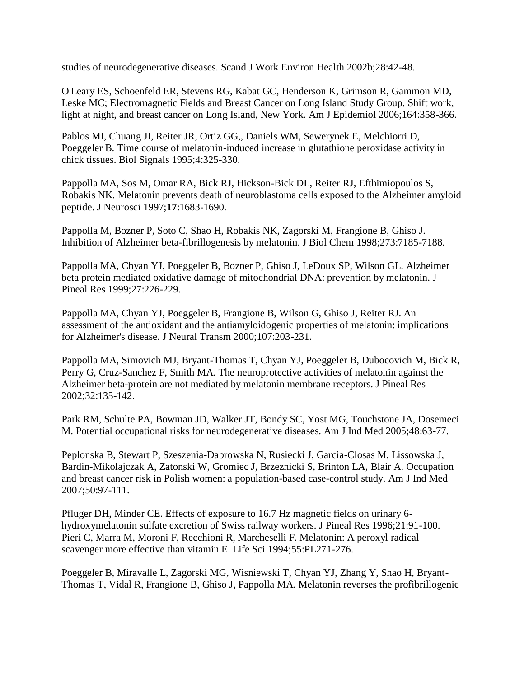studies of neurodegenerative diseases. Scand J Work Environ Health 2002b;28:42-48.

O'Leary ES, Schoenfeld ER, Stevens RG, Kabat GC, Henderson K, Grimson R, Gammon MD, Leske MC; Electromagnetic Fields and Breast Cancer on Long Island Study Group. Shift work, light at night, and breast cancer on Long Island, New York. Am J Epidemiol 2006;164:358-366.

Pablos MI, Chuang JI, Reiter JR, Ortiz GG,, Daniels WM, Sewerynek E, Melchiorri D, Poeggeler B. Time course of melatonin-induced increase in glutathione peroxidase activity in chick tissues. Biol Signals 1995;4:325-330.

Pappolla MA, Sos M, Omar RA, Bick RJ, Hickson-Bick DL, Reiter RJ, Efthimiopoulos S, Robakis NK. Melatonin prevents death of neuroblastoma cells exposed to the Alzheimer amyloid peptide. J Neurosci 1997;**17**:1683-1690.

Pappolla M, Bozner P, Soto C, Shao H, Robakis NK, Zagorski M, Frangione B, Ghiso J. Inhibition of Alzheimer beta-fibrillogenesis by melatonin. J Biol Chem 1998;273:7185-7188.

Pappolla MA, Chyan YJ, Poeggeler B, Bozner P, Ghiso J, LeDoux SP, Wilson GL. Alzheimer beta protein mediated oxidative damage of mitochondrial DNA: prevention by melatonin. J Pineal Res 1999;27:226-229.

Pappolla MA, Chyan YJ, Poeggeler B, Frangione B, Wilson G, Ghiso J, Reiter RJ. An assessment of the antioxidant and the antiamyloidogenic properties of melatonin: implications for Alzheimer's disease. J Neural Transm 2000;107:203-231.

Pappolla MA, Simovich MJ, Bryant-Thomas T, Chyan YJ, Poeggeler B, Dubocovich M, Bick R, Perry G, Cruz-Sanchez F, Smith MA. The neuroprotective activities of melatonin against the Alzheimer beta-protein are not mediated by melatonin membrane receptors. J Pineal Res 2002;32:135-142.

Park RM, Schulte PA, Bowman JD, Walker JT, Bondy SC, Yost MG, Touchstone JA, Dosemeci M. Potential occupational risks for neurodegenerative diseases. Am J Ind Med 2005;48:63-77.

Peplonska B, Stewart P, Szeszenia-Dabrowska N, Rusiecki J, Garcia-Closas M, Lissowska J, Bardin-Mikolajczak A, Zatonski W, Gromiec J, Brzeznicki S, Brinton LA, Blair A. Occupation and breast cancer risk in Polish women: a population-based case-control study. Am J Ind Med 2007;50:97-111.

Pfluger DH, Minder CE. Effects of exposure to 16.7 Hz magnetic fields on urinary 6 hydroxymelatonin sulfate excretion of Swiss railway workers. J Pineal Res 1996;21:91-100. Pieri C, Marra M, Moroni F, Recchioni R, Marcheselli F. Melatonin: A peroxyl radical scavenger more effective than vitamin E. Life Sci 1994;55:PL271-276.

Poeggeler B, Miravalle L, Zagorski MG, Wisniewski T, Chyan YJ, Zhang Y, Shao H, Bryant-Thomas T, Vidal R, Frangione B, Ghiso J, Pappolla MA. Melatonin reverses the profibrillogenic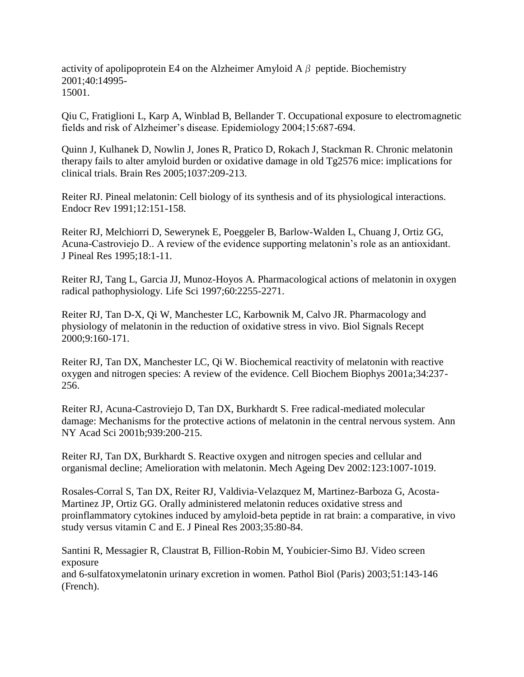activity of apolipoprotein E4 on the Alzheimer Amyloid A  $\beta$  peptide. Biochemistry 2001;40:14995- 15001.

Qiu C, Fratiglioni L, Karp A, Winblad B, Bellander T. Occupational exposure to electromagnetic fields and risk of Alzheimer"s disease. Epidemiology 2004;15:687-694.

Quinn J, Kulhanek D, Nowlin J, Jones R, Pratico D, Rokach J, Stackman R. Chronic melatonin therapy fails to alter amyloid burden or oxidative damage in old Tg2576 mice: implications for clinical trials. Brain Res 2005;1037:209-213.

Reiter RJ. Pineal melatonin: Cell biology of its synthesis and of its physiological interactions. Endocr Rev 1991;12:151-158.

Reiter RJ, Melchiorri D, Sewerynek E, Poeggeler B, Barlow-Walden L, Chuang J, Ortiz GG, Acuna-Castroviejo D.. A review of the evidence supporting melatonin"s role as an antioxidant. J Pineal Res 1995;18:1-11.

Reiter RJ, Tang L, Garcia JJ, Munoz-Hoyos A. Pharmacological actions of melatonin in oxygen radical pathophysiology. Life Sci 1997;60:2255-2271.

Reiter RJ, Tan D-X, Qi W, Manchester LC, Karbownik M, Calvo JR. Pharmacology and physiology of melatonin in the reduction of oxidative stress in vivo. Biol Signals Recept 2000;9:160-171.

Reiter RJ, Tan DX, Manchester LC, Qi W. Biochemical reactivity of melatonin with reactive oxygen and nitrogen species: A review of the evidence. Cell Biochem Biophys 2001a;34:237- 256.

Reiter RJ, Acuna-Castroviejo D, Tan DX, Burkhardt S. Free radical-mediated molecular damage: Mechanisms for the protective actions of melatonin in the central nervous system. Ann NY Acad Sci 2001b;939:200-215.

Reiter RJ, Tan DX, Burkhardt S. Reactive oxygen and nitrogen species and cellular and organismal decline; Amelioration with melatonin. Mech Ageing Dev 2002:123:1007-1019.

Rosales-Corral S, Tan DX, Reiter RJ, Valdivia-Velazquez M, Martinez-Barboza G, Acosta-Martinez JP, Ortiz GG. Orally administered melatonin reduces oxidative stress and proinflammatory cytokines induced by amyloid-beta peptide in rat brain: a comparative, in vivo study versus vitamin C and E. J Pineal Res 2003;35:80-84.

Santini R, Messagier R, Claustrat B, Fillion-Robin M, Youbicier-Simo BJ. Video screen exposure

and 6-sulfatoxymelatonin urinary excretion in women. Pathol Biol (Paris) 2003;51:143-146 (French).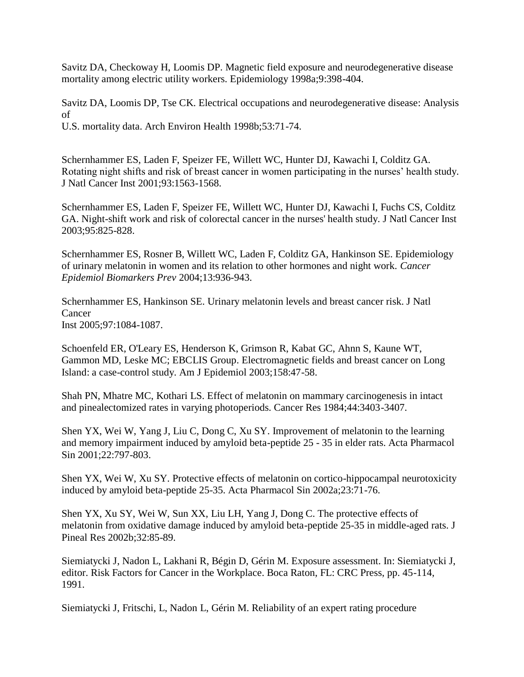Savitz DA, Checkoway H, Loomis DP. Magnetic field exposure and neurodegenerative disease mortality among electric utility workers. Epidemiology 1998a;9:398-404.

Savitz DA, Loomis DP, Tse CK. Electrical occupations and neurodegenerative disease: Analysis of

U.S. mortality data. Arch Environ Health 1998b;53:71-74.

Schernhammer ES, Laden F, Speizer FE, Willett WC, Hunter DJ, Kawachi I, Colditz GA. Rotating night shifts and risk of breast cancer in women participating in the nurses' health study. J Natl Cancer Inst 2001;93:1563-1568.

Schernhammer ES, Laden F, Speizer FE, Willett WC, Hunter DJ, Kawachi I, Fuchs CS, Colditz GA. Night-shift work and risk of colorectal cancer in the nurses' health study. J Natl Cancer Inst 2003;95:825-828.

Schernhammer ES, Rosner B, Willett WC, Laden F, Colditz GA, Hankinson SE. Epidemiology of urinary melatonin in women and its relation to other hormones and night work. *Cancer Epidemiol Biomarkers Prev* 2004;13:936-943.

Schernhammer ES, Hankinson SE. Urinary melatonin levels and breast cancer risk. J Natl Cancer Inst 2005;97:1084-1087.

Schoenfeld ER, O'Leary ES, Henderson K, Grimson R, Kabat GC, Ahnn S, Kaune WT, Gammon MD, Leske MC; EBCLIS Group. Electromagnetic fields and breast cancer on Long Island: a case-control study. Am J Epidemiol 2003;158:47-58.

Shah PN, Mhatre MC, Kothari LS. Effect of melatonin on mammary carcinogenesis in intact and pinealectomized rates in varying photoperiods. Cancer Res 1984;44:3403-3407.

Shen YX, Wei W, Yang J, Liu C, Dong C, Xu SY. Improvement of melatonin to the learning and memory impairment induced by amyloid beta-peptide 25 - 35 in elder rats. Acta Pharmacol Sin 2001;22:797-803.

Shen YX, Wei W, Xu SY. Protective effects of melatonin on cortico-hippocampal neurotoxicity induced by amyloid beta-peptide 25-35. Acta Pharmacol Sin 2002a;23:71-76.

Shen YX, Xu SY, Wei W, Sun XX, Liu LH, Yang J, Dong C. The protective effects of melatonin from oxidative damage induced by amyloid beta-peptide 25-35 in middle-aged rats. J Pineal Res 2002b;32:85-89.

Siemiatycki J, Nadon L, Lakhani R, Bégin D, Gérin M. Exposure assessment. In: Siemiatycki J, editor. Risk Factors for Cancer in the Workplace. Boca Raton, FL: CRC Press, pp. 45-114, 1991.

Siemiatycki J, Fritschi, L, Nadon L, Gérin M. Reliability of an expert rating procedure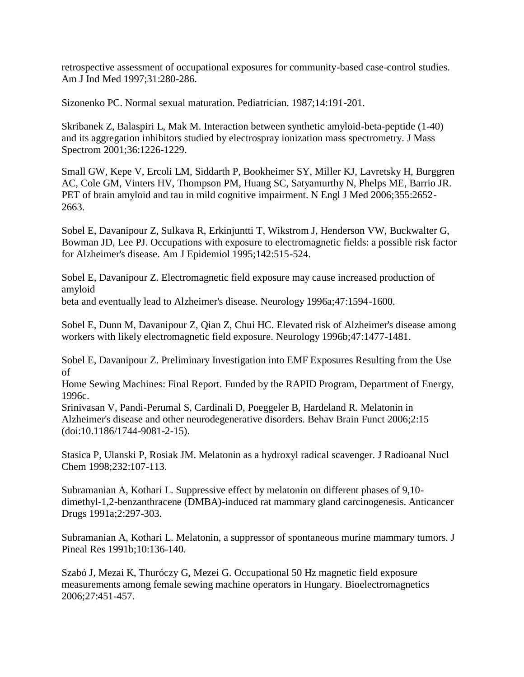retrospective assessment of occupational exposures for community-based case-control studies. Am J Ind Med 1997;31:280-286.

Sizonenko PC. Normal sexual maturation. Pediatrician. 1987;14:191-201.

Skribanek Z, Balaspiri L, Mak M. Interaction between synthetic amyloid-beta-peptide (1-40) and its aggregation inhibitors studied by electrospray ionization mass spectrometry. J Mass Spectrom 2001;36:1226-1229.

Small GW, Kepe V, Ercoli LM, Siddarth P, Bookheimer SY, Miller KJ, Lavretsky H, Burggren AC, Cole GM, Vinters HV, Thompson PM, Huang SC, Satyamurthy N, Phelps ME, Barrio JR. PET of brain amyloid and tau in mild cognitive impairment. N Engl J Med 2006;355:2652- 2663.

Sobel E, Davanipour Z, Sulkava R, Erkinjuntti T, Wikstrom J, Henderson VW, Buckwalter G, Bowman JD, Lee PJ. Occupations with exposure to electromagnetic fields: a possible risk factor for Alzheimer's disease. Am J Epidemiol 1995;142:515-524.

Sobel E, Davanipour Z. Electromagnetic field exposure may cause increased production of amyloid

beta and eventually lead to Alzheimer's disease. Neurology 1996a;47:1594-1600.

Sobel E, Dunn M, Davanipour Z, Qian Z, Chui HC. Elevated risk of Alzheimer's disease among workers with likely electromagnetic field exposure. Neurology 1996b;47:1477-1481.

Sobel E, Davanipour Z. Preliminary Investigation into EMF Exposures Resulting from the Use of

Home Sewing Machines: Final Report. Funded by the RAPID Program, Department of Energy, 1996c.

Srinivasan V, Pandi-Perumal S, Cardinali D, Poeggeler B, Hardeland R. Melatonin in Alzheimer's disease and other neurodegenerative disorders. Behav Brain Funct 2006;2:15 (doi:10.1186/1744-9081-2-15).

Stasica P, Ulanski P, Rosiak JM. Melatonin as a hydroxyl radical scavenger. J Radioanal Nucl Chem 1998;232:107-113.

Subramanian A, Kothari L. Suppressive effect by melatonin on different phases of 9,10 dimethyl-1,2-benzanthracene (DMBA)-induced rat mammary gland carcinogenesis. Anticancer Drugs 1991a;2:297-303.

Subramanian A, Kothari L. Melatonin, a suppressor of spontaneous murine mammary tumors. J Pineal Res 1991b;10:136-140.

Szabó J, Mezai K, Thuróczy G, Mezei G. Occupational 50 Hz magnetic field exposure measurements among female sewing machine operators in Hungary. Bioelectromagnetics 2006;27:451-457.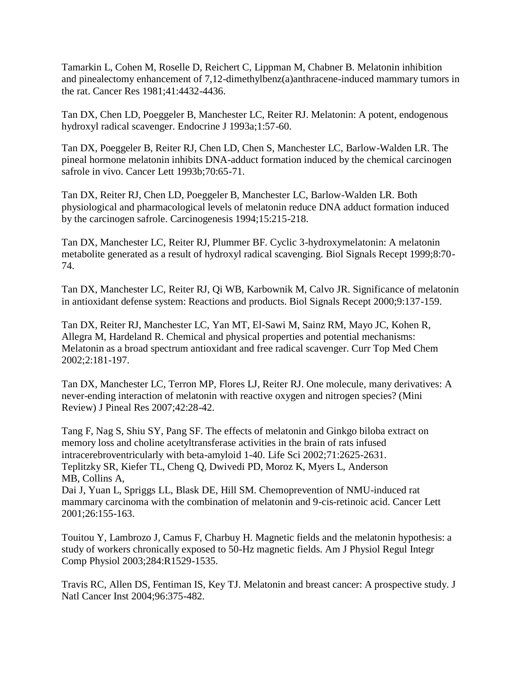Tamarkin L, Cohen M, Roselle D, Reichert C, Lippman M, Chabner B. Melatonin inhibition and pinealectomy enhancement of 7,12-dimethylbenz(a)anthracene-induced mammary tumors in the rat. Cancer Res 1981;41:4432-4436.

Tan DX, Chen LD, Poeggeler B, Manchester LC, Reiter RJ. Melatonin: A potent, endogenous hydroxyl radical scavenger. Endocrine J 1993a;1:57-60.

Tan DX, Poeggeler B, Reiter RJ, Chen LD, Chen S, Manchester LC, Barlow-Walden LR. The pineal hormone melatonin inhibits DNA-adduct formation induced by the chemical carcinogen safrole in vivo. Cancer Lett 1993b;70:65-71.

Tan DX, Reiter RJ, Chen LD, Poeggeler B, Manchester LC, Barlow-Walden LR. Both physiological and pharmacological levels of melatonin reduce DNA adduct formation induced by the carcinogen safrole. Carcinogenesis 1994;15:215-218.

Tan DX, Manchester LC, Reiter RJ, Plummer BF. Cyclic 3-hydroxymelatonin: A melatonin metabolite generated as a result of hydroxyl radical scavenging. Biol Signals Recept 1999;8:70- 74.

Tan DX, Manchester LC, Reiter RJ, Qi WB, Karbownik M, Calvo JR. Significance of melatonin in antioxidant defense system: Reactions and products. Biol Signals Recept 2000;9:137-159.

Tan DX, Reiter RJ, Manchester LC, Yan MT, El-Sawi M, Sainz RM, Mayo JC, Kohen R, Allegra M, Hardeland R. Chemical and physical properties and potential mechanisms: Melatonin as a broad spectrum antioxidant and free radical scavenger. Curr Top Med Chem 2002;2:181-197.

Tan DX, Manchester LC, Terron MP, Flores LJ, Reiter RJ. One molecule, many derivatives: A never-ending interaction of melatonin with reactive oxygen and nitrogen species? (Mini Review) J Pineal Res 2007;42:28-42.

Tang F, Nag S, Shiu SY, Pang SF. The effects of melatonin and Ginkgo biloba extract on memory loss and choline acetyltransferase activities in the brain of rats infused intracerebroventricularly with beta-amyloid 1-40. Life Sci 2002;71:2625-2631. Teplitzky SR, Kiefer TL, Cheng Q, Dwivedi PD, Moroz K, Myers L, Anderson MB, Collins A,

Dai J, Yuan L, Spriggs LL, Blask DE, Hill SM. Chemoprevention of NMU-induced rat mammary carcinoma with the combination of melatonin and 9-cis-retinoic acid. Cancer Lett 2001;26:155-163.

Touitou Y, Lambrozo J, Camus F, Charbuy H. Magnetic fields and the melatonin hypothesis: a study of workers chronically exposed to 50-Hz magnetic fields. Am J Physiol Regul Integr Comp Physiol 2003;284:R1529-1535.

Travis RC, Allen DS, Fentiman IS, Key TJ. Melatonin and breast cancer: A prospective study. J Natl Cancer Inst 2004;96:375-482.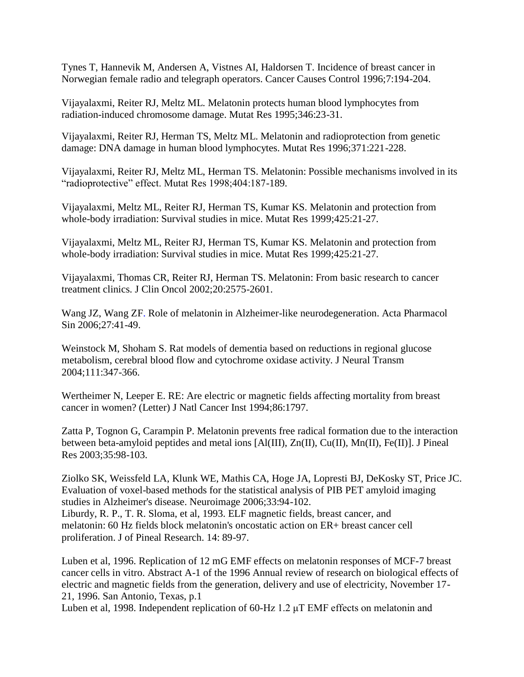Tynes T, Hannevik M, Andersen A, Vistnes AI, Haldorsen T. Incidence of breast cancer in Norwegian female radio and telegraph operators. Cancer Causes Control 1996;7:194-204.

Vijayalaxmi, Reiter RJ, Meltz ML. Melatonin protects human blood lymphocytes from radiation-induced chromosome damage. Mutat Res 1995;346:23-31.

Vijayalaxmi, Reiter RJ, Herman TS, Meltz ML. Melatonin and radioprotection from genetic damage: DNA damage in human blood lymphocytes. Mutat Res 1996;371:221-228.

Vijayalaxmi, Reiter RJ, Meltz ML, Herman TS. Melatonin: Possible mechanisms involved in its "radioprotective" effect. Mutat Res 1998;404:187-189.

Vijayalaxmi, Meltz ML, Reiter RJ, Herman TS, Kumar KS. Melatonin and protection from whole-body irradiation: Survival studies in mice. Mutat Res 1999;425:21-27.

Vijayalaxmi, Meltz ML, Reiter RJ, Herman TS, Kumar KS. Melatonin and protection from whole-body irradiation: Survival studies in mice. Mutat Res 1999;425:21-27.

Vijayalaxmi, Thomas CR, Reiter RJ, Herman TS. Melatonin: From basic research to cancer treatment clinics. J Clin Oncol 2002;20:2575-2601.

Wang JZ, Wang ZF. Role of melatonin in Alzheimer-like neurodegeneration. Acta Pharmacol Sin 2006;27:41-49.

Weinstock M, Shoham S. Rat models of dementia based on reductions in regional glucose metabolism, cerebral blood flow and cytochrome oxidase activity. J Neural Transm 2004;111:347-366.

Wertheimer N, Leeper E. RE: Are electric or magnetic fields affecting mortality from breast cancer in women? (Letter) J Natl Cancer Inst 1994;86:1797.

Zatta P, Tognon G, Carampin P. Melatonin prevents free radical formation due to the interaction between beta-amyloid peptides and metal ions [Al(III), Zn(II), Cu(II), Mn(II), Fe(II)]. J Pineal Res 2003;35:98-103.

Ziolko SK, Weissfeld LA, Klunk WE, Mathis CA, Hoge JA, Lopresti BJ, DeKosky ST, Price JC. Evaluation of voxel-based methods for the statistical analysis of PIB PET amyloid imaging studies in Alzheimer's disease. Neuroimage 2006;33:94-102.

Liburdy, R. P., T. R. Sloma, et al, 1993. ELF magnetic fields, breast cancer, and melatonin: 60 Hz fields block melatonin's oncostatic action on ER+ breast cancer cell proliferation. J of Pineal Research. 14: 89-97.

Luben et al, 1996. Replication of 12 mG EMF effects on melatonin responses of MCF-7 breast cancer cells in vitro. Abstract A-1 of the 1996 Annual review of research on biological effects of electric and magnetic fields from the generation, delivery and use of electricity, November 17- 21, 1996. San Antonio, Texas, p.1

Luben et al, 1998. Independent replication of 60-Hz 1.2 μT EMF effects on melatonin and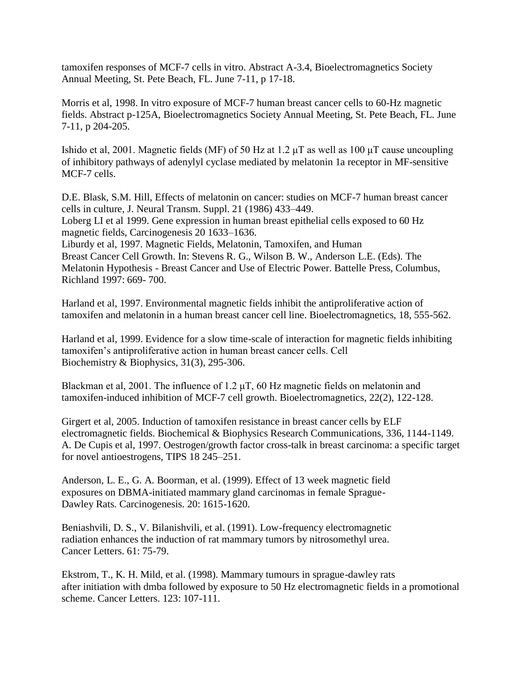tamoxifen responses of MCF-7 cells in vitro. Abstract A-3.4, Bioelectromagnetics Society Annual Meeting, St. Pete Beach, FL. June 7-11, p 17-18.

Morris et al, 1998. In vitro exposure of MCF-7 human breast cancer cells to 60-Hz magnetic fields. Abstract p-125A, Bioelectromagnetics Society Annual Meeting, St. Pete Beach, FL. June 7-11, p 204-205.

Ishido et al, 2001. Magnetic fields (MF) of 50 Hz at 1.2 μT as well as 100 μT cause uncoupling of inhibitory pathways of adenylyl cyclase mediated by melatonin 1a receptor in MF-sensitive MCF-7 cells.

D.E. Blask, S.M. Hill, Effects of melatonin on cancer: studies on MCF-7 human breast cancer cells in culture, J. Neural Transm. Suppl. 21 (1986) 433–449. Loberg LI et al 1999. Gene expression in human breast epithelial cells exposed to 60 Hz magnetic fields, Carcinogenesis 20 1633–1636. Liburdy et al, 1997. Magnetic Fields, Melatonin, Tamoxifen, and Human Breast Cancer Cell Growth. In: Stevens R. G., Wilson B. W., Anderson L.E. (Eds). The Melatonin Hypothesis - Breast Cancer and Use of Electric Power. Battelle Press, Columbus, Richland 1997: 669- 700.

Harland et al, 1997. Environmental magnetic fields inhibit the antiproliferative action of tamoxifen and melatonin in a human breast cancer cell line. Bioelectromagnetics, 18, 555-562.

Harland et al, 1999. Evidence for a slow time-scale of interaction for magnetic fields inhibiting tamoxifen"s antiproliferative action in human breast cancer cells. Cell Biochemistry & Biophysics, 31(3), 295-306.

Blackman et al, 2001. The influence of 1.2  $\mu$ T, 60 Hz magnetic fields on melatonin and tamoxifen-induced inhibition of MCF-7 cell growth. Bioelectromagnetics, 22(2), 122-128.

Girgert et al, 2005. Induction of tamoxifen resistance in breast cancer cells by ELF electromagnetic fields. Biochemical & Biophysics Research Communications, 336, 1144-1149. A. De Cupis et al, 1997. Oestrogen/growth factor cross-talk in breast carcinoma: a specific target for novel antioestrogens, TIPS 18 245–251.

Anderson, L. E., G. A. Boorman, et al. (1999). Effect of 13 week magnetic field exposures on DBMA-initiated mammary gland carcinomas in female Sprague-Dawley Rats. Carcinogenesis. 20: 1615-1620.

Beniashvili, D. S., V. Bilanishvili, et al. (1991). Low-frequency electromagnetic radiation enhances the induction of rat mammary tumors by nitrosomethyl urea. Cancer Letters. 61: 75-79.

Ekstrom, T., K. H. Mild, et al. (1998). Mammary tumours in sprague-dawley rats after initiation with dmba followed by exposure to 50 Hz electromagnetic fields in a promotional scheme. Cancer Letters. 123: 107-111.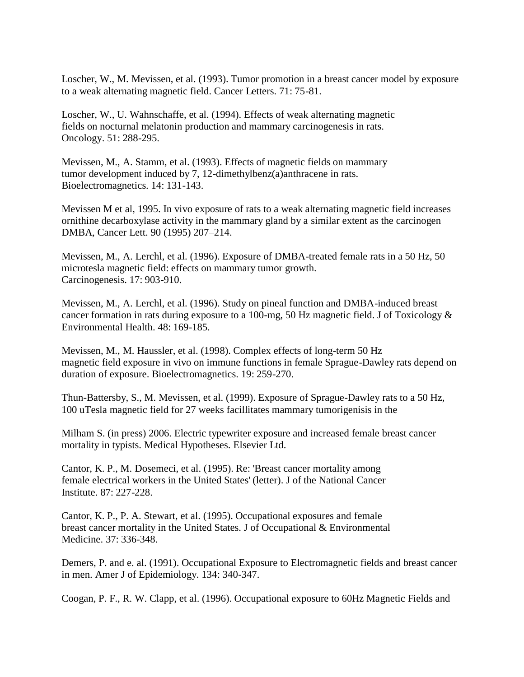Loscher, W., M. Mevissen, et al. (1993). Tumor promotion in a breast cancer model by exposure to a weak alternating magnetic field. Cancer Letters. 71: 75-81.

Loscher, W., U. Wahnschaffe, et al. (1994). Effects of weak alternating magnetic fields on nocturnal melatonin production and mammary carcinogenesis in rats. Oncology. 51: 288-295.

Mevissen, M., A. Stamm, et al. (1993). Effects of magnetic fields on mammary tumor development induced by 7, 12-dimethylbenz(a)anthracene in rats. Bioelectromagnetics. 14: 131-143.

Mevissen M et al, 1995. In vivo exposure of rats to a weak alternating magnetic field increases ornithine decarboxylase activity in the mammary gland by a similar extent as the carcinogen DMBA, Cancer Lett. 90 (1995) 207–214.

Mevissen, M., A. Lerchl, et al. (1996). Exposure of DMBA-treated female rats in a 50 Hz, 50 microtesla magnetic field: effects on mammary tumor growth. Carcinogenesis. 17: 903-910.

Mevissen, M., A. Lerchl, et al. (1996). Study on pineal function and DMBA-induced breast cancer formation in rats during exposure to a 100-mg, 50 Hz magnetic field. J of Toxicology & Environmental Health. 48: 169-185.

Mevissen, M., M. Haussler, et al. (1998). Complex effects of long-term 50 Hz magnetic field exposure in vivo on immune functions in female Sprague-Dawley rats depend on duration of exposure. Bioelectromagnetics. 19: 259-270.

Thun-Battersby, S., M. Mevissen, et al. (1999). Exposure of Sprague-Dawley rats to a 50 Hz, 100 uTesla magnetic field for 27 weeks facillitates mammary tumorigenisis in the

Milham S. (in press) 2006. Electric typewriter exposure and increased female breast cancer mortality in typists. Medical Hypotheses. Elsevier Ltd.

Cantor, K. P., M. Dosemeci, et al. (1995). Re: 'Breast cancer mortality among female electrical workers in the United States' (letter). J of the National Cancer Institute. 87: 227-228.

Cantor, K. P., P. A. Stewart, et al. (1995). Occupational exposures and female breast cancer mortality in the United States. J of Occupational & Environmental Medicine. 37: 336-348.

Demers, P. and e. al. (1991). Occupational Exposure to Electromagnetic fields and breast cancer in men. Amer J of Epidemiology. 134: 340-347.

Coogan, P. F., R. W. Clapp, et al. (1996). Occupational exposure to 60Hz Magnetic Fields and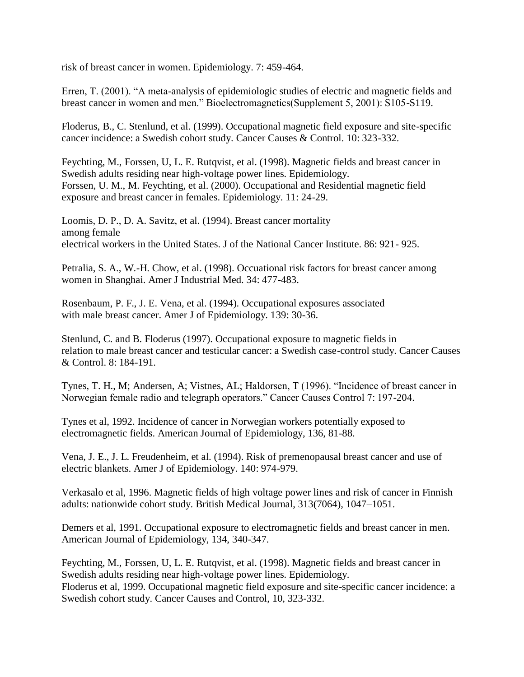risk of breast cancer in women. Epidemiology. 7: 459-464.

Erren, T. (2001). "A meta-analysis of epidemiologic studies of electric and magnetic fields and breast cancer in women and men." Bioelectromagnetics(Supplement 5, 2001): S105-S119.

Floderus, B., C. Stenlund, et al. (1999). Occupational magnetic field exposure and site-specific cancer incidence: a Swedish cohort study. Cancer Causes & Control. 10: 323-332.

Feychting, M., Forssen, U, L. E. Rutqvist, et al. (1998). Magnetic fields and breast cancer in Swedish adults residing near high-voltage power lines. Epidemiology. Forssen, U. M., M. Feychting, et al. (2000). Occupational and Residential magnetic field exposure and breast cancer in females. Epidemiology. 11: 24-29.

Loomis, D. P., D. A. Savitz, et al. (1994). Breast cancer mortality among female electrical workers in the United States. J of the National Cancer Institute. 86: 921- 925.

Petralia, S. A., W.-H. Chow, et al. (1998). Occuational risk factors for breast cancer among women in Shanghai. Amer J Industrial Med. 34: 477-483.

Rosenbaum, P. F., J. E. Vena, et al. (1994). Occupational exposures associated with male breast cancer. Amer J of Epidemiology. 139: 30-36.

Stenlund, C. and B. Floderus (1997). Occupational exposure to magnetic fields in relation to male breast cancer and testicular cancer: a Swedish case-control study. Cancer Causes & Control. 8: 184-191.

Tynes, T. H., M; Andersen, A; Vistnes, AL; Haldorsen, T (1996). "Incidence of breast cancer in Norwegian female radio and telegraph operators." Cancer Causes Control 7: 197-204.

Tynes et al, 1992. Incidence of cancer in Norwegian workers potentially exposed to electromagnetic fields. American Journal of Epidemiology, 136, 81-88.

Vena, J. E., J. L. Freudenheim, et al. (1994). Risk of premenopausal breast cancer and use of electric blankets. Amer J of Epidemiology. 140: 974-979.

Verkasalo et al, 1996. Magnetic fields of high voltage power lines and risk of cancer in Finnish adults: nationwide cohort study. British Medical Journal, 313(7064), 1047–1051.

Demers et al, 1991. Occupational exposure to electromagnetic fields and breast cancer in men. American Journal of Epidemiology, 134, 340-347.

Feychting, M., Forssen, U, L. E. Rutqvist, et al. (1998). Magnetic fields and breast cancer in Swedish adults residing near high-voltage power lines. Epidemiology. Floderus et al, 1999. Occupational magnetic field exposure and site-specific cancer incidence: a Swedish cohort study. Cancer Causes and Control, 10, 323-332.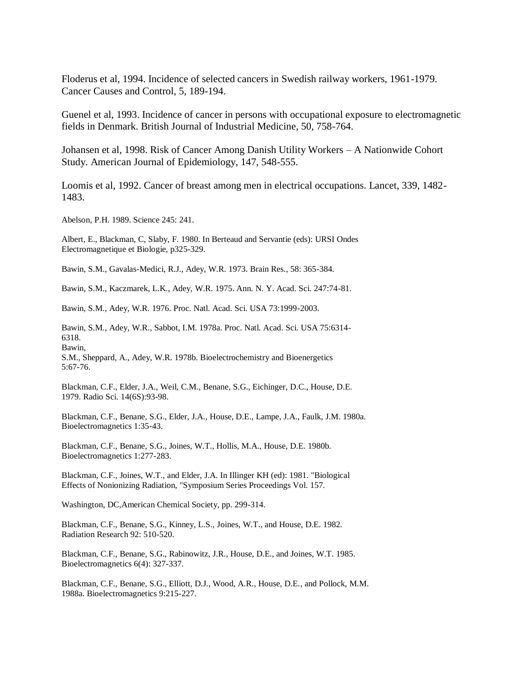Floderus et al, 1994. Incidence of selected cancers in Swedish railway workers, 1961-1979. Cancer Causes and Control, 5, 189-194.

Guenel et al, 1993. Incidence of cancer in persons with occupational exposure to electromagnetic fields in Denmark. British Journal of Industrial Medicine, 50, 758-764.

Johansen et al, 1998. Risk of Cancer Among Danish Utility Workers – A Nationwide Cohort Study. American Journal of Epidemiology, 147, 548-555.

Loomis et al, 1992. Cancer of breast among men in electrical occupations. Lancet, 339, 1482- 1483.

Abelson, P.H. 1989. Science 245: 241.

Albert, E., Blackman, C, Slaby, F. 1980. In Berteaud and Servantie (eds): URSI Ondes Electromagnetique et Biologie, p325-329.

Bawin, S.M., Gavalas-Medici, R.J., Adey, W.R. 1973. Brain Res., 58: 365-384.

Bawin, S.M., Kaczmarek, L.K., Adey, W.R. 1975. Ann. N. Y. Acad. Sci. 247:74-81.

Bawin, S.M., Adey, W.R. 1976. Proc. Natl. Acad. Sci. USA 73:1999-2003.

Bawin, S.M., Adey, W.R., Sabbot, I.M. 1978a. Proc. Natl. Acad. Sci. USA 75:6314- 6318. Bawin,

S.M., Sheppard, A., Adey, W.R. 1978b. Bioelectrochemistry and Bioenergetics 5:67-76.

Blackman, C.F., Elder, J.A., Weil, C.M., Benane, S.G., Eichinger, D.C., House, D.E. 1979. Radio Sci. 14(6S):93-98.

Blackman, C.F., Benane, S.G., Elder, J.A., House, D.E., Lampe, J.A., Faulk, J.M. 1980a. Bioelectromagnetics 1:35-43.

Blackman, C.F., Benane, S.G., Joines, W.T., Hollis, M.A., House, D.E. 1980b. Bioelectromagnetics 1:277-283.

Blackman, C.F., Joines, W.T., and Elder, J.A. In Illinger KH (ed): 1981. "Biological Effects of Nonionizing Radiation, "Symposium Series Proceedings Vol. 157.

Washington, DC,American Chemical Society, pp. 299-314.

Blackman, C.F., Benane, S.G., Kinney, L.S., Joines, W.T., and House, D.E. 1982. Radiation Research 92: 510-520.

Blackman, C.F., Benane, S.G., Rabinowitz, J.R., House, D.E., and Joines, W.T. 1985. Bioelectromagnetics 6(4): 327-337.

Blackman, C.F., Benane, S.G., Elliott, D.J., Wood, A.R., House, D.E., and Pollock, M.M. 1988a. Bioelectromagnetics 9:215-227.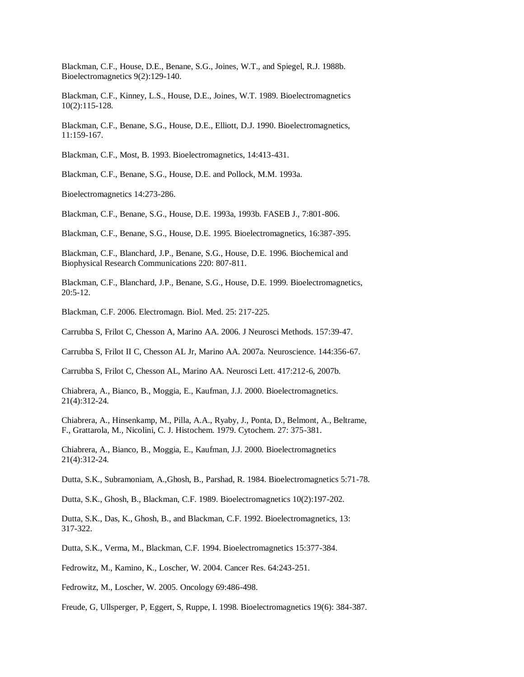Blackman, C.F., House, D.E., Benane, S.G., Joines, W.T., and Spiegel, R.J. 1988b. Bioelectromagnetics 9(2):129-140.

Blackman, C.F., Kinney, L.S., House, D.E., Joines, W.T. 1989. Bioelectromagnetics 10(2):115-128.

Blackman, C.F., Benane, S.G., House, D.E., Elliott, D.J. 1990. Bioelectromagnetics, 11:159-167.

Blackman, C.F., Most, B. 1993. Bioelectromagnetics, 14:413-431.

Blackman, C.F., Benane, S.G., House, D.E. and Pollock, M.M. 1993a.

Bioelectromagnetics 14:273-286.

Blackman, C.F., Benane, S.G., House, D.E. 1993a, 1993b. FASEB J., 7:801-806.

Blackman, C.F., Benane, S.G., House, D.E. 1995. Bioelectromagnetics, 16:387-395.

Blackman, C.F., Blanchard, J.P., Benane, S.G., House, D.E. 1996. Biochemical and Biophysical Research Communications 220: 807-811.

Blackman, C.F., Blanchard, J.P., Benane, S.G., House, D.E. 1999. Bioelectromagnetics, 20:5-12.

Blackman, C.F. 2006. Electromagn. Biol. Med. 25: 217-225.

Carrubba S, Frilot C, Chesson A, Marino AA. 2006. J Neurosci Methods. 157:39-47.

Carrubba S, Frilot II C, Chesson AL Jr, Marino AA. 2007a. Neuroscience. 144:356-67.

Carrubba S, Frilot C, Chesson AL, Marino AA. Neurosci Lett. 417:212-6, 2007b.

Chiabrera, A., Bianco, B., Moggia, E., Kaufman, J.J. 2000. Bioelectromagnetics. 21(4):312-24.

Chiabrera, A., Hinsenkamp, M., Pilla, A.A., Ryaby, J., Ponta, D., Belmont, A., Beltrame, F., Grattarola, M., Nicolini, C. J. Histochem. 1979. Cytochem. 27: 375-381.

Chiabrera, A., Bianco, B., Moggia, E., Kaufman, J.J. 2000. Bioelectromagnetics 21(4):312-24.

Dutta, S.K., Subramoniam, A.,Ghosh, B., Parshad, R. 1984. Bioelectromagnetics 5:71-78.

Dutta, S.K., Ghosh, B., Blackman, C.F. 1989. Bioelectromagnetics 10(2):197-202.

Dutta, S.K., Das, K., Ghosh, B., and Blackman, C.F. 1992. Bioelectromagnetics, 13: 317-322.

Dutta, S.K., Verma, M., Blackman, C.F. 1994. Bioelectromagnetics 15:377-384.

Fedrowitz, M., Kamino, K., Loscher, W. 2004. Cancer Res. 64:243-251.

Fedrowitz, M., Loscher, W. 2005. Oncology 69:486-498.

Freude, G, Ullsperger, P, Eggert, S, Ruppe, I. 1998. Bioelectromagnetics 19(6): 384-387.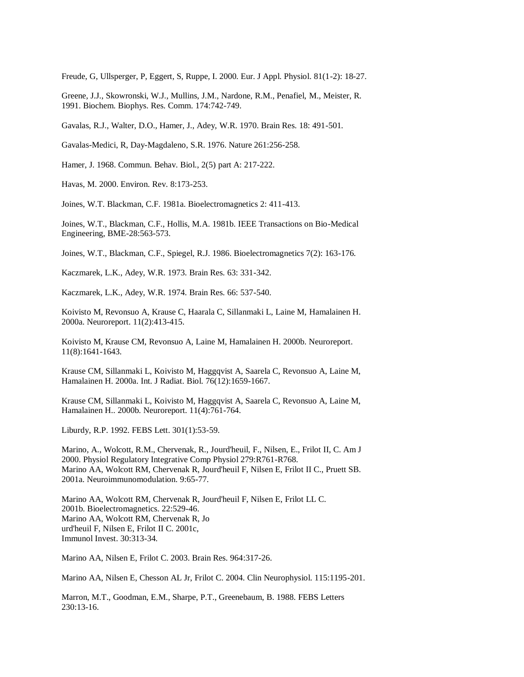Freude, G, Ullsperger, P, Eggert, S, Ruppe, I. 2000. Eur. J Appl. Physiol. 81(1-2): 18-27.

Greene, J.J., Skowronski, W.J., Mullins, J.M., Nardone, R.M., Penafiel, M., Meister, R. 1991. Biochem. Biophys. Res. Comm. 174:742-749.

Gavalas, R.J., Walter, D.O., Hamer, J., Adey, W.R. 1970. Brain Res. 18: 491-501.

Gavalas-Medici, R, Day-Magdaleno, S.R. 1976. Nature 261:256-258.

Hamer, J. 1968. Commun. Behav. Biol., 2(5) part A: 217-222.

Havas, M. 2000. Environ. Rev. 8:173-253.

Joines, W.T. Blackman, C.F. 1981a. Bioelectromagnetics 2: 411-413.

Joines, W.T., Blackman, C.F., Hollis, M.A. 1981b. IEEE Transactions on Bio-Medical Engineering, BME-28:563-573.

Joines, W.T., Blackman, C.F., Spiegel, R.J. 1986. Bioelectromagnetics 7(2): 163-176.

Kaczmarek, L.K., Adey, W.R. 1973. Brain Res. 63: 331-342.

Kaczmarek, L.K., Adey, W.R. 1974. Brain Res. 66: 537-540.

Koivisto M, Revonsuo A, Krause C, Haarala C, Sillanmaki L, Laine M, Hamalainen H. 2000a. Neuroreport. 11(2):413-415.

Koivisto M, Krause CM, Revonsuo A, Laine M, Hamalainen H. 2000b. Neuroreport. 11(8):1641-1643.

Krause CM, Sillanmaki L, Koivisto M, Haggqvist A, Saarela C, Revonsuo A, Laine M, Hamalainen H. 2000a. Int. J Radiat. Biol. 76(12):1659-1667.

Krause CM, Sillanmaki L, Koivisto M, Haggqvist A, Saarela C, Revonsuo A, Laine M, Hamalainen H.. 2000b. Neuroreport. 11(4):761-764.

Liburdy, R.P. 1992. FEBS Lett. 301(1):53-59.

Marino, A., Wolcott, R.M., Chervenak, R., Jourd'heuil, F., Nilsen, E., Frilot II, C. Am J 2000. Physiol Regulatory Integrative Comp Physiol 279:R761-R768. Marino AA, Wolcott RM, Chervenak R, Jourd'heuil F, Nilsen E, Frilot II C., Pruett SB. 2001a. Neuroimmunomodulation. 9:65-77.

Marino AA, Wolcott RM, Chervenak R, Jourd'heuil F, Nilsen E, Frilot LL C. 2001b. Bioelectromagnetics. 22:529-46. Marino AA, Wolcott RM, Chervenak R, Jo urd'heuil F, Nilsen E, Frilot II C. 2001c, Immunol Invest. 30:313-34.

Marino AA, Nilsen E, Frilot C. 2003. Brain Res. 964:317-26.

Marino AA, Nilsen E, Chesson AL Jr, Frilot C. 2004. Clin Neurophysiol. 115:1195-201.

Marron, M.T., Goodman, E.M., Sharpe, P.T., Greenebaum, B. 1988. FEBS Letters 230:13-16.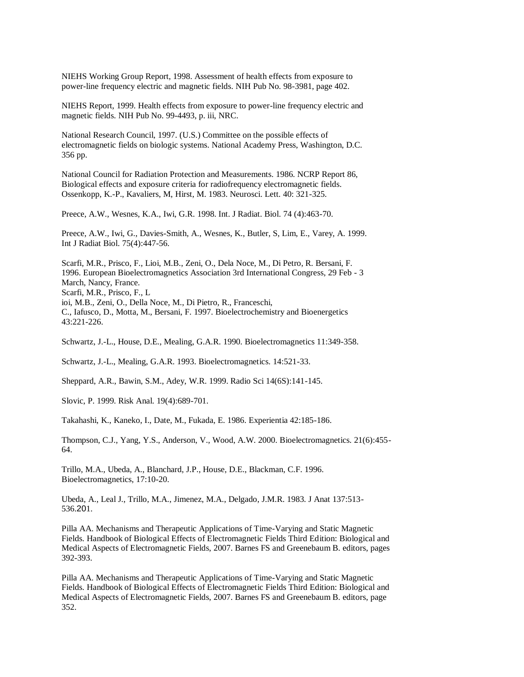NIEHS Working Group Report, 1998. Assessment of health effects from exposure to power-line frequency electric and magnetic fields. NIH Pub No. 98-3981, page 402.

NIEHS Report, 1999. Health effects from exposure to power-line frequency electric and magnetic fields. NIH Pub No. 99-4493, p. iii, NRC.

National Research Council, 1997. (U.S.) Committee on the possible effects of electromagnetic fields on biologic systems. National Academy Press, Washington, D.C. 356 pp.

National Council for Radiation Protection and Measurements. 1986. NCRP Report 86, Biological effects and exposure criteria for radiofrequency electromagnetic fields. Ossenkopp, K.-P., Kavaliers, M, Hirst, M. 1983. Neurosci. Lett. 40: 321-325.

Preece, A.W., Wesnes, K.A., Iwi, G.R. 1998. Int. J Radiat. Biol. 74 (4):463-70.

Preece, A.W., Iwi, G., Davies-Smith, A., Wesnes, K., Butler, S, Lim, E., Varey, A. 1999. Int J Radiat Biol. 75(4):447-56.

Scarfi, M.R., Prisco, F., Lioi, M.B., Zeni, O., Dela Noce, M., Di Petro, R. Bersani, F. 1996. European Bioelectromagnetics Association 3rd International Congress, 29 Feb - 3 March, Nancy, France. Scarfi, M.R., Prisco, F., L ioi, M.B., Zeni, O., Della Noce, M., Di Pietro, R., Franceschi, C., Iafusco, D., Motta, M., Bersani, F. 1997. Bioelectrochemistry and Bioenergetics 43:221-226.

Schwartz, J.-L., House, D.E., Mealing, G.A.R. 1990. Bioelectromagnetics 11:349-358.

Schwartz, J.-L., Mealing, G.A.R. 1993. Bioelectromagnetics. 14:521-33.

Sheppard, A.R., Bawin, S.M., Adey, W.R. 1999. Radio Sci 14(6S):141-145.

Slovic, P. 1999. Risk Anal. 19(4):689-701.

Takahashi, K., Kaneko, I., Date, M., Fukada, E. 1986. Experientia 42:185-186.

Thompson, C.J., Yang, Y.S., Anderson, V., Wood, A.W. 2000. Bioelectromagnetics. 21(6):455- 64.

Trillo, M.A., Ubeda, A., Blanchard, J.P., House, D.E., Blackman, C.F. 1996. Bioelectromagnetics, 17:10-20.

Ubeda, A., Leal J., Trillo, M.A., Jimenez, M.A., Delgado, J.M.R. 1983. J Anat 137:513- 536.201.

Pilla AA. Mechanisms and Therapeutic Applications of Time-Varying and Static Magnetic Fields. Handbook of Biological Effects of Electromagnetic Fields Third Edition: Biological and Medical Aspects of Electromagnetic Fields, 2007. Barnes FS and Greenebaum B. editors, pages 392-393.

Pilla AA. Mechanisms and Therapeutic Applications of Time-Varying and Static Magnetic Fields. Handbook of Biological Effects of Electromagnetic Fields Third Edition: Biological and Medical Aspects of Electromagnetic Fields, 2007. Barnes FS and Greenebaum B. editors, page 352.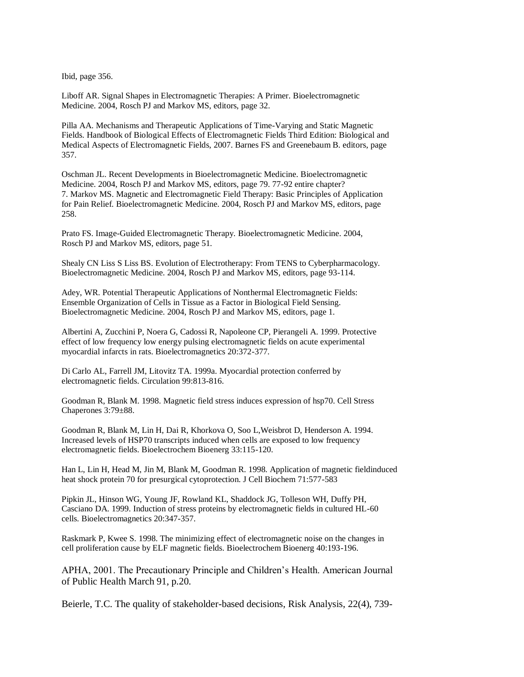Ibid, page 356.

Liboff AR. Signal Shapes in Electromagnetic Therapies: A Primer. Bioelectromagnetic Medicine. 2004, Rosch PJ and Markov MS, editors, page 32.

Pilla AA. Mechanisms and Therapeutic Applications of Time-Varying and Static Magnetic Fields. Handbook of Biological Effects of Electromagnetic Fields Third Edition: Biological and Medical Aspects of Electromagnetic Fields, 2007. Barnes FS and Greenebaum B. editors, page 357.

Oschman JL. Recent Developments in Bioelectromagnetic Medicine. Bioelectromagnetic Medicine. 2004, Rosch PJ and Markov MS, editors, page 79. 77-92 entire chapter? 7. Markov MS. Magnetic and Electromagnetic Field Therapy: Basic Principles of Application for Pain Relief. Bioelectromagnetic Medicine. 2004, Rosch PJ and Markov MS, editors, page 258.

Prato FS. Image-Guided Electromagnetic Therapy. Bioelectromagnetic Medicine. 2004, Rosch PJ and Markov MS, editors, page 51.

Shealy CN Liss S Liss BS. Evolution of Electrotherapy: From TENS to Cyberpharmacology. Bioelectromagnetic Medicine. 2004, Rosch PJ and Markov MS, editors, page 93-114.

Adey, WR. Potential Therapeutic Applications of Nonthermal Electromagnetic Fields: Ensemble Organization of Cells in Tissue as a Factor in Biological Field Sensing. Bioelectromagnetic Medicine. 2004, Rosch PJ and Markov MS, editors, page 1.

Albertini A, Zucchini P, Noera G, Cadossi R, Napoleone CP, Pierangeli A. 1999. Protective effect of low frequency low energy pulsing electromagnetic fields on acute experimental myocardial infarcts in rats. Bioelectromagnetics 20:372-377.

Di Carlo AL, Farrell JM, Litovitz TA. 1999a. Myocardial protection conferred by electromagnetic fields. Circulation 99:813-816.

Goodman R, Blank M. 1998. Magnetic field stress induces expression of hsp70. Cell Stress Chaperones 3:79±88.

Goodman R, Blank M, Lin H, Dai R, Khorkova O, Soo L,Weisbrot D, Henderson A. 1994. Increased levels of HSP70 transcripts induced when cells are exposed to low frequency electromagnetic fields. Bioelectrochem Bioenerg 33:115-120.

Han L, Lin H, Head M, Jin M, Blank M, Goodman R. 1998. Application of magnetic fieldinduced heat shock protein 70 for presurgical cytoprotection. J Cell Biochem 71:577-583

Pipkin JL, Hinson WG, Young JF, Rowland KL, Shaddock JG, Tolleson WH, Duffy PH, Casciano DA. 1999. Induction of stress proteins by electromagnetic fields in cultured HL-60 cells. Bioelectromagnetics 20:347-357.

Raskmark P, Kwee S. 1998. The minimizing effect of electromagnetic noise on the changes in cell proliferation cause by ELF magnetic fields. Bioelectrochem Bioenerg 40:193-196.

APHA, 2001. The Precautionary Principle and Children"s Health. American Journal of Public Health March 91, p.20.

Beierle, T.C. The quality of stakeholder-based decisions, Risk Analysis, 22(4), 739-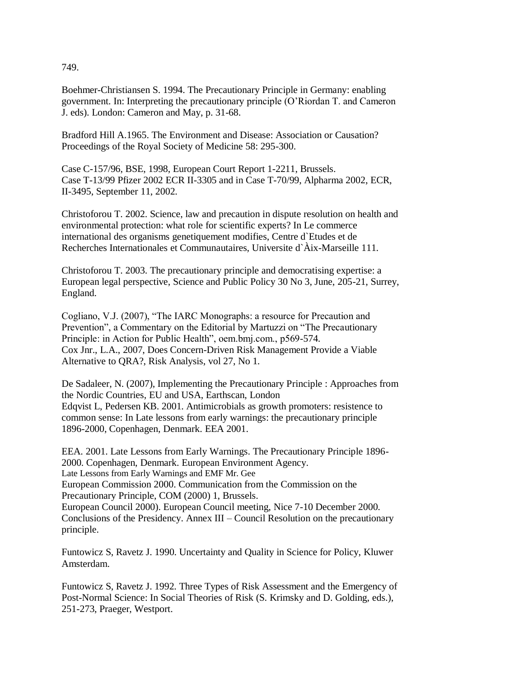749.

Boehmer-Christiansen S. 1994. The Precautionary Principle in Germany: enabling government. In: Interpreting the precautionary principle (O"Riordan T. and Cameron J. eds). London: Cameron and May, p. 31-68.

Bradford Hill A.1965. The Environment and Disease: Association or Causation? Proceedings of the Royal Society of Medicine 58: 295-300.

Case C-157/96, BSE, 1998, European Court Report 1-2211, Brussels. Case T-13/99 Pfizer 2002 ECR II-3305 and in Case T-70/99, Alpharma 2002, ECR, II-3495, September 11, 2002.

Christoforou T. 2002. Science, law and precaution in dispute resolution on health and environmental protection: what role for scientific experts? In Le commerce international des organisms genetiquement modifies, Centre d`Etudes et de Recherches Internationales et Communautaires, Universite d`Àix-Marseille 111.

Christoforou T. 2003. The precautionary principle and democratising expertise: a European legal perspective, Science and Public Policy 30 No 3, June, 205-21, Surrey, England.

Cogliano, V.J. (2007), "The IARC Monographs: a resource for Precaution and Prevention", a Commentary on the Editorial by Martuzzi on "The Precautionary Principle: in Action for Public Health", oem.bmj.com., p569-574. Cox Jnr., L.A., 2007, Does Concern-Driven Risk Management Provide a Viable Alternative to QRA?, Risk Analysis, vol 27, No 1.

De Sadaleer, N. (2007), Implementing the Precautionary Principle : Approaches from the Nordic Countries, EU and USA, Earthscan, London Edqvist L, Pedersen KB. 2001. Antimicrobials as growth promoters: resistence to common sense: In Late lessons from early warnings: the precautionary principle 1896-2000, Copenhagen, Denmark. EEA 2001.

EEA. 2001. Late Lessons from Early Warnings. The Precautionary Principle 1896- 2000. Copenhagen, Denmark. European Environment Agency. Late Lessons from Early Warnings and EMF Mr. Gee European Commission 2000. Communication from the Commission on the Precautionary Principle, COM (2000) 1, Brussels. European Council 2000). European Council meeting, Nice 7-10 December 2000. Conclusions of the Presidency. Annex III – Council Resolution on the precautionary principle.

Funtowicz S, Ravetz J. 1990. Uncertainty and Quality in Science for Policy, Kluwer Amsterdam.

Funtowicz S, Ravetz J. 1992. Three Types of Risk Assessment and the Emergency of Post-Normal Science: In Social Theories of Risk (S. Krimsky and D. Golding, eds.), 251-273, Praeger, Westport.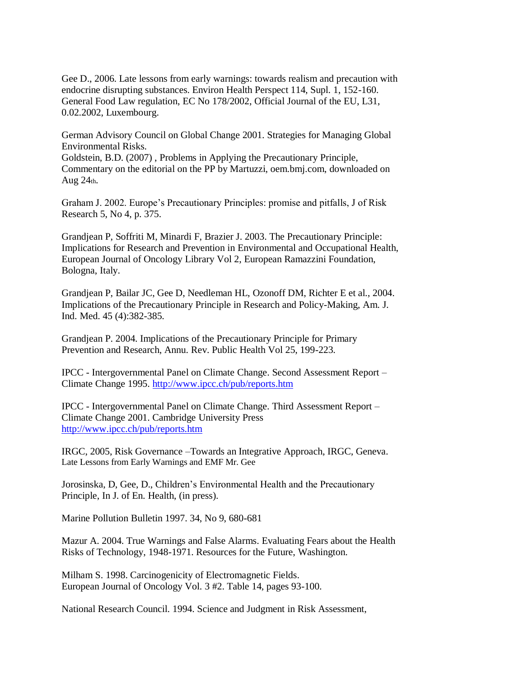Gee D., 2006. Late lessons from early warnings: towards realism and precaution with endocrine disrupting substances. Environ Health Perspect 114, Supl. 1, 152-160. General Food Law regulation, EC No 178/2002, Official Journal of the EU, L31, 0.02.2002, Luxembourg.

German Advisory Council on Global Change 2001. Strategies for Managing Global Environmental Risks. Goldstein, B.D. (2007) , Problems in Applying the Precautionary Principle,

Commentary on the editorial on the PP by Martuzzi, oem.bmj.com, downloaded on Aug  $24<sub>th</sub>$ .

Graham J. 2002. Europe"s Precautionary Principles: promise and pitfalls, J of Risk Research 5, No 4, p. 375.

Grandjean P, Soffriti M, Minardi F, Brazier J. 2003. The Precautionary Principle: Implications for Research and Prevention in Environmental and Occupational Health, European Journal of Oncology Library Vol 2, European Ramazzini Foundation, Bologna, Italy.

Grandjean P, Bailar JC, Gee D, Needleman HL, Ozonoff DM, Richter E et al., 2004. Implications of the Precautionary Principle in Research and Policy-Making, Am. J. Ind. Med. 45 (4):382-385.

Grandjean P. 2004. Implications of the Precautionary Principle for Primary Prevention and Research, Annu. Rev. Public Health Vol 25, 199-223.

IPCC - Intergovernmental Panel on Climate Change. Second Assessment Report – Climate Change 1995.<http://www.ipcc.ch/pub/reports.htm>

IPCC - Intergovernmental Panel on Climate Change. Third Assessment Report – Climate Change 2001. Cambridge University Press <http://www.ipcc.ch/pub/reports.htm>

IRGC, 2005, Risk Governance –Towards an Integrative Approach, IRGC, Geneva. Late Lessons from Early Warnings and EMF Mr. Gee

Jorosinska, D, Gee, D., Children"s Environmental Health and the Precautionary Principle, In J. of En. Health, (in press).

Marine Pollution Bulletin 1997. 34, No 9, 680-681

Mazur A. 2004. True Warnings and False Alarms. Evaluating Fears about the Health Risks of Technology, 1948-1971. Resources for the Future, Washington.

Milham S. 1998. Carcinogenicity of Electromagnetic Fields. European Journal of Oncology Vol. 3 #2. Table 14, pages 93-100.

National Research Council. 1994. Science and Judgment in Risk Assessment,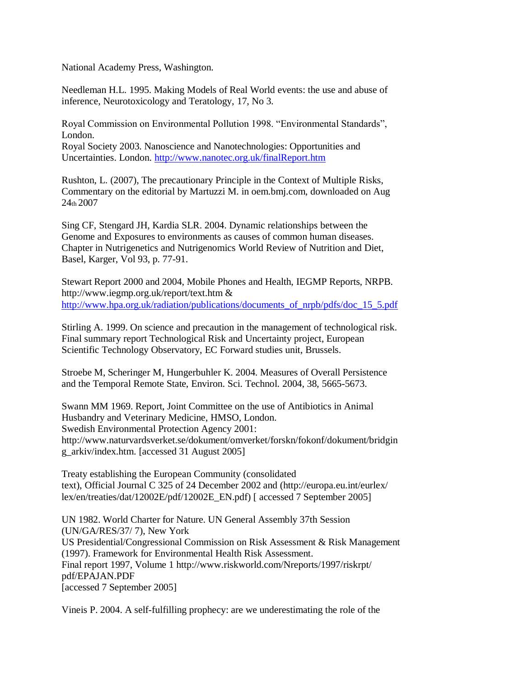National Academy Press, Washington.

Needleman H.L. 1995. Making Models of Real World events: the use and abuse of inference, Neurotoxicology and Teratology, 17, No 3.

Royal Commission on Environmental Pollution 1998. "Environmental Standards", London. Royal Society 2003. Nanoscience and Nanotechnologies: Opportunities and

Uncertainties. London.<http://www.nanotec.org.uk/finalReport.htm>

Rushton, L. (2007), The precautionary Principle in the Context of Multiple Risks, Commentary on the editorial by Martuzzi M. in oem.bmj.com, downloaded on Aug 24th 2007

Sing CF, Stengard JH, Kardia SLR. 2004. Dynamic relationships between the Genome and Exposures to environments as causes of common human diseases. Chapter in Nutrigenetics and Nutrigenomics World Review of Nutrition and Diet, Basel, Karger, Vol 93, p. 77-91.

Stewart Report 2000 and 2004, Mobile Phones and Health, IEGMP Reports, NRPB. http://www.iegmp.org.uk/report/text.htm & [http://www.hpa.org.uk/radiation/publications/documents\\_of\\_nrpb/pdfs/doc\\_15\\_5.pdf](http://www.hpa.org.uk/radiation/publications/documents_of_nrpb/pdfs/doc_15_5.pdf)

Stirling A. 1999. On science and precaution in the management of technological risk. Final summary report Technological Risk and Uncertainty project, European Scientific Technology Observatory, EC Forward studies unit, Brussels.

Stroebe M, Scheringer M, Hungerbuhler K. 2004. Measures of Overall Persistence and the Temporal Remote State, Environ. Sci. Technol. 2004, 38, 5665-5673.

Swann MM 1969. Report, Joint Committee on the use of Antibiotics in Animal Husbandry and Veterinary Medicine, HMSO, London. Swedish Environmental Protection Agency 2001: http://www.naturvardsverket.se/dokument/omverket/forskn/fokonf/dokument/bridgin g\_arkiv/index.htm. [accessed 31 August 2005]

Treaty establishing the European Community (consolidated text), Official Journal C 325 of 24 December 2002 and (http://europa.eu.int/eurlex/ lex/en/treaties/dat/12002E/pdf/12002E\_EN.pdf) [ accessed 7 September 2005]

UN 1982. World Charter for Nature. UN General Assembly 37th Session (UN/GA/RES/37/ 7), New York US Presidential/Congressional Commission on Risk Assessment & Risk Management (1997). Framework for Environmental Health Risk Assessment. Final report 1997, Volume 1 http://www.riskworld.com/Nreports/1997/riskrpt/ pdf/EPAJAN.PDF [accessed 7 September 2005]

Vineis P. 2004. A self-fulfilling prophecy: are we underestimating the role of the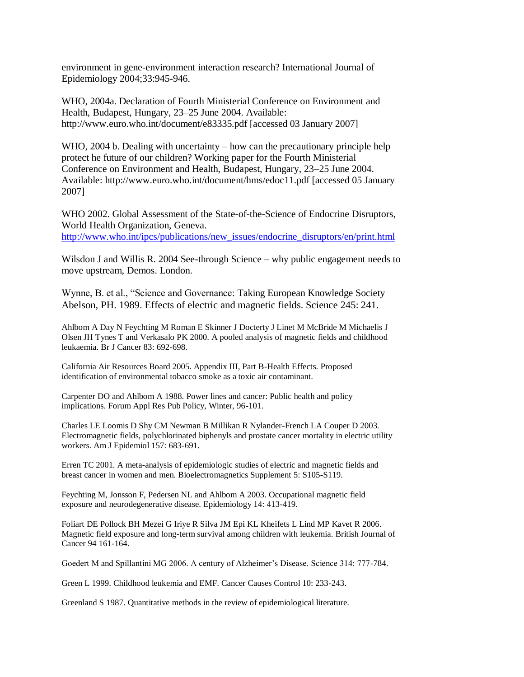environment in gene-environment interaction research? International Journal of Epidemiology 2004;33:945-946.

WHO, 2004a. Declaration of Fourth Ministerial Conference on Environment and Health, Budapest, Hungary, 23–25 June 2004. Available: http://www.euro.who.int/document/e83335.pdf [accessed 03 January 2007]

WHO, 2004 b. Dealing with uncertainty – how can the precautionary principle help protect he future of our children? Working paper for the Fourth Ministerial Conference on Environment and Health, Budapest, Hungary, 23–25 June 2004. Available: http://www.euro.who.int/document/hms/edoc11.pdf [accessed 05 January 2007]

WHO 2002. Global Assessment of the State-of-the-Science of Endocrine Disruptors, World Health Organization, Geneva. [http://www.who.int/ipcs/publications/new\\_issues/endocrine\\_disruptors/en/print.html](http://www.who.int/ipcs/publications/new_issues/endocrine_disruptors/en/print.html)

Wilsdon J and Willis R. 2004 See-through Science – why public engagement needs to move upstream, Demos. London.

Wynne, B. et al., "Science and Governance: Taking European Knowledge Society Abelson, PH. 1989. Effects of electric and magnetic fields. Science 245: 241.

Ahlbom A Day N Feychting M Roman E Skinner J Docterty J Linet M McBride M Michaelis J Olsen JH Tynes T and Verkasalo PK 2000. A pooled analysis of magnetic fields and childhood leukaemia. Br J Cancer 83: 692-698.

California Air Resources Board 2005. Appendix III, Part B-Health Effects. Proposed identification of environmental tobacco smoke as a toxic air contaminant.

Carpenter DO and Ahlbom A 1988. Power lines and cancer: Public health and policy implications. Forum Appl Res Pub Policy, Winter, 96-101.

Charles LE Loomis D Shy CM Newman B Millikan R Nylander-French LA Couper D 2003. Electromagnetic fields, polychlorinated biphenyls and prostate cancer mortality in electric utility workers. Am J Epidemiol 157: 683-691.

Erren TC 2001. A meta-analysis of epidemiologic studies of electric and magnetic fields and breast cancer in women and men. Bioelectromagnetics Supplement 5: S105-S119.

Feychting M, Jonsson F, Pedersen NL and Ahlbom A 2003. Occupational magnetic field exposure and neurodegenerative disease. Epidemiology 14: 413-419.

Foliart DE Pollock BH Mezei G Iriye R Silva JM Epi KL Kheifets L Lind MP Kavet R 2006. Magnetic field exposure and long-term survival among children with leukemia. British Journal of Cancer 94 161-164.

Goedert M and Spillantini MG 2006. A century of Alzheimer"s Disease. Science 314: 777-784.

Green L 1999. Childhood leukemia and EMF. Cancer Causes Control 10: 233-243.

Greenland S 1987. Quantitative methods in the review of epidemiological literature.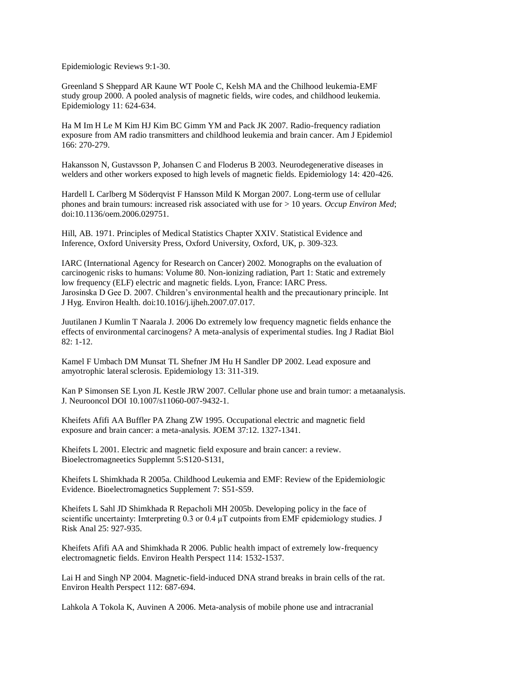Epidemiologic Reviews 9:1-30.

Greenland S Sheppard AR Kaune WT Poole C, Kelsh MA and the Chilhood leukemia-EMF study group 2000. A pooled analysis of magnetic fields, wire codes, and childhood leukemia. Epidemiology 11: 624-634.

Ha M Im H Le M Kim HJ Kim BC Gimm YM and Pack JK 2007. Radio-frequency radiation exposure from AM radio transmitters and childhood leukemia and brain cancer. Am J Epidemiol 166: 270-279.

Hakansson N, Gustavsson P, Johansen C and Floderus B 2003. Neurodegenerative diseases in welders and other workers exposed to high levels of magnetic fields. Epidemiology 14: 420-426.

Hardell L Carlberg M Söderqvist F Hansson Mild K Morgan 2007. Long-term use of cellular phones and brain tumours: increased risk associated with use for > 10 years. *Occup Environ Med*; doi:10.1136/oem.2006.029751.

Hill, AB. 1971. Principles of Medical Statistics Chapter XXIV. Statistical Evidence and Inference, Oxford University Press, Oxford University, Oxford, UK, p. 309-323.

IARC (International Agency for Research on Cancer) 2002. Monographs on the evaluation of carcinogenic risks to humans: Volume 80. Non-ionizing radiation, Part 1: Static and extremely low frequency (ELF) electric and magnetic fields. Lyon, France: IARC Press. Jarosinska D Gee D. 2007. Children"s environmental health and the precautionary principle. Int J Hyg. Environ Health. doi:10.1016/j.ijheh.2007.07.017.

Juutilanen J Kumlin T Naarala J. 2006 Do extremely low frequency magnetic fields enhance the effects of environmental carcinogens? A meta-analysis of experimental studies. Ing J Radiat Biol 82: 1-12.

Kamel F Umbach DM Munsat TL Shefner JM Hu H Sandler DP 2002. Lead exposure and amyotrophic lateral sclerosis. Epidemiology 13: 311-319.

Kan P Simonsen SE Lyon JL Kestle JRW 2007. Cellular phone use and brain tumor: a metaanalysis. J. Neurooncol DOI 10.1007/s11060-007-9432-1.

Kheifets Afifi AA Buffler PA Zhang ZW 1995. Occupational electric and magnetic field exposure and brain cancer: a meta-analysis. JOEM 37:12. 1327-1341.

Kheifets L 2001. Electric and magnetic field exposure and brain cancer: a review. Bioelectromagneetics Supplemnt 5:S120-S131,

Kheifets L Shimkhada R 2005a. Childhood Leukemia and EMF: Review of the Epidemiologic Evidence. Bioelectromagnetics Supplement 7: S51-S59.

Kheifets L Sahl JD Shimkhada R Repacholi MH 2005b. Developing policy in the face of scientific uncertainty: Imterpreting  $0.3$  or  $0.4 \mu T$  cutpoints from EMF epidemiology studies. J Risk Anal 25: 927-935.

Kheifets Afifi AA and Shimkhada R 2006. Public health impact of extremely low-frequency electromagnetic fields. Environ Health Perspect 114: 1532-1537.

Lai H and Singh NP 2004. Magnetic-field-induced DNA strand breaks in brain cells of the rat. Environ Health Perspect 112: 687-694.

Lahkola A Tokola K, Auvinen A 2006. Meta-analysis of mobile phone use and intracranial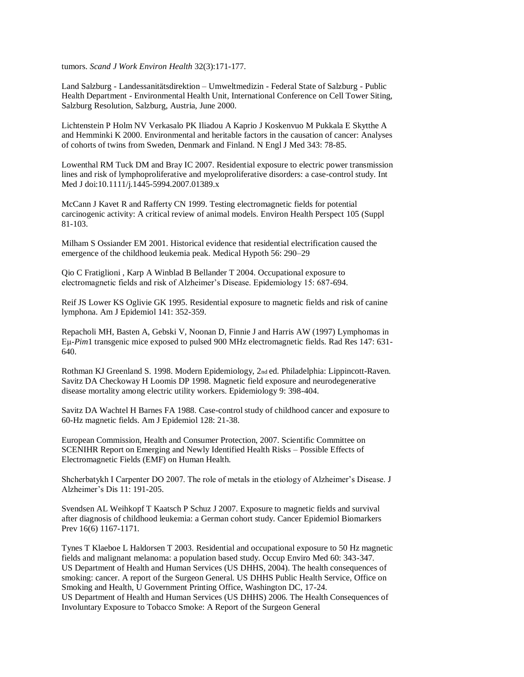tumors. *Scand J Work Environ Health* 32(3):171-177.

Land Salzburg - Landessanitätsdirektion – Umweltmedizin - Federal State of Salzburg - Public Health Department - Environmental Health Unit, International Conference on Cell Tower Siting, Salzburg Resolution, Salzburg, Austria, June 2000.

Lichtenstein P Holm NV Verkasalo PK Iliadou A Kaprio J Koskenvuo M Pukkala E Skytthe A and Hemminki K 2000. Environmental and heritable factors in the causation of cancer: Analyses of cohorts of twins from Sweden, Denmark and Finland. N Engl J Med 343: 78-85.

Lowenthal RM Tuck DM and Bray IC 2007. Residential exposure to electric power transmission lines and risk of lymphoproliferative and myeloproliferative disorders: a case-control study. Int Med J doi:10.1111/j.1445-5994.2007.01389.x

McCann J Kavet R and Rafferty CN 1999. Testing electromagnetic fields for potential carcinogenic activity: A critical review of animal models. Environ Health Perspect 105 (Suppl 81-103.

Milham S Ossiander EM 2001. Historical evidence that residential electrification caused the emergence of the childhood leukemia peak. Medical Hypoth 56: 290–29

Qio C Fratiglioni , Karp A Winblad B Bellander T 2004. Occupational exposure to electromagnetic fields and risk of Alzheimer"s Disease. Epidemiology 15: 687-694.

Reif JS Lower KS Oglivie GK 1995. Residential exposure to magnetic fields and risk of canine lymphona. Am J Epidemiol 141: 352-359.

Repacholi MH, Basten A, Gebski V, Noonan D, Finnie J and Harris AW (1997) Lymphomas in Eμ-*Pim*1 transgenic mice exposed to pulsed 900 MHz electromagnetic fields. Rad Res 147: 631- 640.

Rothman KJ Greenland S. 1998. Modern Epidemiology, 2nd ed. Philadelphia: Lippincott-Raven. Savitz DA Checkoway H Loomis DP 1998. Magnetic field exposure and neurodegenerative disease mortality among electric utility workers. Epidemiology 9: 398-404.

Savitz DA Wachtel H Barnes FA 1988. Case-control study of childhood cancer and exposure to 60-Hz magnetic fields. Am J Epidemiol 128: 21-38.

European Commission, Health and Consumer Protection, 2007. Scientific Committee on SCENIHR Report on Emerging and Newly Identified Health Risks – Possible Effects of Electromagnetic Fields (EMF) on Human Health.

Shcherbatykh I Carpenter DO 2007. The role of metals in the etiology of Alzheimer"s Disease. J Alzheimer"s Dis 11: 191-205.

Svendsen AL Weihkopf T Kaatsch P Schuz J 2007. Exposure to magnetic fields and survival after diagnosis of childhood leukemia: a German cohort study. Cancer Epidemiol Biomarkers Prev 16(6) 1167-1171.

Tynes T Klaeboe L Haldorsen T 2003. Residential and occupational exposure to 50 Hz magnetic fields and malignant melanoma: a population based study. Occup Enviro Med 60: 343-347. US Department of Health and Human Services (US DHHS, 2004). The health consequences of smoking: cancer. A report of the Surgeon General. US DHHS Public Health Service, Office on Smoking and Health, U Government Printing Office, Washington DC, 17-24. US Department of Health and Human Services (US DHHS) 2006. The Health Consequences of Involuntary Exposure to Tobacco Smoke: A Report of the Surgeon General